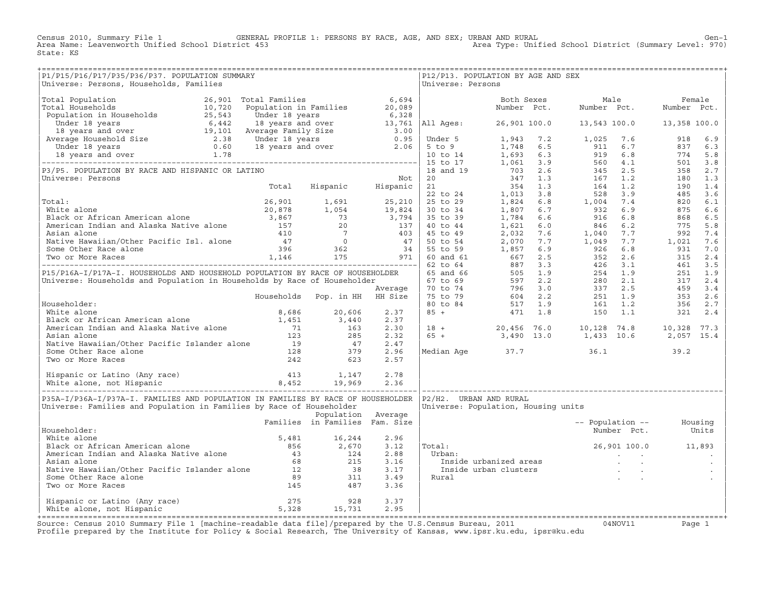Census 2010, Summary File 1 GENERAL PROFILE 1: PERSONS BY RACE, AGE, AND SEX; URBAN AND RURAL Genosi Cen-1<br>Area Name: Leavenworth Unified School District 453 Area Type: Unified School District (Summary Level: 970) Area Type: Unified School District (Summary Level: 970) State: KS

| P1/P15/P16/P17/P35/P36/P37. POPULATION SUMMARY<br>Universe: Persons, Households, Families                                                                                                                                                              |                                |                    |              | Universe: Persons | P12/P13. POPULATION BY AGE AND SEX                                                                                                                              |                          |                     |  |
|--------------------------------------------------------------------------------------------------------------------------------------------------------------------------------------------------------------------------------------------------------|--------------------------------|--------------------|--------------|-------------------|-----------------------------------------------------------------------------------------------------------------------------------------------------------------|--------------------------|---------------------|--|
| Universe: Persons, Rouseholds, Families (mirrorse: Persons (mirrorse: Persons Made (mirrorse: Persons Made (mirrorse: Persons Made 19 (mirrorse: Persons Made 19 (mirrorse: Persons (mirrorse: Persons Made 19 (mirrorse: 199                          |                                |                    |              |                   |                                                                                                                                                                 |                          |                     |  |
|                                                                                                                                                                                                                                                        |                                |                    |              |                   |                                                                                                                                                                 |                          |                     |  |
|                                                                                                                                                                                                                                                        |                                |                    |              |                   |                                                                                                                                                                 |                          |                     |  |
|                                                                                                                                                                                                                                                        |                                |                    |              |                   |                                                                                                                                                                 |                          |                     |  |
|                                                                                                                                                                                                                                                        |                                |                    |              |                   |                                                                                                                                                                 |                          |                     |  |
|                                                                                                                                                                                                                                                        |                                |                    |              |                   |                                                                                                                                                                 |                          |                     |  |
|                                                                                                                                                                                                                                                        |                                |                    |              |                   |                                                                                                                                                                 |                          |                     |  |
|                                                                                                                                                                                                                                                        |                                |                    |              |                   |                                                                                                                                                                 |                          |                     |  |
|                                                                                                                                                                                                                                                        |                                |                    |              |                   |                                                                                                                                                                 |                          |                     |  |
|                                                                                                                                                                                                                                                        |                                |                    |              |                   |                                                                                                                                                                 |                          |                     |  |
|                                                                                                                                                                                                                                                        |                                |                    |              |                   |                                                                                                                                                                 |                          |                     |  |
|                                                                                                                                                                                                                                                        |                                |                    |              |                   |                                                                                                                                                                 |                          |                     |  |
|                                                                                                                                                                                                                                                        |                                |                    |              |                   |                                                                                                                                                                 |                          |                     |  |
|                                                                                                                                                                                                                                                        |                                |                    |              |                   |                                                                                                                                                                 |                          |                     |  |
|                                                                                                                                                                                                                                                        |                                |                    |              |                   |                                                                                                                                                                 |                          |                     |  |
|                                                                                                                                                                                                                                                        |                                |                    |              |                   |                                                                                                                                                                 |                          |                     |  |
|                                                                                                                                                                                                                                                        |                                |                    |              |                   |                                                                                                                                                                 |                          |                     |  |
|                                                                                                                                                                                                                                                        |                                |                    |              |                   |                                                                                                                                                                 |                          |                     |  |
|                                                                                                                                                                                                                                                        |                                |                    |              |                   |                                                                                                                                                                 |                          |                     |  |
|                                                                                                                                                                                                                                                        |                                |                    |              |                   |                                                                                                                                                                 |                          |                     |  |
|                                                                                                                                                                                                                                                        |                                |                    |              |                   |                                                                                                                                                                 |                          |                     |  |
|                                                                                                                                                                                                                                                        |                                |                    |              |                   |                                                                                                                                                                 |                          |                     |  |
|                                                                                                                                                                                                                                                        |                                |                    |              |                   |                                                                                                                                                                 |                          |                     |  |
|                                                                                                                                                                                                                                                        |                                |                    |              |                   | $\begin{array}{cccccccc} 18 & + & & 20,456 & 76.0 & & 10,128 & 74.8 & & 10,328 & 77.3 \\ 65 & + & & 3,490 & 13.0 & & 1,433 & 10.6 & & 2,057 & 15.4 \end{array}$ |                          |                     |  |
|                                                                                                                                                                                                                                                        |                                |                    |              |                   |                                                                                                                                                                 |                          |                     |  |
|                                                                                                                                                                                                                                                        |                                |                    |              |                   |                                                                                                                                                                 |                          |                     |  |
|                                                                                                                                                                                                                                                        |                                |                    |              |                   | Median Age 37.7 36.1 39.2                                                                                                                                       |                          |                     |  |
|                                                                                                                                                                                                                                                        |                                |                    |              |                   |                                                                                                                                                                 |                          |                     |  |
| Householder:<br>White alone<br>White alone<br>Black or African American alone<br>American Indian and Alaska Native alone<br>Asian alone<br>Native Hawaiian/Other Pacific Islander alone<br>Native Hawaiian/Other Pacific Islander alone<br>Nat         |                                |                    |              |                   |                                                                                                                                                                 |                          |                     |  |
|                                                                                                                                                                                                                                                        |                                |                    |              |                   |                                                                                                                                                                 |                          |                     |  |
| P35A-I/P36A-I/P37A-I. FAMILIES AND POPULATION IN FAMILIES BY RACE OF HOUSEHOLDER   P2/H2. URBAN AND RURAL                                                                                                                                              |                                |                    |              |                   |                                                                                                                                                                 |                          |                     |  |
| Universe: Families and Population in Families by Race of Householder                                                                                                                                                                                   |                                |                    |              |                   | Universe: Population, Housing units                                                                                                                             |                          |                     |  |
|                                                                                                                                                                                                                                                        |                                | Population Average |              |                   |                                                                                                                                                                 |                          |                     |  |
|                                                                                                                                                                                                                                                        | Families in Families Fam. Size |                    |              |                   |                                                                                                                                                                 | -- Population -- Housing |                     |  |
| Householder:                                                                                                                                                                                                                                           |                                |                    |              |                   |                                                                                                                                                                 |                          | Number Pct. Units   |  |
|                                                                                                                                                                                                                                                        |                                |                    |              | Total:            |                                                                                                                                                                 |                          | 26,901 100.0 11,893 |  |
|                                                                                                                                                                                                                                                        |                                |                    |              |                   |                                                                                                                                                                 |                          |                     |  |
|                                                                                                                                                                                                                                                        |                                |                    |              |                   |                                                                                                                                                                 |                          |                     |  |
|                                                                                                                                                                                                                                                        |                                |                    |              |                   |                                                                                                                                                                 |                          |                     |  |
|                                                                                                                                                                                                                                                        |                                |                    |              |                   |                                                                                                                                                                 |                          |                     |  |
| Mousenouse:<br>Native alone<br>Maite alone<br>American Indian and Alaska Native alone<br>American Indian and Alaska Native alone<br>Asian alone<br>Asian alone<br>Asian alone<br>Asian alone<br>Asian alone<br>Asian alone<br>Asian alone<br>Asian alo |                                |                    |              |                   |                                                                                                                                                                 |                          |                     |  |
|                                                                                                                                                                                                                                                        |                                |                    |              |                   |                                                                                                                                                                 |                          |                     |  |
| Hispanic or Latino (Any race) 275 928<br>White alone, not Hispanic 3 5,328 15,731                                                                                                                                                                      |                                |                    | 3.37<br>2.95 |                   |                                                                                                                                                                 |                          |                     |  |
|                                                                                                                                                                                                                                                        |                                |                    |              |                   |                                                                                                                                                                 |                          |                     |  |

+===================================================================================================================================================+Source: Census 2010 Summary File 1 [machine−readable data file]/prepared by the U.S.Census Bureau, 2011 04NOV11 Page 1 Profile prepared by the Institute for Policy & Social Research, The University of Kansas, www.ipsr.ku.edu, ipsr@ku.edu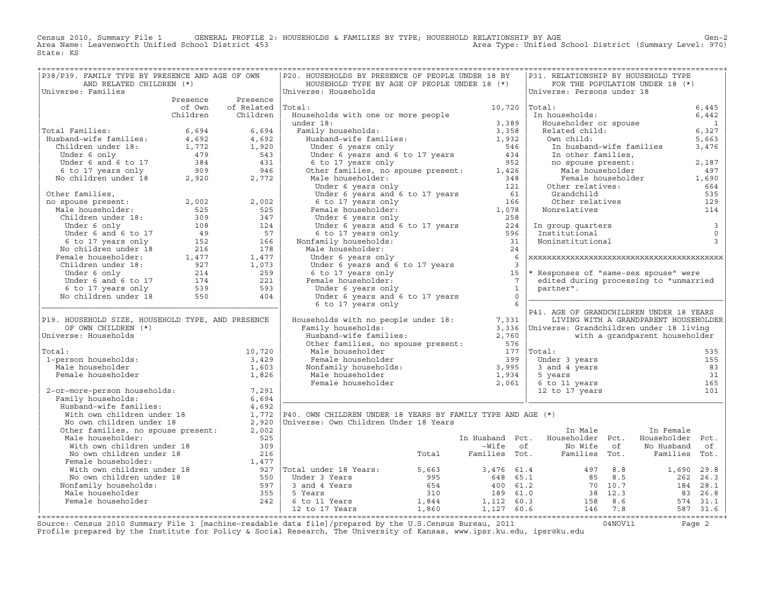Census 2010, Summary File 1 GENERAL PROFILE 2: HOUSEHOLDS & FAMILIES BY TYPE; HOUSEHOLD RELATIONSHIP BY AGE GEN<br>Area Name: Leavenworth Unified School District 453 Area Type: Unified School District (Summary Level: 970) State: KS

| P38/P39. FAMILY TYPE BY PRESENCE AND AGE OF OWN                                                                                                                                                                                   |        |                               | P20. HOUSEHOLDS BY PRESENCE OF PEOPLE UNDER 18 BY                                                                                                                                                                                                            |                    | P31. RELATIONSHIP BY HOUSEHOLD TYPE                                                                                                       |                                                                                                    |                          |
|-----------------------------------------------------------------------------------------------------------------------------------------------------------------------------------------------------------------------------------|--------|-------------------------------|--------------------------------------------------------------------------------------------------------------------------------------------------------------------------------------------------------------------------------------------------------------|--------------------|-------------------------------------------------------------------------------------------------------------------------------------------|----------------------------------------------------------------------------------------------------|--------------------------|
| AND RELATED CHILDREN (*)                                                                                                                                                                                                          |        |                               | HOUSEHOLD TYPE BY AGE OF PEOPLE UNDER 18 (*)                                                                                                                                                                                                                 |                    |                                                                                                                                           | FOR THE POPULATION UNDER 18 (*)                                                                    |                          |
| Universe: Families                                                                                                                                                                                                                |        |                               | Universe: Households                                                                                                                                                                                                                                         |                    | Universe: Persons under 18                                                                                                                |                                                                                                    |                          |
|                                                                                                                                                                                                                                   |        | Presence Presence             |                                                                                                                                                                                                                                                              |                    |                                                                                                                                           |                                                                                                    |                          |
|                                                                                                                                                                                                                                   | of Own | of Related Total:             | otal:<br>Households with one or more people<br>under 18:<br>Family households:<br>Husband-wife families:<br>Husband-wife families:<br>Under 6 years only<br>Under 6 years and 6 to 17 years<br>(1952)<br>1952<br>1952<br>1952<br>1952<br>1952<br>1952<br>195 | $10,720$ $ Total:$ | Total:<br>In households:<br>Householder or spouse<br>Related child:<br>Own child:<br>In husband-wife families<br>In husband-wife families |                                                                                                    | 6,445<br>6,442           |
|                                                                                                                                                                                                                                   |        | Children Children             |                                                                                                                                                                                                                                                              |                    |                                                                                                                                           |                                                                                                    |                          |
|                                                                                                                                                                                                                                   |        |                               |                                                                                                                                                                                                                                                              |                    |                                                                                                                                           |                                                                                                    | $\overline{\phantom{a}}$ |
|                                                                                                                                                                                                                                   |        |                               |                                                                                                                                                                                                                                                              |                    |                                                                                                                                           |                                                                                                    | 6,327<br>5,663           |
|                                                                                                                                                                                                                                   |        |                               |                                                                                                                                                                                                                                                              |                    |                                                                                                                                           |                                                                                                    |                          |
|                                                                                                                                                                                                                                   |        |                               |                                                                                                                                                                                                                                                              |                    |                                                                                                                                           |                                                                                                    | 3,476                    |
|                                                                                                                                                                                                                                   |        |                               |                                                                                                                                                                                                                                                              |                    |                                                                                                                                           |                                                                                                    |                          |
|                                                                                                                                                                                                                                   |        |                               |                                                                                                                                                                                                                                                              |                    |                                                                                                                                           |                                                                                                    |                          |
| Total Families:<br>Husband–wife families:<br>Husband–wife families:<br>Children under 18:<br>1,772 1,920<br>Under 6 only 479 543<br>Under 6 and 6 to 17 384 431<br>6 to 17 years only 909 946<br>No children under 18 2,920 2,772 |        |                               | Under 6 years and 6 to 17 years<br>6 to 17 years<br>6 to 17 years<br>0 ther families, no spouse present:<br>Male householder:<br>Under 6 years only<br>Under 6 years and 6 to 17 years<br>6 to 17 years<br>6 to 17 years<br>Under 6 years only<br>           |                    |                                                                                                                                           | In other families,<br>no spouse present:<br>Male householder<br>Female householder<br>1,690<br>664 |                          |
|                                                                                                                                                                                                                                   |        |                               |                                                                                                                                                                                                                                                              |                    | Other relatives:                                                                                                                          |                                                                                                    |                          |
|                                                                                                                                                                                                                                   |        |                               |                                                                                                                                                                                                                                                              |                    | Grandchild                                                                                                                                |                                                                                                    | 664<br>535               |
|                                                                                                                                                                                                                                   |        |                               |                                                                                                                                                                                                                                                              |                    |                                                                                                                                           | Grandchild<br>Other relatives<br>onrelatives                                                       | 129                      |
|                                                                                                                                                                                                                                   |        |                               |                                                                                                                                                                                                                                                              |                    | Nonrelatives                                                                                                                              |                                                                                                    | 114                      |
|                                                                                                                                                                                                                                   |        |                               |                                                                                                                                                                                                                                                              |                    |                                                                                                                                           |                                                                                                    |                          |
|                                                                                                                                                                                                                                   |        |                               |                                                                                                                                                                                                                                                              |                    |                                                                                                                                           |                                                                                                    | $\overline{\phantom{a}}$ |
|                                                                                                                                                                                                                                   |        |                               |                                                                                                                                                                                                                                                              |                    | In group quarters<br>Institutional<br>Noninstitutional                                                                                    |                                                                                                    | $\circ$                  |
|                                                                                                                                                                                                                                   |        |                               |                                                                                                                                                                                                                                                              |                    |                                                                                                                                           |                                                                                                    | $\overline{3}$           |
|                                                                                                                                                                                                                                   |        |                               | 6 to 17 years only 596<br>Nonfamily households: 31<br>Male householder: 24<br>Male householder:                                                                                                                                                              | 24                 |                                                                                                                                           |                                                                                                    |                          |
|                                                                                                                                                                                                                                   |        |                               | male nouseholder:<br>Under 6 years only<br>Under 6 years and 6 to 17 years<br>6 to 17 years only<br>Female householder:<br>Under 6 years only<br>Under 6 years only<br>Under 17 with 18 with 18 with 18 models                                               |                    |                                                                                                                                           |                                                                                                    |                          |
|                                                                                                                                                                                                                                   |        |                               |                                                                                                                                                                                                                                                              |                    |                                                                                                                                           |                                                                                                    |                          |
|                                                                                                                                                                                                                                   |        |                               |                                                                                                                                                                                                                                                              |                    | * Responses of "same-sex spouse" were                                                                                                     |                                                                                                    |                          |
|                                                                                                                                                                                                                                   |        |                               |                                                                                                                                                                                                                                                              |                    | edited during processing to "unmarried                                                                                                    |                                                                                                    |                          |
|                                                                                                                                                                                                                                   |        |                               |                                                                                                                                                                                                                                                              |                    | partner".                                                                                                                                 |                                                                                                    |                          |
|                                                                                                                                                                                                                                   |        |                               | Under 6 years only 1<br>Under 6 years and 6 to 17 years 00<br>C to 17 years only                                                                                                                                                                             |                    |                                                                                                                                           |                                                                                                    |                          |
| 001 1 105 1 105 1 106 1 106 1 106 1 106 1 106 1 106 1 106 1 106 1 106 1 106 1 106 1 106 1 106 1 106 1 106 1 106 1 106 1 106 1 106 1 106 1 106 1 106 1 106 1 106 1 106 1 106 1 106 1 106 1 106 1 106 1 106 1 106 1 106 1 106 1     |        |                               |                                                                                                                                                                                                                                                              |                    |                                                                                                                                           |                                                                                                    |                          |
|                                                                                                                                                                                                                                   |        |                               |                                                                                                                                                                                                                                                              |                    |                                                                                                                                           |                                                                                                    |                          |
| P19. HOUSEHOLD SIZE, HOUSEHOLD TYPE, AND PRESENCE                                                                                                                                                                                 |        |                               |                                                                                                                                                                                                                                                              |                    |                                                                                                                                           | LIVING WITH A GRANDPARENT HOUSEHOLDER                                                              |                          |
| OF OWN CHILDREN (*)                                                                                                                                                                                                               |        |                               |                                                                                                                                                                                                                                                              |                    |                                                                                                                                           |                                                                                                    |                          |
| Universe: Households                                                                                                                                                                                                              |        |                               |                                                                                                                                                                                                                                                              |                    |                                                                                                                                           |                                                                                                    |                          |
|                                                                                                                                                                                                                                   |        |                               |                                                                                                                                                                                                                                                              |                    |                                                                                                                                           |                                                                                                    |                          |
| Total:                                                                                                                                                                                                                            |        | 10,720                        |                                                                                                                                                                                                                                                              |                    |                                                                                                                                           |                                                                                                    |                          |
| 1-person households:                                                                                                                                                                                                              |        |                               |                                                                                                                                                                                                                                                              |                    |                                                                                                                                           |                                                                                                    | 155                      |
| Male householder                                                                                                                                                                                                                  |        | $\frac{3}{1}$ , 429<br>1, 603 |                                                                                                                                                                                                                                                              |                    |                                                                                                                                           |                                                                                                    | 83                       |
| Female householder                                                                                                                                                                                                                |        | 1,826                         |                                                                                                                                                                                                                                                              |                    |                                                                                                                                           |                                                                                                    | 31                       |
|                                                                                                                                                                                                                                   |        |                               |                                                                                                                                                                                                                                                              |                    |                                                                                                                                           |                                                                                                    | 165                      |
|                                                                                                                                                                                                                                   |        |                               |                                                                                                                                                                                                                                                              |                    |                                                                                                                                           |                                                                                                    |                          |
|                                                                                                                                                                                                                                   |        |                               |                                                                                                                                                                                                                                                              |                    |                                                                                                                                           |                                                                                                    |                          |
|                                                                                                                                                                                                                                   |        |                               |                                                                                                                                                                                                                                                              |                    |                                                                                                                                           |                                                                                                    |                          |
|                                                                                                                                                                                                                                   |        |                               |                                                                                                                                                                                                                                                              |                    |                                                                                                                                           |                                                                                                    |                          |
|                                                                                                                                                                                                                                   |        |                               |                                                                                                                                                                                                                                                              |                    |                                                                                                                                           |                                                                                                    |                          |
|                                                                                                                                                                                                                                   |        |                               |                                                                                                                                                                                                                                                              |                    | In Male                                                                                                                                   | In Female                                                                                          |                          |
|                                                                                                                                                                                                                                   |        |                               |                                                                                                                                                                                                                                                              |                    |                                                                                                                                           |                                                                                                    |                          |
|                                                                                                                                                                                                                                   |        |                               |                                                                                                                                                                                                                                                              |                    |                                                                                                                                           |                                                                                                    |                          |
|                                                                                                                                                                                                                                   |        |                               |                                                                                                                                                                                                                                                              |                    |                                                                                                                                           |                                                                                                    |                          |
|                                                                                                                                                                                                                                   |        |                               |                                                                                                                                                                                                                                                              |                    |                                                                                                                                           |                                                                                                    |                          |
|                                                                                                                                                                                                                                   |        |                               |                                                                                                                                                                                                                                                              |                    |                                                                                                                                           |                                                                                                    |                          |
|                                                                                                                                                                                                                                   |        |                               |                                                                                                                                                                                                                                                              |                    |                                                                                                                                           |                                                                                                    |                          |
|                                                                                                                                                                                                                                   |        |                               |                                                                                                                                                                                                                                                              |                    |                                                                                                                                           |                                                                                                    |                          |
|                                                                                                                                                                                                                                   |        |                               |                                                                                                                                                                                                                                                              |                    |                                                                                                                                           |                                                                                                    |                          |
|                                                                                                                                                                                                                                   |        |                               |                                                                                                                                                                                                                                                              |                    |                                                                                                                                           |                                                                                                    |                          |
|                                                                                                                                                                                                                                   |        |                               |                                                                                                                                                                                                                                                              |                    |                                                                                                                                           |                                                                                                    |                          |
|                                                                                                                                                                                                                                   |        |                               |                                                                                                                                                                                                                                                              |                    |                                                                                                                                           |                                                                                                    |                          |

+===================================================================================================================================================+Source: Census 2010 Summary File 1 [machine−readable data file]/prepared by the U.S.Census Bureau, 2011 04NOV11 Page 2 Profile prepared by the Institute for Policy & Social Research, The University of Kansas, www.ipsr.ku.edu, ipsr@ku.edu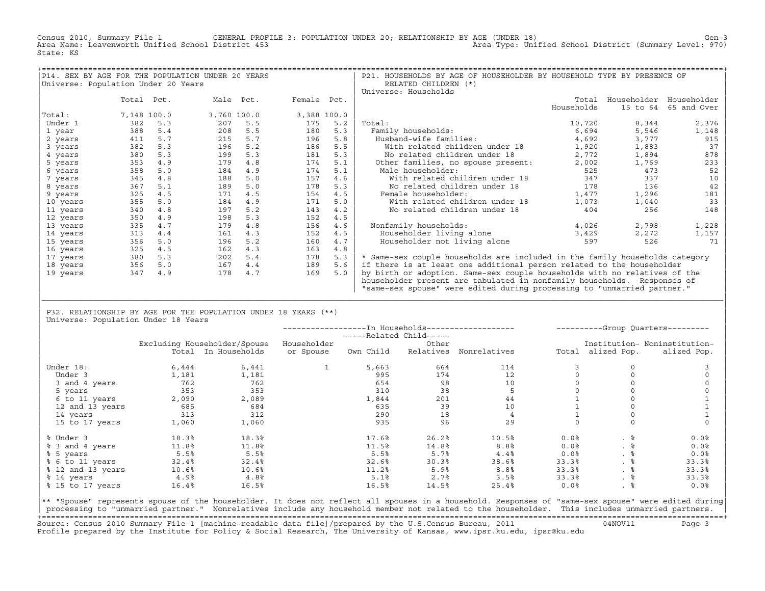Census 2010, Summary File 1 GENERAL PROFILE 3: POPULATION UNDER 20; RELATIONSHIP BY AGE (UNDER 18) Gen−3<br>Area Name: Leavenworth Unified School District 453 Area Type: Unified School District (Summary Level: 970) State: KS

| P14. SEX BY AGE FOR THE POPULATION UNDER 20 YEARS |             |     |     |             |             |     | P21. HOUSEHOLDS BY AGE OF HOUSEHOLDER BY HOUSEHOLD TYPE BY PRESENCE OF      |            |          |                         |
|---------------------------------------------------|-------------|-----|-----|-------------|-------------|-----|-----------------------------------------------------------------------------|------------|----------|-------------------------|
| Universe: Population Under 20 Years               |             |     |     |             |             |     | RELATED CHILDREN (*)                                                        |            |          |                         |
|                                                   |             |     |     |             |             |     | Universe: Households                                                        |            |          |                         |
|                                                   | Total Pct.  |     |     | Male Pct.   | Female Pct. |     |                                                                             | Total      |          | Householder Householder |
|                                                   |             |     |     |             |             |     |                                                                             | Households | 15 to 64 | 65 and Over             |
| Total:                                            | 7,148 100.0 |     |     | 3,760 100.0 | 3,388 100.0 |     |                                                                             |            |          |                         |
| Under 1                                           | 382         | 5.3 | 207 | 5.5         | 175         | 5.2 | Total:                                                                      | 10,720     | 8,344    | 2,376                   |
| 1 year                                            | 388         | 5.4 | 208 | 5.5         | 180         | 5.3 | Family households:                                                          | 6,694      | 5,546    | 1,148                   |
| 2 years                                           | 411         | 5.7 | 215 | 5.7         | 196         | 5.8 | Husband-wife families:                                                      | 4,692      | 3,777    | 915                     |
| 3 years                                           | 382         | 5.3 | 196 | 5.2         | 186         | 5.5 | With related children under 18                                              | 1,920      | 1,883    | 37                      |
| 4 years                                           | 380         | 5.3 | 199 | 5.3         | 181         | 5.3 | No related children under 18                                                | 2,772      | 1,894    | 878                     |
| 5 years                                           | 353         | 4.9 | 179 | 4.8         | 174         | 5.1 | Other families, no spouse present:                                          | 2,002      | 1,769    | 233                     |
| 6 years                                           | 358         | 5.0 | 184 | 4.9         | 174         | 5.1 | Male householder:                                                           | 525        | 473      | 52                      |
| 7 years                                           | 345         | 4.8 | 188 | 5.0         | 157         | 4.6 | With related children under 18                                              | 347        | 337      | 10                      |
| 8 years                                           | 367         | 5.1 | 189 | 5.0         | 178         | 5.3 | No related children under 18                                                | 178        | 136      | 42                      |
| 9 years                                           | 325         | 4.5 | 171 | 4.5         | 154         | 4.5 | Female householder:                                                         | 1,477      | 1,296    | 181                     |
| 10 years                                          | 355         | 5.0 | 184 | 4.9         | 171         | 5.0 | With related children under 18                                              | 1,073      | 1,040    | 33                      |
| 11 years                                          | 340         | 4.8 | 197 | 5.2         | 143         | 4.2 | No related children under 18                                                | 404        | 256      | 148                     |
| 12 years                                          | 350         | 4.9 | 198 | 5.3         | 152         | 4.5 |                                                                             |            |          |                         |
| 13 years                                          | 335         | 4.7 | 179 | 4.8         | 156         | 4.6 | Nonfamily households:                                                       | 4,026      | 2,798    | 1,228                   |
| 14 years                                          | 313         | 4.4 | 161 | 4.3         | 152         | 4.5 | Householder living alone                                                    | 3,429      | 2,272    | 1,157                   |
| 15 years                                          | 356         | 5.0 | 196 | 5.2         | 160         | 4.7 | Householder not living alone                                                | 597        | 526      | 71                      |
| 16 years                                          | 325         | 4.5 | 162 | 4.3         | 163         | 4.8 |                                                                             |            |          |                         |
| 17 years                                          | 380         | 5.3 | 202 | 5.4         | 178         | 5.3 | * Same-sex couple households are included in the family households category |            |          |                         |
| 18 years                                          | 356         | 5.0 | 167 | 4.4         | 189         | 5.6 | if there is at least one additional person related to the householder       |            |          |                         |
| 19 years                                          | 347         | 4.9 | 178 | 4.7         | 169         | 5.0 | by birth or adoption. Same-sex couple households with no relatives of the   |            |          |                         |
|                                                   |             |     |     |             |             |     | householder present are tabulated in nonfamily households. Responses of     |            |          |                         |
|                                                   |             |     |     |             |             |     | "same-sex spouse" were edited during processing to "unmarried partner."     |            |          |                         |

| P32. RELATIONSHIP BY AGE FOR THE POPULATION UNDER 18 YEARS (\*\*) | Universe: Population Under 18 Years

|                   |       |                              |             | -----Related Child----- |           | ------------------In Households------------------ |       |                   | ----------Group Ouarters--------- |
|-------------------|-------|------------------------------|-------------|-------------------------|-----------|---------------------------------------------------|-------|-------------------|-----------------------------------|
|                   |       | Excluding Householder/Spouse | Householder |                         | Other     |                                                   |       |                   | Institution- Noninstitution-      |
|                   |       | Total In Households          | or Spouse   | Own Child               | Relatives | Nonrelatives                                      |       | Total alized Pop. | alized Pop.                       |
| Under 18:         | 6,444 | 6,441                        |             | 5,663                   | 664       | 114                                               |       |                   |                                   |
| Under 3           | 1,181 | 1,181                        |             | 995                     | 174       | 12                                                |       |                   |                                   |
| 3 and 4 years     | 762   | 762                          |             | 654                     | 98        | 10                                                |       |                   |                                   |
| 5 years           | 353   | 353                          |             | 310                     | 38        |                                                   |       |                   |                                   |
| 6 to 11 years     | 2,090 | 2,089                        |             | 1,844                   | 201       | 44                                                |       |                   |                                   |
| 12 and 13 years   | 685   | 684                          |             | 635                     | 39        | 10                                                |       |                   |                                   |
| 14 years          | 313   | 312                          |             | 290                     | 18        |                                                   |       |                   |                                   |
| 15 to 17 years    | 1,060 | 1,060                        |             | 935                     | 96        | 29                                                |       |                   |                                   |
| % Under 3         | 18.3% | 18.3%                        |             | 17.6%                   | 26.2%     | 10.5%                                             | 0.0%  | . 응               | 0.0%                              |
| % 3 and 4 years   | 11.8% | 11.8%                        |             | 11.5%                   | 14.8%     | 8.8 <sup>8</sup>                                  | 0.0%  | . ៖               | 0.0%                              |
| % 5 years         | 5.5%  | 5.5%                         |             | 5.5%                    | 5.7%      | 4.4%                                              | 0.0%  | . ៖               | 0.0%                              |
| % 6 to 11 years   | 32.4% | 32.4%                        |             | 32.6%                   | 30.3%     | 38.6%                                             | 33.3% | . 응               | 33.3%                             |
| % 12 and 13 years | 10.6% | 10.6%                        |             | 11.2%                   | 5.9%      | 8.8 <sup>°</sup>                                  | 33.3% | . ៖               | 33.3%                             |
| % 14 years        | 4.9%  | 4.8%                         |             | 5.1%                    | 2.7%      | 3.5%                                              | 33.3% | . 응               | 33.3%                             |
| % 15 to 17 years  | 16.4% | 16.5%                        |             | 16.5%                   | 14.5%     | 25.4%                                             | 0.0%  | . ៖               | 0.0%                              |

|\_\_\_\_\_\_\_\_\_\_\_\_\_\_\_\_\_\_\_\_\_\_\_\_\_\_\_\_\_\_\_\_\_\_\_\_\_\_\_\_\_\_\_\_\_\_\_\_\_\_\_\_\_\_\_\_\_\_\_\_\_\_\_\_\_\_\_\_\_\_\_\_\_\_\_\_\_\_\_\_\_\_\_\_\_\_\_\_\_\_\_\_\_\_\_\_\_\_\_\_\_\_\_\_\_\_\_\_\_\_\_\_\_\_\_\_\_\_\_\_\_\_\_\_\_\_\_\_\_\_\_\_\_\_\_\_\_\_\_\_\_\_\_\_\_\_\_| | |

|\*\* "Spouse" represents spouse of the householder. It does not reflect all spouses in a household. Responses of "same−sex spouse" were edited during| processing to "unmarried partner." Nonrelatives include any household member not related to the householder. This includes unmarried partners. +===================================================================================================================================================+ Source: Census 2010 Summary File 1 [machine−readable data file]/prepared by the U.S.Census Bureau, 2011 04NOV11 Page 3 Profile prepared by the Institute for Policy & Social Research, The University of Kansas, www.ipsr.ku.edu, ipsr@ku.edu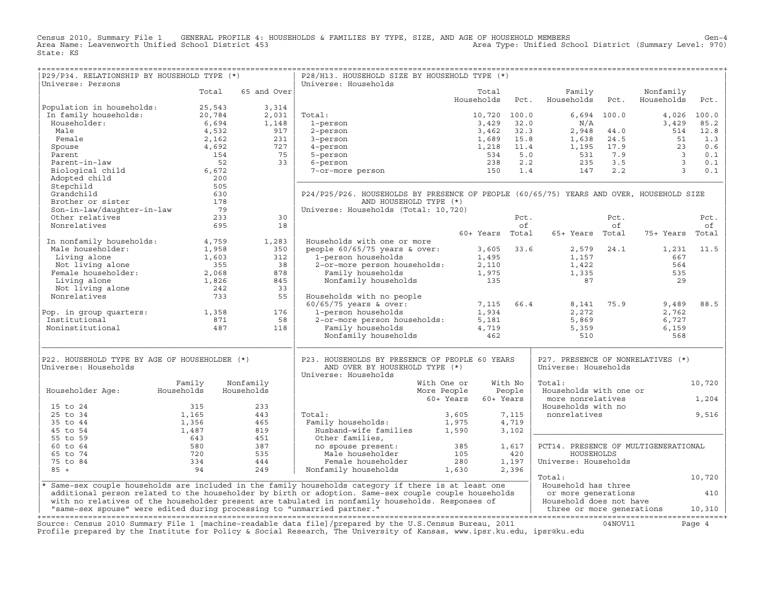Census 2010, Summary File 1 GENERAL PROFILE 4: HOUSEHOLDS & FAMILIES BY TYPE, SIZE, AND AGE OF HOUSEHOLD MEMBERS Gen−4 Area Name: Leavenworth Unified School District 453 Area Type: Unified School District (Summary Level: 970) State: KS

| P29/P34. RELATIONSHIP BY HOUSEHOLD TYPE (*)                                                                                                                                                       |                   |             | P28/H13. HOUSEHOLD SIZE BY HOUSEHOLD TYPE (*)                                                                                                                                                                                     |                                        |         | ==================================                       |                                                     |                         |             |
|---------------------------------------------------------------------------------------------------------------------------------------------------------------------------------------------------|-------------------|-------------|-----------------------------------------------------------------------------------------------------------------------------------------------------------------------------------------------------------------------------------|----------------------------------------|---------|----------------------------------------------------------|-----------------------------------------------------|-------------------------|-------------|
| Universe: Persons                                                                                                                                                                                 |                   |             | Universe: Households                                                                                                                                                                                                              |                                        |         |                                                          |                                                     |                         |             |
|                                                                                                                                                                                                   | Total             | 65 and Over |                                                                                                                                                                                                                                   | Total<br>Households                    | Pct.    | Family<br>Households                                     | Pct.                                                | Nonfamily<br>Households | Pct.        |
| Population in households:                                                                                                                                                                         | 25,543            | 3,314       |                                                                                                                                                                                                                                   |                                        |         |                                                          |                                                     |                         |             |
| In family households:                                                                                                                                                                             | 20,784            | 2,031       | Total:                                                                                                                                                                                                                            | 10,720 100.0                           |         |                                                          | $6,694$ 100.0                                       |                         | 4,026 100.0 |
| Householder:                                                                                                                                                                                      | 6,694             | 1,148       | 1-person                                                                                                                                                                                                                          | 3,429 32.0                             |         | N/A                                                      |                                                     | 3,429                   | 85.2        |
| Male                                                                                                                                                                                              | 4,532             | 917         | 2-person                                                                                                                                                                                                                          | 3,462                                  | 32.3    | 2,948                                                    | 44.0                                                | 514                     | 12.8        |
| Female                                                                                                                                                                                            | 2,162             | 231         | 3-person                                                                                                                                                                                                                          | 1,689                                  | 15.8    |                                                          | 24.5                                                |                         | 1.3         |
| Spouse                                                                                                                                                                                            | 4,692             | 727         | 4-person                                                                                                                                                                                                                          | 1,218                                  | 11.4    |                                                          |                                                     | $\frac{51}{23}$         | 0.6         |
| Parent                                                                                                                                                                                            | 154               | 75          | 5-person                                                                                                                                                                                                                          | 534                                    | 5.0     |                                                          |                                                     |                         | 0.1         |
| Parent-in-law                                                                                                                                                                                     | 52                | 33          | 6-person                                                                                                                                                                                                                          | 238                                    | 2.2     |                                                          |                                                     | $\frac{3}{3}$           | 0.1         |
| Biological child                                                                                                                                                                                  | 6,672             |             | 7-or-more person                                                                                                                                                                                                                  | 150                                    | 1.4     | $2,948$<br>$1,638$<br>$1,195$<br>$531$<br>$235$<br>$147$ | $1,938$ 24.5<br>$531$ 7.9<br>$235$ 3.5<br>$147$ 2.2 | $\overline{\mathbf{3}}$ | 0.1         |
| Adopted child                                                                                                                                                                                     | 200               |             |                                                                                                                                                                                                                                   |                                        |         |                                                          |                                                     |                         |             |
| Stepchild                                                                                                                                                                                         | 505               |             |                                                                                                                                                                                                                                   |                                        |         |                                                          |                                                     |                         |             |
| Grandchild                                                                                                                                                                                        | 630               |             | P24/P25/P26. HOUSEHOLDS BY PRESENCE OF PEOPLE (60/65/75) YEARS AND OVER, HOUSEHOLD SIZE                                                                                                                                           |                                        |         |                                                          |                                                     |                         |             |
| Brother or sister                                                                                                                                                                                 |                   |             | AND HOUSEHOLD TYPE (*)                                                                                                                                                                                                            |                                        |         |                                                          |                                                     |                         |             |
| Son-in-law/daughter-in-law                                                                                                                                                                        | 178<br>79         |             | Universe: Households (Total: 10,720)                                                                                                                                                                                              |                                        |         |                                                          |                                                     |                         |             |
| Other relatives                                                                                                                                                                                   | 233               | 30          |                                                                                                                                                                                                                                   |                                        | Pct.    |                                                          | Pct.                                                |                         |             |
| Nonrelatives                                                                                                                                                                                      | 695               | 18          |                                                                                                                                                                                                                                   |                                        | of      |                                                          | of                                                  |                         | Pct.<br>of  |
|                                                                                                                                                                                                   |                   |             |                                                                                                                                                                                                                                   | 60+ Years Total                        |         | 65+ Years Total                                          |                                                     | 75+ Years               |             |
| In nonfamily households: 4,759                                                                                                                                                                    |                   | 1,283       | Households with one or more                                                                                                                                                                                                       |                                        |         |                                                          |                                                     |                         | Total       |
|                                                                                                                                                                                                   |                   | 350         | denous-<br>ople 60/65/75 years $\alpha$<br>1-person households 1,300<br>2-or-more person households 1,975<br>mily households 1,975<br>135                                                                                         |                                        |         |                                                          |                                                     |                         | 11.5        |
| Male householder:<br>1,958<br>Living alone 1,603<br>Not living alone 355<br>Female householder: 2,068<br>Living alone 1,826<br>Not living alone 1,826<br>Not living alone 242<br>Nonrelatives 722 | 1,958             | 312         | people $60/65/75$ years & over:<br>1-person households                                                                                                                                                                            | 3,605 33.6                             |         | 1,157                                                    | 2,579 24.1                                          | 1,231<br>667            |             |
|                                                                                                                                                                                                   |                   |             |                                                                                                                                                                                                                                   | $1,495$<br>$2,110$<br>$1,975$<br>$135$ |         |                                                          |                                                     |                         |             |
|                                                                                                                                                                                                   |                   | 38<br>878   |                                                                                                                                                                                                                                   |                                        |         | 1,422                                                    |                                                     | 564<br>535              |             |
|                                                                                                                                                                                                   |                   |             |                                                                                                                                                                                                                                   |                                        |         | 1,335                                                    |                                                     |                         |             |
|                                                                                                                                                                                                   |                   | 845         |                                                                                                                                                                                                                                   |                                        |         | 87                                                       |                                                     | 29                      |             |
|                                                                                                                                                                                                   | $\frac{242}{733}$ | 33          |                                                                                                                                                                                                                                   |                                        |         |                                                          |                                                     |                         |             |
| Nonrelatives                                                                                                                                                                                      |                   | 55          | Households with no people                                                                                                                                                                                                         |                                        |         |                                                          |                                                     |                         |             |
|                                                                                                                                                                                                   |                   |             |                                                                                                                                                                                                                                   | 7,115 66.4                             |         | 8,141                                                    | 75.9                                                | 9,489                   | 88.5        |
| Pop. in group quarters: 1,358                                                                                                                                                                     |                   | 176         |                                                                                                                                                                                                                                   |                                        |         | 2,272                                                    |                                                     | 2,762                   |             |
| Institutional                                                                                                                                                                                     | 356,<br>871<br>م  | 58          |                                                                                                                                                                                                                                   |                                        |         | 5,869                                                    |                                                     | 6,727                   |             |
| Noninstitutional                                                                                                                                                                                  |                   | 118         |                                                                                                                                                                                                                                   |                                        |         | 5,359<br>510                                             |                                                     | 6,159<br>568            |             |
|                                                                                                                                                                                                   |                   |             | momentum with the people<br>60/65/75 years & over: 7,115<br>1-person households 1,934<br>2-or-more person households: 5,181<br>Family households 4,719<br>Nonfamily households 4,719<br>462                                       |                                        |         |                                                          |                                                     |                         |             |
| P22. HOUSEHOLD TYPE BY AGE OF HOUSEHOLDER (*)                                                                                                                                                     |                   |             | P23. HOUSEHOLDS BY PRESENCE OF PEOPLE 60 YEARS                                                                                                                                                                                    |                                        |         | P27. PRESENCE OF NONRELATIVES (*)                        |                                                     |                         |             |
| Universe: Households                                                                                                                                                                              |                   |             | AND OVER BY HOUSEHOLD TYPE (*)<br>Universe: Households                                                                                                                                                                            |                                        |         | Universe: Households                                     |                                                     |                         |             |
|                                                                                                                                                                                                   | Family            | Nonfamily   | With One or                                                                                                                                                                                                                       |                                        | With No | Total:                                                   |                                                     |                         | 10,720      |
| Householder Aqe:                                                                                                                                                                                  | Households        | Households  | More People                                                                                                                                                                                                                       |                                        | People  | Households with one or                                   |                                                     |                         |             |
|                                                                                                                                                                                                   |                   |             | 60+ Years                                                                                                                                                                                                                         | 60+ Years                              |         | more nonrelatives                                        |                                                     |                         | 1,204       |
| 15 to 24                                                                                                                                                                                          | 315               | 233         |                                                                                                                                                                                                                                   |                                        |         | Households with no                                       |                                                     |                         |             |
| 25 to 34                                                                                                                                                                                          | 1,165             | 443         | Total:                                                                                                                                                                                                                            | 3,605                                  | 7,115   | nonrelatives                                             |                                                     |                         | 9,516       |
| 35 to 44                                                                                                                                                                                          | 1,356             | 465         | Family households:                                                                                                                                                                                                                |                                        | 4,719   |                                                          |                                                     |                         |             |
| 45 to 54                                                                                                                                                                                          | 1,487             | 819         |                                                                                                                                                                                                                                   |                                        | 3,102   |                                                          |                                                     |                         |             |
| 55 to 59                                                                                                                                                                                          | 643               | 451         | Other families,                                                                                                                                                                                                                   |                                        |         |                                                          |                                                     |                         |             |
| 60 to 64                                                                                                                                                                                          | 580               | 387         |                                                                                                                                                                                                                                   |                                        | 1,617   | PCT14. PRESENCE OF MULTIGENERATIONAL                     |                                                     |                         |             |
| 65 to 74                                                                                                                                                                                          | 720               | 535         | no spouse present:<br>Male householder                                                                                                                                                                                            | 385<br>105                             | 420     | HOUSEHOLDS                                               |                                                     |                         |             |
| 75 to 84                                                                                                                                                                                          | 334               | 444         | Female householder                                                                                                                                                                                                                | 280                                    | 1,197   | Universe: Households                                     |                                                     |                         |             |
| $85 +$                                                                                                                                                                                            | 94                | 249         | $\begin{array}{cc} 280 \\ 1,630 \end{array}$                                                                                                                                                                                      |                                        |         |                                                          |                                                     |                         |             |
|                                                                                                                                                                                                   |                   |             | Nonfamily households                                                                                                                                                                                                              |                                        | 2,396   | Total:                                                   |                                                     |                         |             |
|                                                                                                                                                                                                   |                   |             |                                                                                                                                                                                                                                   |                                        |         | Household has three                                      |                                                     |                         | 10,720      |
|                                                                                                                                                                                                   |                   |             | * Same-sex couple households are included in the family households category if there is at least one                                                                                                                              |                                        |         |                                                          |                                                     |                         |             |
|                                                                                                                                                                                                   |                   |             | additional person related to the householder by birth or adoption. Same-sex couple couple households                                                                                                                              |                                        |         | or more generations                                      |                                                     |                         | 410         |
|                                                                                                                                                                                                   |                   |             | with no relatives of the householder present are tabulated in nonfamily households. Responses of                                                                                                                                  |                                        |         | Household does not have                                  |                                                     |                         |             |
| "same-sex spouse" were edited during processing to "unmarried partner."                                                                                                                           |                   |             |                                                                                                                                                                                                                                   |                                        |         | three or more generations                                |                                                     |                         | 10,310      |
|                                                                                                                                                                                                   |                   |             | Source: Census 2010 Summary File 1 [machine-readable data file]/prepared by the U.S.Census Bureau, 2011<br>Profile prepared by the Institute for Policy & Social Research, The University of Kansas, www.ipsr.ku.edu, ipsr@ku.edu |                                        |         |                                                          | 04NOV11                                             |                         | Page 4      |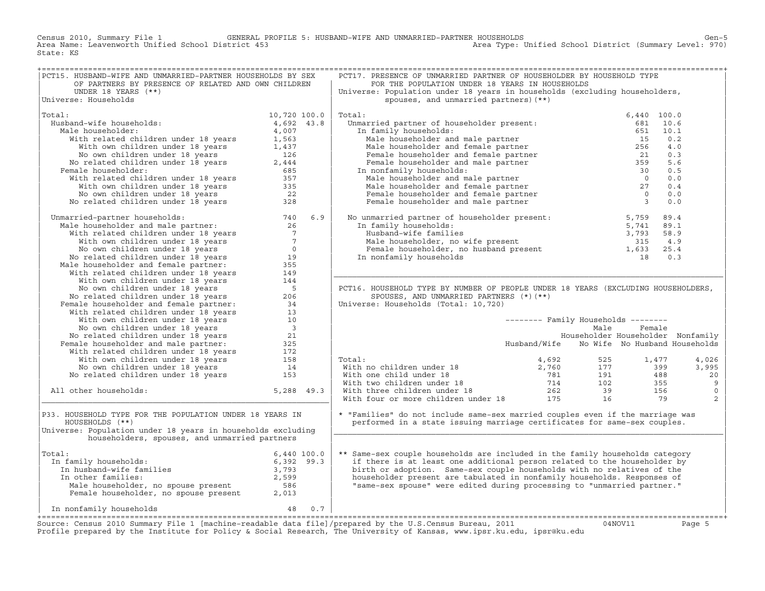Census 2010, Summary File 1 GENERAL PROFILE 5: HUSBAND−WIFE AND UNMARRIED−PARTNER HOUSEHOLDS Gen−5 Area Name: Leavenworth Unified School District 453 Area Type: Unified School District (Summary Level: 970) State: KS

| PCT15. HUSBAND-WIFE AND UNMARRIED-PARTNER HOUSEHOLDS BY SEX                                                                                                                                                                                |                     |            | PCT17. PRESENCE OF UNMARRIED PARTNER OF HOUSEHOLDER BY HOUSEHOLD TYPE                                                                                                                                                                                                                                                                                                                                                                                                                                                                                                                      |                                            |        |      |         |
|--------------------------------------------------------------------------------------------------------------------------------------------------------------------------------------------------------------------------------------------|---------------------|------------|--------------------------------------------------------------------------------------------------------------------------------------------------------------------------------------------------------------------------------------------------------------------------------------------------------------------------------------------------------------------------------------------------------------------------------------------------------------------------------------------------------------------------------------------------------------------------------------------|--------------------------------------------|--------|------|---------|
| OF PARTNERS BY PRESENCE OF RELATED AND OWN CHILDREN                                                                                                                                                                                        |                     |            | FOR THE POPULATION UNDER 18 YEARS IN HOUSEHOLDS                                                                                                                                                                                                                                                                                                                                                                                                                                                                                                                                            |                                            |        |      |         |
| UNDER 18 YEARS $(**)$                                                                                                                                                                                                                      |                     |            | Universe: Population under 18 years in households (excluding householders,                                                                                                                                                                                                                                                                                                                                                                                                                                                                                                                 |                                            |        |      |         |
| Universe: Households                                                                                                                                                                                                                       |                     |            | spouses, and unmarried partners) (**)                                                                                                                                                                                                                                                                                                                                                                                                                                                                                                                                                      |                                            |        |      |         |
|                                                                                                                                                                                                                                            |                     |            |                                                                                                                                                                                                                                                                                                                                                                                                                                                                                                                                                                                            |                                            |        |      |         |
| Total:                                                                                                                                                                                                                                     | 10,720 100.0        |            | Total:                                                                                                                                                                                                                                                                                                                                                                                                                                                                                                                                                                                     |                                            |        |      |         |
| Husband-wife households:                                                                                                                                                                                                                   | 4,692 43.8          |            |                                                                                                                                                                                                                                                                                                                                                                                                                                                                                                                                                                                            |                                            |        |      |         |
| Male householder:                                                                                                                                                                                                                          | 4,007               |            |                                                                                                                                                                                                                                                                                                                                                                                                                                                                                                                                                                                            |                                            |        |      |         |
| With related children under 18 years 1,563                                                                                                                                                                                                 |                     |            |                                                                                                                                                                                                                                                                                                                                                                                                                                                                                                                                                                                            |                                            |        |      |         |
| With own children under 18 years                                                                                                                                                                                                           |                     |            |                                                                                                                                                                                                                                                                                                                                                                                                                                                                                                                                                                                            |                                            |        |      |         |
|                                                                                                                                                                                                                                            | $\frac{1,437}{126}$ |            |                                                                                                                                                                                                                                                                                                                                                                                                                                                                                                                                                                                            |                                            |        |      |         |
| No own children under 18 years                                                                                                                                                                                                             |                     |            |                                                                                                                                                                                                                                                                                                                                                                                                                                                                                                                                                                                            |                                            |        |      |         |
| No related children under 18 years                                                                                                                                                                                                         | 2,444               |            |                                                                                                                                                                                                                                                                                                                                                                                                                                                                                                                                                                                            |                                            |        |      |         |
| Female householder:                                                                                                                                                                                                                        | 685                 |            |                                                                                                                                                                                                                                                                                                                                                                                                                                                                                                                                                                                            |                                            |        |      |         |
|                                                                                                                                                                                                                                            |                     |            |                                                                                                                                                                                                                                                                                                                                                                                                                                                                                                                                                                                            |                                            |        |      |         |
|                                                                                                                                                                                                                                            |                     |            |                                                                                                                                                                                                                                                                                                                                                                                                                                                                                                                                                                                            |                                            |        |      |         |
|                                                                                                                                                                                                                                            |                     |            |                                                                                                                                                                                                                                                                                                                                                                                                                                                                                                                                                                                            |                                            |        |      |         |
| emare nousenouser:<br>With related children under 18 years<br>With own children under 18 years<br>No own children under 18 years<br>22<br>No related children under 18 years<br>328                                                        |                     |            | $\begin{tabular}{llllllll} \hline \texttt{Unmarried partner of householder present:} & \texttt{6,440} & 100.0 \\ \hline \texttt{Unmarried partner of householder present:} & \texttt{681} & 10.6 \\ \hline \texttt{In family householder and male partner} & \texttt{651} & 10.1 \\ \hline \texttt{Male householder and female partner} & \texttt{15} & 0.2 \\ \hline \texttt{Male householder and female partner} & \texttt{256} & 4.0 \\ \hline \texttt{Female householder and female partner} & \texttt{21} & 0.3 \\ \hline \texttt{Male householder and male partner} & \texttt{39} &$ |                                            |        |      |         |
| Unmarried-partner households: 740<br>Male householder and male partner: 26<br>With related children under 18 years 7<br>With own children under 18 years 7<br>No own children under 18 years 9<br>No own children under 18 years           |                     | 6.9        | No unmarried partner of householder present:<br>In family households:<br>5,759<br>Husband-wife families<br>3,793<br>Male householder, no wife present<br>315<br>Female householder, no husband present<br>1,633<br>In nonfamily households<br>315                                                                                                                                                                                                                                                                                                                                          |                                            |        | 89.4 |         |
|                                                                                                                                                                                                                                            |                     |            |                                                                                                                                                                                                                                                                                                                                                                                                                                                                                                                                                                                            |                                            |        | 89.1 |         |
|                                                                                                                                                                                                                                            |                     |            |                                                                                                                                                                                                                                                                                                                                                                                                                                                                                                                                                                                            |                                            |        | 58.9 |         |
|                                                                                                                                                                                                                                            |                     |            |                                                                                                                                                                                                                                                                                                                                                                                                                                                                                                                                                                                            |                                            |        | 4.9  |         |
|                                                                                                                                                                                                                                            |                     |            |                                                                                                                                                                                                                                                                                                                                                                                                                                                                                                                                                                                            |                                            |        | 25.4 |         |
|                                                                                                                                                                                                                                            |                     |            |                                                                                                                                                                                                                                                                                                                                                                                                                                                                                                                                                                                            |                                            |        |      |         |
|                                                                                                                                                                                                                                            |                     |            | In nonfamily households                                                                                                                                                                                                                                                                                                                                                                                                                                                                                                                                                                    |                                            | 18     | 0.3  |         |
| Nich own children under 18 years<br>Nich own children under 18 years<br>No celated children under 18 years<br>No related children under 18 years<br>Male householder and female partner:<br>With vem children under 18 years<br>With own c |                     |            |                                                                                                                                                                                                                                                                                                                                                                                                                                                                                                                                                                                            |                                            |        |      |         |
|                                                                                                                                                                                                                                            |                     |            |                                                                                                                                                                                                                                                                                                                                                                                                                                                                                                                                                                                            |                                            |        |      |         |
|                                                                                                                                                                                                                                            |                     |            |                                                                                                                                                                                                                                                                                                                                                                                                                                                                                                                                                                                            |                                            |        |      |         |
|                                                                                                                                                                                                                                            |                     |            | PCT16. HOUSEHOLD TYPE BY NUMBER OF PEOPLE UNDER 18 YEARS (EXCLUDING HOUSEHOLDERS,                                                                                                                                                                                                                                                                                                                                                                                                                                                                                                          |                                            |        |      |         |
|                                                                                                                                                                                                                                            |                     |            | SPOUSES, AND UNMARRIED PARTNERS (*) (**)                                                                                                                                                                                                                                                                                                                                                                                                                                                                                                                                                   |                                            |        |      |         |
|                                                                                                                                                                                                                                            |                     |            | Universe: Households (Total: 10,720)                                                                                                                                                                                                                                                                                                                                                                                                                                                                                                                                                       |                                            |        |      |         |
|                                                                                                                                                                                                                                            |                     |            |                                                                                                                                                                                                                                                                                                                                                                                                                                                                                                                                                                                            |                                            |        |      |         |
|                                                                                                                                                                                                                                            |                     |            |                                                                                                                                                                                                                                                                                                                                                                                                                                                                                                                                                                                            | -------- Family Households --------        |        |      |         |
|                                                                                                                                                                                                                                            |                     |            |                                                                                                                                                                                                                                                                                                                                                                                                                                                                                                                                                                                            | Male                                       | Female |      |         |
|                                                                                                                                                                                                                                            |                     |            |                                                                                                                                                                                                                                                                                                                                                                                                                                                                                                                                                                                            | Householder Householder Nonfamily          |        |      |         |
|                                                                                                                                                                                                                                            |                     |            |                                                                                                                                                                                                                                                                                                                                                                                                                                                                                                                                                                                            | Husband/Wife No Wife No Husband Households |        |      |         |
|                                                                                                                                                                                                                                            |                     |            |                                                                                                                                                                                                                                                                                                                                                                                                                                                                                                                                                                                            |                                            |        |      |         |
|                                                                                                                                                                                                                                            |                     |            | Total:                                                                                                                                                                                                                                                                                                                                                                                                                                                                                                                                                                                     |                                            |        |      | 4,026   |
|                                                                                                                                                                                                                                            |                     |            |                                                                                                                                                                                                                                                                                                                                                                                                                                                                                                                                                                                            |                                            |        |      | 3,995   |
|                                                                                                                                                                                                                                            |                     |            |                                                                                                                                                                                                                                                                                                                                                                                                                                                                                                                                                                                            |                                            |        |      | 20      |
|                                                                                                                                                                                                                                            |                     |            |                                                                                                                                                                                                                                                                                                                                                                                                                                                                                                                                                                                            |                                            |        |      |         |
|                                                                                                                                                                                                                                            |                     |            |                                                                                                                                                                                                                                                                                                                                                                                                                                                                                                                                                                                            |                                            |        |      | 9       |
| All other households:                                                                                                                                                                                                                      |                     | 5,288 49.3 |                                                                                                                                                                                                                                                                                                                                                                                                                                                                                                                                                                                            |                                            |        |      | $\circ$ |
|                                                                                                                                                                                                                                            |                     |            | Total:<br>With no children under 18<br>With one child under 18<br>With one child under 18<br>Total is a common control of the children under 18<br>Total is a common children under 18<br>Total is a common common control is a common com                                                                                                                                                                                                                                                                                                                                                 |                                            |        |      | 2       |
| P33. HOUSEHOLD TYPE FOR THE POPULATION UNDER 18 YEARS IN                                                                                                                                                                                   |                     |            | * "Families" do not include same-sex married couples even if the marriage was                                                                                                                                                                                                                                                                                                                                                                                                                                                                                                              |                                            |        |      |         |
| HOUSEHOLDS (**)                                                                                                                                                                                                                            |                     |            | performed in a state issuing marriage certificates for same-sex couples.                                                                                                                                                                                                                                                                                                                                                                                                                                                                                                                   |                                            |        |      |         |
| Universe: Population under 18 years in households excluding                                                                                                                                                                                |                     |            |                                                                                                                                                                                                                                                                                                                                                                                                                                                                                                                                                                                            |                                            |        |      |         |
| householders, spouses, and unmarried partners                                                                                                                                                                                              |                     |            |                                                                                                                                                                                                                                                                                                                                                                                                                                                                                                                                                                                            |                                            |        |      |         |
| Total:                                                                                                                                                                                                                                     |                     |            | ** Same-sex couple households are included in the family households category                                                                                                                                                                                                                                                                                                                                                                                                                                                                                                               |                                            |        |      |         |
|                                                                                                                                                                                                                                            |                     |            | if there is at least one additional person related to the householder by                                                                                                                                                                                                                                                                                                                                                                                                                                                                                                                   |                                            |        |      |         |
|                                                                                                                                                                                                                                            |                     |            | birth or adoption. Same-sex couple households with no relatives of the                                                                                                                                                                                                                                                                                                                                                                                                                                                                                                                     |                                            |        |      |         |
|                                                                                                                                                                                                                                            |                     |            |                                                                                                                                                                                                                                                                                                                                                                                                                                                                                                                                                                                            |                                            |        |      |         |
|                                                                                                                                                                                                                                            |                     |            | householder present are tabulated in nonfamily households. Responses of                                                                                                                                                                                                                                                                                                                                                                                                                                                                                                                    |                                            |        |      |         |
|                                                                                                                                                                                                                                            |                     |            | "same-sex spouse" were edited during processing to "unmarried partner."                                                                                                                                                                                                                                                                                                                                                                                                                                                                                                                    |                                            |        |      |         |
| % otal:<br>In family households:<br>In husband-wife families<br>In other families:<br>Male householder, no spouse present<br>Female householder, no spouse present<br>2,013                                                                |                     |            |                                                                                                                                                                                                                                                                                                                                                                                                                                                                                                                                                                                            |                                            |        |      |         |
| 48 0.7<br>In nonfamily households                                                                                                                                                                                                          |                     |            |                                                                                                                                                                                                                                                                                                                                                                                                                                                                                                                                                                                            |                                            |        |      |         |
|                                                                                                                                                                                                                                            |                     |            |                                                                                                                                                                                                                                                                                                                                                                                                                                                                                                                                                                                            |                                            |        |      |         |

Source: Census 2010 Summary File 1 [machine-readable data file]/prepared by the U.S.Census Bureau, 2011 Page 5<br>Profile prepared by the Institute for Policy & Social Research, The University of Kansas, www.ip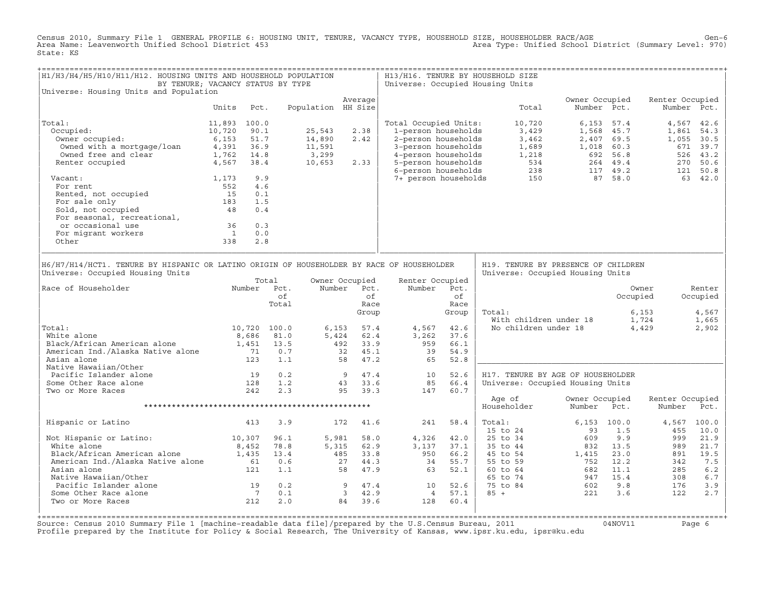Census 2010, Summary File 1 GENERAL PROFILE 6: HOUSING UNIT, TENURE, VACANCY TYPE, HOUSEHOLD SIZE, HOUSEHOLDER RACE/AGE<br>Area Name: Leavenworth Unified School District 453 State: KS

| H1/H3/H4/H5/H10/H11/H12. HOUSING UNITS AND HOUSEHOLD POPULATION<br>BY TENURE; VACANCY STATUS BY TYPE                          |                                                |                                          |              |                    |                        |                       |       | H13/H16. TENURE BY HOUSEHOLD SIZE<br>Universe: Occupied Housing Units   |                                           |                                   |                           |               |
|-------------------------------------------------------------------------------------------------------------------------------|------------------------------------------------|------------------------------------------|--------------|--------------------|------------------------|-----------------------|-------|-------------------------------------------------------------------------|-------------------------------------------|-----------------------------------|---------------------------|---------------|
| Universe: Housing Units and Population                                                                                        |                                                |                                          |              |                    |                        |                       |       |                                                                         |                                           |                                   |                           |               |
|                                                                                                                               | Units                                          | Pct.                                     |              | Population HH Size | Average                |                       |       | Total                                                                   | Owner Occupied<br>Number Pct.             |                                   | Renter Occupied           | Number Pct.   |
| Total:                                                                                                                        | 11,893 100.0                                   |                                          |              |                    |                        | Total Occupied Units: |       | 10,720                                                                  |                                           | $6.153$ $57.4$                    |                           | 4,567 42.6    |
| Occupied:                                                                                                                     | 10,720                                         | 90.1                                     |              | 25,543             | 2.38                   | 1-person households   |       | 3,429                                                                   |                                           | 1,568 45.7                        | 1,861                     | 54.3          |
| )ccupied:<br>Owner occupied:                                                                                                  |                                                |                                          |              | 14,890             | 2.42                   | 2-person households   |       | 3,462                                                                   |                                           | 2,407 69.5                        | 1,055                     | 30.5          |
| Owned with a mortgage/loan                                                                                                    |                                                |                                          |              | 11,591             |                        | 3-person households   |       | 1,689                                                                   |                                           |                                   |                           | 671 39.7      |
| Owned free and clear                                                                                                          | 0, 153<br>4, 391<br>4, 391<br>1, 762<br>1, 762 |                                          |              | 3,299              |                        | 4-person households   |       |                                                                         | $1,018$ 60.5<br>692 56.8<br>064 49.4      |                                   |                           | 526 43.2      |
| Renter occupied                                                                                                               | 4,567 38.4                                     |                                          |              | 10,653             | 2.33                   | 5-person households   |       |                                                                         |                                           |                                   | 270                       | 50.6          |
|                                                                                                                               |                                                |                                          |              |                    |                        | 6-person households   |       |                                                                         |                                           | $264$ 49.4<br>117 49.2<br>97 58.0 |                           | 121 50.8      |
| Vacant:<br>acant:<br>For rent<br>Rented, not occupied<br>Times and only                                                       | 1,173                                          | 9.9                                      |              |                    |                        | 7+ person households  |       |                                                                         |                                           |                                   |                           | 63 42.0       |
|                                                                                                                               | 552                                            | 4.6                                      |              |                    |                        |                       |       |                                                                         |                                           |                                   |                           |               |
|                                                                                                                               | 15                                             | 0.1                                      |              |                    |                        |                       |       |                                                                         |                                           |                                   |                           |               |
|                                                                                                                               | 183                                            | 1.5                                      |              |                    |                        |                       |       |                                                                         |                                           |                                   |                           |               |
|                                                                                                                               | 48                                             | 0.4                                      |              |                    |                        |                       |       |                                                                         |                                           |                                   |                           |               |
| For seasonal, recreational,                                                                                                   |                                                |                                          |              |                    |                        |                       |       |                                                                         |                                           |                                   |                           |               |
| or occasional use                                                                                                             | 36                                             | 0.3                                      |              |                    |                        |                       |       |                                                                         |                                           |                                   |                           |               |
| For migrant workers                                                                                                           | $\frac{1}{1}$                                  | 0.0                                      |              |                    |                        |                       |       |                                                                         |                                           |                                   |                           |               |
| Other                                                                                                                         | 338                                            | 2.8                                      |              |                    |                        |                       |       |                                                                         |                                           |                                   |                           |               |
|                                                                                                                               |                                                |                                          |              |                    |                        |                       |       |                                                                         |                                           |                                   |                           |               |
| H6/H7/H14/HCT1. TENURE BY HISPANIC OR LATINO ORIGIN OF HOUSEHOLDER BY RACE OF HOUSEHOLDER<br>Universe: Occupied Housing Units |                                                |                                          | Total        |                    | Owner Occupied         | Renter Occupied       |       | H19. TENURE BY PRESENCE OF CHILDREN<br>Universe: Occupied Housing Units |                                           |                                   |                           |               |
| Race of Householder                                                                                                           |                                                |                                          | Number Pct.  |                    | Number Pct.            | Number                | Pct.  |                                                                         |                                           |                                   | Owner                     | Renter        |
|                                                                                                                               |                                                |                                          | of           |                    | of                     |                       | of    |                                                                         |                                           | Occupied                          |                           | Occupied      |
|                                                                                                                               |                                                |                                          | Total        |                    | Race                   |                       | Race  |                                                                         |                                           |                                   |                           |               |
|                                                                                                                               |                                                |                                          |              |                    | Group                  |                       | Group | Total:                                                                  |                                           |                                   | 6,153                     | 4,567         |
|                                                                                                                               |                                                |                                          |              |                    |                        |                       |       |                                                                         |                                           |                                   | 1,724                     | 1,665         |
| Total:                                                                                                                        |                                                |                                          | 10,720 100.0 | 6,153              | 57.4                   | 4,567                 | 42.6  | war.<br>With children under 18<br>Mo children under 18                  |                                           |                                   | 4,429                     | 2,902         |
| White alone                                                                                                                   |                                                | 8,686                                    | 81.0         |                    | 5,424 62.4             | 3,262                 | 37.6  |                                                                         |                                           |                                   |                           |               |
| Black/African American alone                                                                                                  |                                                | 1,451                                    | 13.5         |                    | 492 33.9               | 959                   | 66.1  |                                                                         |                                           |                                   |                           |               |
| American Ind./Alaska Native alone                                                                                             |                                                | $\begin{array}{c} 71 \\ 123 \end{array}$ | 0.7          |                    |                        | 39                    | 54.9  |                                                                         |                                           |                                   |                           |               |
| Asian alone                                                                                                                   |                                                |                                          | 1.1          |                    | 32 $45.1$<br>58 $-$    | 65                    | 52.8  |                                                                         |                                           |                                   |                           |               |
| Native Hawaiian/Other                                                                                                         |                                                |                                          |              |                    |                        |                       |       |                                                                         |                                           |                                   |                           |               |
| Pacific Islander alone                                                                                                        |                                                |                                          | 0.2          |                    | $9 \t 47.4$<br>43 33.6 | 10                    | 52.6  | H17. TENURE BY AGE OF HOUSEHOLDER                                       |                                           |                                   |                           |               |
| $\frac{19}{128}$<br>Some Other Race alone                                                                                     |                                                |                                          | 1.2          |                    |                        | 85                    | 66.4  | Universe: Occupied Housing Units                                        |                                           |                                   |                           |               |
| Two or More Races                                                                                                             |                                                | 242                                      | 2.3          |                    | 95 39.3                | 147                   | 60.7  |                                                                         |                                           |                                   |                           |               |
|                                                                                                                               |                                                |                                          |              |                    |                        |                       |       | Age of<br>Householder                                                   | Owner Occupied<br>Number                  | Pct.                              | Renter Occupied<br>Number | Pct.          |
| Hispanic or Latino                                                                                                            |                                                | 413                                      | 3.9          |                    | 172 41.6               | 241                   | 58.4  | Total:<br>$15$ to $24$                                                  | $6.153$ 100.0<br>93                       | 1.5                               | 4,567<br>455              | 100.0<br>10.0 |
| Not Hispanic or Latino: 10,307                                                                                                |                                                |                                          | 96.1         | 5,981              | 58.0                   | 4,326                 | 42.0  | 25 to 34                                                                | 609                                       | 9.9                               | 999                       | 21.9          |
| White alone                                                                                                                   |                                                | 8,452                                    | 78.8         |                    | 5,315 62.9             | 3,137                 | 37.1  | 35 to 44                                                                | 832                                       | 13.5                              | 989                       | 21.7          |
| Black/African American alone                                                                                                  |                                                | 1,435                                    | 13.4         |                    | 485 33.8               | 950                   | 66.2  | 45 to 54                                                                | 1,415                                     | 23.0                              | 891                       | 19.5          |
| American Ind./Alaska Native alone                                                                                             |                                                | 61                                       | 0.6          |                    | 27 44.3                | 34                    | 55.7  | 55 to 59                                                                | 752 12.2                                  |                                   | 342                       | 7.5           |
| Asian alone                                                                                                                   |                                                | 121                                      | 1.1          |                    | 58 47.9                | 63                    | 52.1  | 60 to 64                                                                | 682                                       | 11.1                              | 285                       | $6.2$         |
| Native Hawaiian/Other                                                                                                         |                                                |                                          |              |                    |                        |                       |       | 65 to 74                                                                | 947                                       | 15.4                              | 308                       | $6.7$         |
| Pacific Islander alone<br>Some Other Race alone                                                                               |                                                |                                          | 0.2          |                    | 9 47.4                 | 10                    | 52.6  | 75 to 84                                                                | $\begin{array}{c} 602 \\ 221 \end{array}$ | 9.8                               | 176                       | 3.9           |
| Some Other Race alone                                                                                                         |                                                | $\begin{array}{c} 19 \\ 7 \end{array}$   | 0.1          |                    | 3 42.9                 | $4\overline{4}$       | 57.1  | $85 +$                                                                  | 221                                       | 3.6                               | 122                       | 2.7           |
| Two or More Races                                                                                                             |                                                | 212                                      | 2.0          |                    | 84<br>39.6             | 128                   | 60.4  |                                                                         |                                           |                                   |                           |               |
|                                                                                                                               |                                                |                                          |              |                    |                        |                       |       |                                                                         |                                           |                                   |                           |               |
|                                                                                                                               |                                                |                                          |              |                    |                        |                       |       |                                                                         |                                           |                                   |                           |               |

Source: Census 2010 Summary File 1 [machine-readable data file]/prepared by the U.S.Census Bureau, 2011 Page 6<br>Profile prepared by the Institute for Policy & Social Research, The University of Kansas, www.ip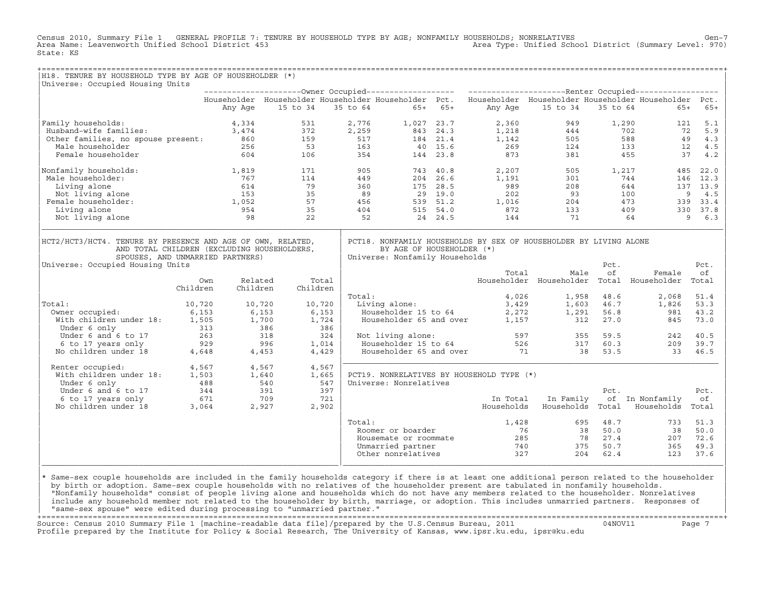Census 2010, Summary File 1 GENERAL PROFILE 7: TENURE BY HOUSEHOLD TYPE BY AGE; NONFAMILY HOUSEHOLDS; NONRELATIVES Gen−7<br>Area Name: Leavenworth Unified School District 453 Area Type: Unified School District (Summary Level: 970) State: KS

| Universe: Occupied Housing Units                                                                                    |          |          |          |          |                                                             |          |                                                                                                           |                                           |            |            |          |
|---------------------------------------------------------------------------------------------------------------------|----------|----------|----------|----------|-------------------------------------------------------------|----------|-----------------------------------------------------------------------------------------------------------|-------------------------------------------|------------|------------|----------|
|                                                                                                                     |          |          |          |          |                                                             |          |                                                                                                           |                                           |            |            |          |
|                                                                                                                     |          |          |          |          |                                                             |          | Householder Householder Householder Householder Pct. Householder Householder Householder Householder Pct. |                                           |            |            |          |
|                                                                                                                     |          | Any Age  | 15 to 34 | 35 to 64 | $65+65+$                                                    |          | Any Age                                                                                                   | 15 to 34                                  | 35 to 64   | $65+$      | $65+$    |
| Family households:                                                                                                  |          | 4,334    | 531      | 2,776    | 1,027 23.7                                                  |          | 2,360                                                                                                     | 949                                       | 1,290      | 121        | 5.1      |
| Husband-wife families:                                                                                              |          | 3,474    | 372      | 2,259    |                                                             | 843 24.3 | 1,218                                                                                                     | 444                                       |            | 702<br>72  | 5.9      |
| Other families, no spouse present:                                                                                  |          | 860      | 159      | 517      |                                                             | 184 21.4 | 1,142                                                                                                     | 505                                       |            | 588<br>49  | 4.3      |
| Male householder                                                                                                    |          | 256      | 53       | 163      |                                                             | 40 15.6  | 269                                                                                                       | 124                                       |            | 133<br>12  | 4.5      |
| Female householder                                                                                                  |          | 604      | 106      | 354      |                                                             | 144 23.8 | 873                                                                                                       | 381                                       |            | 37<br>455  | 4.2      |
| Nonfamily households:                                                                                               |          | 1,819    | 171      | 905      |                                                             | 743 40.8 | 2,207                                                                                                     | 505                                       | 1,217      | 485        | 22.0     |
| Male householder:                                                                                                   |          | 767      | 114      | 449      |                                                             | 204 26.6 | 1,191                                                                                                     | 301                                       |            | 744<br>146 | 12.3     |
| Living alone                                                                                                        |          | 614      | 79       | 360      |                                                             | 175 28.5 | 989                                                                                                       | 208                                       |            | 644        | 137 13.9 |
| Not living alone                                                                                                    |          | 153      | 35       | 89       |                                                             | 29 19.0  | 202                                                                                                       | 93                                        |            | 100        | 9<br>4.5 |
| Female householder:                                                                                                 |          | 1,052    | 57       | 456      |                                                             | 539 51.2 | 1,016                                                                                                     | 204                                       |            | 473<br>339 | 33.4     |
| Living alone                                                                                                        |          | 954      | 35       | 404      |                                                             | 515 54.0 | 872                                                                                                       | 133                                       |            | 409        | 330 37.8 |
| Not living alone                                                                                                    |          | 98       | 22       | 52       |                                                             | 24 24.5  | 144                                                                                                       | 71                                        |            | 64         | 9<br>6.3 |
| AND TOTAL CHILDREN (EXCLUDING HOUSEHOLDERS,<br>SPOUSES, AND UNMARRIED PARTNERS)<br>Universe: Occupied Housing Units |          |          |          |          | BY AGE OF HOUSEHOLDER (*)<br>Universe: Nonfamily Households |          |                                                                                                           |                                           | Pct.       |            | Pct.     |
|                                                                                                                     |          |          |          |          |                                                             |          | Total                                                                                                     | Male                                      | of         | Female     | of       |
|                                                                                                                     | Own      | Related  |          | Total    |                                                             |          |                                                                                                           | Householder Householder Total Householder |            |            | Total    |
|                                                                                                                     | Children | Children | Children |          |                                                             |          |                                                                                                           |                                           |            |            |          |
|                                                                                                                     |          |          |          | Total:   |                                                             |          | 4,026                                                                                                     | 1,958                                     | 48.6       | 2,068      | 51.4     |
| Total:                                                                                                              | 10,720   | 10,720   | 10,720   |          | Living alone:                                               |          | 3,429                                                                                                     |                                           | 1,603 46.7 | 1,826      | 53.3     |
| Owner occupied:                                                                                                     | 6,153    | 6,153    |          | 6,153    | Householder 15 to 64                                        |          | 2,272                                                                                                     | 1,291                                     | 56.8       | 981        | 43.2     |
| With children under 18:                                                                                             | 1,505    | 1,700    |          | 1,724    | Householder 65 and over                                     |          | 1,157                                                                                                     | 312                                       | 27.0       | 845        | 73.0     |
| Under 6 only                                                                                                        | 313      |          | 386      | 386      |                                                             |          |                                                                                                           |                                           |            |            |          |
| Under 6 and 6 to 17                                                                                                 | 263      |          | 318      | 324      | Not living alone:                                           |          |                                                                                                           | 597<br>355                                | 59.5       | 242        | 40.5     |
| 6 to 17 years only                                                                                                  | 929      |          | 996      | 1,014    | Householder 15 to 64                                        |          | 526                                                                                                       | 317                                       | 60.3       | 209        | 39.7     |
| No children under 18                                                                                                | 4,648    | 4,453    |          | 4,429    | Householder 65 and over                                     |          | 71                                                                                                        | 38                                        | 53.5       | 33         | 46.5     |
| Renter occupied:                                                                                                    | 4,567    | 4,567    |          | 4,567    |                                                             |          |                                                                                                           |                                           |            |            |          |
| With children under 18:                                                                                             | 1,503    | 1,640    |          | 1,665    |                                                             |          | PCT19. NONRELATIVES BY HOUSEHOLD TYPE (*)                                                                 |                                           |            |            |          |
| Under 6 only                                                                                                        | 488      |          | 540      | 547      | Universe: Nonrelatives                                      |          |                                                                                                           |                                           |            |            |          |
| $IIndar$ $6$ and $6$ $+$ $0$ $17$                                                                                   | 211      |          | 291      | 297      |                                                             |          |                                                                                                           |                                           | $D \cap$   |            | $DA+$    |

| Under 6 and 6 to 17  | 344   | 391   | 397   |                       |            |            | Pct.  |              | Pct.  |
|----------------------|-------|-------|-------|-----------------------|------------|------------|-------|--------------|-------|
| 6 to 17 years only   | 671   | 709   | 721   |                       | In Total   | In Family  | of    | In Nonfamily | of    |
| No children under 18 | 3,064 | 2,927 | 2,902 |                       | Households | Households | Total | Households   | Total |
|                      |       |       |       | Total:                | 1,428      | 695        | 48.7  | 733          | 51.3  |
|                      |       |       |       | Roomer or boarder     | 76         | 38         | 50.0  | 38           | 50.0  |
|                      |       |       |       | Housemate or roommate | 285        | 78         | 27.4  | 207          | 72.6  |
|                      |       |       |       | Unmarried partner     | 740        | 375        | 50.7  | 365          | 49.3  |
|                      |       |       |       | Other nonrelatives    | 327        | 204        | 62.4  | 123          | 37.6  |
|                      |       |       |       |                       |            |            |       |              |       |
|                      |       |       |       |                       |            |            |       |              |       |

|\* Same−sex couple households are included in the family households category if there is at least one additional person related to the householder | | by birth or adoption. Same−sex couple households with no relatives of the householder present are tabulated in nonfamily households. | | "Nonfamily households" consist of people living alone and households which do not have any members related to the householder. Nonrelatives | include any household member not related to the householder by birth, marriage, or adoption. This includes unmarried partners. Responses of | "same−sex spouse" were edited during processing to "unmarried partner." |

+===================================================================================================================================================+ Source: Census 2010 Summary File 1 [machine−readable data file]/prepared by the U.S.Census Bureau, 2011 04NOV11 Page 7 Profile prepared by the Institute for Policy & Social Research, The University of Kansas, www.ipsr.ku.edu, ipsr@ku.edu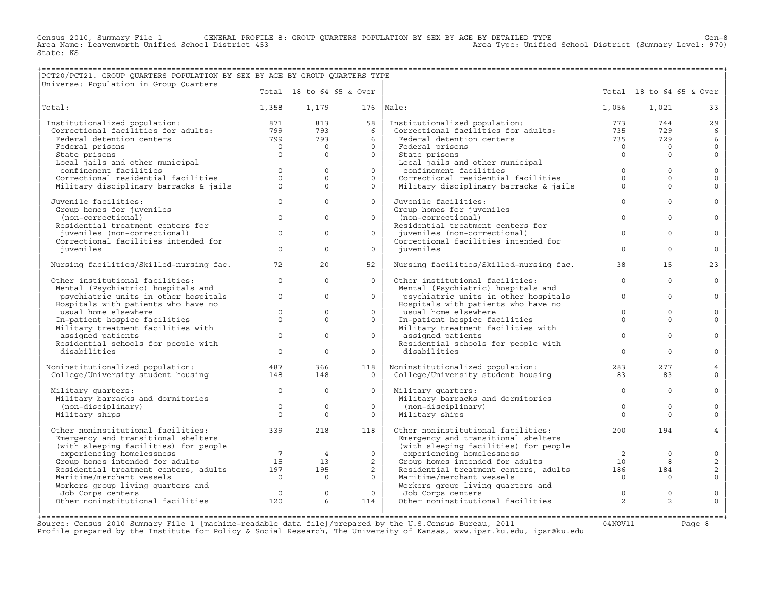Census 2010, Summary File 1 GENERAL PROFILE 8: GROUP QUARTERS POPULATION BY SEX BY AGE BY DETAILED TYPE Ghool District (Summary Level: 970)<br>Area Name: Leavenworth Unified School District 453 (area Names area Type: Unified State: KS

## +===================================================================================================================================================+ |PCT20/PCT21. GROUP QUARTERS POPULATION BY SEX BY AGE BY GROUP QUARTERS TYPE |

| Universe: Population in Group Quarters                               |                     |                |                          |                                                                      |                |                |                          |
|----------------------------------------------------------------------|---------------------|----------------|--------------------------|----------------------------------------------------------------------|----------------|----------------|--------------------------|
|                                                                      |                     |                | Total 18 to 64 65 & Over |                                                                      |                |                | Total 18 to 64 65 & Over |
| Total:                                                               | 1,358               | 1,179          | 176                      | Male:                                                                | 1,056          | 1,021          | 33                       |
| Institutionalized population:                                        | 871                 | 813            | 58                       | Institutionalized population:                                        | 773            | 744            | 29                       |
| Correctional facilities for adults:                                  | 799                 | 793            | 6                        | Correctional facilities for adults:                                  | 735            | 729            | 6                        |
| Federal detention centers                                            | 799                 | 793            | 6                        | Federal detention centers                                            | 735            | 729            | 6                        |
| Federal prisons                                                      | $\overline{0}$      | $\mathbf{0}$   | $\Omega$                 | Federal prisons                                                      | $\Omega$       | $\Omega$       | $\mathbf{0}$             |
| State prisons                                                        | $\Omega$            | $\mathbf{0}$   | $\circ$                  | State prisons                                                        | $\Omega$       | $\Omega$       | $\mathbf{0}$             |
| Local jails and other municipal                                      |                     |                |                          | Local jails and other municipal                                      |                |                |                          |
| confinement facilities                                               | $\mathbf{0}$        | $\mathbf{0}$   | $\circ$                  | confinement facilities                                               | $\mathbf 0$    | $\Omega$       | $\mathbf 0$              |
| Correctional residential facilities                                  | $\Omega$            | $\Omega$       | $\Omega$                 | Correctional residential facilities                                  | $\Omega$       | $\Omega$       | $\mathbf{0}$             |
| Military disciplinary barracks & jails                               | $\Omega$            | $\Omega$       | $\Omega$                 | Military disciplinary barracks & jails                               | $\Omega$       | $\Omega$       | $\Omega$                 |
| Juvenile facilities:                                                 | $\Omega$            | $\Omega$       | $\Omega$                 | Juvenile facilities:                                                 | $\Omega$       | $\Omega$       | $\mathbf{0}$             |
| Group homes for juveniles                                            |                     |                |                          | Group homes for juveniles                                            |                |                |                          |
| (non-correctional)                                                   | $\Omega$            | $\Omega$       | $\Omega$                 | (non-correctional)                                                   | $\Omega$       | $\Omega$       | $\Omega$                 |
| Residential treatment centers for                                    |                     |                |                          | Residential treatment centers for                                    |                |                |                          |
| juveniles (non-correctional)<br>Correctional facilities intended for | $\circ$             | $\mathbf{0}$   | $\circ$                  | juveniles (non-correctional)<br>Correctional facilities intended for | $\circ$        | $\Omega$       | $\circ$                  |
| iuveniles                                                            | $\Omega$            | $\Omega$       | $\Omega$                 | iuveniles                                                            | $\Omega$       | $\Omega$       | $\circ$                  |
| Nursing facilities/Skilled-nursing fac.                              | 72                  | 20             | 52                       | Nursing facilities/Skilled-nursing fac.                              | 38             | 15             | 23                       |
| Other institutional facilities:                                      | $\mathbf{0}$        | $\mathbf{0}$   | $\circ$                  | Other institutional facilities:                                      | $\mathbf 0$    | $\Omega$       | $\circ$                  |
| Mental (Psychiatric) hospitals and                                   |                     |                |                          | Mental (Psychiatric) hospitals and                                   |                |                |                          |
| psychiatric units in other hospitals                                 | $\Omega$            | $\Omega$       | $\Omega$                 | psychiatric units in other hospitals                                 | $\Omega$       | $\Omega$       | $\Omega$                 |
| Hospitals with patients who have no                                  |                     |                |                          | Hospitals with patients who have no                                  |                |                |                          |
| usual home elsewhere                                                 | $\mathbf{0}$        | $\circ$        | $\circ$                  | usual home elsewhere                                                 | $\Omega$       | $\Omega$       | $\circ$                  |
| In-patient hospice facilities                                        | $\Omega$            | $\Omega$       | $\Omega$                 | In-patient hospice facilities                                        | $\Omega$       | $\Omega$       | $\Omega$                 |
| Military treatment facilities with                                   |                     |                |                          | Military treatment facilities with                                   |                |                |                          |
| assigned patients                                                    | $\mathbf{0}$        | $\mathbf{0}$   | $\circ$                  | assigned patients                                                    | $\Omega$       | $\Omega$       | $\circ$                  |
| Residential schools for people with                                  |                     |                |                          | Residential schools for people with                                  |                |                |                          |
| disabilities                                                         | $\mathbf 0$         | $\circ$        | $\circ$                  | disabilities                                                         | $\Omega$       | $\Omega$       | $\mathbf{0}$             |
| Noninstitutionalized population:                                     | 487                 | 366            | 118                      | Noninstitutionalized population:                                     | 283            | 277            | $\overline{4}$           |
| College/University student housing                                   | 148                 | 148            | $\circ$                  | College/University student housing                                   | 83             | 83             | $\mathbf{0}$             |
|                                                                      |                     |                |                          |                                                                      |                |                |                          |
| Military quarters:                                                   | $\Omega$            | $\Omega$       | $\Omega$                 | Military quarters:                                                   | $\circ$        | $\Omega$       | $\circ$                  |
| Military barracks and dormitories                                    |                     |                |                          | Military barracks and dormitories                                    |                |                |                          |
| (non-disciplinary)                                                   | $\mathsf{O}\xspace$ | $\Omega$       | $\Omega$                 | (non-disciplinary)                                                   | $\mathbb O$    | $\Omega$       | $\Omega$                 |
| Military ships                                                       | $\Omega$            | $\circ$        | $\circ$                  | Military ships                                                       | $\Omega$       | $\Omega$       | $\Omega$                 |
| Other noninstitutional facilities:                                   | 339                 | 218            | 118                      | Other noninstitutional facilities:                                   | 200            | 194            | $\overline{4}$           |
| Emergency and transitional shelters                                  |                     |                |                          | Emergency and transitional shelters                                  |                |                |                          |
| (with sleeping facilities) for people                                |                     |                |                          | (with sleeping facilities) for people                                |                |                |                          |
| experiencing homelessness                                            | $7\overline{ }$     | $\overline{4}$ | $\circ$                  | experiencing homelessness                                            | 2              | $\circ$        | $\circ$                  |
| Group homes intended for adults                                      | 15                  | 13             | $\overline{a}$           | Group homes intended for adults                                      | 10             | 8              | 2                        |
| Residential treatment centers, adults                                | 197                 | 195            | $\overline{a}$           | Residential treatment centers, adults                                | 186            | 184            | 2                        |
| Maritime/merchant vessels                                            | $\Omega$            | $\Omega$       | $\Omega$                 | Maritime/merchant vessels                                            | $\Omega$       | $\Omega$       | $\Omega$                 |
| Workers group living quarters and                                    |                     |                |                          | Workers group living quarters and                                    |                |                |                          |
| Job Corps centers                                                    | $\Omega$            | $\circ$        | $\mathbf{0}$             | Job Corps centers                                                    | $\circ$        | $\Omega$       | $\circ$                  |
| Other noninstitutional facilities                                    | 120                 | 6              | 114                      | Other noninstitutional facilities                                    | $\overline{2}$ | $\overline{2}$ | $\Omega$                 |
|                                                                      |                     |                |                          |                                                                      |                |                |                          |

Source: Census 2010 Summary File 1 [machine−readable data file]/prepared by the U.S.Census Bureau, 2011 04NOV11 Page 8 Profile prepared by the Institute for Policy & Social Research, The University of Kansas, www.ipsr.ku.edu, ipsr@ku.edu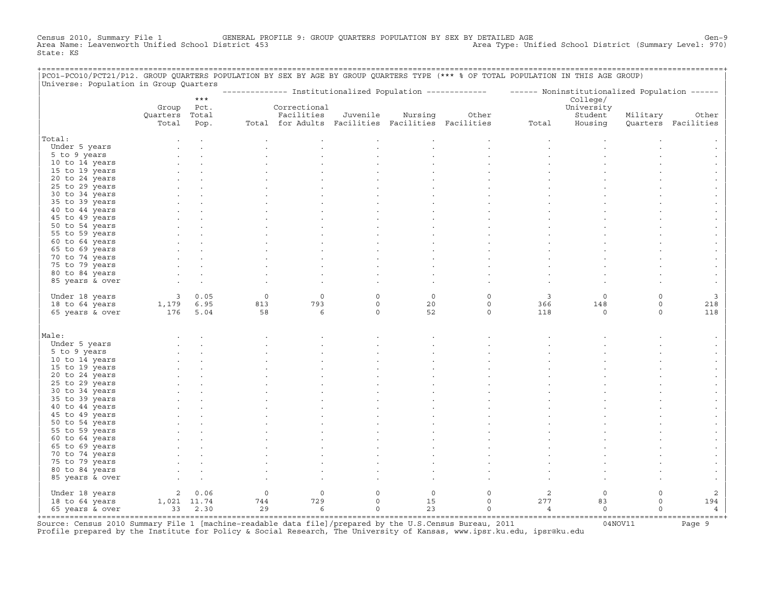Census 2010, Summary File 1 GENERAL PROFILE 9: GROUP QUARTERS POPULATION BY SEX BY DETAILED AGE GENOOL District (Summary Level: 970)<br>Area Name: Leavenworth Unified School District 453 Area Type: Unified School District (Summary Level: 970) State: KS

| PCO1-PCO10/PCT21/P12. GROUP QUARTERS POPULATION BY SEX BY AGE BY GROUP QUARTERS TYPE (*** % OF TOTAL POPULATION IN THIS AGE GROUP)<br>Universe: Population in Group Quarters |                                       |       |              |                                                   |             |             |                                                                                                         |                |            |             |                     |
|------------------------------------------------------------------------------------------------------------------------------------------------------------------------------|---------------------------------------|-------|--------------|---------------------------------------------------|-------------|-------------|---------------------------------------------------------------------------------------------------------|----------------|------------|-------------|---------------------|
|                                                                                                                                                                              |                                       |       |              |                                                   |             |             | -------------- Institutionalized Population ------------- ------ Noninstitutionalized Population ------ |                |            |             |                     |
|                                                                                                                                                                              |                                       | $***$ |              |                                                   |             |             |                                                                                                         |                | College/   |             |                     |
|                                                                                                                                                                              | Group                                 | Pct.  |              | Correctional                                      |             |             |                                                                                                         |                | University |             |                     |
|                                                                                                                                                                              | Quarters Total                        |       |              | Facilities                                        | Juvenile    | Nursing     | Other                                                                                                   |                | Student    | Military    | Other               |
|                                                                                                                                                                              | Total                                 | Pop.  |              | Total for Adults Facilities Facilities Facilities |             |             |                                                                                                         | Total          | Housing    |             | Ouarters Facilities |
| Total:                                                                                                                                                                       |                                       |       |              |                                                   |             |             |                                                                                                         |                |            |             |                     |
| Under 5 years                                                                                                                                                                |                                       |       |              |                                                   |             |             |                                                                                                         |                |            |             |                     |
| 5 to 9 years                                                                                                                                                                 |                                       |       |              |                                                   |             |             |                                                                                                         |                |            |             |                     |
| 10 to 14 years                                                                                                                                                               |                                       |       |              |                                                   |             |             |                                                                                                         |                |            |             |                     |
| 15 to 19 years                                                                                                                                                               |                                       |       |              |                                                   |             |             |                                                                                                         |                |            |             |                     |
| 20 to 24 years                                                                                                                                                               |                                       |       |              |                                                   |             |             |                                                                                                         |                |            |             |                     |
| 25 to 29 years                                                                                                                                                               |                                       |       |              |                                                   |             |             |                                                                                                         |                |            |             |                     |
| 30 to 34 years                                                                                                                                                               |                                       |       |              |                                                   |             |             |                                                                                                         |                |            |             |                     |
| 35 to 39 years                                                                                                                                                               |                                       |       |              |                                                   |             |             |                                                                                                         |                |            |             |                     |
| 40 to 44 years                                                                                                                                                               |                                       |       |              |                                                   |             |             |                                                                                                         |                |            |             |                     |
| 45 to 49 years                                                                                                                                                               |                                       |       |              |                                                   |             |             |                                                                                                         |                |            |             |                     |
| 50 to 54 years                                                                                                                                                               |                                       |       |              |                                                   |             |             |                                                                                                         |                |            |             |                     |
| 55 to 59 years                                                                                                                                                               |                                       |       |              |                                                   |             |             |                                                                                                         |                |            |             |                     |
| 60 to 64 years                                                                                                                                                               |                                       |       |              |                                                   |             |             |                                                                                                         |                |            |             |                     |
| 65 to 69 years                                                                                                                                                               |                                       |       |              |                                                   |             |             |                                                                                                         |                |            |             |                     |
| 70 to 74 years                                                                                                                                                               |                                       |       |              |                                                   |             |             |                                                                                                         |                |            |             |                     |
| 75 to 79 years                                                                                                                                                               |                                       |       |              |                                                   |             |             |                                                                                                         |                |            |             |                     |
| 80 to 84 years                                                                                                                                                               |                                       |       |              |                                                   |             |             |                                                                                                         |                |            |             |                     |
| 85 years & over                                                                                                                                                              |                                       |       |              |                                                   |             |             |                                                                                                         |                |            |             |                     |
|                                                                                                                                                                              |                                       |       |              |                                                   |             |             |                                                                                                         |                |            |             |                     |
| Under 18 years                                                                                                                                                               |                                       | 30.05 | $\mathsf{O}$ | $\mathbb O$                                       | $\circ$     | $\mathsf O$ | $\circ$                                                                                                 | $\overline{3}$ | $\circ$    | $\Omega$    | 3                   |
| 18 to 64 years                                                                                                                                                               | 1,179 6.95                            |       | 813          | 793                                               | $\circ$     | 20          | $\circ$                                                                                                 | 366            | 148        | $\mathbf 0$ | 218                 |
| 65 years & over                                                                                                                                                              | 176                                   | 5.04  | 58           | 6                                                 | $\circ$     | 52          | $\circ$                                                                                                 | 118            | $\circ$    | $\mathbf 0$ | 118                 |
|                                                                                                                                                                              |                                       |       |              |                                                   |             |             |                                                                                                         |                |            |             |                     |
| Male:                                                                                                                                                                        |                                       |       |              |                                                   |             |             |                                                                                                         |                |            |             |                     |
| Under 5 years                                                                                                                                                                |                                       |       |              |                                                   |             |             |                                                                                                         |                |            |             |                     |
| 5 to 9 years                                                                                                                                                                 |                                       |       |              |                                                   |             |             |                                                                                                         |                |            |             |                     |
| 10 to 14 years                                                                                                                                                               |                                       |       |              |                                                   |             |             |                                                                                                         |                |            |             |                     |
| 15 to 19 years                                                                                                                                                               |                                       |       |              |                                                   |             |             |                                                                                                         |                |            |             |                     |
| 20 to 24 years                                                                                                                                                               |                                       |       |              |                                                   |             |             |                                                                                                         |                |            |             |                     |
| 25 to 29 years                                                                                                                                                               |                                       |       |              |                                                   |             |             |                                                                                                         |                |            |             |                     |
| 30 to 34 years                                                                                                                                                               |                                       |       |              |                                                   |             |             |                                                                                                         |                |            |             |                     |
| 35 to 39 years                                                                                                                                                               |                                       |       |              |                                                   |             |             |                                                                                                         |                |            |             |                     |
| 40 to 44 years                                                                                                                                                               |                                       |       |              |                                                   |             |             |                                                                                                         |                |            |             |                     |
| 45 to 49 years                                                                                                                                                               |                                       |       |              |                                                   |             |             |                                                                                                         |                |            |             |                     |
| 50 to 54 years                                                                                                                                                               |                                       |       |              |                                                   |             |             |                                                                                                         |                |            |             |                     |
| 55 to 59 years                                                                                                                                                               |                                       |       |              |                                                   |             |             |                                                                                                         |                |            |             |                     |
| 60 to 64 years                                                                                                                                                               |                                       |       |              |                                                   |             |             |                                                                                                         |                |            |             |                     |
| 65 to 69 years                                                                                                                                                               |                                       |       |              |                                                   |             |             |                                                                                                         |                |            |             |                     |
| 70 to 74 years                                                                                                                                                               |                                       |       |              |                                                   |             |             |                                                                                                         |                |            |             |                     |
| 75 to 79 years                                                                                                                                                               |                                       |       |              |                                                   |             |             |                                                                                                         |                |            |             |                     |
| 80 to 84 years                                                                                                                                                               |                                       |       |              |                                                   |             |             |                                                                                                         |                |            |             |                     |
| 85 years & over                                                                                                                                                              |                                       |       |              |                                                   |             |             |                                                                                                         |                |            |             |                     |
| Under 18 years                                                                                                                                                               | $\overline{a}$                        | 0.06  | $\circ$      | $\mathbf{0}$                                      | $\mathbf 0$ | $\mathbf 0$ | $\mathbf 0$                                                                                             | 2              | $\circ$    | $\mathbf 0$ | 2                   |
| 18 to 64 years                                                                                                                                                               | 1,021 11.74                           |       | 744          | 729                                               | $\mathbf 0$ | 15          | $\mathbf 0$                                                                                             | 277            | 83         | $\mathbf 0$ | 194                 |
| 65 years & over                                                                                                                                                              | 33                                    | 2.30  | 29           | 6                                                 | $\circ$     | 23          | $\circ$                                                                                                 | $\overline{4}$ | $\circ$    | $\Omega$    | 4                   |
|                                                                                                                                                                              | ===================================== |       |              |                                                   |             |             |                                                                                                         |                |            |             |                     |

+===================================================================================================================================================+Source: Census 2010 Summary File 1 [machine−readable data file]/prepared by the U.S.Census Bureau, 2011 04NOV11 Page 9 Profile prepared by the Institute for Policy & Social Research, The University of Kansas, www.ipsr.ku.edu, ipsr@ku.edu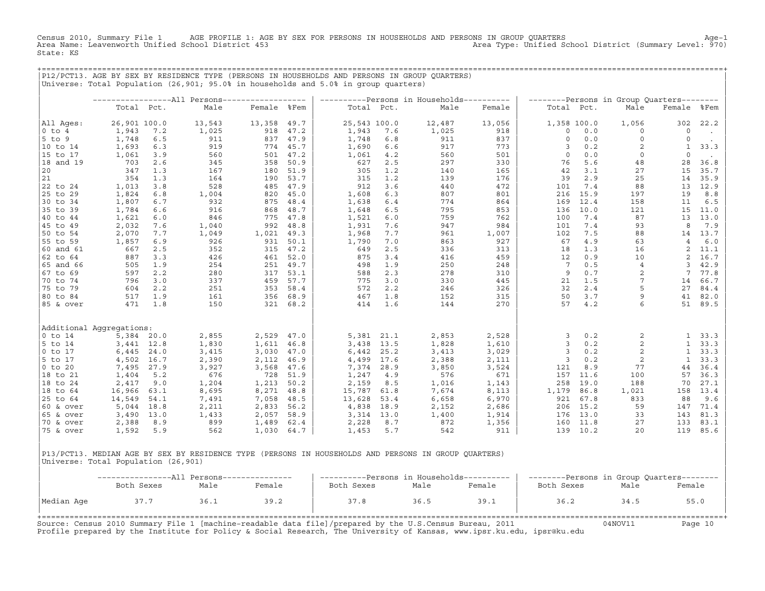Census 2010, Summary File 1 AGE PROFILE 1: AGE BY SEX FOR PERSONS IN HOUSEHOLDS AND PERSONS IN GROUP QUARTERS<br>Area Name: Leavenworth Unified School District 453 Area Type: Unified School District (Summary Level: 970) State: KS

+===================================================================================================================================================+

|P12/PCT13. AGE BY SEX BY RESIDENCE TYPE (PERSONS IN HOUSEHOLDS AND PERSONS IN GROUP QUARTERS) | |Universe: Total Population (26,901; 95.0% in households and 5.0% in group quarters) | | | | −−−−−−−−−−−−−−−−−All Persons−−−−−−−−−−−−−−−−−− | −−−−−−−−−−Persons in Households−−−−−−−−−− | −−−−−−−−Persons in Group Quarters−−−−−−−− | | Total Pct. Male Female %Fem | Total Pct. Male Female | Total Pct. Male Female %Fem | | | | | |All Ages: 26,901 100.0 13,543 13,358 49.7 | 25,543 100.0 12,487 13,056 | 1,358 100.0 1,056 302 22.2 | |0 to 4 1,943 7.2 1,025 918 47.2 | 1,943 7.6 1,025 918 | 0 0.0 0 0 . | |5 to 9 1,748 6.5 911 837 47.9 | 1,748 6.8 911 837 | 0 0.0 0 0 . | |10 to 14 1,693 6.3 919 774 45.7 | 1,690 6.6 917 773 | 3 0.2 2 1 33.3 | |15 to 17 1,061 3.9 560 501 47.2 | 1,061 4.2 560 501 | 0 0.0 0 0 . | |18 and 19 703 2.6 345 358 50.9 | 627 2.5 297 330 | 76 5.6 48 28 36.8 | |20 347 1.3 167 180 51.9 | 305 1.2 140 165 | 42 3.1 27 15 35.7 | |21 354 1.3 164 190 53.7 | 315 1.2 139 176 | 39 2.9 25 14 35.9 | |22 to 24 1,013 3.8 528 485 47.9 | 912 3.6 440 472 | 101 7.4 88 13 12.9 | |25 to 29 1,824 6.8 1,004 820 45.0 | 1,608 6.3 807 801 | 216 15.9 197 19 8.8 | |30 to 34 1,807 6.7 932 875 48.4 | 1,638 6.4 774 864 | 169 12.4 158 11 6.5 | |35 to 39 1,784 6.6 916 868 48.7 | 1,648 6.5 795 853 | 136 10.0 121 15 11.0 | |40 to 44 1,621 6.0 846 775 47.8 | 1,521 6.0 759 762 | 100 7.4 87 13 13.0 | |45 to 49 2,032 7.6 1,040 992 48.8 | 1,931 7.6 947 984 | 101 7.4 93 8 7.9 | |50 to 54 2,070 7.7 1,049 1,021 49.3 | 1,968 7.7 961 1,007 | 102 7.5 88 14 13.7 | |55 to 59 1,857 6.9 926 931 50.1 | 1,790 7.0 863 927 | 67 4.9 63 4 6.0 | |60 and 61 667 2.5 352 315 47.2 | 649 2.5 336 313 | 18 1.3 16 2 11.1 | |62 to 64 887 3.3 426 461 52.0 | 875 3.4 416 459 | 12 0.9 10 2 16.7 | |65 and 66 505 1.9 254 251 49.7 | 498 1.9 250 248 | 7 0.5 4 3 42.9 | |67 to 69 597 2.2 280 317 53.1 | 588 2.3 278 310 | 9 0.7 2 7 77.8 | |70 to 74 796 3.0 337 459 57.7 | 775 3.0 330 445 | 21 1.5 7 14 66.7 | |75 to 79 604 2.2 251 353 58.4 | 572 2.2 246 326 | 32 2.4 5 27 84.4 | |80 to 84 517 1.9 161 356 68.9 | 467 1.8 152 315 | 50 3.7 9 41 82.0 | |85 & over 471 1.8 150 321 68.2 | 414 1.6 144 270 | 57 4.2 6 51 89.5 | | | | | | | | | |Additional Aggregations: | | | |0 to 14 5,384 20.0 2,855 2,529 47.0 | 5,381 21.1 2,853 2,528 | 3 0.2 2 1 33.3 | |5 to 14 3,441 12.8 1,830 1,611 46.8 | 3,438 13.5 1,828 1,610 | 3 0.2 2 1 33.3 | |0 to 17 6,445 24.0 3,415 3,030 47.0 | 6,442 25.2 3,413 3,029 | 3 0.2 2 1 33.3 | |5 to 17 4,502 16.7 2,390 2,112 46.9 | 4,499 17.6 2,388 2,111 | 3 0.2 2 1 33.3 | |0 to 20 7,495 27.9 3,927 3,568 47.6 | 7,374 28.9 3,850 3,524 | 121 8.9 77 44 36.4 | |18 to 21 1,404 5.2 676 728 51.9 | 1,247 4.9 576 671 | 157 11.6 100 57 36.3 | |18 to 24 2,417 9.0 1,204 1,213 50.2 | 2,159 8.5 1,016 1,143 | 258 19.0 188 70 27.1 | |18 to 64 16,966 63.1 8,695 8,271 48.8 | 15,787 61.8 7,674 8,113 | 1,179 86.8 1,021 158 13.4 | |25 to 64 14,549 54.1 7,491 7,058 48.5 | 13,628 53.4 6,658 6,970 | 921 67.8 833 88 9.6 | |60 & over 5,044 18.8 2,211 2,833 56.2 | 4,838 18.9 2,152 2,686 | 206 15.2 59 147 71.4 | |65 & over 3,490 13.0 1,433 2,057 58.9 | 3,314 13.0 1,400 1,914 | 176 13.0 33 143 81.3 | |70 & over 2,388 8.9 899 1,489 62.4 | 2,228 8.7 872 1,356 | 160 11.8 27 133 83.1 | |75 & over 1,592 5.9 562 1,030 64.7 | 1,453 5.7 542 911 | 139 10.2 20 119 85.6 | | |

|P13/PCT13. MEDIAN AGE BY SEX BY RESIDENCE TYPE (PERSONS IN HOUSEHOLDS AND PERSONS IN GROUP QUARTERS) | Universe: Total Population (26,901)

|            |            |      | -----------All Persons--------------- | ----------Persons in Households---------- |      |        | --------Persons in Group Quarters-------- |      |        |  |  |
|------------|------------|------|---------------------------------------|-------------------------------------------|------|--------|-------------------------------------------|------|--------|--|--|
|            | Both Sexes | Male | Female                                | Both Sexes                                | Male | Female | Both Sexes                                | Male | Female |  |  |
| Median Age | 37.7       | 36.1 | 39.2                                  | 37.8                                      | 36.5 | 39.1   | 36.2                                      | 34.5 | 55.0   |  |  |

| |

Source: Census 2010 Summary File 1 [machine−readable data file]/prepared by the U.S.Census Bureau, 2011 04NOV11 Page 10 Profile prepared by the Institute for Policy & Social Research, The University of Kansas, www.ipsr.ku.edu, ipsr@ku.edu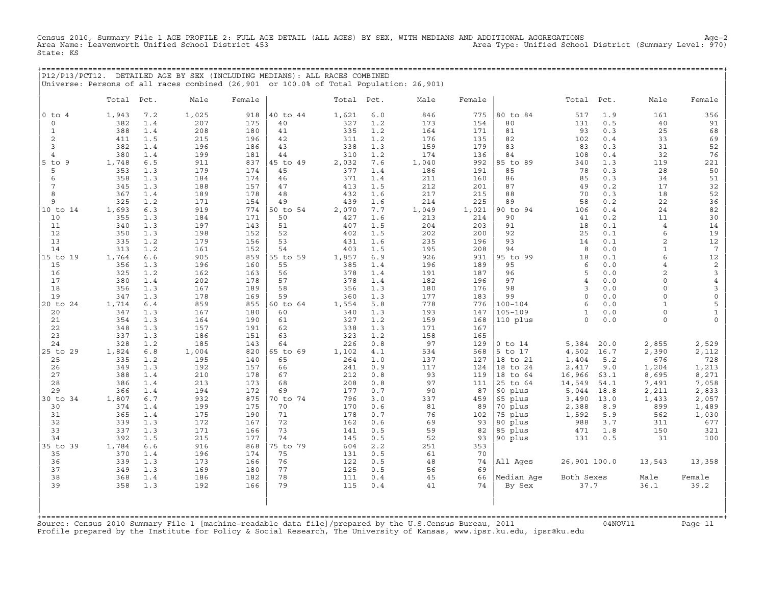Census 2010, Summary File 1 AGE PROFILE 2: FULL AGE DETAIL (ALL AGES) BY SEX, WITH MEDIANS AND ADDITIONAL AGGREGATIONS Age−2 Area Type: Unified School District (Summary Level: 970) State: KS

+===================================================================================================================================================+ |P12/P13/PCT12. DETAILED AGE BY SEX (INCLUDING MEDIANS): ALL RACES COMBINED | |Universe: Persons of all races combined (26,901 or 100.0% of Total Population: 26,901) |

|                 | Total      | Pct.       | Male       | Female     |                | Total Pct. |            | Male       | Female     |                     | Total           | Pct.         | Male           | Female              |
|-----------------|------------|------------|------------|------------|----------------|------------|------------|------------|------------|---------------------|-----------------|--------------|----------------|---------------------|
| $0$ to $4$      | 1,943      | 7.2        | 1,025      | 918        | 40 to 44       | 1,621      | 6.0        | 846        | 775        | 80 to 84            | 517             | 1.9          | 161            | 356                 |
| $\mathbf 0$     | 382        | 1.4        | 207        | 175        | 40             | 327        | 1.2        | 173        | 154        | 80                  | 131             | 0.5          | 40             | 91                  |
| $\mathbf{1}$    | 388        | 1.4        | 208        | 180        | 41             | 335        | 1.2        | 164        | 171        | 81                  | 93              | 0.3          | 25             | 68                  |
| 2               | 411        | 1.5        | 215        | 196        | 42             | 311        | 1.2        | 176        | 135        | 82                  | 102             | 0.4          | 33             | 69                  |
| 3               | 382        | 1.4        | 196        | 186        | 43             | 338        | 1.3        | 159        | 179        | 83                  | 83              | 0.3          | 31             | 52                  |
| 4               | 380        | 1.4        | 199        | 181        | 44             | 310        | 1.2        | 174        | 136        | 84                  | 108             | 0.4          | 32             | 76                  |
| $5$ to $9$      | 1,748      | 6.5        | 911        | 837        | 45 to 49       | 2,032      | 7.6        | 1,040      | 992        | 85 to 89            | 340             | 1.3          | 119            | 221                 |
| 5               | 353        | 1.3        | 179        | 174        | 45             | 377        | 1.4        | 186        | 191        | 85                  | 78              | 0.3          | 28             | 50                  |
| 6               | 358        | 1.3        | 184        | 174        | 46             | 371        | 1.4        | 211        | 160        | 86                  | 85              | 0.3          | 34             | 51                  |
| $7\phantom{.0}$ | 345        | 1.3        | 188        | 157        | 47             | 413        | 1.5        | 212        | 201        | 87                  | 49              | 0.2          | 17             | 32                  |
| 8               | 367        | 1.4        | 189        | 178        | 48             | 432        | 1.6        | 217        | 215        | 88                  | 70              | 0.3          | 18             | 52                  |
| 9               | 325        | 1.2        | 171        | 154        | 49             | 439        | 1.6        | 214        | 225        | 89                  | 58              | 0.2          | 22             | 36                  |
| 10 to 14<br>10  | 1,693      | 6.3        | 919        | 774        | 50 to 54<br>50 | 2,070      | 7.7        | 1,049      | 1,021      | 90 to 94<br>90      | 106             | 0.4          | 24<br>11       | 82                  |
| 11              | 355<br>340 | 1.3<br>1.3 | 184<br>197 | 171<br>143 | 51             | 427<br>407 | 1.6<br>1.5 | 213<br>204 | 214<br>203 | 91                  | 41<br>18        | 0.2<br>0.1   | $\overline{4}$ | 30<br>14            |
| 12              | 350        | 1.3        | 198        | 152        | 52             | 402        | 1.5        | 202        | 200        | 92                  | 25              | 0.1          | 6              | 19                  |
| 13              | 335        | 1.2        | 179        | 156        | 53             | 431        | 1.6        | 235        | 196        | 93                  | 14              | 0.1          | 2              | 12                  |
| 14              | 313        | 1.2        | 161        | 152        | 54             | 403        | 1.5        | 195        | 208        | 94                  | 8               | 0.0          | $\mathbf{1}$   | $7\phantom{.0}$     |
| 15 to 19        | 1,764      | 6.6        | 905        | 859        | 55 to 59       | 1,857      | 6.9        | 926        | 931        | 95 to 99            | 18              | 0.1          | 6              | 12                  |
| 15              | 356        | 1.3        | 196        | 160        | 55             | 385        | 1.4        | 196        | 189        | 95                  | 6               | 0.0          | $\overline{4}$ | $\sqrt{2}$          |
| 16              | 325        | 1.2        | 162        | 163        | 56             | 378        | 1.4        | 191        | 187        | 96                  | 5               | 0.0          | $\overline{c}$ | 3                   |
| 17              | 380        | 1.4        | 202        | 178        | 57             | 378        | 1.4        | 182        | 196        | 97                  | $\overline{4}$  | 0.0          | $\Omega$       | $\overline{4}$      |
| 18              | 356        | 1.3        | 167        | 189        | 58             | 356        | 1.3        | 180        | 176        | 98                  | 3               | 0.0          | $\circ$        | 3                   |
| 19              | 347        | 1.3        | 178        | 169        | 59             | 360        | 1.3        | 177        | 183        | 99                  | $\circ$         | 0.0          | $\circ$        | $\mathsf{O}\xspace$ |
| 20 to 24        | 1,714      | 6.4        | 859        | 855        | 60 to 64       | 1,554      | 5.8        | 778        | 776        | $100 - 104$         | $\epsilon$      | 0.0          | $\mathbf{1}$   | 5                   |
| 20              | 347        | 1.3        | 167        | 180        | 60             | 340        | 1.3        | 193        | 147        | $105 - 109$         | $\mathbf{1}$    | 0.0          | $\circ$        | $\mathbf{1}$        |
| 21              | 354        | 1.3        | 164        | 190        | 61             | 327        | 1.2        | 159        | 168        | 110 plus            | $\Omega$        | 0.0          | $\circ$        | $\circ$             |
| 22              | 348        | 1.3        | 157        | 191        | 62             | 338        | 1.3        | 171        | 167        |                     |                 |              |                |                     |
| 23              | 337        | 1.3        | 186        | 151        | 63             | 323        | 1.2        | 158        | 165        |                     |                 |              |                |                     |
| 24              | 328        | 1.2        | 185        | 143        | 64             | 226        | 0.8        | 97         | 129        | $0$ to $14$         | 5,384           | 20.0         | 2,855          | 2,529               |
| 25 to 29        | 1,824      | 6.8        | 1,004      | 820        | 65 to 69       | 1,102      | 4.1        | 534        | 568        | 5 to 17             | 4,502           | 16.7         | 2,390          | 2,112               |
| 25              | 335        | 1.2        | 195        | 140        | 65             | 264        | 1.0        | 137        | 127        | 18 to 21            | 1,404           | 5.2          | 676            | 728                 |
| 26              | 349        | 1.3        | 192        | 157        | 66             | 241        | 0.9        | 117        | 124        | 18 to 24            | 2,417           | 9.0          | 1,204          | 1,213               |
| 27<br>28        | 388<br>386 | 1.4<br>1.4 | 210        | 178        | 67<br>68       | 212<br>208 | 0.8<br>0.8 | 93<br>97   | 119<br>111 | 18 to 64            | 16,966          | 63.1<br>54.1 | 8,695          | 8,271               |
| 29              | 366        | 1.4        | 213<br>194 | 173<br>172 | 69             | 177        | 0.7        | 90         | 87         | 25 to 64<br>60 plus | 14,549<br>5,044 | 18.8         | 7,491<br>2,211 | 7,058<br>2,833      |
| 30 to 34        | 1,807      | 6.7        | 932        | 875        | 70 to 74       | 796        | 3.0        | 337        | 459        | 65 plus             | 3,490           | 13.0         | 1,433          | 2,057               |
| 30              | 374        | 1.4        | 199        | 175        | 70             | 170        | 0.6        | 81         | 89         | 70 plus             | 2,388           | 8.9          | 899            | 1,489               |
| 31              | 365        | 1.4        | 175        | 190        | 71             | 178        | 0.7        | 76         | 102        | 75 plus             | 1,592           | 5.9          | 562            | 1,030               |
| 32              | 339        | 1.3        | 172        | 167        | 72             | 162        | 0.6        | 69         | 93         | 80 plus             | 988             | 3.7          | 311            | 677                 |
| 33              | 337        | 1.3        | 171        | 166        | 73             | 141        | 0.5        | 59         | 82         | 85 plus             | 471             | 1.8          | 150            | 321                 |
| 34              | 392        | 1.5        | 215        | 177        | 74             | 145        | 0.5        | 52         | 93         | 90 plus             | 131             | 0.5          | 31             | 100                 |
| 35 to 39        | 1,784      | 6.6        | 916        | 868        | 75 to 79       | 604        | 2.2        | 251        | 353        |                     |                 |              |                |                     |
| 35              | 370        | 1.4        | 196        | 174        | 75             | 131        | 0.5        | 61         | 70         |                     |                 |              |                |                     |
| 36              | 339        | 1.3        | 173        | 166        | 76             | 122        | 0.5        | 48         | 74         | All Ages            | 26,901 100.0    |              | 13,543         | 13,358              |
| 37              | 349        | 1.3        | 169        | 180        | 77             | 125        | 0.5        | 56         | 69         |                     |                 |              |                |                     |
| 38              | 368        | 1.4        | 186        | 182        | 78             | 111        | 0.4        | 45         | 66         | Median Age          | Both Sexes      |              | Male           | Female              |
| 39              | 358        | 1.3        | 192        | 166        | 79             | 115        | 0.4        | 41         | 74         | By Sex              | 37.7            |              | 36.1           | 39.2                |
|                 |            |            |            |            |                |            |            |            |            |                     |                 |              |                |                     |

Source: Census 2010 Summary File 1 [machine−readable data file]/prepared by the U.S.Census Bureau, 2011 04NOV11 Page 11 Profile prepared by the Institute for Policy & Social Research, The University of Kansas, www.ipsr.ku.edu, ipsr@ku.edu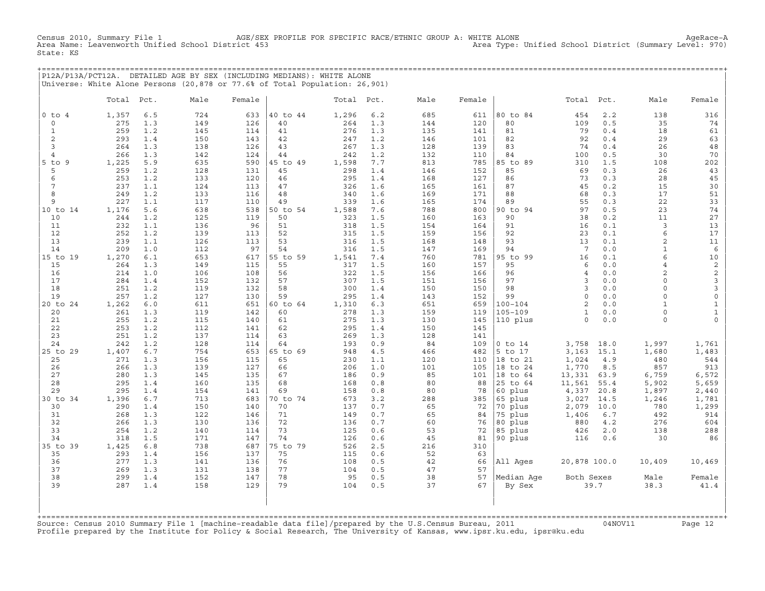AGE/SEX PROFILE FOR SPECIFIC RACE/ETHNIC GROUP A: WHITE ALONE<br>Cummary Level: 970) Area Type: Unified School District (Summary Level: 970) Census 2010, Summary File 1 AGE/SEX<br>Area Name: Leavenworth Unified School District 453 State: KS

+===================================================================================================================================================+ |P12A/P13A/PCT12A. DETAILED AGE BY SEX (INCLUDING MEDIANS): WHITE ALONE | |Universe: White Alone Persons (20,878 or 77.6% of Total Population: 26,901) |

|               | Total      | Pct.       | Male       | Female     |          | Total Pct. |            | Male       | Female     |             | Total           | Pct.       | Male           | Female         |
|---------------|------------|------------|------------|------------|----------|------------|------------|------------|------------|-------------|-----------------|------------|----------------|----------------|
| $0$ to $4$    | 1,357      | 6.5        | 724        | 633        | 40 to 44 | 1,296      | 6.2        | 685        | 611        | 80 to 84    | 454             | 2.2        | 138            | 316            |
| $\circ$       | 275        | 1.3        | 149        | 126        | 40       | 264        | 1.3        | 144        | 120        | 80          | 109             | 0.5        | 35             | 74             |
| $\mathbf{1}$  | 259        | 1.2        | 145        | 114        | 41       | 276        | 1.3        | 135        | 141        | 81          | 79              | 0.4        | 18             | 61             |
| 2             | 293        | 1.4        | 150        | 143        | 42       | 247        | 1.2        | 146        | 101        | 82          | 92              | 0.4        | 29             | 63             |
| 3             | 264        | 1.3        | 138        | 126        | 43       | 267        | 1.3        | 128        | 139        | 83          | 74              | 0.4        | 26             | 48             |
| 4             | 266        | 1.3        | 142        | 124        | 44       | 242        | 1.2        | 132        | 110        | 84          | 100             | 0.5        | 30             | 70             |
| $5$ to<br>- 9 | 1,225      | 5.9        | 635        | 590        | 45 to 49 | 1,598      | 7.7        | 813        | 785        | 85 to 89    | 310             | 1.5        | 108            | 202            |
| 5             | 259        | 1.2        | 128        | 131        | 45       | 298        | 1.4        | 146        | 152        | 85          | 69              | 0.3        | 26             | 43             |
| 6             | 253        | 1.2        | 133        | 120        | 46       | 295        | 1.4        | 168        | 127        | 86          | 73              | 0.3        | 28             | 45             |
| 7             | 237        | 1.1        | 124        | 113        | 47       | 326        | 1.6        | 165        | 161        | 87          | 45              | 0.2        | 15             | 30             |
| 8             | 249        | 1.2        | 133        | 116        | 48       | 340        | 1.6        | 169        | 171        | 88          | 68              | 0.3        | 17             | 51             |
| 9             | 227        | 1.1        | 117        | 110        | 49       | 339        | 1.6        | 165        | 174        | 89          | 55              | 0.3        | 22             | 33             |
| 10 to 14      | 1,176      | 5.6        | 638        | 538        | 50 to 54 | 1,588      | 7.6        | 788        | 800        | 90 to 94    | 97              | 0.5        | 23             | 74             |
| 10<br>11      | 244<br>232 | 1.2        | 125        | 119<br>96  | 50<br>51 | 323<br>318 | 1.5<br>1.5 | 160        | 163<br>164 | 90<br>91    | 38              | 0.2<br>0.1 | 11<br>3        | 27<br>13       |
| 12            | 252        | 1.1<br>1.2 | 136<br>139 | 113        | 52       | 315        | 1.5        | 154<br>159 | 156        | 92          | 16<br>23        | 0.1        | 6              | 17             |
| 13            | 239        | 1.1        | 126        | 113        | 53       | 316        | 1.5        | 168        | 148        | 93          | 13              | 0.1        | $\overline{a}$ | 11             |
| 14            | 209        | 1.0        | 112        | 97         | 54       | 316        | 1.5        | 147        | 169        | 94          | $7\phantom{.0}$ | 0.0        | $\mathbf{1}$   | 6              |
| 15 to 19      | 1,270      | 6.1        | 653        | 617        | 55 to 59 | 1,541      | 7.4        | 760        | 781        | 95 to 99    | 16              | 0.1        | 6              | 10             |
| 15            | 264        | 1.3        | 149        | 115        | 55       | 317        | 1.5        | 160        | 157        | 95          | 6               | 0.0        | $\overline{4}$ | $\mathbf 2$    |
| 16            | 214        | 1.0        | 106        | 108        | 56       | 322        | 1.5        | 156        | 166        | 96          | $\overline{4}$  | 0.0        | $\overline{a}$ | $\overline{c}$ |
| 17            | 284        | 1.4        | 152        | 132        | 57       | 307        | 1.5        | 151        | 156        | 97          | 3               | 0.0        | $\Omega$       | $\mathbf{3}$   |
| 18            | 251        | 1.2        | 119        | 132        | 58       | 300        | 1.4        | 150        | 150        | 98          | $\overline{3}$  | 0.0        | $\circ$        | $\mathbf{3}$   |
| 19            | 257        | 1.2        | 127        | 130        | 59       | 295        | 1.4        | 143        | 152        | 99          | $\mathsf O$     | 0.0        | $\circ$        | $\mathsf O$    |
| 20 to 24      | 1,262      | 6.0        | 611        | 651        | 60 to 64 | 1,310      | 6.3        | 651        | 659        | $100 - 104$ | 2               | 0.0        | $\mathbf{1}$   | $\mathbf{1}$   |
| 20            | 261        | 1.3        | 119        | 142        | 60       | 278        | 1.3        | 159        | 119        | $105 - 109$ | $\mathbf{1}$    | 0.0        | $\circ$        | $\mathbf{1}$   |
| 21            | 255        | 1.2        | 115        | 140        | 61       | 275        | 1.3        | 130        | 145        | 110 plus    | $\circ$         | 0.0        | $\circ$        | $\mathbf 0$    |
| 22            | 253        | 1.2        | 112        | 141        | 62       | 295        | 1.4        | 150        | 145        |             |                 |            |                |                |
| 23<br>24      | 251<br>242 | 1.2<br>1.2 | 137<br>128 | 114<br>114 | 63<br>64 | 269<br>193 | 1.3<br>0.9 | 128<br>84  | 141<br>109 | $0$ to $14$ | 3,758           | 18.0       | 1,997          | 1,761          |
| 25 to 29      | 1,407      | 6.7        | 754        | 653        | 65 to 69 | 948        | 4.5        | 466        | 482        | 5 to 17     | 3,163           | 15.1       | 1,680          | 1,483          |
| 25            | 271        | 1.3        | 156        | 115        | 65       | 230        | 1.1        | 120        | 110        | 18 to 21    | 1,024           | 4.9        | 480            | 544            |
| 26            | 266        | 1.3        | 139        | 127        | 66       | 206        | 1.0        | 101        | 105        | 18 to 24    | 1,770           | 8.5        | 857            | 913            |
| 27            | 280        | 1.3        | 145        | 135        | 67       | 186        | 0.9        | 85         | 101        | 18 to 64    | 13,331          | 63.9       | 6,759          | 6,572          |
| 28            | 295        | 1.4        | 160        | 135        | 68       | 168        | 0.8        | 80         | 88         | 25 to 64    | 11,561          | 55.4       | 5,902          | 5,659          |
| 29            | 295        | 1.4        | 154        | 141        | 69       | 158        | 0.8        | 80         | 78         | 60 plus     | 4,337           | 20.8       | 1,897          | 2,440          |
| 30 to 34      | 1,396      | 6.7        | 713        | 683        | 70 to 74 | 673        | 3.2        | 288        | 385        | 65 plus     | 3,027           | 14.5       | 1,246          | 1,781          |
| 30            | 290        | 1.4        | 150        | 140        | 70       | 137        | 0.7        | 65         | 72         | 70 plus     | 2,079           | 10.0       | 780            | 1,299          |
| 31            | 268        | 1.3        | 122        | 146        | 71       | 149        | 0.7        | 65         | 84         | 75 plus     | 1,406           | 6.7        | 492            | 914            |
| 32            | 266        | 1.3        | 130        | 136        | 72       | 136        | 0.7        | 60         | 76         | 80 plus     | 880             | 4.2        | 276            | 604            |
| 33            | 254        | 1.2        | 140        | 114        | 73       | 125        | 0.6        | 53         | 72         | 85 plus     | 426             | 2.0        | 138            | 288            |
| 34            | 318        | 1.5        | 171        | 147        | 74       | 126        | 0.6        | 45         | 81         | 90 plus     | 116             | 0.6        | 30             | 86             |
| 35 to 39      | 1,425      | 6.8        | 738        | 687        | 75 to 79 | 526        | 2.5        | 216        | 310        |             |                 |            |                |                |
| 35            | 293        | 1.4        | 156        | 137        | 75       | 115        | 0.6        | 52         | 63         |             |                 |            |                |                |
| 36<br>37      | 277<br>269 | 1.3<br>1.3 | 141<br>131 | 136<br>138 | 76<br>77 | 108<br>104 | 0.5<br>0.5 | 42<br>47   | 66<br>57   | All Ages    | 20,878 100.0    |            | 10,409         | 10,469         |
| 38            | 299        | 1.4        | 152        | 147        | 78       | 95         | 0.5        | 38         | 57         | Median Aqe  | Both Sexes      |            | Male           | Female         |
| 39            | 287        | 1.4        | 158        | 129        | 79       | 104        | 0.5        | 37         | 67         | By Sex      |                 | 39.7       | 38.3           | 41.4           |
|               |            |            |            |            |          |            |            |            |            |             |                 |            |                |                |

+===================================================================================================================================================+Source: Census 2010 Summary File 1 [machine−readable data file]/prepared by the U.S.Census Bureau, 2011 04NOV11 Page 12 Profile prepared by the Institute for Policy & Social Research, The University of Kansas, www.ipsr.ku.edu, ipsr@ku.edu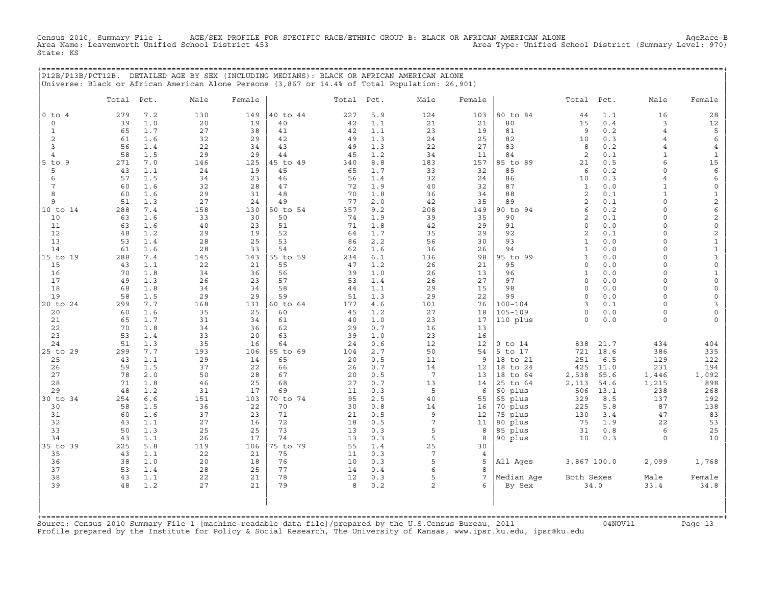Census 2010, Summary File 1 AGE/SEX PROFILE FOR SPECIFIC RACE/ETHNIC GROUP B: BLACK OR AFRICAN AMERICAN ALONE AgeRace−B Area Name: Leavenworth Unified School District 453 Area Type: Unified School District (Summary Level: 970) State: KS

+===================================================================================================================================================+

|                | P12B/P13B/PCT12B. DETAILED AGE BY SEX (INCLUDING MEDIANS): BLACK OR AFRICAN AMERICAN ALONE<br>Universe: Black or African American Alone Persons (3,867 or 14.4% of Total Population: 26,901) |                         |           |                |          |            |                 |                 |                    |                     |            |                           |                     |
|----------------|----------------------------------------------------------------------------------------------------------------------------------------------------------------------------------------------|-------------------------|-----------|----------------|----------|------------|-----------------|-----------------|--------------------|---------------------|------------|---------------------------|---------------------|
|                | Total<br>Pct.                                                                                                                                                                                | Male                    | Female    |                | Total    | Pct.       | Male            | Female          |                    | Total               | Pct.       | Male                      | Female              |
| $0$ to $4$     | 279                                                                                                                                                                                          | 7.2<br>130              | 149       | 40 to 44       | 227      | 5.9        | 124             | 103             | 80 to 84           | 44                  | 1.1        | 16                        | 28                  |
| 0              | 39                                                                                                                                                                                           | 1.0<br>20               | 19        | 40             | 42       | 1.1        | 21              | 21              | 80                 | 15                  | 0.4        | 3                         | 12                  |
| $\mathbf{1}$   | 65                                                                                                                                                                                           | 1.7<br>27               | 38        | 41             | 42       | 1.1        | 23              | 19              | 81                 | $\overline{9}$      | 0.2        | $\overline{4}$            | 5                   |
| 2              | 61                                                                                                                                                                                           | 1.6<br>32               | 29        | 42             | 49       | 1.3        | 24              | 25              | 82                 | 10                  | 0.3        | $\overline{4}$            | 6                   |
| 3              | 56                                                                                                                                                                                           | 1.4<br>22               | 34        | 43             | 49       | 1.3        | 22              | 27              | 83                 | 8                   | 0.2        | $\overline{4}$            | $\overline{4}$      |
| $\overline{4}$ | 58                                                                                                                                                                                           | 1.5<br>29               | 29        | 44             | 45       | 1.2        | 34              | 11              | 84                 | $\overline{c}$      | 0.1        | $\mathbf{1}$              | $\mathbf{1}$        |
| $5$ to<br>-9   | 271                                                                                                                                                                                          | 7.0<br>146              | 125       | 45 to 49       | 340      | 8.8        | 183             | 157             | 85 to 89           | 21                  | 0.5        | 6                         | 15                  |
| 5<br>6         | 43                                                                                                                                                                                           | 1.1<br>24               | 19<br>23  | 45             | 65       | 1.7<br>1.4 | 33              | 32              | 85<br>86           | 6                   | 0.2<br>0.3 | $\circ$<br>$\overline{4}$ | 6                   |
| 7              | 57<br>60                                                                                                                                                                                     | 1.5<br>34<br>1.6<br>32  | 28        | 46<br>47       | 56<br>72 | 1.9        | 32<br>40        | 24<br>32        | 87                 | 10<br>$\mathbf{1}$  | 0.0        | 1                         | 6<br>$\mathsf{O}$   |
| 8              | 60                                                                                                                                                                                           | 1.6<br>29               | 31        | 48             | 70       | 1.8        | 36              | 34              | 88                 | 2                   | 0.1        | $\mathbf{1}$              | $\mathbf{1}$        |
| 9              | 51                                                                                                                                                                                           | 27<br>1.3               | 24        | 49             | 77       | 2.0        | 42              | 35              | 89                 | $\overline{2}$      | 0.1        | 0                         | $\mathbf{2}$        |
| 10 to 14       | 288                                                                                                                                                                                          | 7.4<br>158              | 130       | 50 to 54       | 357      | 9.2        | 208             | 149             | 90 to 94           | 6                   | 0.2        | $\Omega$                  | 6                   |
| 10             | 63                                                                                                                                                                                           | 1.6<br>33               | 30        | 50             | 74       | 1.9        | 39              | 35              | 90                 | $\overline{c}$      | 0.1        | $\Omega$                  | $\mathbf{2}$        |
| 11             | 63                                                                                                                                                                                           | 1.6<br>40               | 23        | 51             | 71       | 1.8        | 42              | 29              | 91                 | $\circ$             | 0.0        | $\Omega$                  | $\mathbb O$         |
| 12             | 48                                                                                                                                                                                           | 1.2<br>29               | 19        | 52             | 64       | 1.7        | 35              | 29              | 92                 | $\mathbf{2}$        | 0.1        | $\Omega$                  | $\mathbf 2$         |
| 13             | 53                                                                                                                                                                                           | 1.4<br>28               | 25        | 53             | 86       | 2.2        | 56              | 30              | 93                 | $\mathbf{1}$        | 0.0        | $\Omega$                  | $\mathbf 1$         |
| 14             | 61                                                                                                                                                                                           | 28<br>1.6               | 33        | 54             | 62       | 1.6        | 36              | 26              | 94                 | $\mathbf{1}$        | 0.0        | $\Omega$                  | $\mathbf 1$         |
| 15 to 19       | 288                                                                                                                                                                                          | 7.4<br>145              | 143       | 55 to 59       | 234      | 6.1        | 136             | 98              | 95 to 99           | $\mathbf{1}$        | 0.0        | $\Omega$                  | $\mathbf 1$         |
| 15             | 43                                                                                                                                                                                           | 1.1<br>22               | 21        | 55             | 47       | 1.2        | 26              | 21              | 95                 | $\Omega$            | 0.0        | $\Omega$                  | $\mathsf{O}\xspace$ |
| 16             | 70                                                                                                                                                                                           | 1.8<br>34               | 36        | 56             | 39       | 1.0        | 26              | 13              | 96                 | $\mathbf{1}$        | 0.0        | $\Omega$                  | $\mathbf{1}$        |
| 17             | 49                                                                                                                                                                                           | 1.3<br>26               | 23        | 57             | 53       | 1.4        | 26              | 27              | 97                 | $\circ$             | 0.0        | $\circ$                   | $\mathsf{O}\xspace$ |
| 18<br>19       | 68<br>58                                                                                                                                                                                     | 1.8<br>34<br>1.5        | 34<br>29  | 58<br>59       | 44<br>51 | 1.1        | 29              | 15              | 98<br>99           | $\circ$<br>$\Omega$ | 0.0<br>0.0 | $\Omega$<br>$\circ$       | $\mathsf O$         |
| 20 to 24       | 299                                                                                                                                                                                          | 29<br>7.7<br>168        | 131       | 60 to 64       | 177      | 1.3<br>4.6 | 29<br>101       | 22<br>76        | $100 - 104$        | 3                   | 0.1        | 0                         | 0<br>3              |
| 20             | 60                                                                                                                                                                                           | 1.6<br>35               | 25        | 60             | 45       | 1.2        | 27              | 18              | $105 - 109$        | $\mathsf{O}\xspace$ | 0.0        | $\circ$                   | $\mathsf{O}\xspace$ |
| 21             | 65                                                                                                                                                                                           | 1.7<br>31               | 34        | 61             | 40       | 1.0        | 23              | 17              | 110 plus           | $\Omega$            | 0.0        | $\circ$                   | 0                   |
| 22             | 70                                                                                                                                                                                           | 1.8<br>34               | 36        | 62             | 29       | 0.7        | 16              | 13              |                    |                     |            |                           |                     |
| 23             | 53                                                                                                                                                                                           | 1.4<br>33               | 20        | 63             | 39       | 1.0        | 23              | 16              |                    |                     |            |                           |                     |
| 24             | 51                                                                                                                                                                                           | 35<br>1.3               | 16        | 64             | 24       | 0.6        | 12              | 12              | $0$ to $14$        | 838                 | 21.7       | 434                       | 404                 |
| 25 to 29       | 299                                                                                                                                                                                          | 7.7<br>193              | 106       | 65 to 69       | 104      | 2.7        | 50              | 54              | 5 to 17            | 721                 | 18.6       | 386                       | 335                 |
| 25             | 43                                                                                                                                                                                           | 1.1<br>29               | 14        | 65             | 20       | 0.5        | 11              | 9               | 18 to 21           | 251                 | 6.5        | 129                       | 122                 |
| 26             | 59                                                                                                                                                                                           | 1.5<br>37               | 22        | 66             | 26       | 0.7        | 14              | 12              | 18 to 24           | 425                 | 11.0       | 231                       | 194                 |
| 27             | 78                                                                                                                                                                                           | 2.0<br>50               | 28        | 67             | 20       | 0.5        | $7\phantom{.0}$ | 13              | 18 to 64           | 2,538               | 65.6       | 1,446                     | 1,092               |
| 28             | 71                                                                                                                                                                                           | 1.8<br>46               | 25        | 68             | 27       | 0.7        | 13              | 14              | 25 to 64           | 2,113               | 54.6       | 1,215                     | 898                 |
| 29             | 48                                                                                                                                                                                           | 31<br>1.2               | 17        | 69             | 11       | 0.3        | 5               | 6               | 60 plus            | 506                 | 13.1       | 238                       | 268                 |
| 30 to 34<br>30 | 254<br>58                                                                                                                                                                                    | 6.6<br>151<br>1.5<br>36 | 103<br>22 | 70 to 74<br>70 | 95<br>30 | 2.5<br>0.8 | 40<br>14        | 55<br>16        | 65 plus<br>70 plus | 329<br>225          | 8.5<br>5.8 | 137<br>87                 | 192<br>138          |
| 31             | 60                                                                                                                                                                                           | 1.6<br>37               | 23        | 71             | 21       | 0.5        | 9               | 12              | 75 plus            | 130                 | 3.4        | 47                        | 83                  |
| 32             | 43                                                                                                                                                                                           | 1.1<br>27               | 16        | 72             | 18       | 0.5        | $\overline{7}$  | 11              | 80 plus            | 75                  | 1.9        | 22                        | 53                  |
| 33             | 50                                                                                                                                                                                           | 1.3<br>25               | 25        | 73             | 13       | 0.3        | 5               | 8               | 85 plus            | 31                  | 0.8        | 6                         | 25                  |
| 34             | 43                                                                                                                                                                                           | 1.1<br>26               | 17        | 74             | 13       | 0.3        | 5               | 8               | 90 plus            | 10                  | 0.3        | 0                         | 10                  |
| 35 to 39       | 225                                                                                                                                                                                          | 5.8<br>119              | 106       | 75 to 79       | 55       | 1.4        | 25              | 30              |                    |                     |            |                           |                     |
| 35             | 43                                                                                                                                                                                           | 1.1<br>22               | 21        | 75             | 11       | 0.3        | 7               | 4               |                    |                     |            |                           |                     |
| 36             | 38                                                                                                                                                                                           | 1.0<br>20               | 18        | 76             | 10       | 0.3        | 5               | 5               | All Ages           | 3,867 100.0         |            | 2,099                     | 1,768               |
| 37             | 53                                                                                                                                                                                           | 1.4<br>28               | 25        | 77             | 14       | 0.4        | 6               | 8               |                    |                     |            |                           |                     |
| 38             | 43                                                                                                                                                                                           | 1.1<br>22               | 21        | 78             | 12       | 0.3        | 5               | $7\phantom{.0}$ | Median Age         | Both Sexes          |            | Male                      | Female              |
| 39             | 48                                                                                                                                                                                           | 1.2<br>27               | 21        | 79             | 8        | 0.2        | $\overline{a}$  | 6               | By Sex             |                     | 34.0       | 33.4                      | 34.8                |
|                |                                                                                                                                                                                              |                         |           |                |          |            |                 |                 |                    |                     |            |                           |                     |
|                |                                                                                                                                                                                              |                         |           |                |          |            |                 |                 |                    |                     |            |                           |                     |
|                |                                                                                                                                                                                              |                         |           |                |          |            |                 |                 |                    |                     |            |                           |                     |

+===================================================================================================================================================+Source: Census 2010 Summary File 1 [machine−readable data file]/prepared by the U.S.Census Bureau, 2011 04NOV11 Page 13 Profile prepared by the Institute for Policy & Social Research, The University of Kansas, www.ipsr.ku.edu, ipsr@ku.edu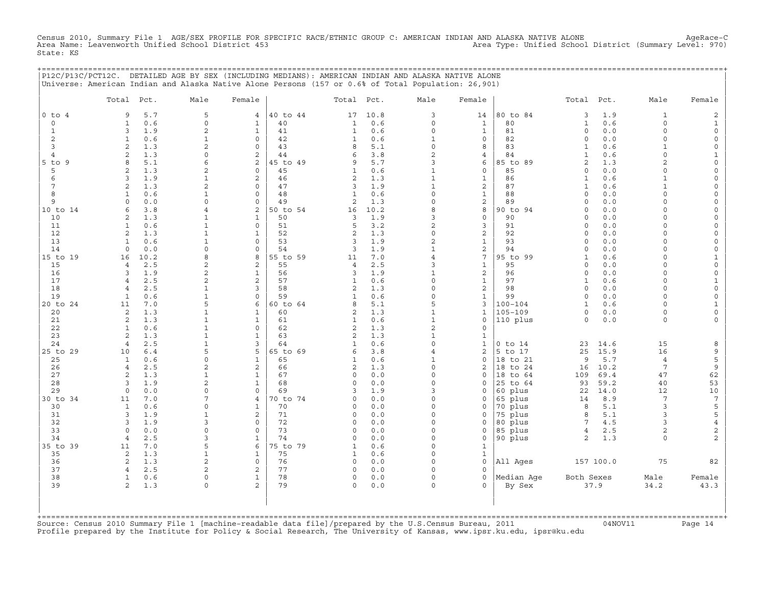Census 2010, Summary File 1 AGE/SEX PROFILE FOR SPECIFIC RACE/ETHNIC GROUP C: AMERICAN INDIAN AND ALASKA NATIVE ALONE AgeRace−C Area Name: Leavenworth Unified School District 453 Area Type: Unified School District (Summary Level: 970) State: KS

+===================================================================================================================================================+

|                | P12C/P13C/PCT12C. DETAILED AGE BY SEX (INCLUDING MEDIANS): AMERICAN INDIAN AND ALASKA NATIVE ALONE<br>Universe: American Indian and Alaska Native Alone Persons (157 or 0.6% of Total Population: 26,901) |                                |                                |                |                         |             |                                |                                    |                    |                             |             |                          |                          |
|----------------|-----------------------------------------------------------------------------------------------------------------------------------------------------------------------------------------------------------|--------------------------------|--------------------------------|----------------|-------------------------|-------------|--------------------------------|------------------------------------|--------------------|-----------------------------|-------------|--------------------------|--------------------------|
|                | Total<br>Pct.                                                                                                                                                                                             | Male                           | Female                         |                | Total Pct.              |             | Male                           | Female                             |                    | Total                       | Pct.        | Male                     | Female                   |
| $0$ to $4$     | 5.7<br>9                                                                                                                                                                                                  | 5                              | 4                              | 40 to 44       | 17                      | 10.8        | 3                              | 14                                 | 80 to 84           | 3                           | 1.9         | $\mathbf{1}$             | 2                        |
| $\circ$        | 0.6<br>$\mathbf{1}$                                                                                                                                                                                       | $\circ$                        | $\mathbf 1$                    | 40             | $\mathbf{1}$            | 0.6         | $\mathsf{O}\xspace$            | $\mathbf{1}$                       | 80                 | $\mathbf{1}$                | 0.6         | 0                        | $\mathbf{1}$             |
| $\mathbf 1$    | 3<br>1.9                                                                                                                                                                                                  | 2                              | $\mathbf{1}$                   | 41             | 1                       | 0.6         | $\Omega$                       | 1                                  | 81                 | $\mathbf 0$                 | 0.0         | $\Omega$                 | $\mathsf O$              |
| 2<br>3         | 0.6<br>1<br>2<br>1.3                                                                                                                                                                                      | $\mathbf{1}$<br>2              | $\Omega$<br>$\circ$            | 42<br>43       | 1<br>8                  | 0.6<br>5.1  | $\mathbf{1}$<br>$\circ$        | $\mathbf 0$<br>8                   | 82<br>83           | $\mathbf 0$<br>$\mathbf{1}$ | 0.0<br>0.6  | $\Omega$<br>$\mathbf{1}$ | 0<br>$\mathsf{O}\xspace$ |
| $\overline{4}$ | 1.3<br>$\overline{2}$                                                                                                                                                                                     | $\circ$                        | 2                              | 44             | 6                       | 3.8         | $\overline{2}$                 | 4                                  | 84                 | $\mathbf{1}$                | 0.6         | $\Omega$                 | $\mathbf{1}$             |
| $5$ to $9$     | 5.1<br>8                                                                                                                                                                                                  | 6                              | 2                              | 45 to 49       | 9                       | 5.7         | 3                              | 6                                  | 85 to 89           | $\overline{2}$              | 1.3         | $\overline{2}$           | $\mathsf{O}\xspace$      |
| 5              | 1.3<br>$\overline{c}$                                                                                                                                                                                     | $\mathbf{2}$                   | 0                              | 45             | $\mathbf{1}$            | 0.6         | $\mathbf{1}$                   | $\mathsf{O}\xspace$                | 85                 | $\mathbf 0$                 | 0.0         | $\Omega$                 | $\mathsf{O}\xspace$      |
| 6              | 1.9<br>3                                                                                                                                                                                                  | 1                              | 2                              | 46             | $\sqrt{2}$              | 1.3         | $\mathbf{1}$                   | $\mathbf{1}$                       | 86                 | $\mathbf{1}$                | 0.6         | $\mathbf{1}$             | 0                        |
| 7              | 1.3<br>$\overline{2}$                                                                                                                                                                                     | $\overline{2}$                 | 0                              | 47             | 3                       | 1.9         | $\mathbf{1}$                   | 2                                  | 87                 | $\mathbf{1}$                | 0.6         | 1                        | 0                        |
| 8              | 0.6<br>1                                                                                                                                                                                                  | $\mathbf{1}$                   | $\Omega$                       | 48             | $\mathbf{1}$            | 0.6         | $\Omega$                       | $\mathbf 1$                        | 88                 | $\Omega$                    | 0.0         | $\Omega$                 | 0                        |
| 9              | $\Omega$<br>0.0<br>6                                                                                                                                                                                      | 0<br>4                         | 0                              | 49             | $\sqrt{2}$              | 1.3         | $\Omega$<br>8                  | $\mathbf 2$                        | 89                 | $\Omega$<br>$\Omega$        | 0.0         | $\Omega$<br>$\cap$       | 0                        |
| 10 to 14<br>10 | 3.8<br>1.3<br>$\overline{2}$                                                                                                                                                                              | $\mathbf{1}$                   | 2<br>$\mathbf{1}$              | 50 to 54<br>50 | 16<br>3                 | 10.2<br>1.9 | 3                              | 8<br>$\circ$                       | 90 to 94<br>90     | $\Omega$                    | 0.0<br>0.0  | $\Omega$                 | 0<br>0                   |
| 11             | 0.6<br>1                                                                                                                                                                                                  | $\mathbf{1}$                   | $\circ$                        | 51             | 5                       | 3.2         | $\overline{c}$                 | $\mathsf 3$                        | 91                 | $\mathbf 0$                 | 0.0         | $\Omega$                 | $\mathsf{O}\xspace$      |
| 12             | 1.3<br>2                                                                                                                                                                                                  | $\mathbf{1}$                   | $\mathbf{1}$                   | 52             | $\mathbf{2}$            | 1.3         | $\Omega$                       | $\sqrt{2}$                         | 92                 | $\mathbf 0$                 | 0.0         | $\Omega$                 | $\mathsf{O}\xspace$      |
| 13             | $\mathbf{1}$<br>0.6                                                                                                                                                                                       | $\mathbf{1}$                   | $\Omega$                       | 53             | 3                       | 1.9         | $\mathbf{2}$                   | $\mathbf{1}$                       | 93                 | $\Omega$                    | 0.0         | $\Omega$                 | $\mathbf{0}$             |
| 14             | $\circ$<br>0.0                                                                                                                                                                                            | $\mathbf 0$                    | 0                              | 54             | 3                       | 1.9         | $\mathbf{1}$                   | 2                                  | 94                 | $\mathbf 0$                 | 0.0         | $\Omega$                 | $\mathsf O$              |
| 15 to 19       | 10.2<br>16                                                                                                                                                                                                | 8                              | 8                              | 55 to 59       | 11                      | 7.0         | $\overline{4}$                 | $\overline{7}$                     | 95 to 99           | $\mathbf{1}$                | 0.6         | $\Omega$                 | $\mathbf{1}$             |
| 15<br>16       | 2.5<br>$\overline{4}$<br>3<br>1.9                                                                                                                                                                         | 2<br>$\overline{2}$            | $\overline{2}$<br>$\mathbf{1}$ | 55<br>56       | 4<br>3                  | 2.5<br>1.9  | 3<br>$\mathbf{1}$              | $\mathbf{1}$<br>2                  | 95<br>96           | $\mathbf 0$<br>$\mathbf 0$  | 0.0<br>0.0  | $\circ$<br>0             | $\circ$<br>0             |
| 17             | 2.5<br>4                                                                                                                                                                                                  | $\overline{c}$                 | $\overline{c}$                 | 57             | $\mathbf{1}$            | 0.6         | $\Omega$                       | 1                                  | 97                 | 1                           | 0.6         | $\Omega$                 | $\mathbf{1}$             |
| 18             | 2.5<br>$\overline{4}$                                                                                                                                                                                     | $\mathbf{1}$                   | 3                              | 58             | $\overline{c}$          | 1.3         | $\Omega$                       | $\overline{c}$                     | 98                 | $\mathbf 0$                 | 0.0         | $\Omega$                 | $\mathsf{O}\xspace$      |
| 19             | $\mathbf{1}$<br>0.6                                                                                                                                                                                       | $\mathbf{1}$                   | 0                              | 59             | $\mathbf{1}$            | 0.6         | $\Omega$                       | $\mathbf{1}$                       | 99                 | $\mathbf 0$                 | 0.0         | $\Omega$                 | $\circ$                  |
| 20 to 24       | 11<br>7.0                                                                                                                                                                                                 | 5                              | 6                              | 60 to 64       | 8                       | 5.1         | 5                              | 3                                  | $100 - 104$        | $\mathbf{1}$                | 0.6         | $\Omega$                 | $\mathbf{1}$             |
| 20             | 1.3<br>2                                                                                                                                                                                                  | $\mathbf{1}$                   | $\mathbf 1$                    | 60             | 2                       | 1.3         | $\mathbf{1}$                   | $\mathbf{1}$                       | $105 - 109$        | $\circ$                     | 0.0         | $\circ$                  | $\mathsf O$              |
| 21             | 2<br>1.3                                                                                                                                                                                                  | $\mathbf 1$                    | $\mathbf{1}$                   | 61             | $\mathbf{1}$            | 0.6         | $\mathbf 1$                    | $\mathsf O$                        | 110 plus           | $\mathbf 0$                 | 0.0         | 0                        | 0                        |
| 22<br>23       | $\mathbf{1}$<br>0.6<br>2<br>1.3                                                                                                                                                                           | $\mathbf{1}$<br>$\mathbf{1}$   | 0<br>$\mathbf{1}$              | 62<br>63       | $\mathbf{2}$<br>2       | 1.3<br>1.3  | $\overline{a}$<br>$\mathbf{1}$ | $\circ$<br>$\mathbf{1}$            |                    |                             |             |                          |                          |
| 24             | 2.5<br>$\overline{4}$                                                                                                                                                                                     | $\mathbf{1}$                   | 3                              | 64             | $\mathbf{1}$            | 0.6         | $\Omega$                       | $\mathbf{1}$                       | $0$ to $14$        | 23                          | 14.6        | 15                       | 8                        |
| 25 to 29       | 10<br>$6.4$                                                                                                                                                                                               | 5                              | 5                              | 65 to 69       | 6                       | 3.8         | $\overline{4}$                 | $\sqrt{2}$                         | 5 to 17            | 25                          | 15.9        | 16                       | 9                        |
| 25             | 0.6<br>1                                                                                                                                                                                                  | $\mathbf 0$                    | $\mathbf{1}$                   | 65             | $\mathbf{1}$            | 0.6         | $\mathbf{1}$                   | $\circ$                            | 18 to 21           | 9                           | 5.7         | $\overline{4}$           | 5                        |
| 26             | $\overline{4}$<br>2.5                                                                                                                                                                                     | 2                              | $\overline{a}$                 | 66             | $\mathbf{2}$            | 1.3         | $\Omega$                       | $\mathbf{2}$                       | 18 to 24           | 16                          | 10.2        | $7\overline{ }$          | 9                        |
| 27             | 2<br>1.3                                                                                                                                                                                                  | $\mathbf{1}$                   | $\mathbf{1}$                   | 67             | $\circ$                 | 0.0         | $\Omega$                       | $\mathbf 0$                        | 18<br>to 64        | 109                         | 69.4        | 47                       | 62                       |
| 28             | 3<br>1.9                                                                                                                                                                                                  | 2                              | $\mathbf{1}$                   | 68             | $\circ$                 | 0.0         | $\Omega$                       | $\Omega$                           | 25 to 64           | 93                          | 59.2        | 40                       | 53                       |
| 29<br>30 to 34 | $\circ$<br>0.0<br>7.0<br>11                                                                                                                                                                               | 0<br>7                         | 0<br>4                         | 69<br>70 to 74 | 3<br>$\circ$            | 1.9<br>0.0  | 3<br>$\Omega$                  | $\mathbf 0$<br>$\mathsf O$         | 60 plus<br>65 plus | 22<br>14                    | 14.0<br>8.9 | 12<br>$\overline{7}$     | $10$<br>$7\phantom{.0}$  |
| 30             | 0.6<br>1                                                                                                                                                                                                  | $\Omega$                       | 1                              | 70             | $\Omega$                | 0.0         | $\Omega$                       | $\mathbf 0$                        | 70 plus            | 8                           | 5.1         | 3                        | $\mathsf S$              |
| 31             | 3<br>1.9                                                                                                                                                                                                  | $\mathbf{1}$                   | 2                              | 71             | $\Omega$                | 0.0         | $\Omega$                       | $\mathbf 0$                        | 75 plus            | 8                           | 5.1         | 3                        | 5                        |
| 32             | 3<br>1.9                                                                                                                                                                                                  | 3                              | $\circ$                        | 72             | $\circ$                 | 0.0         | $\Omega$                       | $\mathsf O$                        | 80 plus            | $7\phantom{.0}$             | 4.5         | 3                        | $\overline{4}$           |
| 33             | 0.0<br>$\circ$                                                                                                                                                                                            | 0                              | 0                              | 73             | $\circ$                 | 0.0         | $\Omega$                       | $\mathsf O$                        | 85 plus            | $\overline{4}$              | 2.5         | 2                        | $\overline{c}$           |
| 34             | 2.5<br>$\overline{4}$                                                                                                                                                                                     | 3                              | $\mathbf 1$                    | 74             | $\Omega$                | 0.0         | $\Omega$                       | $\circ$                            | 90 plus            | 2                           | 1.3         | $\circ$                  | $\overline{a}$           |
| 35 to 39       | 7.0<br>11                                                                                                                                                                                                 | 5                              | 6                              | 75 to 79       | 1                       | 0.6         | $\Omega$                       | $\mathbf{1}$                       |                    |                             |             |                          |                          |
| 35<br>36       | 2<br>1.3<br>1.3<br>2                                                                                                                                                                                      | $\mathbf{1}$<br>$\overline{c}$ | $\mathbf{1}$<br>$\circ$        | 75<br>76       | $\mathbf{1}$<br>$\circ$ | 0.6<br>0.0  | $\Omega$<br>$\Omega$           | $\mathbf 1$<br>$\mathsf{O}\xspace$ | All Ages           |                             | 157 100.0   | 75                       | 82                       |
| 37             | 2.5<br>$\overline{4}$                                                                                                                                                                                     | 2                              | $\overline{a}$                 | 77             | $\circ$                 | 0.0         | $\Omega$                       | $\Omega$                           |                    |                             |             |                          |                          |
| 38             | $\mathbf{1}$<br>0.6                                                                                                                                                                                       | $\mathsf{O}\xspace$            | $\mathbf{1}$                   | 78             | $\circ$                 | 0.0         | $\Omega$                       | $\circ$                            | Median Age         | Both Sexes                  |             | Male                     | Female                   |
| 39             | $\overline{2}$<br>1.3                                                                                                                                                                                     | $\mathsf{O}\xspace$            | $\overline{2}$                 | 79             | $\circ$                 | 0.0         | $\Omega$                       | $\Omega$                           | By Sex             |                             | 37.9        | 34.2                     | 43.3                     |
|                |                                                                                                                                                                                                           |                                |                                |                |                         |             |                                |                                    |                    |                             |             |                          |                          |

+===================================================================================================================================================+Source: Census 2010 Summary File 1 [machine−readable data file]/prepared by the U.S.Census Bureau, 2011 04NOV11 Page 14 Profile prepared by the Institute for Policy & Social Research, The University of Kansas, www.ipsr.ku.edu, ipsr@ku.edu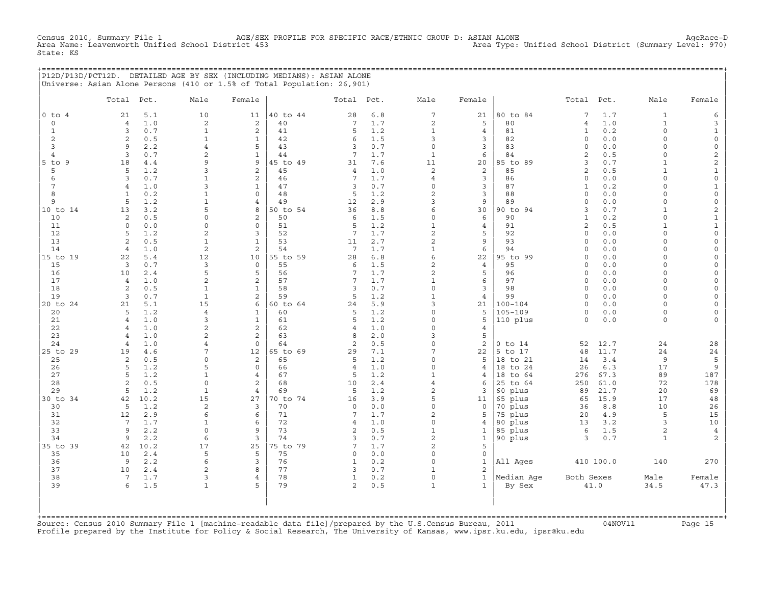Census 2010, AGE/SEX PROFILE FOR SPECIFIC RACE/ETHNIC GROUP D: ASIAN ALONE<br>Chang 2010, Area Type: Unified School District (Summary Level: 970) Census 2010, Summary File 1 AGE/SEX<br>Area Name: Leavenworth Unified School District 453 State: KS

+===================================================================================================================================================+ |P12D/P13D/PCT12D. DETAILED AGE BY SEX (INCLUDING MEDIANS): ASIAN ALONE | |Universe: Asian Alone Persons (410 or 1.5% of Total Population: 26,901) |

|                      | Total Pct.           |            | Male                     | Female            |                | Total Pct.          |            | Male                       | Female                       |                            | Total                    | Pct.       | Male                           | Female                                     |
|----------------------|----------------------|------------|--------------------------|-------------------|----------------|---------------------|------------|----------------------------|------------------------------|----------------------------|--------------------------|------------|--------------------------------|--------------------------------------------|
| $0$ to $4$           | 21                   | 5.1        | 10                       | 11                | 40 to 44       | 28                  | 6.8        | $7\phantom{.0}$            | 21                           | 80 to 84                   | 7                        | 1.7        | $\mathbf{1}$                   | 6                                          |
| $\mathbf 0$          | $\overline{4}$       | 1.0        | 2                        | $\mathbf{2}$      | 40             | 7                   | 1.7        | $\sqrt{2}$                 | 5                            | 80                         | $\overline{4}$           | 1.0        | $\mathbf{1}$                   | 3                                          |
| $\mathbf{1}$         | $\mathbf{3}$         | 0.7        | $1\,$                    | $\mathbf{2}$      | 41             | 5                   | 1.2        | $\mathbf{1}$               | $\overline{4}$               | 81                         | $\mathbf{1}$             | 0.2        | $\circ$                        | $\mathbf{1}$                               |
| $\overline{2}$       | 2                    | 0.5        | $\mathbf{1}$             | $\mathbf{1}$      | 42             | 6                   | 1.5        | 3                          | $\mathbf{3}$                 | 82                         | $\Omega$                 | 0.0        | $\Omega$                       | $\mathsf{O}\xspace$                        |
| $\overline{3}$       | 9                    | 2.2        | $\overline{4}$           | 5                 | 43             | $\overline{3}$      | 0.7        | $\circ$                    | $\overline{3}$               | 83                         | $\Omega$                 | 0.0        | $\Omega$                       | $\mathsf{O}\xspace$                        |
| $\overline{4}$       | $\overline{3}$       | 0.7        | $\overline{2}$           | $\mathbf{1}$      | 44             | 7                   | 1.7        | $\mathbf{1}$               | 6                            | 84                         | $\overline{c}$           | 0.5        | $\Omega$                       | $\overline{c}$                             |
| $5$ to $9$           | 18                   | 4.4        | 9                        | 9                 | 45 to 49       | 31                  | 7.6        | 11                         | 20                           | 85 to 89                   | 3                        | 0.7        | $\mathbf{1}$                   | $\overline{c}$                             |
| 5                    | 5                    | 1.2        | 3                        | 2                 | 45             | 4                   | 1.0        | $\mathbf{2}$               | 2                            | 85                         | 2                        | 0.5        | 1                              | $\mathbf 1$                                |
| 6<br>$7\phantom{.0}$ | 3<br>$\overline{4}$  | 0.7        | $\mathbf 1$<br>3         | 2<br>$\mathbf{1}$ | 46<br>47       | 7<br>3              | 1.7<br>0.7 | $\overline{4}$<br>$\Omega$ | 3<br>$\mathbf{3}$            | 86<br>87                   | $\Omega$<br>$\mathbf{1}$ | 0.0<br>0.2 | $\Omega$<br>$\Omega$           | $\mathsf{O}\xspace$                        |
| 8                    | $\mathbf{1}$         | 1.0<br>0.2 | $\mathbf{1}$             | $\Omega$          | 48             | 5                   | 1.2        | 2                          | $\mathbf{3}$                 | 88                         | $\Omega$                 | 0.0        | $\Omega$                       | $\mathbf{1}$<br>$\mathsf{O}\xspace$        |
| 9                    | 5                    | 1.2        | $\mathbf{1}$             | $\overline{4}$    | 49             | 12                  | 2.9        | 3                          | 9                            | 89                         | $\Omega$                 | 0.0        | $\Omega$                       | $\mathsf{O}\xspace$                        |
| 10 to 14             | 13                   | 3.2        | 5                        | 8                 | 50 to 54       | 36                  | 8.8        | 6                          | 30                           | 90 to 94                   | 3                        | 0.7        | $\mathbf{1}$                   | $\overline{c}$                             |
| 10                   | 2                    | 0.5        | $\Omega$                 | $\overline{a}$    | 50             | 6                   | 1.5        | $\mathbf 0$                | 6                            | 90                         | $\mathbf{1}$             | 0.2        | $\Omega$                       | $\mathbf 1$                                |
| 11                   | $\circ$              | 0.0        | 0                        | $\mathbf 0$       | 51             | 5                   | 1.2        | $\mathbf{1}$               | $\overline{4}$               | 91                         | 2                        | 0.5        | $\mathbf{1}$                   | $\mathbf{1}$                               |
| 12                   | 5                    | 1.2        | $\overline{2}$           | 3                 | 52             | 7                   | 1.7        | $\overline{c}$             | 5                            | 92                         | $\Omega$                 | 0.0        | $\Omega$                       | $\mathsf O$                                |
| 13                   | $\overline{2}$       | 0.5        | $\mathbf{1}$             | $\mathbf{1}$      | 53             | 11                  | 2.7        | $\overline{c}$             | 9                            | 93                         | $\Omega$                 | 0.0        | $\Omega$                       | $\circ$                                    |
| 14                   | $\overline{4}$       | 1.0        | $\overline{c}$           | $\overline{a}$    | 54             | $7\phantom{.0}$     | 1.7        | $1\,$                      | 6                            | 94                         | $\Omega$                 | 0.0        | $\Omega$                       | $\mathsf O$                                |
| 15 to 19             | 22                   | 5.4        | 12                       | 10                | 55 to 59       | 28                  | $6.8$      | 6                          | 22                           | 95 to 99                   | $\Omega$                 | 0.0        | $\Omega$                       | $\mathsf{O}\xspace$                        |
| 15                   | $\overline{3}$       | 0.7        | $\mathsf 3$              | $\mathbf 0$       | 55             | 6                   | 1.5        | $\overline{c}$             | $\overline{4}$               | 95                         | $\Omega$                 | 0.0        | $\Omega$                       | $\mathsf{O}\xspace$                        |
| 16                   | 10                   | 2.4        | 5                        | 5                 | 56             | 7                   | 1.7        | $\mathbf{2}$               | 5                            | 96                         | $\circ$                  | 0.0        | 0                              | 0                                          |
| 17                   | $\overline{4}$       | 1.0        | $\overline{2}$           | 2                 | 57             | 7                   | 1.7        | $\mathbf{1}$               | 6                            | 97                         | $\Omega$                 | 0.0        | $\Omega$                       | $\mathsf{O}\xspace$                        |
| 18                   | 2                    | 0.5        | $\mathbf{1}$             | $\mathbf{1}$      | 58             | $\overline{3}$      | 0.7        | $\Omega$                   | $\overline{3}$               | 98                         | $\Omega$                 | 0.0        | $\Omega$                       | $\circ$                                    |
| 19                   | 3                    | 0.7        | $\mathbf{1}$             | $\overline{c}$    | 59             | 5                   | 1.2        | $\mathbf{1}$<br>3          | $\overline{4}$               | 99                         | $\Omega$<br>$\Omega$     | 0.0        | $\Omega$<br>$\Omega$           | $\mathsf{O}\xspace$                        |
| 20 to 24<br>20       | 21<br>5              | 5.1<br>1.2 | 15<br>$\overline{4}$     | 6<br>$\mathbf{1}$ | 60 to 64<br>60 | 24<br>5             | 5.9<br>1.2 | $\Omega$                   | 21<br>5                      | $100 - 104$<br>$105 - 109$ | $\circ$                  | 0.0<br>0.0 | $\circ$                        | $\mathsf{O}\xspace$<br>$\mathsf{O}\xspace$ |
| 21                   | $\overline{4}$       | 1.0        | 3                        | $\mathbf{1}$      | 61             | 5                   | 1.2        | $\Omega$                   | 5                            | 110 plus                   | $\circ$                  | 0.0        | $\circ$                        | 0                                          |
| 22                   | $\overline{4}$       | 1.0        | $\overline{2}$           | 2                 | 62             | $\overline{4}$      | 1.0        | $\Omega$                   | $\overline{4}$               |                            |                          |            |                                |                                            |
| 23                   | $\overline{4}$       | 1.0        | $\overline{2}$           | 2                 | 63             | 8                   | 2.0        | 3                          | 5                            |                            |                          |            |                                |                                            |
| 24                   | $\overline{4}$       | 1.0        | $\overline{4}$           | $\mathbf 0$       | 64             | 2                   | 0.5        | $\circ$                    | 2                            | $0$ to $14$                | 52                       | 12.7       | 24                             | 28                                         |
| 25 to 29             | 19                   | 4.6        | 7                        | 12                | 65 to 69       | 29                  | 7.1        | $7\overline{ }$            | 22                           | 5 to 17                    | 48                       | 11.7       | 24                             | 24                                         |
| 25                   | 2                    | 0.5        | 0                        | 2                 | 65             | 5                   | 1.2        | $\Omega$                   | 5                            | 18 to 21                   | 14                       | 3.4        | 9                              | 5                                          |
| 26                   | 5                    | 1.2        | 5                        | $\Omega$          | 66             | 4                   | 1.0        | $\Omega$                   | $\overline{4}$               | 18 to 24                   | 26                       | 6.3        | 17                             | 9                                          |
| 27                   | 5                    | 1.2        | $\mathbf{1}$             | $\overline{4}$    | 67             | 5                   | 1.2        | $\mathbf{1}$               | 4                            | 18<br>to 64                | 276                      | 67.3       | 89                             | 187                                        |
| 28                   | $\overline{2}$       | 0.5        | $\circ$                  | 2                 | 68             | 10                  | 2.4        | $\overline{4}$             | 6                            | 25 to 64                   | 250                      | 61.0       | 72                             | 178                                        |
| 29                   | 5                    | 1.2        | $\mathbf{1}$             | $\overline{4}$    | 69             | 5                   | 1.2        | $\overline{a}$             | 3                            | 60 plus                    | 89                       | 21.7       | 20                             | 69                                         |
| 30 to 34             | 42                   | 10.2       | 15                       | 27                | 70 to 74       | 16                  | 3.9        | 5                          | 11                           | 65 plus                    | 65                       | 15.9       | 17                             | 48                                         |
| 30                   | 5                    | 1.2        | $\mathbf{2}$             | 3                 | 70             | $\mathbf 0$         | 0.0        | $\mathbf 0$                | $\circ$                      | 70 plus                    | 36                       | 8.8        | 10                             | 26                                         |
| 31                   | 12                   | 2.9        | 6                        | 6                 | 71             | 7                   | 1.7        | 2                          | 5                            | 75 plus                    | 20                       | 4.9        | 5                              | 15                                         |
| 32                   | $7\overline{ }$<br>9 | 1.7<br>2.2 | $\mathbf{1}$<br>$\Omega$ | 6<br>9            | 72<br>73       | $\overline{4}$      | 1.0<br>0.5 | $\Omega$                   | $\overline{4}$               | 80 plus                    | 13<br>6                  | 3.2        | 3                              | 10                                         |
| 33<br>34             | 9                    | 2.2        | 6                        | $\overline{3}$    | 74             | 2<br>$\overline{3}$ | 0.7        | $\mathbf{1}$<br>2          | $\mathbf{1}$<br>$\mathbf{1}$ | 85 plus<br>90 plus         | 3                        | 1.5<br>0.7 | $\overline{a}$<br>$\mathbf{1}$ | $\overline{4}$<br>2                        |
| 35 to 39             | 42                   | 10.2       | 17                       | 25                | 75 to 79       | 7                   | 1.7        | $\overline{c}$             | 5                            |                            |                          |            |                                |                                            |
| 35                   | 10                   | 2.4        | 5                        | 5                 | 75             | $\mathbf 0$         | 0.0        | $\Omega$                   | $\mathbb O$                  |                            |                          |            |                                |                                            |
| 36                   | 9                    | 2.2        | 6                        | 3                 | 76             | $\mathbf{1}$        | 0.2        | $\mathbf 0$                | $\mathbf{1}$                 | All Ages                   |                          | 410 100.0  | 140                            | 270                                        |
| 37                   | 10                   | 2.4        | 2                        | 8                 | 77             | 3                   | 0.7        | $\mathbf{1}$               | 2                            |                            |                          |            |                                |                                            |
| 38                   | $7\phantom{.0}$      | 1.7        | 3                        | $\overline{4}$    | 78             | $\mathbf{1}$        | 0.2        | $\mathbf 0$                | $\mathbf{1}$                 | Median Age                 | Both Sexes               |            | Male                           | Female                                     |
| 39                   | 6                    | 1.5        | $\mathbf{1}$             | 5                 | 79             | 2                   | 0.5        | $\mathbf{1}$               | $\mathbf{1}$                 | By Sex                     |                          | 41.0       | 34.5                           | 47.3                                       |
|                      |                      |            |                          |                   |                |                     |            |                            |                              |                            |                          |            |                                |                                            |

+===================================================================================================================================================+Source: Census 2010 Summary File 1 [machine−readable data file]/prepared by the U.S.Census Bureau, 2011 04NOV11 Page 15 Profile prepared by the Institute for Policy & Social Research, The University of Kansas, www.ipsr.ku.edu, ipsr@ku.edu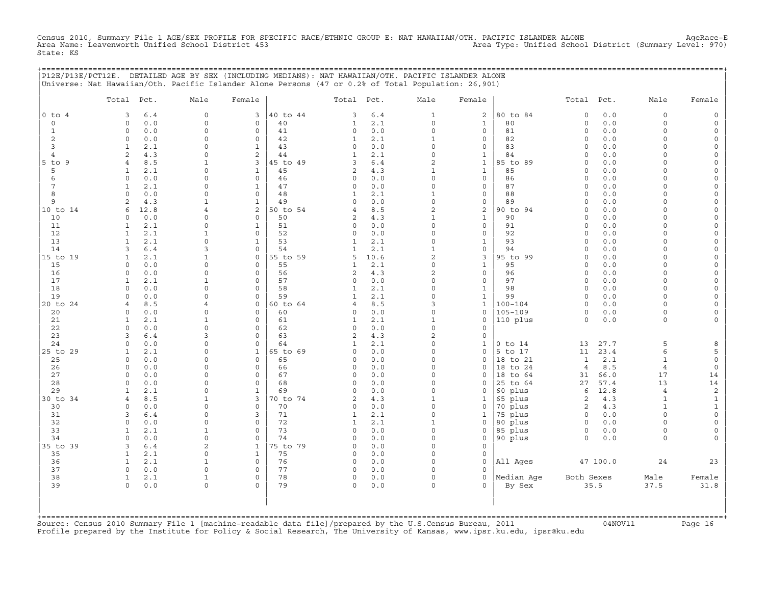Census 2010, Summary File 1 AGE/SEX PROFILE FOR SPECIFIC RACE/ETHNIC GROUP E: NAT HAWAIIAN/OTH. PACIFIC ISLANDER ALONE AgeRace-E<br>Area Name: Leavenworth Unified School District 453 State: KS

|                | P12E/P13E/PCT12E. DETAILED AGE BY SEX (INCLUDING MEDIANS): NAT HAWAIIAN/OTH. PACIFIC ISLANDER ALONE |                      |                                           |                             |             |                      |                          | =========================== |                      |              |                      |                      |
|----------------|-----------------------------------------------------------------------------------------------------|----------------------|-------------------------------------------|-----------------------------|-------------|----------------------|--------------------------|-----------------------------|----------------------|--------------|----------------------|----------------------|
|                | Universe: Nat Hawaiian/Oth. Pacific Islander Alone Persons (47 or 0.2% of Total Population: 26,901) |                      |                                           |                             |             |                      |                          |                             |                      |              |                      |                      |
|                | Total Pct.                                                                                          | Male                 | Female                                    | Total Pct.                  |             | Male                 | Female                   |                             | Total Pct.           |              | Male                 | Female               |
| $0$ to $4$     | 3<br>6.4                                                                                            | $\mathsf{O}\xspace$  | 40 to 44<br>3                             | 3                           | $6.4$       | $\mathbf{1}$         | $\mathbf{2}$             | 80 to 84                    | $\mathsf{O}\xspace$  | 0.0          | $\mathbf 0$          |                      |
| $\circ$        | $0.0$<br>0                                                                                          | $\Omega$             | 40<br>0                                   | 1                           | 2.1         | 0                    | 1                        | 80                          | 0                    | 0.0          | $\mathsf{O}\xspace$  | $\Omega$             |
| 1              | $\Omega$<br>0.0                                                                                     | $\Omega$             | $\Omega$<br>41                            | $\Omega$                    | $0.0$       | $\Omega$             | $\mathbf{0}$             | 81                          | $\Omega$             | $0.0$        | $\Omega$             | $\Omega$             |
| 2<br>3         | 0.0<br>$\mathbf 0$<br>2.1<br>$\mathbf{1}$                                                           | $\Omega$<br>0        | $\mathbf 0$<br>42<br>43<br>$\mathbf{1}$   | 1<br>$\mathbf 0$            | 2.1<br>0.0  | 1<br>$\Omega$        | 0<br>0                   | 82<br>83                    | $\circ$<br>$\circ$   | 0.0<br>0.0   | $\Omega$<br>$\Omega$ | $\Omega$<br>$\Omega$ |
| 4              | 4.3<br>2                                                                                            | $\Omega$             | 2<br>44                                   | 1                           | 2.1         | $\Omega$             | 1                        | 84                          | $\Omega$             | 0.0          | $\Omega$             |                      |
| 5 to 9         | $\overline{4}$<br>8.5                                                                               | $\mathbf{1}$         | 3<br>45 to 49                             | 3                           | $6.4$       | 2                    | $\mathbf{1}$             | 85 to 89                    | $\circ$              | 0.0          | $\Omega$             |                      |
| 5              | 2.1<br>1                                                                                            | $\Omega$             | $\mathbf{1}$<br>45                        | 2                           | 4.3         | 1                    | 1                        | 85                          | $\Omega$             | 0.0          | $\cap$               | $\Omega$             |
| 6              | 0.0<br>$\Omega$                                                                                     | $\Omega$             | $\mathbf 0$<br>46                         | $\mathbf 0$                 | 0.0         | $\Omega$             | $\mathbf{0}$             | 86                          | $\circ$              | 0.0          | $\cap$               |                      |
| 7              | 2.1<br>1                                                                                            | $\Omega$             | 47<br>1                                   | $\mathbf 0$                 | 0.0         | $\Omega$             | $\mathbf{0}$             | 87                          | $\Omega$             | 0.0          | $\Omega$             |                      |
| 8<br>9         | 0.0<br>$\circ$<br>4.3<br>2                                                                          | $\Omega$<br>1        | 48<br>$\mathbf 0$<br>$\mathbf{1}$<br>49   | $\mathbf{1}$<br>$\mathbf 0$ | 2.1<br>0.0  | $\mathbf{1}$<br>0    | 0<br>0                   | 88<br>89                    | $\circ$<br>$\Omega$  | $0.0$<br>0.0 | $\Omega$<br>$\Omega$ | $\Omega$<br>$\Omega$ |
| 10 to 14       | 6<br>12.8                                                                                           | 4                    | 2<br>50 to 54                             | 4                           | 8.5         | 2                    | 2                        | 90 to 94                    | $\circ$              | 0.0          | $\Omega$             | $\Omega$             |
| 10             | 0.0<br>$\mathbf 0$                                                                                  | $\Omega$             | $\mathbf 0$<br>50                         | 2                           | 4.3         | $\mathbf{1}$         | $\mathbf{1}$             | 90                          | $\circ$              | 0.0          | $\Omega$             |                      |
| 11             | 2.1<br>1                                                                                            |                      | 51<br>1                                   | $\mathbf 0$                 | 0.0         | $\Omega$             | $\circ$                  | 91                          | $\Omega$             | 0.0          | $\Omega$             |                      |
| 12             | 2.1<br>1                                                                                            | -1                   | $\Omega$<br>52                            | $\Omega$                    | 0.0         | $\Omega$             | $\mathbf{0}$             | 92                          | $\Omega$             | 0.0          | $\cap$               |                      |
| 13             | $\mathbf{1}$<br>2.1                                                                                 | $\Omega$             | 53<br>$\mathbf{1}$                        | 1                           | 2.1         | 0                    | $\mathbf{1}$             | 93                          | $\circ$              | 0.0          | $\Omega$             | $\Omega$             |
| 14             | $6.4$<br>3<br>2.1<br>$\mathbf{1}$                                                                   | 3                    | 54<br>$\mathbf 0$<br>55 to 59<br>$\Omega$ | 1<br>5                      | 2.1         | 1<br>2               | 0                        | 94<br>95 to 99              | $\circ$<br>$\Omega$  | 0.0<br>0.0   | $\Omega$<br>$\cap$   |                      |
| 15 to 19<br>15 | 0.0<br>$\Omega$                                                                                     | $\Omega$             | $\Omega$<br>55                            | $\mathbf{1}$                | 10.6<br>2.1 | $\Omega$             | 3<br>$\mathbf{1}$        | 95                          | $\Omega$             | 0.0          | $\cap$               | $\Omega$             |
| 16             | 0.0<br>$\mathbf 0$                                                                                  | $\Omega$             | $\Omega$<br>56                            | 2                           | 4.3         | 2                    | 0                        | 96                          | $\Omega$             | 0.0          | $\cap$               | $\Omega$             |
| 17             | 2.1<br>$\mathbf{1}$                                                                                 | $\mathbf{1}$         | 57<br>$\mathbf 0$                         | $\circ$                     | 0.0         | $\Omega$             | 0                        | 97                          | $\circ$              | 0.0          | $\Omega$             | $\Omega$             |
| 18             | 0.0<br>$\circ$                                                                                      | $\Omega$             | 58<br>$\mathbf 0$                         | 1                           | 2.1         | 0                    | 1                        | 98                          | $\circ$              | 0.0          | $\Omega$             |                      |
| 19             | $\circ$<br>0.0                                                                                      | $\Omega$             | $\mathbf 0$<br>59                         | $\mathbf{1}$                | 2.1         | 0                    | $\mathbf{1}$             | 99                          | $\circ$              | 0.0          | $\Omega$             | $\Omega$             |
| 20 to 24       | 8.5<br>4                                                                                            | 4                    | 60 to 64<br>$\mathbf{0}$<br>$\Omega$      | 4                           | 8.5         | 3<br>$\Omega$        | $\mathbf{1}$             | $100 - 104$                 | $\Omega$<br>$\Omega$ | 0.0          | $\Omega$<br>$\Omega$ | $\Omega$             |
| 20<br>21       | 0.0<br>$\circ$<br>2.1<br>1                                                                          | $\Omega$<br>1        | 60<br>$\mathbf 0$<br>61                   | $\mathbf 0$<br>1            | 0.0<br>2.1  | 1                    | 0<br>0                   | $105 - 109$<br>110 plus     | $\circ$              | 0.0<br>0.0   | $\circ$              |                      |
| 22             | $\Omega$<br>0.0                                                                                     | $\Omega$             | $\mathbf 0$<br>62                         | $\circ$                     | 0.0         | $\Omega$             | 0                        |                             |                      |              |                      |                      |
| 23             | $6.4$<br>3                                                                                          | 3                    | $\mathbf 0$<br>63                         | 2                           | 4.3         | 2                    | 0                        |                             |                      |              |                      |                      |
| 24             | $\Omega$<br>0.0                                                                                     | $\Omega$             | $\mathsf{O}$<br>64                        | 1                           | 2.1         | $\Omega$             | 1                        | $0$ to $14$                 | 13                   | 27.7         | 5                    |                      |
| 25 to 29       | 2.1<br>-1                                                                                           |                      | 65 to 69<br>1                             | 0                           | 0.0         | $\Omega$             | 0                        | 5 to 17                     | 11                   | 23.4         | 6                    | 5                    |
| 25             | 0.0<br>$\Omega$                                                                                     | $\Omega$             | $\Omega$<br>65                            | $\Omega$                    | 0.0         | $\Omega$             | $\Omega$                 | 18 to 21                    | $\mathbf{1}$         | 2.1          | $\mathbf{1}$         | $\mathbf 0$          |
| 26<br>27       | 0.0<br>0<br>$\circ$<br>0.0                                                                          | $\Omega$<br>$\Omega$ | $\mathbf 0$<br>66<br>67<br>$\mathbf 0$    | 0<br>$\circ$                | 0.0<br>0.0  | 0<br>$\Omega$        | 0<br>0                   | 18 to 24<br>18 to 64        | 4<br>31              | 8.5<br>66.0  | $\overline{4}$<br>17 | $\mathsf O$<br>14    |
| 28             | 0.0<br>$\circ$                                                                                      | $\Omega$             | 68<br>$\mathbf 0$                         | $\circ$                     | 0.0         | $\Omega$             | 0                        | 25 to 64                    | 27                   | 57.4         | 13                   | 14                   |
| 29             | 2.1<br>-1                                                                                           | $\Omega$             | 69<br>1                                   | $\Omega$                    | 0.0         | $\Omega$             | 0                        | 60 plus                     | 6                    | 12.8         | $\overline{4}$       | 2                    |
| 30 to 34       | 8.5<br>$\overline{4}$                                                                               | 1                    | 3<br>70 to 74                             | 2                           | 4.3         | 1                    | 1                        | 65 plus                     | 2                    | 4.3          | $\mathbf{1}$         | 1                    |
| 30             | 0.0<br>$\Omega$                                                                                     | $\Omega$             | 70<br>$\mathbf{0}$                        | 0                           | 0.0         | $\Omega$             | 0                        | 70 plus                     | 2                    | 4.3          | 1                    | 1                    |
| 31             | $6.4$<br>3                                                                                          | $\Omega$             | 3<br>71                                   | 1                           | 2.1         | $\Omega$             | 1                        | 75 plus                     | $\mathbf 0$          | 0.0          | $\Omega$             | $\circ$              |
| 32<br>33       | $\circ$<br>0.0<br>2.1<br>1                                                                          | $\Omega$<br>1        | $\mathbf 0$<br>72<br>73<br>$\mathbf 0$    | 1<br>$\mathbf 0$            | 2.1<br>0.0  | $\mathbf{1}$<br>0    | 0<br>0                   | 80 plus<br>85 plus          | $\mathsf{O}$<br>0    | 0.0<br>0.0   | $\Omega$<br>$\Omega$ | $\Omega$<br>$\Omega$ |
| 34             | 0.0<br>$\Omega$                                                                                     | $\Omega$             | $\Omega$<br>74                            | $\Omega$                    | 0.0         | $\Omega$             | 0                        | 90 plus                     | $\Omega$             | 0.0          | $\Omega$             |                      |
| 35 to 39       | 6.4<br>3                                                                                            | $\mathfrak{D}$       | $\mathbf{1}$<br>75 to 79                  | $\mathbf 0$                 | 0.0         | $\Omega$             | 0                        |                             |                      |              |                      |                      |
| 35             | 2.1<br>$\mathbf{1}$                                                                                 | $\Omega$             | 75<br>$\mathbf{1}$                        | $\circ$                     | 0.0         | $\Omega$             | 0                        |                             |                      |              |                      |                      |
| 36             | 2.1<br>$\mathbf{1}$                                                                                 | 1                    | $\mathbf 0$<br>76                         | $\circ$                     | 0.0         | $\Omega$             | 0                        | All Ages                    |                      | 47 100.0     | 24                   | 23                   |
| 37             | 0.0<br>$\mathbf 0$                                                                                  | $\circ$              | $\mathbf 0$<br>77                         | 0                           | 0.0         | 0                    | 0                        |                             |                      |              |                      |                      |
| 38<br>39       | $\mathbf{1}$<br>2.1<br>$\Omega$<br>0.0                                                              | 1<br>$\Omega$        | 78<br>$\Omega$<br>79<br>$\Omega$          | $\mathbf 0$<br>$\Omega$     | 0.0<br>0.0  | $\Omega$<br>$\Omega$ | $\mathbf{0}$<br>$\Omega$ | Median Age<br>By Sex        | Both Sexes           | 35.5         | Male<br>37.5         | Female<br>31.8       |
|                |                                                                                                     |                      |                                           |                             |             |                      |                          |                             |                      |              |                      |                      |
|                |                                                                                                     |                      |                                           |                             |             |                      |                          |                             |                      |              |                      |                      |
|                |                                                                                                     |                      |                                           |                             |             |                      |                          |                             |                      |              |                      |                      |
| +============  |                                                                                                     |                      |                                           |                             |             |                      |                          |                             |                      |              |                      |                      |

+===================================================================================================================================================+Source: Census 2010 Summary File 1 [machine−readable data file]/prepared by the U.S.Census Bureau, 2011 04NOV11 Page 16 Profile prepared by the Institute for Policy & Social Research, The University of Kansas, www.ipsr.ku.edu, ipsr@ku.edu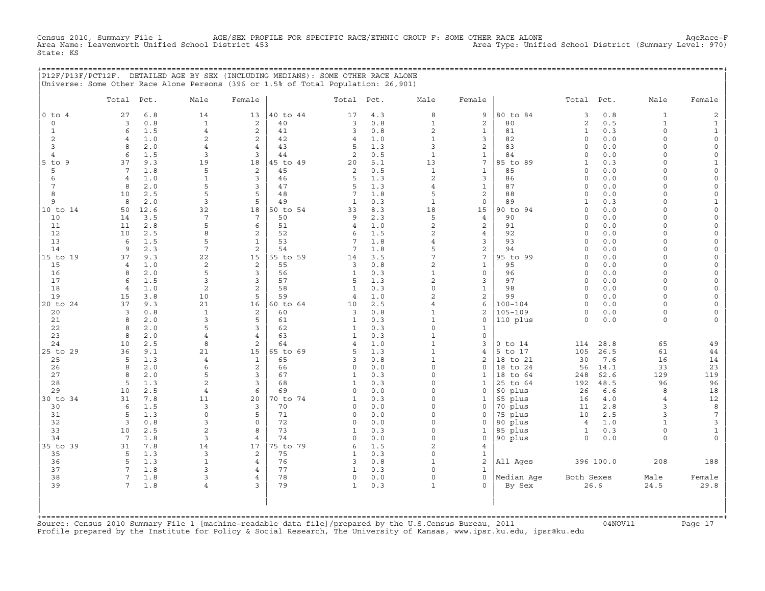AGE/SEX PROFILE FOR SPECIFIC RACE/ETHNIC GROUP F: SOME OTHER RACE ALONE AgeRace-F<br>Ol District 453 AgeRace−F Area Type: Unified School District (Summary Level: 970) Census 2010, Summary File 1 AGE/SEX PROFI<br>Area Name: Leavenworth Unified School District 453 State: KS

+===================================================================================================================================================+

|                |                       |            | P12F/P13F/PCT12F. DETAILED AGE BY SEX (INCLUDING MEDIANS): SOME OTHER RACE ALONE<br>Universe: Some Other Race Alone Persons (396 or 1.5% of Total Population: 26,901) |                         |                |                |            |                                |                              |                            |                          |            |                      |                          |
|----------------|-----------------------|------------|-----------------------------------------------------------------------------------------------------------------------------------------------------------------------|-------------------------|----------------|----------------|------------|--------------------------------|------------------------------|----------------------------|--------------------------|------------|----------------------|--------------------------|
|                | Total Pct.            |            | Male                                                                                                                                                                  | Female                  |                | Total          | Pct.       | Male                           | Female                       |                            | Total                    | Pct.       | Male                 | Female                   |
| $0$ to $4$     | 27                    | 6.8        | 14                                                                                                                                                                    | 13                      | 40 to 44       | 17             | 4.3        | 8                              | 9                            | 80 to 84                   | 3                        | 0.8        | $\mathbf{1}$         | $\mathbf{2}$             |
| 0              | 3                     | 0.8        | $\mathbf{1}$                                                                                                                                                          | 2                       | 40             | 3              | 0.8        | $\mathbf{1}$                   | $\mathbf 2$                  | 80                         | 2                        | 0.5        | $\mathbf{1}$         | $\mathbf{1}$             |
| $\mathbf{1}$   | 6                     | 1.5        | $\overline{4}$                                                                                                                                                        | 2                       | 41             | 3              | 0.8        | $\overline{a}$                 | $1\,$                        | 81                         | $\mathbf{1}$             | 0.3        | $\Omega$             | $\mathbf{1}$             |
| 2              | $\overline{4}$        | 1.0        | $\overline{2}$                                                                                                                                                        | 2                       | 42             | 4              | 1.0        | $\mathbf{1}$                   | 3                            | 82                         | $\Omega$                 | 0.0        | $\Omega$             | $\mathsf{O}\xspace$      |
| 3              | 8                     | 2.0        | $\overline{4}$                                                                                                                                                        | $\overline{4}$          | 43             | 5              | 1.3        | 3                              | $\overline{c}$               | 83                         | $\circ$                  | 0.0        | $\Omega$             | $\mathsf{O}\xspace$      |
| $\overline{4}$ | 6                     | 1.5        | $\overline{3}$                                                                                                                                                        | 3                       | 44             | 2              | 0.5        | $\mathbf 1$                    | $1\,$                        | 84                         | $\Omega$                 | 0.0        | $\Omega$             | $\mathsf{O}\xspace$      |
| $5$ to<br>9    | 37                    | 9.3        | 19                                                                                                                                                                    | 18                      | 45 to 49       | 20             | 5.1        | 13                             | $7\overline{ }$              | 85 to 89                   | $\mathbf{1}$             | 0.3        | $\Omega$             | $\mathbf{1}$             |
| 5              | 7                     | 1.8        | 5<br>$\mathbf{1}$                                                                                                                                                     | 2<br>$\overline{3}$     | 45<br>46       | 2<br>5         | 0.5        | $\mathbf{1}$<br>$\overline{a}$ | $\mathbf{1}$                 | 85<br>86                   | $\Omega$<br>$\Omega$     | 0.0        | $\Omega$<br>$\Omega$ | $\mathsf{O}\xspace$      |
| 6<br>7         | $\overline{4}$<br>8   | 1.0<br>2.0 | 5                                                                                                                                                                     | 3                       | 47             | 5              | 1.3<br>1.3 | $\overline{4}$                 | 3<br>$1\,$                   | 87                         | $\Omega$                 | 0.0<br>0.0 | $\Omega$             | $\mathsf{O}\xspace$<br>0 |
| 8              | 10                    | 2.5        | $\overline{5}$                                                                                                                                                        | 5                       | 48             | 7              | 1.8        | 5                              | $\overline{\mathbf{c}}$      | 88                         | $\Omega$                 | $0.0$      | $\Omega$             | 0                        |
| 9              | 8                     | 2.0        | $\overline{3}$                                                                                                                                                        | 5                       | 49             | $\mathbf{1}$   | 0.3        | $1\,$                          | $\mathsf O$                  | 89                         | $\mathbf{1}$             | 0.3        | $\Omega$             | $1\,$                    |
| 10 to 14       | 50                    | 12.6       | 32                                                                                                                                                                    | 18                      | 50 to 54       | 33             | 8.3        | 18                             | 15                           | 90 to 94                   | $\Omega$                 | 0.0        | $\Omega$             | $\mathsf{O}\xspace$      |
| 10             | 14                    | 3.5        | 7                                                                                                                                                                     | $7\phantom{.0}$         | 50             | 9              | 2.3        | 5                              | $\overline{4}$               | 90                         | $\Omega$                 | 0.0        | $\Omega$             | $\mathsf{O}\xspace$      |
| 11             | 11                    | 2.8        | 5                                                                                                                                                                     | 6                       | 51             | $\overline{4}$ | 1.0        | $\overline{c}$                 | 2                            | 91                         | $\Omega$                 | 0.0        | $\Omega$             | 0                        |
| 12             | 10                    | 2.5        | 8                                                                                                                                                                     | $\overline{\mathbf{c}}$ | 52             | 6              | 1.5        | $\overline{a}$                 | 4                            | 92                         | $\circ$                  | 0.0        | $\Omega$             | $\mathsf O$              |
| 13             | 6                     | 1.5        | 5                                                                                                                                                                     | $\mathbf{1}$            | 53             | 7              | 1.8        | $\overline{4}$                 | 3                            | 93                         | $\Omega$                 | 0.0        | $\Omega$             | $\mathbf 0$              |
| 14             | 9                     | 2.3        | $7\overline{ }$                                                                                                                                                       | 2                       | 54             | 7              | 1.8        | 5                              | $\overline{c}$               | 94                         | $\circ$                  | 0.0        | $\circ$              | $\mathsf{O}\xspace$      |
| 15 to 19       | 37                    | 9.3        | 22                                                                                                                                                                    | 15                      | 55 to 59       | 14             | 3.5        | 7                              | 7                            | 95 to 99                   | $\Omega$                 | 0.0        | $\Omega$             | 0                        |
| 15             | $\overline{4}$        | 1.0        | $\overline{c}$                                                                                                                                                        | $\mathbf 2$             | 55             | 3              | 0.8        | $\overline{a}$                 | $\mathbf 1$                  | 95                         | $\circ$                  | 0.0        | $\Omega$             | $\mathsf{O}\xspace$      |
| 16             | 8                     | 2.0        | 5                                                                                                                                                                     | 3                       | 56             | $\mathbf{1}$   | 0.3        | $\mathbf 1$                    | $\mathsf{O}$                 | 96                         | $\mathbf 0$              | 0.0        | $\Omega$             | 0                        |
| 17             | 6                     | 1.5        | $\overline{3}$                                                                                                                                                        | 3                       | 57             | 5              | 1.3        | $\overline{a}$                 | 3                            | 97                         | $\Omega$                 | 0.0        | $\Omega$             | $\mathsf{O}\xspace$      |
| 18             | $\overline{4}$        | 1.0        | $\mathbf{2}$                                                                                                                                                          | 2                       | 58             | $\mathbf{1}$   | 0.3        | $\Omega$                       | $1\,$                        | 98                         | $\circ$                  | 0.0        | $\Omega$             | 0                        |
| 19             | 15                    | 3.8        | 10                                                                                                                                                                    | 5                       | 59             | $\overline{4}$ | 1.0        | $\overline{2}$                 | $\overline{\mathbf{c}}$      | 99                         | $\Omega$                 | 0.0        | $\Omega$             | $\mathsf{O}\xspace$      |
| 20 to 24       | 37<br>3               | 9.3<br>0.8 | 21<br>$\mathbf{1}$                                                                                                                                                    | 16<br>2                 | 60 to 64<br>60 | 10<br>3        | 2.5<br>0.8 | $\overline{4}$<br>$\mathbf{1}$ | 6<br>$\overline{\mathbf{c}}$ | $100 - 104$<br>$105 - 109$ | $\circ$<br>$\Omega$      | 0.0<br>0.0 | $\Omega$<br>0        | 0<br>0                   |
| 20<br>21       | 8                     | 2.0        | 3                                                                                                                                                                     | 5                       | 61             | $\mathbf{1}$   | 0.3        | $\mathbf{1}$                   | $\circ$                      | 110 plus                   | $\circ$                  | 0.0        | $\circ$              | $\mathsf{O}\xspace$      |
| 22             | 8                     | 2.0        | 5                                                                                                                                                                     | 3                       | 62             | $\mathbf{1}$   | 0.3        | $\Omega$                       | $\mathbf{1}$                 |                            |                          |            |                      |                          |
| 23             | 8                     | 2.0        | $\overline{4}$                                                                                                                                                        | $\overline{4}$          | 63             | $\mathbf{1}$   | 0.3        | $\mathbf{1}$                   | $\mathbf 0$                  |                            |                          |            |                      |                          |
| 24             | 10                    | 2.5        | 8                                                                                                                                                                     | 2                       | 64             | 4              | 1.0        | $\mathbf{1}$                   | 3                            | $0$ to $14$                | 114                      | 28.8       | 65                   | 49                       |
| 25 to 29       | 36                    | 9.1        | 21                                                                                                                                                                    | 15                      | 65 to 69       | 5              | 1.3        | $\mathbf{1}$                   | 4                            | 5 to 17                    | 105                      | 26.5       | 61                   | 44                       |
| 25             | 5                     | 1.3        | $\overline{4}$                                                                                                                                                        | $\mathbf{1}$            | 65             | 3              | 0.8        | $\mathbf{1}$                   | $\overline{c}$               | 18 to 21                   | 30                       | 7.6        | 16                   | 14                       |
| 26             | 8                     | 2.0        | 6                                                                                                                                                                     | 2                       | 66             | 0              | 0.0        | $\Omega$                       | $\circ$                      | 18 to 24                   | 56                       | 14.1       | 33                   | 23                       |
| 27             | 8                     | 2.0        | 5                                                                                                                                                                     | 3                       | 67             | $\mathbf{1}$   | 0.3        | $\Omega$                       | $\mathbf{1}$                 | 18 to 64                   | 248                      | 62.6       | 129                  | 119                      |
| 28             | 5                     | 1.3        | $\overline{c}$                                                                                                                                                        | $\mathbf{3}$            | 68             | $\mathbf{1}$   | 0.3        | $\Omega$                       | $\mathbf{1}$                 | 25<br>to 64                | 192                      | 48.5       | 96                   | 96                       |
| 29             | 10                    | 2.5        | $\overline{4}$                                                                                                                                                        | 6                       | 69             | 0              | 0.0        | $\Omega$                       | $\mathbf 0$                  | 60 plus                    | 26                       | 6.6        | 8                    | 18                       |
| 30 to 34       | 31                    | 7.8        | 11                                                                                                                                                                    | 20                      | 70 to 74       | $\mathbf{1}$   | 0.3        | $\Omega$                       | $\mathbf{1}$                 | 65 plus                    | 16                       | 4.0        | $\overline{4}$       | 12                       |
| 30             | 6                     | 1.5        | 3                                                                                                                                                                     | 3                       | 70             | $\Omega$       | 0.0        | $\Omega$                       | $\mathbf 0$                  | 70 plus                    | 11                       | 2.8        | 3                    | 8                        |
| 31             | 5                     | 1.3        | $\mathbf 0$                                                                                                                                                           | 5                       | 71             | $\Omega$       | 0.0        | $\Omega$                       | $\Omega$                     | 75 plus                    | 10                       | 2.5        | 3                    | $\overline{7}$           |
| 32             | 3                     | 0.8        | 3                                                                                                                                                                     | $\mathbf 0$             | 72             | $\Omega$       | 0.0        | $\Omega$<br>$\Omega$           | $\mathbf 0$                  | 80 plus                    | $\overline{4}$           | 1.0        | $\mathbf{1}$         | 3                        |
| 33<br>34       | 10<br>$7\phantom{.0}$ | 2.5<br>1.8 | $\overline{c}$<br>$\overline{3}$                                                                                                                                      | 8<br>$\overline{4}$     | 73<br>74       | 1<br>$\Omega$  | 0.3<br>0.0 | $\Omega$                       | $\mathbf{1}$<br>$\circ$      | 85 plus                    | $\mathbf{1}$<br>$\Omega$ | 0.3<br>0.0 | $\circ$<br>$\Omega$  | $\mathbf{1}$<br>$\circ$  |
| 35 to 39       | 31                    | 7.8        | 14                                                                                                                                                                    | 17                      | 75 to 79       | 6              | 1.5        | $\overline{2}$                 | 4                            | 90 plus                    |                          |            |                      |                          |
| 35             | 5                     | 1.3        | $\overline{3}$                                                                                                                                                        | 2                       | 75             | $\mathbf{1}$   | 0.3        | $\Omega$                       | $\mathbf{1}$                 |                            |                          |            |                      |                          |
| 36             | 5                     | 1.3        | $\mathbf{1}$                                                                                                                                                          | $\overline{4}$          | 76             | 3              | 0.8        | $\mathbf{1}$                   | $\overline{c}$               | All Ages                   |                          | 396 100.0  | 208                  | 188                      |
| 37             | $7\phantom{.0}$       | 1.8        | 3                                                                                                                                                                     | $\overline{4}$          | 77             | $\mathbf{1}$   | 0.3        | $\Omega$                       | $\mathbf{1}$                 |                            |                          |            |                      |                          |
| 38             | 7                     | 1.8        | 3                                                                                                                                                                     | 4                       | 78             | 0              | 0.0        | $\Omega$                       | $\mathbf 0$                  | Median Aqe                 | Both Sexes               |            | Male                 | Female                   |
| 39             | 7                     | 1.8        | $\overline{4}$                                                                                                                                                        | 3                       | 79             | $\mathbf{1}$   | 0.3        | $\mathbf{1}$                   | $\Omega$                     | By Sex                     |                          | 26.6       | 24.5                 | 29.8                     |
|                |                       |            |                                                                                                                                                                       |                         |                |                |            |                                |                              |                            |                          |            |                      |                          |

| | +===================================================================================================================================================+ Source: Census 2010 Summary File 1 [machine-readable data file]/prepared by the U.S.Census Bureau, 2011 Page 17<br>Profile prepared by the Institute for Policy & Social Research, The University of Kansas, www

| | | |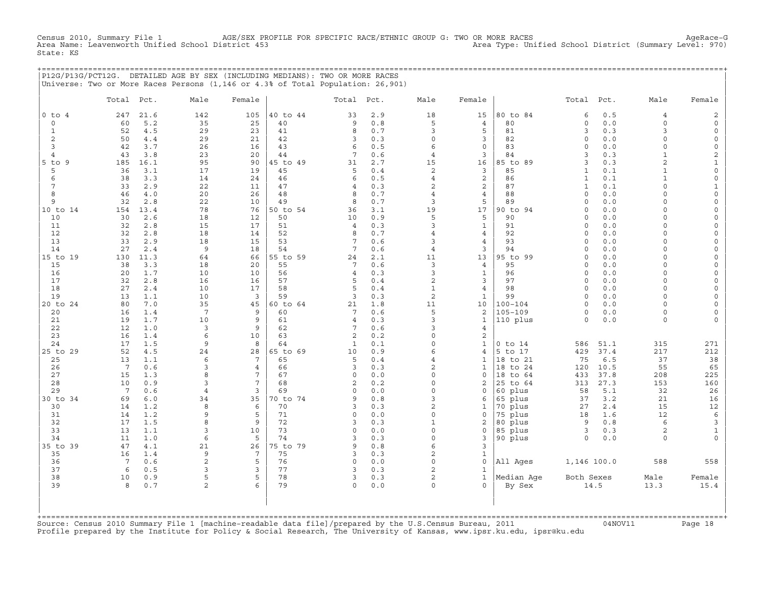AGE/SEX PROFILE FOR SPECIFIC RACE/ETHNIC GROUP G: TWO OR MORE RACES<br>District 453 Area Type: Unified School District (Summary Level: 970) Census 2010, Summary File 1 AGE/SEX PRO<br>Area Name: Leavenworth Unified School District 453 State: KS

+===================================================================================================================================================+ |P12G/P13G/PCT12G. DETAILED AGE BY SEX (INCLUDING MEDIANS): TWO OR MORE RACES | |Universe: Two or More Races Persons (1,146 or 4.3% of Total Population: 26,901) |

|                      | Total Pct.      |            | Male            | Female         |                | Total Pct.          |            | Male                             | Female                           |                        | Total                    | Pct.         | Male                 | Female                             |
|----------------------|-----------------|------------|-----------------|----------------|----------------|---------------------|------------|----------------------------------|----------------------------------|------------------------|--------------------------|--------------|----------------------|------------------------------------|
| $0$ to $4$           | 247             | 21.6       | 142             | 105            | 40 to 44       | 33                  | 2.9        | 18                               | 15                               | 80 to 84               | 6                        | 0.5          | $\overline{4}$       | $\overline{c}$                     |
| $\circ$              | 60              | 5.2        | 35              | 25             | 40             | 9                   | 0.8        | 5                                | $\overline{4}$                   | 80                     | $\circ$                  | 0.0          | 0                    | $\mathsf{O}\xspace$                |
| $\mathbf{1}$         | 52              | 4.5        | 29              | 23             | 41             | 8                   | 0.7        | 3                                | 5                                | 81                     | 3                        | 0.3          | 3                    | $\mathsf{O}\xspace$                |
| 2                    | 50              | 4.4        | 29              | 21             | 42             | 3                   | 0.3        | $\circ$                          | $\overline{3}$                   | 82                     | $\circ$                  | 0.0          | $\circ$              | $\mathsf{O}\xspace$                |
| $\overline{3}$       | 42              | 3.7        | 26              | 16             | 43             | 6                   | 0.5        | 6                                | $\mathbf 0$                      | 83                     | $\circ$                  | 0.0          | $\circ$              | $\mathsf{O}\xspace$                |
| $\overline{4}$       | 43              | 3.8        | 23              | 20             | 44             | 7                   | 0.6        | $\overline{4}$                   | 3                                | 84                     | 3                        | 0.3          | $\mathbf{1}$         | $\mathbf{2}$                       |
| $5$ to $9$           | 185             | 16.1       | 95              | 90             | 45 to 49       | 31                  | 2.7        | 15                               | 16                               | 85 to 89               | 3                        | 0.3          | 2                    | $\mathbf 1$                        |
| 5                    | 36              | 3.1        | 17              | 19             | 45             | 5                   | 0.4        | $\mathbf{2}$                     | 3                                | 85                     | $\mathbf{1}$             | 0.1          | $\mathbf{1}$         | $\mathsf{O}\xspace$                |
| 6                    | 38              | 3.3        | 14              | 24             | 46             | 6                   | 0.5        | $\overline{4}$                   | $\overline{a}$                   | 86                     | $\mathbf{1}$             | 0.1          | $\mathbf{1}$         | $\mathsf{O}\xspace$                |
| $7\phantom{.0}$<br>8 | 33<br>46        | 2.9<br>4.0 | 22<br>20        | 11<br>26       | 47<br>48       | $\overline{4}$<br>8 | 0.3<br>0.7 | $\overline{2}$<br>$\overline{4}$ | $\overline{2}$<br>$\overline{4}$ | 87<br>88               | $\mathbf{1}$<br>$\Omega$ | 0.1<br>0.0   | $\Omega$<br>$\Omega$ | $\mathbf 1$<br>$\mathsf{O}\xspace$ |
| 9                    | 32              | 2.8        | 22              | 10             | 49             | 8                   | 0.7        | 3                                | 5                                | 89                     | $\Omega$                 | 0.0          | $\Omega$             | $\mathsf{O}\xspace$                |
| 10 to 14             | 154             | 13.4       | 78              | 76             | 50 to 54       | 36                  | 3.1        | 19                               | 17                               | 90 to 94               | $\circ$                  | 0.0          | $\circ$              | $\mathsf{O}\xspace$                |
| 10                   | 30              | 2.6        | 18              | 12             | 50             | 10                  | 0.9        | 5                                | 5                                | 90                     | $\Omega$                 | 0.0          | $\Omega$             | $\mathsf{O}\xspace$                |
| 11                   | 32              | 2.8        | 15              | 17             | 51             | $\overline{4}$      | 0.3        | $\overline{3}$                   | $\mathbf{1}$                     | 91                     | $\mathbf 0$              | 0.0          | $\circ$              | $\mathbb O$                        |
| 12                   | 32              | 2.8        | 18              | 14             | 52             | 8                   | 0.7        | $\overline{4}$                   | $\overline{4}$                   | 92                     | $\circ$                  | 0.0          | $\Omega$             | $\mathsf{O}\xspace$                |
| 13                   | 33              | 2.9        | 18              | 15             | 53             | 7                   | 0.6        | 3                                | $\overline{4}$                   | 93                     | $\Omega$                 | 0.0          | $\circ$              | $\mathsf{O}\xspace$                |
| 14                   | 27              | 2.4        | 9               | 18             | 54             | $7\phantom{.0}$     | 0.6        | $\overline{4}$                   | 3                                | 94                     | $\circ$                  | 0.0          | $\Omega$             | $\mathsf{O}\xspace$                |
| 15 to 19             | 130             | 11.3       | 64              | 66             | 55 to 59       | 24                  | 2.1        | 11                               | 13                               | 95 to 99               | $\Omega$                 | 0.0          | $\circ$              | $\mathsf{O}$                       |
| 15                   | 38              | 3.3        | 18              | 20             | 55             | 7                   | 0.6        | $\overline{3}$                   | $\overline{4}$                   | 95                     | $\Omega$                 | 0.0          | $\Omega$             | $\circ$                            |
| 16                   | 20              | 1.7        | 10              | 10             | 56             | $\overline{4}$      | 0.3        | 3                                | $\mathbf{1}$                     | 96                     | $\mathbf 0$              | 0.0          | $\circ$              | $\mathsf{O}\xspace$                |
| 17                   | 32              | 2.8        | 16              | 16             | 57             | 5                   | 0.4        | $\overline{c}$                   | 3                                | 97                     | $\Omega$                 | 0.0          | $\Omega$             | $\mathsf{O}\xspace$                |
| 18                   | 27              | 2.4        | 10              | 17             | 58             | 5                   | 0.4        | $1\,$                            | $\overline{4}$                   | 98                     | $\circ$                  | 0.0          | $\circ$              | $\mathsf{O}\xspace$                |
| 19                   | 13              | 1.1        | 10              | 3              | 59             | 3                   | 0.3        | $\sqrt{2}$                       | 1                                | 99                     | $\circ$                  | 0.0          | 0                    | $\mathsf{O}$                       |
| 20 to 24             | 80              | 7.0        | 35              | 45             | 60 to 64       | 21                  | 1.8        | 11                               | 10                               | $100 - 104$            | $\Omega$                 | 0.0          | $\Omega$             | 0                                  |
| 20                   | 16              | 1.4        | $7\phantom{.0}$ | 9              | 60             | 7                   | 0.6        | 5                                | 2                                | $105 - 109$            | $\mathbf 0$              | 0.0          | $\circ$              | $\mathsf{O}\xspace$                |
| 21                   | 19              | 1.7        | 10              | 9              | 61             | $\overline{4}$      | 0.3        | 3                                | $\mathbf{1}$                     | 110 plus               | $\circ$                  | 0.0          | $\circ$              | $\mathbf{0}$                       |
| 22                   | 12              | 1.0        | 3               | 9              | 62             | 7                   | 0.6        | 3                                | $\overline{4}$                   |                        |                          |              |                      |                                    |
| 23                   | 16              | 1.4        | 6               | 10<br>8        | 63             | 2                   | 0.2        | $\Omega$<br>$\Omega$             | 2                                |                        |                          |              |                      |                                    |
| 24<br>25 to 29       | 17<br>52        | 1.5<br>4.5 | 9<br>24         | 28             | 64<br>65 to 69 | $\mathbf{1}$<br>10  | 0.1<br>0.9 | 6                                | $\mathbf{1}$<br>$\overline{4}$   | $0$ to $14$<br>5 to 17 | 586<br>429               | 51.1<br>37.4 | 315<br>217           | 271<br>212                         |
| 25                   | 13              | 1.1        | 6               | 7              | 65             | 5                   | 0.4        | $\overline{4}$                   | $\mathbf{1}$                     | 18 to 21               | 75                       | 6.5          | 37                   | 38                                 |
| 26                   | $7\overline{ }$ | 0.6        | 3               | $\overline{4}$ | 66             | 3                   | 0.3        | $\overline{a}$                   | $\mathbf{1}$                     | 18 to 24               | 120                      | 10.5         | 55                   | 65                                 |
| 27                   | 15              | 1.3        | 8               | 7              | 67             | $\circ$             | 0.0        | $\Omega$                         | $\mathbf 0$                      | 18<br>to 64            | 433                      | 37.8         | 208                  | 225                                |
| 28                   | 10              | 0.9        | 3               | 7              | 68             | 2                   | 0.2        | $\Omega$                         | 2                                | 25 to 64               | 313                      | 27.3         | 153                  | 160                                |
| 29                   | $7^{\circ}$     | 0.6        | $\overline{4}$  | 3              | 69             | $\Omega$            | 0.0        | $\Omega$                         | $\mathbf 0$                      | 60 plus                | 58                       | 5.1          | 32                   | 26                                 |
| 30 to 34             | 69              | 6.0        | 34              | 35             | 70 to 74       | 9                   | 0.8        | 3                                | 6                                | 65 plus                | 37                       | 3.2          | 21                   | 16                                 |
| 30                   | 14              | 1.2        | 8               | 6              | 70             | 3                   | 0.3        | 2                                | $\mathbf{1}$                     | 70 plus                | 27                       | 2.4          | 15                   | 12                                 |
| 31                   | 14              | 1.2        | 9               | 5              | 71             | $\circ$             | 0.0        | $\circ$                          | $\circ$                          | 75 plus                | 18                       | 1.6          | 12                   | $\epsilon$                         |
| 32                   | 17              | 1.5        | 8               | 9              | 72             | 3                   | 0.3        | $\mathbf{1}$                     | 2                                | 80 plus                | 9                        | $0.8$        | 6                    | 3                                  |
| 33                   | 13              | 1.1        | 3               | 10             | 73             | $\Omega$            | 0.0        | $\Omega$                         | $\mathbf 0$                      | 85 plus                | 3                        | 0.3          | 2                    | $\mathbf{1}$                       |
| 34                   | 11              | 1.0        | 6               | 5              | 74             | 3                   | 0.3        | $\circ$                          | 3                                | 90 plus                | $\circ$                  | 0.0          | $\Omega$             | $\circ$                            |
| 35 to 39             | 47              | 4.1        | 21              | 26             | 75 to 79       | 9                   | 0.8        | 6                                | 3                                |                        |                          |              |                      |                                    |
| 35                   | 16              | 1.4        | 9               | 7              | 75             | 3                   | 0.3        | $\overline{c}$                   | $\mathbf{1}$                     |                        |                          |              |                      |                                    |
| 36<br>37             | $7\phantom{.0}$ | 0.6        | $\overline{c}$  | 5<br>3         | 76             | $\circ$<br>3        | 0.0<br>0.3 | $\Omega$<br>2                    | $\mathsf O$                      | All Ages               | 1,146 100.0              |              | 588                  | 558                                |
| 38                   | 6               | 0.5        | 3<br>5          | 5              | 77<br>78       | 3                   |            | $\overline{c}$                   | $\mathbf{1}$<br>$\mathbf{1}$     |                        |                          |              |                      |                                    |
| 39                   | 10<br>8         | 0.9<br>0.7 | $\overline{a}$  | 6              | 79             | $\circ$             | 0.3<br>0.0 | $\Omega$                         | $\Omega$                         | Median Age<br>By Sex   | Both Sexes               | 14.5         | Male<br>13.3         | Female<br>15.4                     |
|                      |                 |            |                 |                |                |                     |            |                                  |                                  |                        |                          |              |                      |                                    |

+===================================================================================================================================================+Source: Census 2010 Summary File 1 [machine−readable data file]/prepared by the U.S.Census Bureau, 2011 04NOV11 Page 18 Profile prepared by the Institute for Policy & Social Research, The University of Kansas, www.ipsr.ku.edu, ipsr@ku.edu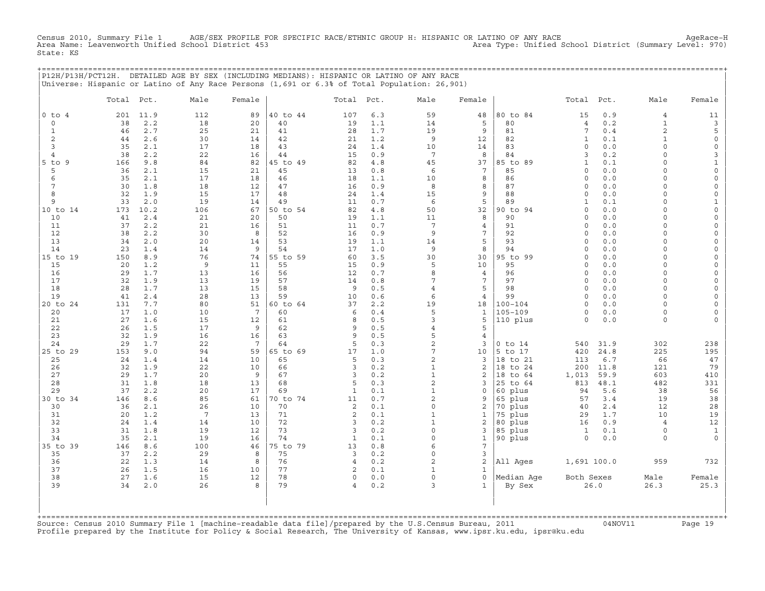Census 2010, Summary File 1 AGE/SEX PROFILE FOR SPECIFIC RACE/ETHNIC GROUP H: HISPANIC OR LATINO OF ANY RACE AgeRace−H Area Name: Leavenworth Unified School District 453 Area Type: Unified School District (Summary Level: 970) State: KS

+===================================================================================================================================================+

|                | P12H/P13H/PCT12H. DETAILED AGE BY SEX (INCLUDING MEDIANS): HISPANIC OR LATINO OF ANY RACE<br>Universe: Hispanic or Latino of Any Race Persons (1,691 or 6.3% of Total Population: 26,901) |                 |          |                |                    |                |                      |                                 |                |                          |            |                     |                          |
|----------------|-------------------------------------------------------------------------------------------------------------------------------------------------------------------------------------------|-----------------|----------|----------------|--------------------|----------------|----------------------|---------------------------------|----------------|--------------------------|------------|---------------------|--------------------------|
|                | Total<br>Pct.                                                                                                                                                                             | Male            | Female   |                | Total              | Pct.           | Male                 | Female                          |                | Total                    | Pct.       | Male                | Female                   |
| $0$ to $4$     | 201<br>11.9                                                                                                                                                                               | 112             | 89       | 40 to 44       | 107                | 6.3            | 59                   | 48                              | 80 to 84       | 15                       | 0.9        | $\overline{4}$      | 11                       |
| $\mathbf 0$    | 38<br>2.2                                                                                                                                                                                 | 18              | 20       | 40             | 19                 | 1.1            | 14                   | 5                               | 80             | $\overline{4}$           | 0.2        | $\mathbf{1}$        | 3                        |
| $\mathbf{1}$   | 2.7<br>46                                                                                                                                                                                 | 25              | 21       | 41             | 28                 | 1.7            | 19                   | 9                               | 81             | 7                        | 0.4        | $\overline{a}$      | 5                        |
| 2              | 44<br>2.6                                                                                                                                                                                 | 30              | 14       | 42             | 21                 | 1.2            | 9                    | 12                              | 82             | $\mathbf{1}$             | 0.1        | $\mathbf{1}$        | $\mathsf{O}\xspace$      |
| 3              | 35<br>2.1                                                                                                                                                                                 | 17              | 18       | 43             | 24                 | 1.4            | 10                   | 14                              | 83             | $\Omega$                 | 0.0        | $\Omega$            | $\mathsf{O}\xspace$      |
| $\overline{4}$ | 2.2<br>38                                                                                                                                                                                 | 22              | 16       | 44             | 15                 | 0.9            | $7\phantom{.0}$      | 8                               | 84             | $\overline{3}$           | 0.2        | $\Omega$            | 3                        |
| $5$ to $9$     | 9.8<br>166                                                                                                                                                                                | 84              | 82       | 45 to 49       | 82                 | $4.8$          | 45                   | 37                              | 85 to 89       | $\mathbf{1}$             | 0.1        | $\Omega$            | $\mathbf{1}$             |
| 5              | 36<br>2.1                                                                                                                                                                                 | 15              | 21       | 45             | 13                 | 0.8            | 6                    | 7                               | 85             | $\circ$                  | 0.0        | $\Omega$            | $\mathsf{O}\xspace$      |
| 6              | 2.1<br>35                                                                                                                                                                                 | 17              | 18       | 46             | 18                 | 1.1            | 10                   | 8                               | 86             | $\circ$                  | 0.0        | $\Omega$            | 0                        |
| 7              | 30<br>1.8                                                                                                                                                                                 | 18              | 12       | 47             | 16                 | 0.9            | 8                    | 8                               | 87             | $\Omega$                 | 0.0        | $\Omega$            | 0                        |
| 8              | 32<br>1.9                                                                                                                                                                                 | 15              | 17       | 48             | 24                 | 1.4            | 15                   | 9                               | 88             | $\circ$                  | 0.0        | $\Omega$            | 0                        |
| 9              | 33<br>2.0                                                                                                                                                                                 | 19              | 14       | 49             | 11                 | 0.7            | 6                    | 5                               | 89             | $\mathbf{1}$             | 0.1        | $\circ$<br>$\Omega$ | $\mathbf{1}$             |
| 10 to 14<br>10 | 173<br>10.2<br>41<br>2.4                                                                                                                                                                  | 106<br>21       | 67<br>20 | 50 to 54<br>50 | 82<br>19           | 4.8<br>$1.1\,$ | 50<br>11             | 32<br>8                         | 90 to 94<br>90 | $\circ$<br>$\Omega$      | 0.0<br>0.0 | $\Omega$            | 0<br>$\mathsf{O}\xspace$ |
| 11             | 37<br>2.2                                                                                                                                                                                 | 21              | 16       | 51             | 11                 | 0.7            | $7\overline{ }$      | $\overline{4}$                  | 91             | $\mathbf 0$              | 0.0        | $\Omega$            | 0                        |
| 12             | 38<br>2.2                                                                                                                                                                                 | 30              | 8        | 52             | 16                 | 0.9            | 9                    | $7\phantom{.0}$                 | 92             | $\circ$                  | 0.0        | $\Omega$            | 0                        |
| 13             | 34<br>2.0                                                                                                                                                                                 | 20              | 14       | 53             | 19                 | 1.1            | 14                   | 5                               | 93             | $\Omega$                 | 0.0        | $\Omega$            | $\mathsf{O}\xspace$      |
| 14             | 23<br>1.4                                                                                                                                                                                 | 14              | 9        | 54             | 17                 | 1.0            | 9                    | 8                               | 94             | $\Omega$                 | 0.0        | $\Omega$            | 0                        |
| 15 to 19       | 150<br>8.9                                                                                                                                                                                | 76              | 74       | 55 to 59       | 60                 | 3.5            | 30                   | 30                              | 95 to 99       | $\Omega$                 | 0.0        | $\Omega$            | $\mathbf 0$              |
| 15             | 1.2<br>20                                                                                                                                                                                 | 9               | 11       | 55             | 15                 | 0.9            | 5                    | 10                              | 95             | $\circ$                  | 0.0        | $\Omega$            | 0                        |
| 16             | 29<br>1.7                                                                                                                                                                                 | 13              | 16       | 56             | 12                 | 0.7            | 8                    | $\overline{4}$                  | 96             | $\circ$                  | 0.0        | $\Omega$            | 0                        |
| 17             | 1.9<br>32                                                                                                                                                                                 | 13              | 19       | 57             | 14                 | 0.8            | 7                    | $7\phantom{.0}$                 | 97             | $\Omega$                 | 0.0        | $\Omega$            | $\mathbf 0$              |
| 18             | 28<br>1.7                                                                                                                                                                                 | 13              | 15       | 58             | 9                  | 0.5            | $\overline{4}$       | 5                               | 98             | $\circ$                  | 0.0        | $\circ$             | $\mathbf 0$              |
| 19             | 2.4<br>41                                                                                                                                                                                 | 28              | 13       | 59             | 10                 | 0.6            | 6                    | $\overline{4}$                  | 99             | $\circ$                  | 0.0        | $\Omega$            | $\mathsf{O}\xspace$      |
| 20 to 24       | 7.7<br>131                                                                                                                                                                                | 80              | 51       | 60 to 64       | 37                 | 2.2            | 19                   | 18                              | $100 - 104$    | $\circ$                  | 0.0        | $\Omega$            | 0                        |
| 20             | 17<br>1.0                                                                                                                                                                                 | 10              | 7        | 60             | 6                  | 0.4            | 5                    | $\mathbf{1}$                    | $105 - 109$    | $\circ$                  | 0.0        | 0                   | $\mathbf 0$              |
| 21             | 27<br>1.6                                                                                                                                                                                 | 15              | 12       | 61             | 8                  | 0.5            | 3                    | 5                               | 110 plus       | $\circ$                  | 0.0        | $\circ$             | $\circ$                  |
| 22<br>23       | 1.5<br>26<br>32<br>1.9                                                                                                                                                                    | 17<br>16        | 9<br>16  | 62<br>63       | 9<br>9             | 0.5<br>0.5     | $\overline{4}$<br>5  | 5<br>4                          |                |                          |            |                     |                          |
| 24             | 29<br>1.7                                                                                                                                                                                 | 22              | 7        | 64             | 5                  | 0.3            | $\overline{2}$       | 3                               | $0$ to $14$    | 540                      | 31.9       | 302                 | 238                      |
| 25 to 29       | 9.0<br>153                                                                                                                                                                                | 94              | 59       | 65 to 69       | 17                 | 1.0            | 7                    | 10                              | 5 to 17        | 420                      | 24.8       | 225                 | 195                      |
| 25             | 24<br>1.4                                                                                                                                                                                 | 14              | 10       | 65             | 5                  | 0.3            | $\overline{a}$       | 3                               | 18 to 21       | 113                      | 6.7        | 66                  | 47                       |
| 26             | 32<br>1.9                                                                                                                                                                                 | 22              | 10       | 66             | 3                  | 0.2            | $\mathbf{1}$         | 2                               | 18 to 24       | 200                      | 11.8       | 121                 | 79                       |
| 27             | 29<br>1.7                                                                                                                                                                                 | 20              | 9        | 67             | 3                  | 0.2            | $\mathbf{1}$         | 2                               | 18<br>to 64    | 1,013                    | 59.9       | 603                 | 410                      |
| 28             | 31<br>1.8                                                                                                                                                                                 | 18              | 13       | 68             | 5                  | 0.3            | $\overline{a}$       | 3                               | 25 to 64       | 813                      | 48.1       | 482                 | 331                      |
| 29             | 37<br>2.2                                                                                                                                                                                 | 20              | 17       | 69             | $\mathbf{1}$       | 0.1            | $\mathbf{1}$         | $\Omega$                        | 60 plus        | 94                       | 5.6        | 38                  | 56                       |
| 30 to 34       | 146<br>8.6                                                                                                                                                                                | 85              | 61       | 70 to 74       | 11                 | 0.7            | $\overline{a}$       | 9                               | 65 plus        | 57                       | 3.4        | 19                  | 38                       |
| 30             | 2.1<br>36                                                                                                                                                                                 | 26              | 10       | 70             | 2                  | 0.1            | $\Omega$             | $\overline{c}$                  | 70 plus        | 40                       | 2.4        | 12                  | 28                       |
| 31             | 20<br>1.2                                                                                                                                                                                 | $7\phantom{.0}$ | 13       | 71             | $\overline{c}$     | 0.1            | $\mathbf{1}$         | $\mathbf{1}$                    | 75 plus        | 29                       | 1.7        | 10                  | 19                       |
| 32             | 1.4<br>24                                                                                                                                                                                 | 14              | 10       | 72             | 3                  | 0.2            | $\mathbf{1}$         | 2                               | 80 plus        | 16                       | 0.9        | $\overline{4}$      | 12                       |
| 33             | 31<br>1.8                                                                                                                                                                                 | 19              | 12       | 73             | 3                  | 0.2            | $\Omega$<br>$\Omega$ | 3                               | 85 plus        | $\mathbf{1}$<br>$\Omega$ | 0.1        | $\circ$             | $\mathbf{1}$             |
| 34<br>35 to 39 | 35<br>2.1<br>8.6<br>146                                                                                                                                                                   | 19<br>100       | 16<br>46 | 74<br>75 to 79 | $\mathbf{1}$<br>13 | 0.1<br>0.8     | 6                    | $\mathbf{1}$<br>$7\phantom{.0}$ | 90 plus        |                          | 0.0        | $\Omega$            | $\Omega$                 |
| 35             | 37<br>2.2                                                                                                                                                                                 | 29              | 8        | 75             | $\overline{3}$     | 0.2            | $\Omega$             | 3                               |                |                          |            |                     |                          |
| 36             | 22<br>1.3                                                                                                                                                                                 | 14              | 8        | 76             | $\overline{4}$     | 0.2            | $\overline{2}$       | $\overline{c}$                  | All Ages       | 1,691 100.0              |            | 959                 | 732                      |
| 37             | 26<br>1.5                                                                                                                                                                                 | 16              | 10       | 77             | 2                  | 0.1            | $\mathbf{1}$         | $\mathbf 1$                     |                |                          |            |                     |                          |
| 38             | 27<br>1.6                                                                                                                                                                                 | 15              | 12       | 78             | 0                  | 0.0            | $\circ$              | $\mathbf 0$                     | Median Age     | Both Sexes               |            | Male                | Female                   |
| 39             | 34<br>2.0                                                                                                                                                                                 | 26              | 8        | 79             | $\overline{4}$     | 0.2            | 3                    | $\mathbf 1$                     | By Sex         |                          | 26.0       | 26.3                | 25.3                     |
|                |                                                                                                                                                                                           |                 |          |                |                    |                |                      |                                 |                |                          |            |                     |                          |

+===================================================================================================================================================+Source: Census 2010 Summary File 1 [machine−readable data file]/prepared by the U.S.Census Bureau, 2011 04NOV11 Page 19 Profile prepared by the Institute for Policy & Social Research, The University of Kansas, www.ipsr.ku.edu, ipsr@ku.edu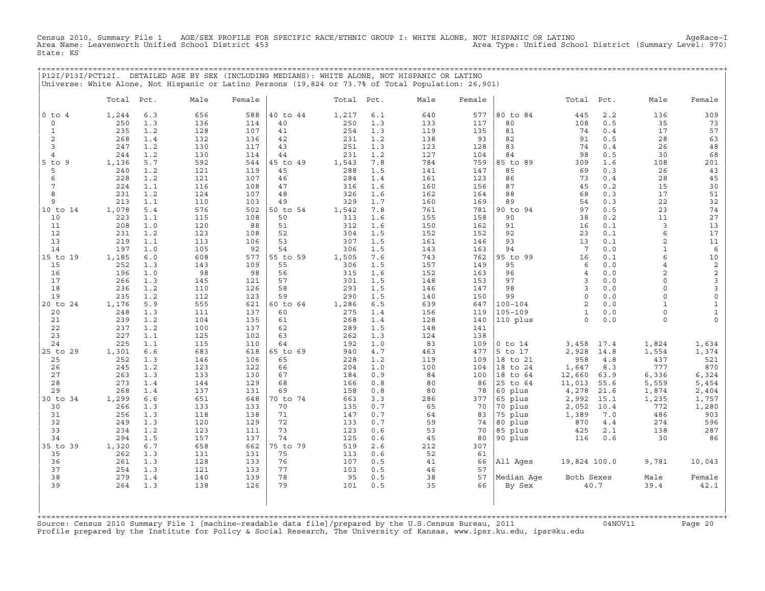Census 2010, Summary File 1 AGE/SEX PROFILE FOR SPECIFIC RACE/ETHNIC GROUP I: WHITE ALONE, NOT HISPANIC OR LATINO AgeRace−I Area Name: Leavenworth Unified School District 453 Area Type: Unified School District (Summary Level: 970) State: KS

+===================================================================================================================================================+

| P12I/P13I/PCT12I. |            |            | DETAILED AGE BY SEX (INCLUDING MEDIANS): WHITE ALONE, NOT HISPANIC OR LATINO<br>Universe: White Alone, Not Hispanic or Latino Persons (19,824 or 73.7% of Total Population: 26,901) |            |          |            |            |            |            |             |                 |            |                   |                     |
|-------------------|------------|------------|-------------------------------------------------------------------------------------------------------------------------------------------------------------------------------------|------------|----------|------------|------------|------------|------------|-------------|-----------------|------------|-------------------|---------------------|
|                   | Total      | Pct.       | Male                                                                                                                                                                                | Female     |          | Total      | Pct.       | Male       | Female     |             | Total           | Pct.       | Male              | Female              |
| $0$ to $4$        | 1,244      | 6.3        | 656                                                                                                                                                                                 | 588        | 40 to 44 | 1,217      | 6.1        | 640        | 577        | 80 to 84    | 445             | 2.2        | 136               | 309                 |
| 0                 | 250        | 1.3        | 136                                                                                                                                                                                 | 114        | 40       | 250        | 1.3        | 133        | 117        | 80          | 108             | 0.5        | 35                | 73                  |
| $\mathbf{1}$      | 235        | 1.2        | 128                                                                                                                                                                                 | 107        | 41       | 254        | 1.3        | 119        | 135        | 81          | 74              | 0.4        | 17                | 57                  |
| $\overline{c}$    | 268        | 1.4        | 132                                                                                                                                                                                 | 136        | 42       | 231        | 1.2        | 138        | 93         | 82          | 91              | 0.5        | 28                | 63                  |
| 3                 | 247        | 1.2        | 130                                                                                                                                                                                 | 117        | 43       | 251        | 1.3        | 123        | 128        | 83          | 74              | 0.4        | 26                | $4\,8$              |
| $\overline{4}$    | 244        | 1.2        | 130                                                                                                                                                                                 | 114        | 44       | 231        | 1.2        | 127        | 104        | 84          | 98              | 0.5        | 30                | 68                  |
| $5$ to<br>9       | 1,136      | 5.7        | 592                                                                                                                                                                                 | 544        | 45 to 49 | 1,543      | 7.8        | 784        | 759        | 85 to 89    | 309             | 1.6        | 108               | 201                 |
| 5                 | 240        | 1.2        | 121                                                                                                                                                                                 | 119        | 45       | 288        | 1.5        | 141        | 147        | 85          | 69              | 0.3        | 26                | 43                  |
| 6                 | 228        | 1.2        | 121                                                                                                                                                                                 | 107        | 46       | 284        | 1.4        | 161        | 123        | 86          | 73              | 0.4        | 28                | 45                  |
| 7                 | 224        | 1.1        | 116                                                                                                                                                                                 | 108        | 47       | 316        | 1.6        | 160        | 156        | 87          | 45              | 0.2        | 15                | 30                  |
| 8                 | 231        | 1.2        | 124                                                                                                                                                                                 | 107        | 48       | 326        | 1.6        | 162        | 164        | 88          | 68              | 0.3        | 17                | 51                  |
| 9                 | 213        | 1.1        | 110                                                                                                                                                                                 | 103        | 49       | 329        | 1.7        | 160        | 169        | 89          | 54              | 0.3        | 22                | 32                  |
| 10 to 14          | 1,078      | 5.4        | 576                                                                                                                                                                                 | 502        | 50 to 54 | 1,542      | 7.8        | 761        | 781        | 90 to 94    | 97              | 0.5        | 23                | 74                  |
| 10                | 223        | 1.1        | 115                                                                                                                                                                                 | 108        | 50       | 313        | 1.6        | 155        | 158        | 90          | 38              | 0.2        | 11                | 27                  |
| 11                | 208        | 1.0        | 120                                                                                                                                                                                 | 88         | 51       | 312        | 1.6        | 150        | 162        | 91          | 16              | 0.1        | 3                 | 13                  |
| 12<br>13          | 231<br>219 | 1.2        | 123<br>113                                                                                                                                                                          | 108<br>106 | 52<br>53 | 304        | 1.5        | 152        | 152        | 92<br>93    | 23<br>13        | 0.1<br>0.1 | 6                 | 17                  |
| 14                | 197        | 1.1<br>1.0 | 105                                                                                                                                                                                 | 92         | 54       | 307<br>306 | 1.5<br>1.5 | 161<br>143 | 146        | 94          | $7\phantom{.0}$ | 0.0        | 2<br>$\mathbf{1}$ | 11<br>6             |
| 15 to 19          | 1,185      | $6.0$      | 608                                                                                                                                                                                 | 577        | 55 to 59 | 1,505      | 7.6        | 743        | 163<br>762 | 95 to 99    | 16              | 0.1        | 6                 | 10                  |
| 15                | 252        | 1.3        | 143                                                                                                                                                                                 | 109        | 55       | 306        | 1.5        | 157        | 149        | 95          | 6               | 0.0        | $\overline{4}$    | $\mathbf{2}$        |
| 16                | 196        | 1.0        | 98                                                                                                                                                                                  | 98         | 56       | 315        | 1.6        | 152        | 163        | 96          | $\overline{4}$  | 0.0        | $\overline{2}$    | 2                   |
| 17                | 266        | 1.3        | 145                                                                                                                                                                                 | 121        | 57       | 301        | 1.5        | 148        | 153        | 97          | 3               | 0.0        | $\Omega$          | 3                   |
| 18                | 236        | 1.2        | 110                                                                                                                                                                                 | 126        | 58       | 293        | 1.5        | 146        | 147        | 98          | 3               | 0.0        | $\Omega$          | 3                   |
| 19                | 235        | 1.2        | 112                                                                                                                                                                                 | 123        | 59       | 290        | 1.5        | 140        | 150        | 99          | $\circ$         | 0.0        | $\circ$           | $\mathsf{O}\xspace$ |
| 20 to 24          | 1,176      | 5.9        | 555                                                                                                                                                                                 | 621        | 60 to 64 | 1,286      | 6.5        | 639        | 647        | $100 - 104$ | $\overline{2}$  | 0.0        | $\mathbf{1}$      | $\mathbf{1}$        |
| 20                | 248        | 1.3        | 111                                                                                                                                                                                 | 137        | 60       | 275        | 1.4        | 156        | 119        | $105 - 109$ | $\mathbf{1}$    | 0.0        | $\Omega$          | $\mathbf{1}$        |
| 21                | 239        | 1.2        | 104                                                                                                                                                                                 | 135        | 61       | 268        | 1.4        | 128        | 140        | 110 plus    | $\circ$         | 0.0        | 0                 | $\mathsf{O}\xspace$ |
| 22                | 237        | 1.2        | 100                                                                                                                                                                                 | 137        | 62       | 289        | 1.5        | 148        | 141        |             |                 |            |                   |                     |
| 23                | 227        | 1.1        | 125                                                                                                                                                                                 | 102        | 63       | 262        | 1.3        | 124        | 138        |             |                 |            |                   |                     |
| 24                | 225        | 1.1        | 115                                                                                                                                                                                 | 110        | 64       | 192        | 1.0        | 83         | 109        | $0$ to $14$ | 3,458           | 17.4       | 1,824             | 1,634               |
| 25 to 29          | 1,301      | 6.6        | 683                                                                                                                                                                                 | 618        | 65 to 69 | 940        | 4.7        | 463        | 477        | 5 to 17     | 2,928           | 14.8       | 1,554             | 1,374               |
| 25                | 252        | 1.3        | 146                                                                                                                                                                                 | 106        | 65       | 228        | 1.2        | 119        | 109        | 18 to 21    | 958             | 4.8        | 437               | 521                 |
| 26                | 245        | 1.2        | 123                                                                                                                                                                                 | 122        | 66       | 204        | 1.0        | 100        | 104        | 18 to 24    | 1,647           | 8.3        | 777               | 870                 |
| 27                | 263        | 1.3        | 133                                                                                                                                                                                 | 130        | 67       | 184        | 0.9        | 84         | 100        | 18 to 64    | 12,660          | 63.9       | 6,336             | 6,324               |
| 28                | 273        | 1.4        | 144                                                                                                                                                                                 | 129        | 68       | 166        | 0.8        | 80         | 86         | 25 to 64    | 11,013          | 55.6       | 5,559             | 5,454               |
| 29                | 268        | 1.4        | 137                                                                                                                                                                                 | 131        | 69       | 158        | 0.8        | 80         | 78         | 60 plus     | 4,278           | 21.6       | 1,874             | 2,404               |
| 30 to 34          | 1,299      | 6.6        | 651                                                                                                                                                                                 | 648        | 70 to 74 | 663        | 3.3        | 286        | 377        | 65 plus     | 2,992           | 15.1       | 1,235             | 1,757               |
| 30                | 266        | 1.3        | 133                                                                                                                                                                                 | 133        | 70       | 135        | 0.7        | 65         | 70         | 70 plus     | 2,052           | 10.4       | 772               | 1,280               |
| 31                | 256        | 1.3        | 118                                                                                                                                                                                 | 138        | 71       | 147        | 0.7        | 64         | 83         | 75 plus     | 1,389           | 7.0        | 486               | 903                 |
| 32                | 249        | 1.3        | 120                                                                                                                                                                                 | 129        | 72       | 133        | 0.7        | 59         | 74         | 80 plus     | 870             | 4.4        | 274               | 596                 |
| 33                | 234        | 1.2        | 123                                                                                                                                                                                 | 111        | 73       | 123        | 0.6        | 53         | 70         | 85 plus     | 425             | 2.1        | 138               | 287                 |
| 34                | 294        | 1.5        | 157                                                                                                                                                                                 | 137        | 74       | 125        | 0.6        | 45         | 80         | 90 plus     | 116             | 0.6        | 30                | 86                  |
| 35 to 39          | 1,320      | 6.7        | 658                                                                                                                                                                                 | 662        | 75 to 79 | 519        | 2.6        | 212        | 307        |             |                 |            |                   |                     |
| 35                | 262        | 1.3        | 131                                                                                                                                                                                 | 131        | 75       | 113        | 0.6        | 52         | 61         |             |                 |            |                   |                     |
| 36                | 261        | 1.3        | 128                                                                                                                                                                                 | 133        | 76       | 107        | 0.5        | 41         | 66         | All Ages    | 19,824 100.0    |            | 9,781             | 10,043              |
| 37                | 254        | 1.3        | 121                                                                                                                                                                                 | 133        | 77       | 103        | 0.5        | 46         | 57         |             |                 |            |                   |                     |
| 38                | 279        | 1.4        | 140                                                                                                                                                                                 | 139        | 78       | 95         | 0.5        | 38         | 57         | Median Age  | Both Sexes      |            | Male              | Female              |
| 39                | 264        | 1.3        | 138                                                                                                                                                                                 | 126        | 79       | 101        | 0.5        | 35         | 66         | By Sex      |                 | 40.7       | 39.4              | 42.1                |
|                   |            |            |                                                                                                                                                                                     |            |          |            |            |            |            |             |                 |            |                   |                     |

| | +===================================================================================================================================================+Source: Census 2010 Summary File 1 [machine−readable data file]/prepared by the U.S.Census Bureau, 2011 04NOV11 Page 20 Profile prepared by the Institute for Policy & Social Research, The University of Kansas, www.ipsr.ku.edu, ipsr@ku.edu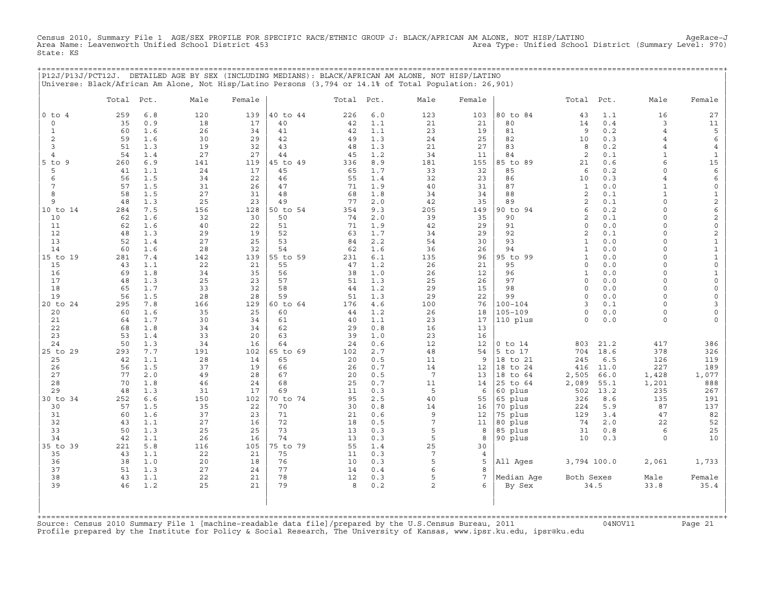Census 2010, Summary File 1 AGE/SEX PROFILE FOR SPECIFIC RACE/ETHNIC GROUP J: BLACK/AFRICAN AM ALONE, NOT HISP/LATINO<br>Area Name: Leavenworth Unified School District 453 State: KS

+===================================================================================================================================================+

|                     |            |            | P12J/P13J/PCT12J. DETAILED AGE BY SEX (INCLUDING MEDIANS): BLACK/AFRICAN AM ALONE, NOT HISP/LATINO<br>Universe: Black/African Am Alone, Not Hisp/Latino Persons (3,794 or 14.1% of Total Population: 26,901) |          |          |            |            |                       |                 |                      |                         |              |                     |                                     |
|---------------------|------------|------------|--------------------------------------------------------------------------------------------------------------------------------------------------------------------------------------------------------------|----------|----------|------------|------------|-----------------------|-----------------|----------------------|-------------------------|--------------|---------------------|-------------------------------------|
|                     | Total Pct. |            | Male                                                                                                                                                                                                         | Female   |          | Total Pct. |            | Male                  | Female          |                      | Total                   | Pct.         | Male                | Female                              |
| $0$ to $4$          | 259        | 6.8        | 120                                                                                                                                                                                                          | 139      | 40 to 44 | 226        | $6.0$      | 123                   | 103             | 80 to 84             | 43                      | 1.1          | 16                  | 27                                  |
| $\Omega$            | 35         | 0.9        | 18                                                                                                                                                                                                           | 17       | 40       | 42         | 1.1        | 21                    | 21              | 80                   | 14                      | 0.4          | 3                   | 11                                  |
| 1                   | 60         | 1.6        | 26                                                                                                                                                                                                           | 34       | 41       | 42         | 1.1        | 23                    | 19              | 81                   | 9                       | 0.2          | 4                   | 5                                   |
| $\overline{c}$      | 59         | 1.6        | 30                                                                                                                                                                                                           | 29       | 42       | 49         | 1.3        | 24                    | 25              | 82                   | 10                      | 0.3          | $\overline{4}$      | 6                                   |
| 3<br>$\overline{4}$ | 51         | 1.3<br>1.4 | 19                                                                                                                                                                                                           | 32<br>27 | 43<br>44 | 48         | 1.3        | 21<br>34              | 27              | 83<br>84             | 8<br>2                  | 0.2<br>0.1   | 4<br>$\mathbf{1}$   | $\overline{4}$                      |
| 5 to 9              | 54<br>260  | 6.9        | 27<br>141                                                                                                                                                                                                    | 119      | 45 to 49 | 45<br>336  | 1.2<br>8.9 | 181                   | 11<br>155       | 85 to 89             | 21                      | 0.6          | 6                   | $\mathbf{1}$<br>$15\,$              |
| 5                   | 41         | 1.1        | 24                                                                                                                                                                                                           | 17       | 45       | 65         | 1.7        | 33                    | 32              | 85                   | 6                       | 0.2          | $\circ$             | 6                                   |
| 6                   | 56         | 1.5        | 34                                                                                                                                                                                                           | 22       | 46       | 55         | 1.4        | 32                    | 23              | 86                   | 10                      | 0.3          | 4                   | 6                                   |
| 7                   | 57         | 1.5        | 31                                                                                                                                                                                                           | 26       | 47       | 71         | 1.9        | 40                    | 31              | 87                   | $\mathbf{1}$            | 0.0          | $\mathbf{1}$        | $\mathsf{O}\xspace$                 |
| 8                   | 58         | 1.5        | 27                                                                                                                                                                                                           | 31       | 48       | 68         | 1.8        | 34                    | 34              | 88                   | 2                       | 0.1          | $\mathbf{1}$        | $\mathbf{1}$                        |
| 9                   | 48         | 1.3        | 25                                                                                                                                                                                                           | 23       | 49       | 77         | 2.0        | 42                    | 35              | 89                   | 2                       | 0.1          | $\circ$             | $\mathbf{2}$                        |
| 10 to 14            | 284        | 7.5        | 156                                                                                                                                                                                                          | 128      | 50 to 54 | 354        | 9.3        | 205                   | 149             | 90 to 94             | 6                       | 0.2          | $\Omega$            | 6                                   |
| 10                  | 62         | 1.6        | 32                                                                                                                                                                                                           | 30       | 50       | 74         | 2.0        | 39                    | 35              | 90                   | 2                       | 0.1          | $\Omega$            | $\overline{c}$                      |
| 11                  | 62         | 1.6        | 40                                                                                                                                                                                                           | 22       | 51       | 71         | 1.9        | 42                    | 29              | 91                   | $\circ$                 | 0.0          | $\Omega$            | $\mathsf{O}\xspace$                 |
| 12                  | 48         | 1.3        | 29                                                                                                                                                                                                           | 19       | 52       | 63         | 1.7        | 34                    | 29              | 92                   | 2                       | 0.1          | $\circ$             | $\overline{c}$                      |
| 13                  | 52         | 1.4        | 27                                                                                                                                                                                                           | 25       | 53       | 84         | 2.2        | 54                    | 30              | 93                   | $\mathbf{1}$            | 0.0          | $\Omega$            | $1\,$                               |
| 14                  | 60         | 1.6        | 28                                                                                                                                                                                                           | 32       | 54       | 62         | 1.6        | 36                    | 26              | 94                   | $\mathbf{1}$            | 0.0          | $\circ$             | $\mathbf 1$                         |
| 15 to 19            | 281        | 7.4        | 142                                                                                                                                                                                                          | 139      | 55 to 59 | 231        | 6.1        | 135                   | 96              | 95 to 99             | $\mathbf{1}$            | 0.0<br>0.0   | $\circ$<br>$\Omega$ | $\mathbf{1}$                        |
| 15<br>16            | 43<br>69   | 1.1<br>1.8 | 22<br>34                                                                                                                                                                                                     | 21<br>35 | 55<br>56 | 47<br>38   | 1.2<br>1.0 | 26<br>26              | 21<br>12        | 95<br>96             | $\circ$<br>$\mathbf{1}$ | 0.0          | 0                   | $\mathsf{O}\xspace$<br>$\mathbf{1}$ |
| 17                  | 48         | 1.3        | 25                                                                                                                                                                                                           | 23       | 57       | 51         | 1.3        | 25                    | 26              | 97                   | $\circ$                 | 0.0          | $\circ$             | $\circ$                             |
| 18                  | 65         | 1.7        | 33                                                                                                                                                                                                           | 32       | 58       | 44         | 1.2        | 29                    | 15              | 98                   | $\circ$                 | 0.0          | $\Omega$            | 0                                   |
| 19                  | 56         | 1.5        | 28                                                                                                                                                                                                           | 28       | 59       | 51         | 1.3        | 29                    | 22              | 99                   | $\circ$                 | 0.0          | 0                   | $\mathsf{O}\xspace$                 |
| 20 to 24            | 295        | 7.8        | 166                                                                                                                                                                                                          | 129      | 60 to 64 | 176        | 4.6        | 100                   | 76              | $100 - 104$          | 3                       | 0.1          | $\Omega$            | 3                                   |
| 20                  | 60         | 1.6        | 35                                                                                                                                                                                                           | 25       | 60       | 44         | 1.2        | 26                    | 18              | $105 - 109$          | $\Omega$                | 0.0          | $\circ$             | 0                                   |
| 21                  | 64         | 1.7        | 30                                                                                                                                                                                                           | 34       | 61       | 40         | 1.1        | 23                    | 17              | 110 plus             | $\circ$                 | 0.0          | 0                   | 0                                   |
| 22                  | 68         | 1.8        | 34                                                                                                                                                                                                           | 34       | 62       | 29         | 0.8        | 16                    | 13              |                      |                         |              |                     |                                     |
| 23                  | 53         | 1.4        | 33                                                                                                                                                                                                           | 20       | 63       | 39         | 1.0        | 23                    | 16              |                      |                         |              |                     |                                     |
| 24                  | 50         | 1.3        | 34                                                                                                                                                                                                           | 16       | 64       | 24         | 0.6        | 12                    | 12              | $0$ to $14$          | 803                     | 21.2         | 417                 | 386                                 |
| 25 to 29            | 293        | 7.7        | 191                                                                                                                                                                                                          | 102      | 65 to 69 | 102        | 2.7        | 48                    | 54              | 5 to 17              | 704                     | 18.6         | 378                 | 326                                 |
| 25                  | 42         | 1.1        | 28                                                                                                                                                                                                           | 14       | 65       | 20         | 0.5        | 11                    | 9               | 18 to 21             | 245                     | 6.5          | 126                 | 119                                 |
| 26<br>27            | 56<br>77   | 1.5<br>2.0 | 37<br>49                                                                                                                                                                                                     | 19<br>28 | 66<br>67 | 26<br>20   | 0.7<br>0.5 | 14<br>$7\phantom{.0}$ | 12<br>13        | 18 to 24<br>18 to 64 | 416                     | 11.0<br>66.0 | 227                 | 189                                 |
| 28                  | 70         | 1.8        | 46                                                                                                                                                                                                           | 24       | 68       | 25         | 0.7        | 11                    | 14              | 25 to 64             | 2,505<br>2,089          | 55.1         | 1,428<br>1,201      | 1,077<br>888                        |
| 29                  | 48         | 1.3        | 31                                                                                                                                                                                                           | 17       | 69       | 11         | 0.3        | 5                     | 6               | 60 plus              | 502                     | 13.2         | 235                 | 267                                 |
| 30 to 34            | 252        | 6.6        | 150                                                                                                                                                                                                          | 102      | 70 to 74 | 95         | 2.5        | 40                    | 55              | 65 plus              | 326                     | 8.6          | 135                 | 191                                 |
| 30                  | 57         | 1.5        | 35                                                                                                                                                                                                           | 22       | 70       | 30         | 0.8        | 14                    | 16              | 70 plus              | 224                     | 5.9          | 87                  | 137                                 |
| 31                  | 60         | 1.6        | 37                                                                                                                                                                                                           | 23       | 71       | 21         | 0.6        | 9                     | 12              | 75 plus              | 129                     | 3.4          | 47                  | 82                                  |
| 32                  | 43         | 1.1        | 27                                                                                                                                                                                                           | 16       | 72       | 18         | 0.5        | $\overline{7}$        | 11              | 80 plus              | 74                      | $2.0$        | 22                  | 52                                  |
| 33                  | 50         | 1.3        | 25                                                                                                                                                                                                           | 25       | 73       | 13         | 0.3        | 5                     | 8               | 85 plus              | 31                      | 0.8          | 6                   | 25                                  |
| 34                  | 42         | 1.1        | 26                                                                                                                                                                                                           | 16       | 74       | 13         | 0.3        | 5                     | 8               | 90 plus              | 10                      | 0.3          | 0                   | 10                                  |
| 35 to 39            | 221        | 5.8        | 116                                                                                                                                                                                                          | 105      | 75 to 79 | 55         | 1.4        | 25                    | 30              |                      |                         |              |                     |                                     |
| 35                  | 43         | 1.1        | 22                                                                                                                                                                                                           | 21       | 75       | 11         | 0.3        | $7\phantom{.0}$       | 4               |                      |                         |              |                     |                                     |
| 36                  | 38         | 1.0        | 20                                                                                                                                                                                                           | 18       | 76       | 10         | 0.3        | 5                     | 5               | All Ages             | 3,794 100.0             |              | 2,061               | 1,733                               |
| 37                  | 51         | 1.3        | 27                                                                                                                                                                                                           | 24       | 77       | 14         | 0.4        | 6                     | 8               |                      |                         |              |                     |                                     |
| 38                  | 43         | 1.1        | 22                                                                                                                                                                                                           | 21       | 78       | 12         | 0.3        | 5                     | $7\phantom{.0}$ | Median Age           | Both Sexes              |              | Male                | Female                              |
| 39                  | 46         | 1.2        | 25                                                                                                                                                                                                           | 21       | 79       | 8          | 0.2        | $\mathbf{2}$          | 6               | By Sex               |                         | 34.5         | 33.8                | 35.4                                |
|                     |            |            |                                                                                                                                                                                                              |          |          |            |            |                       |                 |                      |                         |              |                     |                                     |

| | +===================================================================================================================================================+Source: Census 2010 Summary File 1 [machine−readable data file]/prepared by the U.S.Census Bureau, 2011 04NOV11 Page 21 Profile prepared by the Institute for Policy & Social Research, The University of Kansas, www.ipsr.ku.edu, ipsr@ku.edu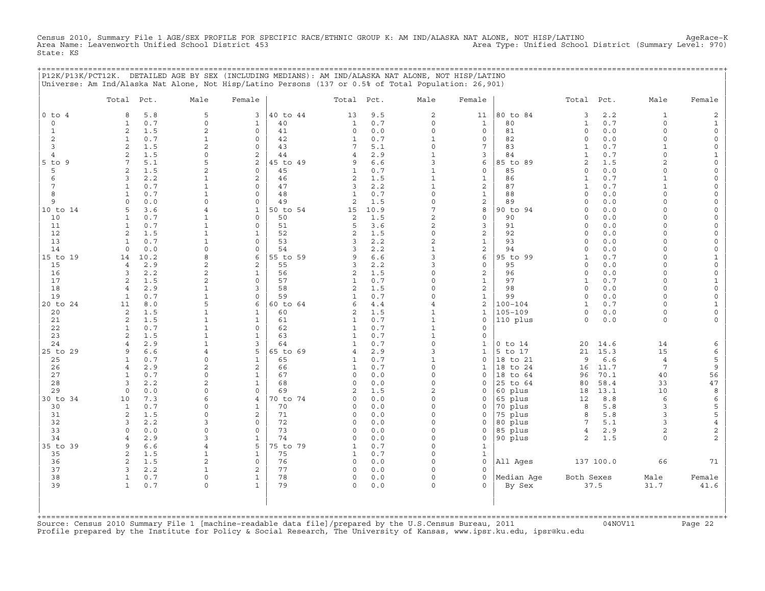Census 2010, Summary File 1 AGE/SEX PROFILE FOR SPECIFIC RACE/ETHNIC GROUP K: AM IND/ALASKA NAT ALONE, NOT HISP/LATINO AgeRace-K<br>Area Name: Leavenworth Unified School District 453 State: KS

+===================================================================================================================================================+

|                          | P12K/P13K/PCT12K. DETAILED AGE BY SEX (INCLUDING MEDIANS): AM IND/ALASKA NAT ALONE, NOT HISP/LATINO<br>Universe: Am Ind/Alaska Nat Alone, Not Hisp/Latino Persons (137 or 0.5% of Total Population: 26,901) |                |              |          |                |      |                          |                         |             |                |           |                     |                         |
|--------------------------|-------------------------------------------------------------------------------------------------------------------------------------------------------------------------------------------------------------|----------------|--------------|----------|----------------|------|--------------------------|-------------------------|-------------|----------------|-----------|---------------------|-------------------------|
|                          | Pct.<br>Total                                                                                                                                                                                               | Male           | Female       |          | Total          | Pct. | Male                     | Female                  |             | Total          | Pct.      | Male                | Female                  |
| $0$ to<br>$\overline{4}$ | 5.8<br>8                                                                                                                                                                                                    | 5              | 3            | 40 to 44 | 13             | 9.5  | 2                        | 11                      | 80 to 84    | 3              | 2.2       | 1                   | $\overline{\mathbf{c}}$ |
| $\circ$                  | 0.7<br>$\mathbf{1}$                                                                                                                                                                                         | $\Omega$       | $\mathbf{1}$ | 40       | 1              | 0.7  | $\circ$                  | $\mathbf{1}$            | 80          | $\mathbf{1}$   | 0.7       | $\Omega$            | $\mathbf 1$             |
| $\mathbf{1}$             | 2<br>1.5                                                                                                                                                                                                    | $\overline{c}$ | $\circ$      | 41       | 0              | 0.0  | $\circ$                  | 0                       | 81          | $\circ$        | 0.0       | $\Omega$            | 0                       |
| $\overline{c}$           | $\mathbf{1}$<br>0.7                                                                                                                                                                                         | 1              | $\mathbf 0$  | 42       | $\mathbf{1}$   | 0.7  | $\mathbf{1}$             | 0                       | 82          | $\circ$        | 0.0       | $\Omega$            | $\mathsf{O}\xspace$     |
| $\overline{3}$           | $\overline{a}$<br>1.5                                                                                                                                                                                       | $\mathfrak{D}$ | $\circ$      | 43       | 7              | 5.1  | $\circ$                  | 7                       | 83          | 1              | 0.7       | $\mathbf{1}$        | 0                       |
| $\overline{4}$           | 2<br>1.5                                                                                                                                                                                                    | $\Omega$       | 2            | 44       | 4              | 2.9  | $\mathbf{1}$             | 3                       | 84          | 1              | 0.7       | $\Omega$            | $\mathbf{1}$            |
| $5$ to<br>9              | 5.1<br>7                                                                                                                                                                                                    | 5              | 2            | 45 to 49 | 9              | 6.6  | 3                        | 6                       | 85 to 89    | $\overline{c}$ | 1.5       | 2                   | $\mathsf{O}\xspace$     |
| 5                        | 2<br>1.5                                                                                                                                                                                                    | $\mathfrak{D}$ | $\Omega$     | 45       | $\mathbf{1}$   | 0.7  | $\mathbf{1}$             | $\mathbf 0$             | 85          | $\circ$        | 0.0       | $\Omega$            | $\mathbf 0$             |
| 6                        | 2.2<br>3                                                                                                                                                                                                    | $\mathbf{1}$   | $\mathbf{2}$ | 46       | 2              | 1.5  | $\mathbf{1}$             | $\mathbf{1}$            | 86          | $\mathbf{1}$   | 0.7       | $\mathbf{1}$        | 0                       |
| 7                        | $\mathbf{1}$<br>0.7                                                                                                                                                                                         | $\mathbf{1}$   | $\mathbf 0$  | 47       | 3              | 2.2  | $\mathbf{1}$             | 2                       | 87          | $\mathbf{1}$   | 0.7       | $\mathbf{1}$        | 0                       |
| 8                        | $\mathbf{1}$<br>0.7                                                                                                                                                                                         | $\mathbf{1}$   | $\Omega$     | 48       | $\mathbf{1}$   | 0.7  | $\circ$                  | $\mathbf{1}$            | 88          | $\circ$        | 0.0       | $\Omega$            | 0                       |
| 9                        | $\mathbf 0$<br>0.0                                                                                                                                                                                          | $\Omega$       | $\mathbf 0$  | 49       | $\overline{a}$ | 1.5  | $\circ$                  | 2                       | 89          | $\mathbf 0$    | 0.0       | $\Omega$            | 0                       |
| 10 to 14                 | 5<br>3.6                                                                                                                                                                                                    |                | 1            | 50 to 54 | 15             | 10.9 | 7                        | $\,8\,$                 | 90 to 94    | $\mathbf 0$    | 0.0       | 0                   | $\mathsf{O}\xspace$     |
| 10                       | $\mathbf{1}$<br>0.7                                                                                                                                                                                         | 1              | $\Omega$     | 50       | 2              | 1.5  | 2                        | $\mathsf{O}\xspace$     | 90          | $\Omega$       | 0.0       | $\Omega$            | 0                       |
| 11                       | $\mathbf{1}$<br>0.7                                                                                                                                                                                         | $\mathbf{1}$   | $\circ$      | 51       | 5              | 3.6  | $\overline{c}$           | 3                       | 91          | $\circ$        | 0.0       | $\Omega$            | 0                       |
| 12                       | $\mathbf{2}$<br>1.5                                                                                                                                                                                         | $\mathbf{1}$   | 1            | 52       | $\overline{2}$ | 1.5  | 0                        | $\mathbf 2$             | 92          | $\circ$        | 0.0       | O                   | $\mathsf{O}\xspace$     |
| 13                       | 0.7<br>1                                                                                                                                                                                                    | 1              | $\Omega$     | 53       | 3              | 2.2  | 2                        | $\mathbf 1$             | 93          | $\Omega$       | 0.0       | $\Omega$            | 0                       |
| 14                       | 0.0<br>$\circ$                                                                                                                                                                                              | $\Omega$       | $\circ$      | 54       | 3              | 2.2  | $\mathbf{1}$             | 2                       | 94          | $\mathbf 0$    | 0.0       | $\Omega$            | 0                       |
| 15 to 19                 | 10.2<br>14                                                                                                                                                                                                  | 8              | 6            | 55 to 59 | 9              | 6.6  | 3                        | 6                       | 95 to 99    | $\mathbf{1}$   | 0.7       | 0                   | $\mathbf{1}$            |
| 15                       | 2.9<br>$\overline{4}$                                                                                                                                                                                       | $\overline{2}$ | 2            | 55       | 3              | 2.2  | 3                        | $\mathsf{O}\xspace$     | 95          | $\circ$        | 0.0       | $\Omega$            | $\mathsf{O}\xspace$     |
| 16                       | 2.2<br>3                                                                                                                                                                                                    | $\overline{c}$ | $\mathbf{1}$ | 56       | 2              | 1.5  | $\Omega$                 | $\overline{\mathbf{c}}$ | 96          | $\mathbf 0$    | 0.0       | O                   | 0                       |
| 17                       | 2<br>1.5                                                                                                                                                                                                    | $\overline{c}$ | $\mathbf 0$  | 57       | 1              | 0.7  | $\Omega$                 | $\mathbf{1}$            | 97          | 1              | 0.7       | $\Omega$            | $\mathbf{1}$            |
| 18                       | 2.9<br>4                                                                                                                                                                                                    | $\mathbf{1}$   | 3            | 58       | 2              | 1.5  | $\Omega$                 | $\overline{\mathbf{c}}$ | 98          | $\circ$        | 0.0       | $\Omega$            | $\mathsf{O}\xspace$     |
| 19                       | $\mathbf{1}$                                                                                                                                                                                                | $\mathbf{1}$   | $\Omega$     | 59       | $\mathbf{1}$   |      | $\Omega$                 |                         | 99          | $\Omega$       |           | O                   |                         |
|                          | 0.7                                                                                                                                                                                                         | 5              |              |          | 6              | 0.7  | 4                        | $\mathbf{1}$            | $100 - 104$ |                | 0.0       | $\Omega$            | 0                       |
| 20 to 24                 | 11<br>8.0                                                                                                                                                                                                   |                | 6            | 60 to 64 |                | 4.4  | $\mathbf{1}$             | 2                       |             | 1              | 0.7       | $\Omega$            | $\mathbf{1}$            |
| 20                       | 2<br>1.5                                                                                                                                                                                                    | $\mathbf{1}$   | $\mathbf{1}$ | 60       | 2              | 1.5  |                          | $\mathbf{1}$            | $105 - 109$ | $\circ$        | 0.0       |                     | $\mathsf{O}\xspace$     |
| 21                       | 1.5<br>2                                                                                                                                                                                                    | $\mathbf{1}$   | $\mathbf{1}$ | 61       | $\mathbf{1}$   | 0.7  | $\mathbf{1}$             | $\mathsf{O}\xspace$     | 110 plus    | $\circ$        | 0.0       | $\Omega$            | $\mathbf 0$             |
| 22                       | 0.7<br>1                                                                                                                                                                                                    | $\mathbf{1}$   | $\Omega$     | 62       | 1              | 0.7  | $\mathbf{1}$             | 0                       |             |                |           |                     |                         |
| 23                       | $\overline{a}$<br>1.5                                                                                                                                                                                       | $\mathbf{1}$   | $\mathbf{1}$ | 63       | $\mathbf{1}$   | 0.7  | $\mathbf{1}$<br>$\Omega$ | $\mathsf{O}\xspace$     |             |                |           |                     |                         |
| 24                       | 2.9<br>$\overline{4}$                                                                                                                                                                                       | $\mathbf{1}$   | 3            | 64       | $\mathbf{1}$   | 0.7  |                          | $\mathbf{1}$            | $0$ to $14$ | 20             | 14.6      | 14                  | 6                       |
| 25 to 29                 | 6.6<br>9                                                                                                                                                                                                    | 4              | 5            | 65 to 69 | 4              | 2.9  | 3                        | $\mathbf{1}$            | 5<br>to 17  | 21             | 15.3      | 15                  | 6                       |
| 25                       | $\mathbf{1}$<br>0.7                                                                                                                                                                                         | $\Omega$       | $\mathbf{1}$ | 65       | $\mathbf{1}$   | 0.7  | $\mathbf{1}$             | 0                       | 18 to 21    | 9              | 6.6       | $\overline{4}$      | 5                       |
| 26                       | $\overline{4}$<br>2.9                                                                                                                                                                                       | 2              | $\sqrt{2}$   | 66       | 1              | 0.7  | $\Omega$                 | $\mathbf{1}$            | 18<br>to 24 | 16             | 11.7      | 7                   | $\mathsf 9$             |
| 27                       | $\mathbf{1}$<br>0.7                                                                                                                                                                                         | $\Omega$       | $\mathbf{1}$ | 67       | 0              | 0.0  | $\circ$                  | $\circ$                 | 18<br>to 64 | 96             | 70.1      | 40                  | 56                      |
| 28                       | 3<br>2.2                                                                                                                                                                                                    | $\overline{2}$ | $\mathbf{1}$ | 68       | $\circ$        | 0.0  | $\Omega$                 | $\Omega$                | 25 to 64    | 80             | 58.4      | 33                  | 47                      |
| 29                       | $\circ$<br>0.0                                                                                                                                                                                              | $\Omega$       | $\circ$      | 69       | 2              | 1.5  | 2                        | $\Omega$                | 60 plus     | 18             | 13.1      | 10                  | 8                       |
| 30 to 34                 | 7.3<br>10                                                                                                                                                                                                   | 6              | 4            | 70 to 74 | 0              | 0.0  | $\Omega$                 | 0                       | 65 plus     | 12             | 8.8       | 6                   | 6                       |
| 30                       | 0.7<br>$\mathbf{1}$                                                                                                                                                                                         | $\Omega$       | $\mathbf{1}$ | 70       | $\Omega$       | 0.0  | $\Omega$                 | 0                       | 70 plus     | 8              | 5.8       | 3                   | 5                       |
| 31                       | 2<br>1.5                                                                                                                                                                                                    | $\Omega$       | $\sqrt{2}$   | 71       | 0              | 0.0  | $\Omega$                 | $\mathbf 0$             | 75 plus     | 8              | 5.8       | 3                   | 5                       |
| 32                       | 3<br>2.2                                                                                                                                                                                                    | 3              | $\circ$      | 72       | $\mathbf 0$    | 0.0  | $\Omega$                 | 0                       | 80 plus     | 7              | 5.1       | 3                   | $\overline{4}$          |
| 33                       | 0.0<br>0                                                                                                                                                                                                    | $\Omega$       | $\circ$      | 73       | 0              | 0.0  | $\Omega$                 | 0                       | 85 plus     | $\overline{4}$ | 2.9       | 2                   | $\mathbf{2}$            |
| 34                       | 2.9<br>$\overline{4}$                                                                                                                                                                                       | 3              | $\mathbf{1}$ | 74       | 0              | 0.0  | $\Omega$                 | $\mathsf{O}\xspace$     | 90 plus     | 2              | 1.5       | $\circ$             | $\overline{\mathbf{c}}$ |
| 35 to<br>39              | 9<br>6.6                                                                                                                                                                                                    | 4              | 5            | 75 to 79 | 1              | 0.7  | $\Omega$                 | $\mathbf{1}$            |             |                |           |                     |                         |
| 35                       | 2<br>1.5                                                                                                                                                                                                    | 1              | $\mathbf{1}$ | 75       | 1              | 0.7  | $\Omega$                 | $\mathbf{1}$            |             |                |           |                     |                         |
| 36                       | 1.5<br>2                                                                                                                                                                                                    | $\overline{2}$ | $\mathbf 0$  | 76       | 0              | 0.0  | $\Omega$                 | $\mathsf{O}\xspace$     | All Ages    |                | 137 100.0 | 66                  | 71                      |
| 37                       | 3<br>2.2                                                                                                                                                                                                    | $\mathbf{1}$   | 2            | 77       | $\circ$        | 0.0  | $\Omega$                 | $\Omega$                |             |                |           |                     |                         |
| 38                       | $\mathbf{1}$<br>0.7                                                                                                                                                                                         | $\Omega$       | $\mathbf{1}$ | 78       | 0              | 0.0  | $\Omega$                 | $\mathbf 0$             | Median Age  | Both Sexes     |           | Male                | Female                  |
| 39                       | $\mathbf{1}$<br>0.7                                                                                                                                                                                         | $\Omega$       | $\mathbf{1}$ | 79       | $\Omega$       | 0.0  | $\Omega$                 | $\Omega$                | By Sex      | 37.5           |           | 31.7                | 41.6                    |
|                          |                                                                                                                                                                                                             |                |              |          |                |      |                          |                         |             |                |           | =================== |                         |

+===================================================================================================================================================+Source: Census 2010 Summary File 1 [machine−readable data file]/prepared by the U.S.Census Bureau, 2011 04NOV11 Page 22 Profile prepared by the Institute for Policy & Social Research, The University of Kansas, www.ipsr.ku.edu, ipsr@ku.edu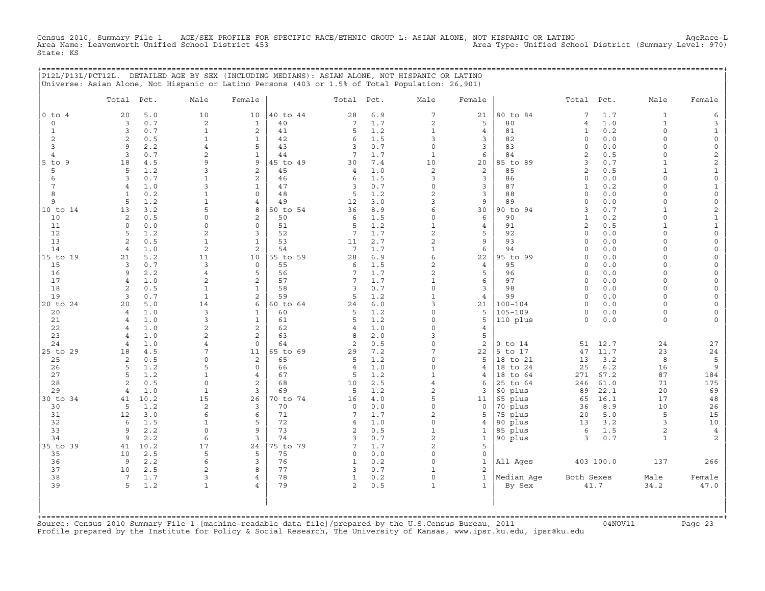Census 2010, Summary File 1 AGE/SEX PROFILE FOR SPECIFIC RACE/ETHNIC GROUP L: ASIAN ALONE, NOT HISPANIC OR LATINO<br>Area Name: Leavenworth Unified School District 453 Area Type: Unified Sc State: KS

+===================================================================================================================================================+

| $0$ to $4$                    |                      |             |                              | Female                         |                |                  | Total Pct.     | Male                        | Female              |                    | Total Pct.          |            | Male                        | Female                                     |
|-------------------------------|----------------------|-------------|------------------------------|--------------------------------|----------------|------------------|----------------|-----------------------------|---------------------|--------------------|---------------------|------------|-----------------------------|--------------------------------------------|
|                               | 20                   | 5.0         | 10                           | 10                             | 40 to 44       | 28               | 6.9            | 7                           | 21                  | 80 to 84           | $\overline{7}$      | 1.7        | $\mathbf{1}$                | 6                                          |
| $\circ$                       | $\overline{3}$       | 0.7         | $\sqrt{2}$                   | $\mathbf{1}$                   | 40             | 7                | 1.7            | 2                           | 5                   | 80                 | $\overline{4}$      | 1.0        | $1\,$                       | 3                                          |
| $\mathbf{1}$                  | 3                    | 0.7         | $\mathbf{1}$                 | 2                              | 41             | 5                | 1.2            | $\mathbf{1}$                | $\overline{4}$      | 81                 | $\mathbf 1$         | 0.2        | 0                           | $\mathbf{1}$                               |
| 2                             | 2                    | 0.5         | $\mathbf{1}$                 | $\mathbf{1}$                   | 42             | 6                | 1.5            | 3                           | 3                   | 82                 | $\circ$             | 0.0        | $\Omega$                    | $\mathsf O$                                |
| 3                             | 9                    | 2.2         | $\overline{4}$               | 5                              | 43             | 3                | 0.7            | $\circ$                     | 3                   | 83                 | $\circ$             | 0.0        | $\Omega$                    | $\mathsf O$                                |
| $\overline{4}$<br>$5$ to<br>9 | $\overline{3}$<br>18 | 0.7<br>4.5  | 2<br>9                       | $\mathbf{1}$<br>9              | 44<br>45 to 49 | 7<br>30          | 1.7<br>$7\,.4$ | $\mathbf{1}$<br>10          | 6<br>20             | 84<br>85 to 89     | $\overline{c}$<br>3 | 0.5<br>0.7 | $\mathbf 0$<br>$\mathbf{1}$ | $\mathbf 2$                                |
| 5                             | 5                    | 1.2         | 3                            | 2                              | 45             | $\overline{4}$   | 1.0            | $\mathbf{2}$                | 2                   | 85                 | $\overline{2}$      | 0.5        | $\mathbf{1}$                | $\overline{c}$<br>$\mathbf{1}$             |
| $\epsilon$                    | 3                    | 0.7         | $\mathbf{1}$                 | $\overline{\mathbf{c}}$        | 46             | 6                | 1.5            | 3                           | 3                   | 86                 | $\circ$             | 0.0        | $\mathbf 0$                 | $\mathsf{O}\xspace$                        |
| 7                             | $\overline{4}$       | 1.0         | 3                            | 1                              | 47             | 3                | 0.7            | $\mathsf O$                 | 3                   | 87                 | $\mathbf 1$         | 0.2        | $\Omega$                    | $\mathbf{1}$                               |
| 8                             | $\mathbf{1}$         | 0.2         | $\mathbf{1}$                 | $\circ$                        | 48             | 5                | 1.2            | $\overline{c}$              | 3                   | 88                 | $\circ$             | 0.0        | $\Omega$                    | $\mathbb O$                                |
| 9                             | 5                    | 1.2         | $\mathbf{1}$                 | $\overline{4}$                 | 49             | 12               | 3.0            | 3                           | 9                   | 89                 | $\circ$             | 0.0        | $\Omega$                    | $\mathsf{O}\xspace$                        |
| 10 to 14                      | 13                   | 3.2         | 5                            | 8                              | 50 to 54       | 36               | 8.9            | 6                           | 30                  | 90 to 94           | 3                   | 0.7        | $\mathbf{1}$                | $\mathbf{2}$                               |
| 10                            | 2                    | 0.5         | $\Omega$                     | 2                              | 50             | 6                | 1.5            | $\circ$                     | 6                   | 90                 | $\mathbf{1}$        | 0.2        | $\Omega$                    | $\mathbf 1$                                |
| 11                            | $\mathbf 0$          | 0.0         | $\mathbf 0$                  | $\circ$                        | 51             | 5                | 1.2            | $\mathbf{1}$                | $\overline{4}$      | 91                 | $\overline{c}$      | 0.5        | $\mathbf{1}$                | $\mathbf 1$                                |
| 12                            | 5                    | 1.2         | $\mathbf{2}$                 | 3                              | 52             | 7                | 1.7            | $\overline{c}$              | 5                   | 92                 | $\circ$             | 0.0        | $\Omega$                    | $\mathsf{O}\xspace$                        |
| 13                            | 2                    | 0.5         | $\mathbf{1}$                 | $\mathbf{1}$                   | 53             | 11               | 2.7            | 2                           | 9                   | 93                 | $\circ$             | 0.0        | $\Omega$                    | 0                                          |
| 14                            | $\overline{4}$       | 1.0         | $\sqrt{2}$                   | $\overline{c}$                 | 54             | $7\phantom{.0}$  | 1.7            | $\mathbf{1}$                | 6                   | 94                 | $\circ$             | 0.0        | $\Omega$                    | $\mathsf{O}\xspace$                        |
| 15 to 19                      | 21                   | 5.2         | 11                           | 10                             | 55 to 59       | 28               | 6.9            | 6                           | 22                  | 95 to 99           | $\circ$             | 0.0        | $\Omega$                    | $\mathsf{O}\xspace$                        |
| 15                            | 3                    | 0.7         | 3                            | $\mathbf 0$                    | 55             | 6                | 1.5            | 2                           | $\overline{4}$      | 95                 | $\circ$             | 0.0        | $\Omega$                    | 0                                          |
| 16                            | 9                    | 2.2         | $\overline{4}$               | 5                              | 56             | 7                | 1.7            | $\overline{c}$              | 5                   | 96                 | $\circ$             | 0.0        | $\Omega$                    | $\mathsf{O}\xspace$                        |
| 17                            | $\overline{4}$       | 1.0         | $\mathbf{2}$                 | $\overline{c}$                 | 57             | 7                | 1.7            | $\mathbf 1$                 | 6                   | 97                 | $\circ$             | 0.0        | $\Omega$<br>$\Omega$        | 0                                          |
| 18<br>19                      | 2<br>3               | 0.5<br>0.7  | $\mathbf{1}$<br>$\mathbf{1}$ | $\mathbf{1}$<br>$\overline{c}$ | 58<br>59       | 3<br>5           | 0.7<br>1.2     | $\mathsf O$<br>$\mathbf{1}$ | 3<br>$\overline{4}$ | 98<br>99           | $\circ$<br>$\circ$  | 0.0<br>0.0 | $\Omega$                    | $\mathsf{O}\xspace$<br>$\mathsf{O}\xspace$ |
| 20 to 24                      | 20                   | 5.0         | 14                           | 6                              | 60 to 64       | 24               | 6.0            | 3                           | 21                  | $100 - 104$        | $\circ$             | 0.0        | $\Omega$                    | $\mathsf O$                                |
| 20                            | $\overline{4}$       | 1.0         | 3                            | $\mathbf{1}$                   | 60             | 5                | 1.2            | $\Omega$                    | 5                   | $105 - 109$        | $\circ$             | 0.0        | $\Omega$                    | $\mathsf{O}\xspace$                        |
| 21                            | $\overline{4}$       | 1.0         | 3                            | $\mathbf{1}$                   | 61             | 5                | 1.2            | $\Omega$                    | 5                   | 110 plus           | $\circ$             | 0.0        | 0                           | 0                                          |
| 22                            | $\overline{4}$       | 1.0         | $\sqrt{2}$                   | $\overline{c}$                 | 62             | 4                | 1.0            | $\mathsf O$                 | $\overline{4}$      |                    |                     |            |                             |                                            |
| 23                            | $\overline{4}$       | 1.0         | 2                            | 2                              | 63             | 8                | 2.0            | 3                           | 5                   |                    |                     |            |                             |                                            |
| 24                            | $\overline{4}$       | 1.0         | 4                            | $\Omega$                       | 64             | $\mathbf{2}$     | 0.5            | $\mathsf O$                 | $\mathbf{2}$        | $0$ to $14$        | 51                  | 12.7       | 24                          | 27                                         |
| 25 to 29                      | 18                   | 4.5         | $7\phantom{.0}$              | 11                             | 65 to 69       | 29               | 7.2            | 7                           | 22                  | 5 to 17            | 47                  | 11.7       | 23                          | 24                                         |
| 25                            | 2                    | 0.5         | $\Omega$                     | 2                              | 65             | 5                | 1.2            | 0                           | 5                   | 18 to 21           | 13                  | 3.2        | 8                           | 5                                          |
| 26                            | 5                    | 1.2         | 5                            | $\Omega$                       | 66             | 4                | 1.0            | $\Omega$                    | 4                   | 18 to 24           | 25                  | 6.2        | 16                          | 9                                          |
| 27                            | 5                    | 1.2         | $\mathbf{1}$                 | $\overline{4}$                 | 67             | 5                | 1.2            | $\mathbf{1}$                | 4                   | 18 to 64           | 271                 | 67.2       | 87                          | 184                                        |
| 28                            | 2                    | 0.5         | $\mathsf{O}\xspace$          | 2                              | 68             | 10               | 2.5            | $\overline{4}$              | 6                   | 25 to 64           | 246                 | 61.0       | 71                          | 175                                        |
| 29                            | $\overline{4}$       | 1.0         | $\mathbf{1}$                 | 3                              | 69             | 5                | 1.2            | $\overline{2}$              | 3                   | 60 plus            | 89                  | 22.1       | 20                          | 69                                         |
| 30 to 34                      | 41<br>5              | 10.2<br>1.2 | 15                           | 26                             | 70 to 74<br>70 | 16               | 4.0            | 5                           | 11                  | 65 plus            | 65                  | 16.1       | 17                          | $4\,8$                                     |
| 30<br>31                      | 12                   | 3.0         | 2<br>6                       | 3<br>6                         | 71             | $\mathbf 0$<br>7 | 0.0<br>1.7     | $\mathsf O$<br>2            | 0<br>5              | 70 plus<br>75 plus | 36<br>20            | 8.9<br>5.0 | 10<br>5                     | 26<br>15                                   |
| 32                            | 6                    | 1.5         | $\mathbf{1}$                 | 5                              | 72             | $\overline{4}$   | 1.0            | $\mathsf O$                 | $\overline{4}$      | 80 plus            | 13                  | 3.2        | 3                           | 10                                         |
| 33                            | 9                    | 2.2         | $\mathbf 0$                  | 9                              | 73             | 2                | 0.5            | $\mathbf{1}$                | $\mathbf{1}$        | 85 plus            | 6                   | 1.5        | $\overline{a}$              | $\overline{4}$                             |
| 34                            | 9                    | 2.2         | 6                            | 3                              | 74             | 3                | 0.7            | $\overline{c}$              | $\mathbf{1}$        | 90 plus            | 3                   | 0.7        | $\mathbf{1}$                | 2                                          |
| 35 to 39                      | 41                   | 10.2        | 17                           | 24                             | 75 to 79       | 7                | 1.7            | $\overline{c}$              | 5                   |                    |                     |            |                             |                                            |
| 35                            | 10                   | 2.5         | 5                            | 5                              | 75             | 0                | 0.0            | 0                           | $\mathsf{O}\xspace$ |                    |                     |            |                             |                                            |
| 36                            | 9                    | 2.2         | 6                            | 3                              | 76             | $\mathbf 1$      | 0.2            | $\Omega$                    | $\mathbf 1$         | All Ages           |                     | 403 100.0  | 137                         | 266                                        |
| 37                            | 10                   | 2.5         | 2                            | 8                              | 77             | 3                | 0.7            | $\mathbf{1}$                | 2                   |                    |                     |            |                             |                                            |
| 38                            | $7\phantom{.0}$      | 1.7         | 3                            | 4                              | 78             | $\mathbf{1}$     | 0.2            | $\mathsf O$                 | $\mathbf{1}$        | Median Aqe         | Both Sexes          |            | Male                        | Female                                     |
| 39                            | 5                    | 1.2         | $\mathbf{1}$                 | $\overline{4}$                 | 79             | $\overline{a}$   | 0.5            | $\mathbf{1}$                | $\mathbf{1}$        | By Sex             |                     | 41.7       | 34.2                        | 47.0                                       |

+===================================================================================================================================================+Source: Census 2010 Summary File 1 [machine−readable data file]/prepared by the U.S.Census Bureau, 2011 04NOV11 Page 23 Profile prepared by the Institute for Policy & Social Research, The University of Kansas, www.ipsr.ku.edu, ipsr@ku.edu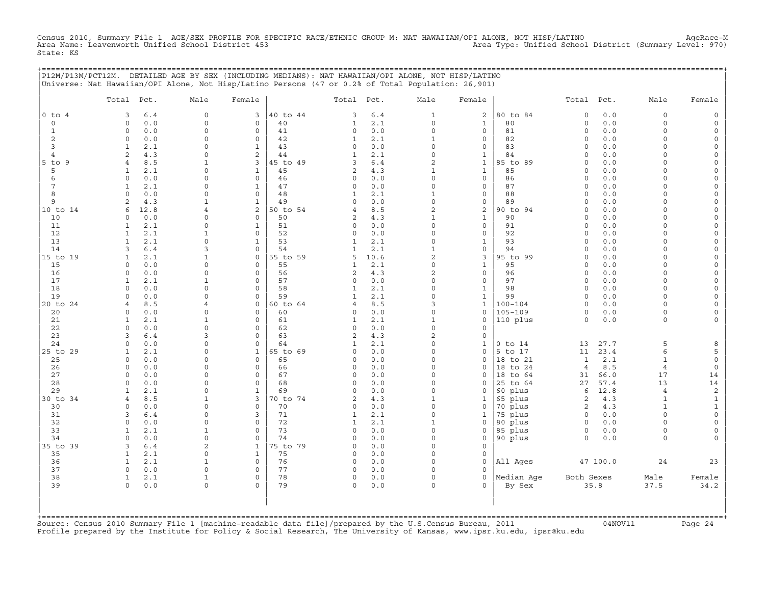Census 2010, Summary File 1 AGE/SEX PROFILE FOR SPECIFIC RACE/ETHNIC GROUP M: NAT HAWAIIAN/OPI ALONE, NOT HISP/LATINO<br>Area Name: Leavenworth Unified School District 453 State: KS

|                              | P12M/P13M/PCT12M. DETAILED AGE BY SEX (INCLUDING MEDIANS): NAT HAWAIIAN/OPI ALONE, NOT HISP/LATINO |                                     |                                 |          |                              |            |                            |                              |                    |                     |            |                      |                                            |
|------------------------------|----------------------------------------------------------------------------------------------------|-------------------------------------|---------------------------------|----------|------------------------------|------------|----------------------------|------------------------------|--------------------|---------------------|------------|----------------------|--------------------------------------------|
|                              | Universe: Nat Hawaiian/OPI Alone, Not Hisp/Latino Persons (47 or 0.2% of Total Population: 26,901) |                                     |                                 |          |                              |            |                            |                              |                    |                     |            |                      |                                            |
|                              |                                                                                                    |                                     |                                 |          |                              |            |                            |                              |                    |                     |            |                      |                                            |
|                              | Total Pct.                                                                                         | Male                                | Female                          |          | Total Pct.                   |            | Male                       | Female                       |                    | Total Pct.          |            | Male                 | Female                                     |
| $0$ to $4$                   | 3<br>6.4                                                                                           | $\mathbf 0$                         | 3                               | 40 to 44 | 3                            | 6.4        | $\mathbf{1}$               | 2                            | 80 to 84           | $\circ$             | 0.0        | $\circ$              | 0                                          |
| $\Omega$                     | 0.0<br>$\Omega$                                                                                    | $\mathbf{0}$                        | $\mathbf{0}$                    | 40       | $\mathbf{1}$                 | 2.1        | $\Omega$                   | $\mathbf{1}$                 | 80                 | $\circ$             | 0.0        | $\circ$              | $\mathsf{O}\xspace$                        |
| $\mathbf{1}$                 | $\circ$<br>0.0                                                                                     | $\circ$                             | $\mathbf 0$                     | 41       | 0                            | 0.0        | $\circ$                    | $\mathbf{0}$                 | 81                 | $\circ$             | 0.0        | $\circ$              | $\mathbb O$                                |
| $\overline{2}$               | 0.0<br>$\circ$                                                                                     | $\mathbf 0$                         | $\mathbf{0}$                    | 42       | $\mathbf{1}$                 | 2.1        | $\mathbf 1$                | $\mathbf{0}$                 | 82                 | $\circ$             | 0.0        | $\circ$<br>$\Omega$  | $\mathbb O$                                |
| 3                            | 2.1<br>$\mathbf{1}$                                                                                | $\Omega$                            | $\mathbf{1}$<br>2               | 43<br>44 | $\circ$                      | 0.0        | $\circ$                    | $\mathbf{0}$                 | 83                 | $\circ$<br>$\circ$  | 0.0        | $\Omega$             | $\mathsf{O}\xspace$                        |
| $\overline{4}$<br>$5$ to $9$ | $\overline{2}$<br>4.3<br>$\overline{4}$<br>8.5                                                     | $\mathsf{O}\xspace$<br>$\mathbf{1}$ | 3                               | 45 to 49 | $\mathbf{1}$<br>3            | 2.1<br>6.4 | 0<br>$\overline{c}$        | $\mathbf{1}$<br>$\mathbf{1}$ | 84<br>85 to 89     | $\circ$             | 0.0<br>0.0 | $\circ$              | $\mathsf{O}\xspace$<br>$\mathsf{O}\xspace$ |
| 5                            | 2.1<br>$\mathbf{1}$                                                                                | $\Omega$                            | $\mathbf{1}$                    | 45       | $\overline{a}$               | 4.3        | $\mathbf{1}$               | $\mathbf{1}$                 | 85                 | $\Omega$            | 0.0        | $\Omega$             | $\mathsf{O}\xspace$                        |
| 6                            | 0.0<br>$\Omega$                                                                                    | $\Omega$                            | $\Omega$                        | 46       | 0                            | 0.0        | $\Omega$                   | $\mathbf{0}$                 | 86                 | $\circ$             | 0.0        | $\Omega$             | $\mathbb O$                                |
| 7                            | $\mathbf{1}$<br>2.1                                                                                | $\mathbf 0$                         | $\mathbf{1}$                    | 47       | $\circ$                      | 0.0        | $\circ$                    | $\mathbf{0}$                 | 87                 | $\circ$             | $0.0$      | $\Omega$             | $\mathsf{O}\xspace$                        |
| 8                            | 0.0<br>$\circ$                                                                                     | $\mathbf 0$                         | $\mathbf{0}$                    | 48       | $\mathbf{1}$                 | 2.1        | $\mathbf{1}$               | $\mathbf{0}$                 | 88                 | $\circ$             | 0.0        | $\circ$              | $\mathsf{O}\xspace$                        |
| 9                            | 2<br>4.3                                                                                           | $\mathbf{1}$                        | $\mathbf{1}$                    | 49       | $\circ$                      | 0.0        | $\circ$                    | $\mathbf{0}$                 | 89                 | $\circ$             | 0.0        | $\Omega$             | $\mathbb O$                                |
| 10 to 14                     | 12.8<br>6                                                                                          | $\overline{4}$                      | $\overline{a}$                  | 50 to 54 | $\overline{4}$               | 8.5        | $\overline{c}$             | $\overline{a}$               | 90 to 94           | $\circ$             | 0.0        | $\circ$              | $\mathsf{O}\xspace$                        |
| 10                           | 0.0<br>$\Omega$                                                                                    | $\mathsf{O}$                        | $\mathbf{0}$                    | 50       | $\overline{a}$               | 4.3        | $\mathbf{1}$               | $\mathbf{1}$                 | 90                 | $\circ$             | 0.0        | $\Omega$             | $\mathsf{O}\xspace$                        |
| 11                           | 2.1<br>$\mathbf{1}$                                                                                | $\mathbf 0$                         | $\mathbf{1}$                    | 51       | 0                            | 0.0        | $\circ$                    | 0                            | 91                 | $\circ$             | 0.0        | $\cap$               | $\mathbb O$                                |
| 12                           | $\mathbf{1}$<br>2.1                                                                                | $\mathbf{1}$                        | $\mathbf{0}$                    | 52       | 0                            | 0.0        | $\circ$                    | $\mathbf{0}$                 | 92                 | $\circ$             | 0.0        | $\Omega$             | $\mathsf{O}\xspace$                        |
| 13<br>14                     | 2.1<br>$\mathbf{1}$<br>6.4<br>3                                                                    | $\mathbf 0$<br>3                    | $\mathbf{1}$<br>$\Omega$        | 53<br>54 | $\mathbf{1}$                 | 2.1<br>2.1 | $\circ$<br>$\mathbf{1}$    | $\mathbf{1}$<br>$\mathbf{0}$ | 93<br>94           | $\circ$<br>$\Omega$ | 0.0<br>0.0 | $\Omega$<br>$\Omega$ | $\mathbb O$<br>$\mathsf{O}\xspace$         |
| 15 to 19                     | $\mathbf{1}$<br>2.1                                                                                | $\mathbf{1}$                        | $\mathbf{0}$                    | 55 to 59 | $\mathbf{1}$<br>5            | 10.6       | $\overline{a}$             | 3                            | 95 to 99           | $\circ$             | 0.0        | $\Omega$             | $\mathsf{O}\xspace$                        |
| 15                           | $\circ$<br>0.0                                                                                     | $\mathsf{O}\xspace$                 | $\mathbf 0$                     | 55       | $\mathbf{1}$                 | 2.1        | $\circ$                    | $\mathbf{1}$                 | 95                 | $\circ$             | 0.0        | $\Omega$             | $\mathbb O$                                |
| 16                           | $\circ$<br>0.0                                                                                     | $\mathsf O$                         | $\circ$                         | 56       | $\overline{a}$               | 4.3        | $\overline{a}$             | 0                            | 96                 | $\circ$             | 0.0        | $\circ$              | $\mathsf{O}\xspace$                        |
| 17                           | 2.1<br>$\mathbf{1}$                                                                                | $\mathbf{1}$                        | $\mathbf 0$                     | 57       | $\circ$                      | 0.0        | $\circ$                    | $\mathbf{0}$                 | 97                 | $\circ$             | 0.0        | $\circ$              | $\mathbb O$                                |
| 18                           | $\Omega$<br>0.0                                                                                    | $\Omega$                            | $\Omega$                        | 58       | $\mathbf{1}$                 | 2.1        | $\Omega$                   | $\mathbf{1}$                 | 98                 | $\Omega$            | 0.0        | $\Omega$             | $\mathsf{O}\xspace$                        |
| 19                           | 0.0<br>$\Omega$                                                                                    | $\Omega$                            | $\mathbf 0$                     | 59       | $\mathbf{1}$                 | 2.1        | $\circ$                    | $\mathbf{1}$                 | 99                 | $\circ$             | 0.0        | $\Omega$             | $\mathsf{O}\xspace$                        |
| 20 to 24                     | $\overline{4}$<br>8.5                                                                              | $\overline{4}$                      | $\mathbf{0}$                    | 60 to 64 | $\overline{4}$               | 8.5        | 3                          | $\mathbf{1}$                 | $100 - 104$        | $\Omega$            | 0.0        | $\Omega$             | $\mathsf{O}\xspace$                        |
| 20                           | $\circ$<br>0.0                                                                                     | $\mathbf 0$                         | $\mathbf{0}$                    | 60       | 0                            | 0.0        | $\circ$                    | 0                            | 105-109            | $\circ$             | 0.0        | $\circ$              | $\mathsf{O}\xspace$                        |
| 21                           | 2.1<br>$\mathbf{1}$                                                                                | $\mathbf{1}$                        | $\mathbf 0$                     | 61       | $\mathbf{1}$                 | 2.1        | $1\,$                      | 0                            | 110 plus           | $\circ$             | 0.0        | $\circ$              | $\mathbf 0$                                |
| 22<br>23                     | $\Omega$<br>0.0<br>$6.4$<br>3                                                                      | $\Omega$<br>$\overline{3}$          | $\Omega$<br>$\mathsf{O}\xspace$ | 62<br>63 | $\circ$<br>$\overline{a}$    | 0.0<br>4.3 | $\Omega$<br>$\overline{c}$ | $\circ$<br>0                 |                    |                     |            |                      |                                            |
| 24                           | $\circ$<br>0.0                                                                                     | $\mathsf{O}\xspace$                 | $\mathbf 0$                     | 64       | $\mathbf{1}$                 | 2.1        | $\circ$                    | $\mathbf{1}$                 | $0$ to $14$        | 13                  | 27.7       | 5                    | 8                                          |
| 25 to 29                     | 2.1<br>$\mathbf{1}$                                                                                | $\Omega$                            | $\mathbf{1}$                    | 65 to 69 | $\Omega$                     | 0.0        | $\Omega$                   | $\Omega$                     | 5 to 17            | 11                  | 23.4       | 6                    | 5                                          |
| 25                           | $\Omega$<br>0.0                                                                                    | $\mathbf 0$                         | $\mathbf 0$                     | 65       | $\circ$                      | 0.0        | $\circ$                    | 0                            | 18 to 21           | $\mathbf{1}$        | 2.1        | $\mathbf{1}$         | $\mathsf{O}\xspace$                        |
| 26                           | $\Omega$<br>0.0                                                                                    | $\mathbf 0$                         | $\Omega$                        | 66       | $\circ$                      | 0.0        | 0                          | 0                            | 18 to 24           | $\overline{4}$      | 8.5        | $\overline{4}$       | $\mathsf{O}\xspace$                        |
| 27                           | $\circ$<br>0.0                                                                                     | $\mathbf 0$                         | $\mathbf 0$                     | 67       | $\circ$                      | 0.0        | $\circ$                    | $\circ$                      | 18 to 64           | 31                  | 66.0       | 17                   | 14                                         |
| 28                           | 0.0<br>$\Omega$                                                                                    | $\mathbf 0$                         | $\mathbf 0$                     | 68       | $\circ$                      | 0.0        | $\circ$                    | $\circ$                      | 25 to 64           | 27                  | 57.4       | 13                   | $14\,$                                     |
| 29                           | 2.1<br>$\mathbf{1}$                                                                                | $\mathbf 0$                         | $\mathbf{1}$                    | 69       | $\circ$                      | 0.0        | $\circ$                    | 0                            | 60 plus            | 6                   | 12.8       | $\overline{4}$       | $\sqrt{2}$                                 |
| 30 to 34                     | 8.5<br>$\overline{4}$                                                                              | $\mathbf{1}$                        | 3                               | 70 to 74 | 2                            | 4.3        | $\mathbf{1}$               | $\mathbf{1}$                 | 65 plus            | $\overline{a}$      | 4.3        | $\mathbf{1}$         | $\mathbf 1$                                |
| 30                           | 0.0<br>$\Omega$                                                                                    | $\mathbf 0$                         | $\Omega$                        | 70       | 0                            | 0.0        | $\circ$                    | $\circ$                      | 70 plus            | $\overline{a}$      | 4.3        | $\mathbf{1}$         | $\mathbf 1$                                |
| 31<br>32                     | 3<br>6.4<br>0.0<br>$\Omega$                                                                        | $\mathbf 0$<br>$\mathbf 0$          | 3<br>$\mathbf{0}$               | 71<br>72 | $\mathbf{1}$<br>$\mathbf{1}$ | 2.1<br>2.1 | $\circ$<br>$\mathbf{1}$    | $\mathbf{1}$<br>0            | 75 plus<br>80 plus | $\circ$<br>$\circ$  | 0.0<br>0.0 | $\circ$<br>$\Omega$  | $\mathsf{O}\xspace$<br>$\mathsf{O}\xspace$ |
| 33                           | $\mathbf{1}$<br>2.1                                                                                | $\mathbf{1}$                        | $\Omega$                        | 73       | 0                            | 0.0        | $\Omega$                   | 0                            | $85$ plus          | $\Omega$            | 0.0        | $\Omega$             | $\mathsf{O}\xspace$                        |
| 34                           | 0.0<br>$\circ$                                                                                     | $\mathsf{O}\xspace$                 | $\mathsf{O}\xspace$             | 74       | $\circ$                      | 0.0        | 0                          | 0                            | 90 plus            | $\circ$             | 0.0        | $\circ$              | $\Omega$                                   |
| 35 to 39                     | 3<br>$6.4$                                                                                         | $\mathbf{2}$                        | $\mathbf{1}$                    | 75 to 79 | $\circ$                      | 0.0        | $\circ$                    | $\circ$                      |                    |                     |            |                      |                                            |
| 35                           | 2.1<br>$\mathbf{1}$                                                                                | $\circ$                             | $\mathbf{1}$                    | 75       | 0                            | 0.0        | $\circ$                    | $\circ$                      |                    |                     |            |                      |                                            |
| 36                           | $\mathbf{1}$<br>2.1                                                                                | $\mathbf{1}$                        | $\mathbf{0}$                    | 76       | $\circ$                      | 0.0        | $\circ$                    | 0                            | All Ages           |                     | 47 100.0   | 24                   | 23                                         |
| 37                           | $\Omega$<br>0.0                                                                                    | $\Omega$                            | $\Omega$                        | 77       | $\circ$                      | 0.0        | $\Omega$                   | $\Omega$                     |                    |                     |            |                      |                                            |
| 38                           | 2.1<br>$\mathbf{1}$                                                                                | $\mathbf{1}$                        | $\mathbf 0$                     | 78       | 0                            | 0.0        | $\Omega$                   | $\Omega$                     | Median Age         | Both Sexes          |            | Male                 | Female                                     |
| 39                           | $\circ$<br>0.0                                                                                     | $\mathbf 0$                         | $\Omega$                        | 79       | 0                            | 0.0        | 0                          | $\Omega$                     | By Sex             |                     | 35.8       | 37.5                 | 34.2                                       |
|                              |                                                                                                    |                                     |                                 |          |                              |            |                            |                              |                    |                     |            |                      |                                            |
|                              |                                                                                                    |                                     |                                 |          |                              |            |                            |                              |                    |                     |            |                      |                                            |
|                              |                                                                                                    |                                     |                                 |          |                              |            |                            |                              |                    |                     |            |                      |                                            |

| | +===================================================================================================================================================+Source: Census 2010 Summary File 1 [machine−readable data file]/prepared by the U.S.Census Bureau, 2011 04NOV11 Page 24 Profile prepared by the Institute for Policy & Social Research, The University of Kansas, www.ipsr.ku.edu, ipsr@ku.edu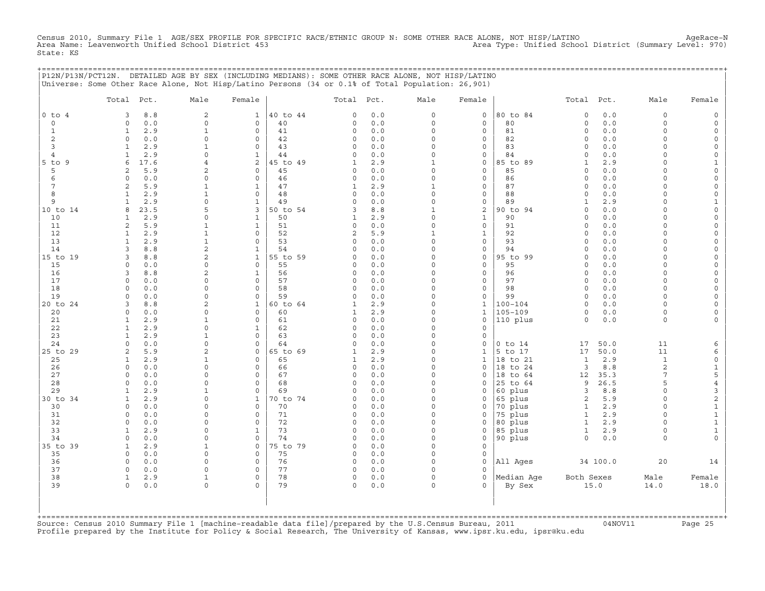Census 2010, Summary File 1 AGE/SEX PROFILE FOR SPECIFIC RACE/ETHNIC GROUP N: SOME OTHER RACE ALONE, NOT HISP/LATINO<br>Area Name: Leavenworth Unified School District 453 (Summary Level: 970) Area Type: Unified School Distric State: KS

|                           | P12N/P13N/PCT12N. DETAILED AGE BY SEX (INCLUDING MEDIANS): SOME OTHER RACE ALONE, NOT HISP/LATINO<br>Universe: Some Other Race Alone, Not Hisp/Latino Persons (34 or 0.1% of Total Population: 26,901) |                             |                                 |                |              |            |                     |                              | ;========================== |                          |              |                      |                     |
|---------------------------|--------------------------------------------------------------------------------------------------------------------------------------------------------------------------------------------------------|-----------------------------|---------------------------------|----------------|--------------|------------|---------------------|------------------------------|-----------------------------|--------------------------|--------------|----------------------|---------------------|
|                           | Total Pct.                                                                                                                                                                                             | Male                        | Female                          |                | Total Pct.   |            | Male                | Female                       |                             | Total Pct.               |              | Male                 | Female              |
| $0$ to $4$                | 8.8<br>3                                                                                                                                                                                               | 2                           | $\mathbf{1}$                    | 40 to 44       | 0            | 0.0        | $\circ$             | 0                            | 80 to 84                    | $\mathsf O$              | 0.0<br>0.0   | $\circ$              |                     |
| $\circ$<br>1              | 0.0<br>$\circ$<br>2.9<br>$\mathbf{1}$                                                                                                                                                                  | $\mathbf 0$<br>$\mathbf{1}$ | $\circ$<br>$\mathbf 0$          | 40<br>41       | 0<br>$\circ$ | 0.0<br>0.0 | $\circ$<br>$\Omega$ | $\circ$<br>0                 | 80<br>81                    | $\circ$<br>$\Omega$      | 0.0          | $\circ$<br>$\Omega$  |                     |
| 2                         | $\circ$<br>0.0                                                                                                                                                                                         | $\Omega$                    | $\mathsf{O}$                    | 42             | 0            | 0.0        | $\circ$             | 0                            | 82                          | $\Omega$                 | 0.0          | $\Omega$             |                     |
| 3                         | 2.9<br>1                                                                                                                                                                                               |                             | $\mathbf 0$                     | 43             | 0            | 0.0        | 0                   | 0                            | 83                          | $\mathbf 0$              | 0.0          | $\cap$               |                     |
| 4                         | 2.9                                                                                                                                                                                                    | $\cap$                      | $\mathbf{1}$                    | 44             | 0            | 0.0        | 0                   | 0                            | 84                          | $\Omega$                 | 0.0          | $\cap$               |                     |
| $5$ to $9$<br>5           | 17.6<br>6<br>5.9<br>2                                                                                                                                                                                  | 2                           | 2<br>$\circ$                    | 45 to 49<br>45 | $\mathbf{1}$ | 2.9        | 1<br>O              | 0<br>0                       | 85 to 89<br>85              | 1<br>$\Omega$            | 2.9<br>0.0   |                      |                     |
| 6                         | 0.0<br>$\Omega$                                                                                                                                                                                        | $\cap$                      | $\mathbf 0$                     | 46             | 0<br>0       | 0.0<br>0.0 | $\Omega$            | 0                            | 86                          | $\Omega$                 | 0.0          | ∩                    |                     |
| 7                         | 5.9<br>2                                                                                                                                                                                               | -1                          | $\mathbf{1}$                    | 47             | 1            | 2.9        | $\mathbf{1}$        | $\mathbf{0}$                 | 87                          | $\Omega$                 | 0.0          | $\cap$               |                     |
| 8                         | 2.9<br>$\mathbf{1}$                                                                                                                                                                                    | $\mathbf{1}$                | $\mathbf{0}$                    | 48             | $\circ$      | 0.0        | $\Omega$            | $\circ$                      | 88                          | $\mathbf 0$              | 0.0          | $\Omega$             |                     |
| 9                         | 2.9<br>1                                                                                                                                                                                               | $\Omega$                    | $\mathbf{1}$                    | 49             | 0            | 0.0        | $\circ$             | 0                            | 89                          | $\mathbf{1}$             | 2.9          | $\Omega$             |                     |
| 10 to 14                  | 8<br>23.5                                                                                                                                                                                              | 5                           | 3                               | 50 to 54       | 3            | 8.8        | $\mathbf{1}$        | 2                            | 90 to 94                    | $\Omega$                 | 0.0          | $\Omega$             |                     |
| 10<br>11                  | 2.9<br>1<br>5.9<br>2                                                                                                                                                                                   | $\Omega$                    | $\mathbf{1}$<br>$\mathbf{1}$    | 50<br>51       | 1<br>0       | 2.9<br>0.0 | 0<br>$\circ$        | $\mathbf{1}$<br>0            | 90<br>91                    | $\mathbf 0$<br>$\Omega$  | 0.0<br>0.0   | $\cap$<br>$\cap$     |                     |
| 12                        | 2.9<br>$\mathbf{1}$                                                                                                                                                                                    |                             | $\Omega$                        | 52             | 2            | 5.9        | 1                   | 1                            | 92                          | $\Omega$                 | 0.0          |                      |                     |
| 13                        | 2.9<br>$\mathbf{1}$                                                                                                                                                                                    |                             | $\mathbf 0$                     | 53             | 0            | 0.0        | $\Omega$            | 0                            | 93                          | $\Omega$                 | 0.0          |                      |                     |
| 14                        | 8.8<br>3                                                                                                                                                                                               | 2                           | $\mathbf{1}$                    | 54             | 0            | 0.0        | $\Omega$            | 0                            | 94                          | $\Omega$                 | 0.0          | ∩                    |                     |
| 15 to 19                  | 8.8<br>3                                                                                                                                                                                               | $\overline{a}$              | $\mathbf{1}$                    | 55 to 59       | 0            | 0.0        | 0                   | 0                            | 95 to 99                    | $\Omega$                 | 0.0          | $\cap$               |                     |
| 15                        | 0.0<br>$\Omega$<br>8.8                                                                                                                                                                                 | $\Omega$                    | $\mathbf{0}$<br>$\mathbf{1}$    | 55             | 0            | 0.0        | $\Omega$<br>0       | $\mathbf{0}$<br>$\mathbf{0}$ | 95<br>96                    | $\Omega$<br>$\mathbf 0$  | 0.0          | $\Omega$<br>$\Omega$ |                     |
| 16<br>17                  | 3<br>0.0<br>$\Omega$                                                                                                                                                                                   | 2<br>$\Omega$               | $\mathbf 0$                     | 56<br>57       | 0<br>0       | 0.0<br>0.0 | 0                   | 0                            | 97                          | $\Omega$                 | 0.0<br>0.0   | $\Omega$             |                     |
| 18                        | 0.0<br>$\Omega$                                                                                                                                                                                        | $\cap$                      | $\mathbf 0$                     | 58             | 0            | 0.0        | $\Omega$            | 0                            | 98                          | $\circ$                  | 0.0          | $\Omega$             |                     |
| 19                        | 0.0<br>0                                                                                                                                                                                               | $\Omega$                    | $\circ$                         | 59             | 0            | 0.0        | $\circ$             | 0                            | 99                          | $\circ$                  | 0.0          | $\Omega$             |                     |
| 20 to 24                  | 8.8<br>3                                                                                                                                                                                               | $\mathfrak{D}$              | $\mathbf{1}$                    | 60 to 64       | 1            | 2.9        | O                   | $\mathbf{1}$                 | 100-104                     | $\Omega$                 | 0.0          | $\cap$               |                     |
| 20                        | 0.0<br>$\Omega$                                                                                                                                                                                        | $\Omega$                    | $\Omega$                        | 60             | 1            | 2.9        | O                   | 1                            | $105 - 109$                 | $\Omega$                 | 0.0          | $\Omega$             |                     |
| 21<br>22                  | 2.9<br>1<br>2.9<br>$\mathbf{1}$                                                                                                                                                                        | $\cap$                      | $\mathbf 0$<br>1                | 61<br>62       | 0<br>0       | 0.0<br>0.0 | 0<br>O              | 0<br>0                       | 110 plus                    | 0                        | 0.0          | $\Omega$             |                     |
| 23                        | 2.9<br>$\mathbf{1}$                                                                                                                                                                                    |                             | $\mathbf{0}$                    | 63             | 0            | 0.0        | 0                   | $\circ$                      |                             |                          |              |                      |                     |
| 24                        | 0.0<br>$\Omega$                                                                                                                                                                                        | $\Omega$                    | $\mathbf 0$                     | 64             | $\Omega$     | 0.0        | 0                   | 0                            | $0$ to $14$                 | 17                       | 50.0         | 11                   |                     |
| 25 to 29                  | 5.9<br>2                                                                                                                                                                                               | 2                           | $\mathbf{0}$                    | 65 to 69       | 1            | 2.9        | $\Omega$            | $\mathbf{1}$                 | 5 to 17                     | 17                       | 50.0         | 11                   | 6                   |
| 25                        | 2.9<br>1                                                                                                                                                                                               |                             | $\mathsf{O}$                    | 65             | 1            | 2.9        | $\circ$             | $\mathbf{1}$                 | 18 to 21                    | $\mathbf{1}$             | 2.9          | $\mathbf{1}$         | $\Omega$            |
| 26                        | $\circ$<br>0.0                                                                                                                                                                                         | $\cap$                      | $\mathbf 0$                     | 66             | 0            | 0.0        | $\circ$             | $\mathbf{0}$                 | 18 to 24                    | 3                        | 8.8          | 2<br>7               |                     |
| 27<br>28                  | 0.0<br>$\circ$<br>0.0<br>$\Omega$                                                                                                                                                                      | $\Omega$<br>$\Omega$        | $\mathbf{0}$<br>$\circ$         | 67<br>68       | $\circ$<br>0 | 0.0<br>0.0 | $\Omega$<br>O       | 0<br>$\Omega$                | 18 to 64<br>25 to 64        | 12<br>9                  | 35.3<br>26.5 | 5                    | 5<br>$\overline{4}$ |
| 29                        | 2.9<br>-1                                                                                                                                                                                              |                             | $\Omega$                        | 69             | $\Omega$     | 0.0        | O                   | $\Omega$                     | 60 plus                     | 3                        | 8.8          | $\cap$               | 3                   |
| 30 to 34                  | 1<br>2.9                                                                                                                                                                                               | $\Omega$                    | 1                               | 70 to 74       | 0            | 0.0        | 0                   | 0                            | 65 plus                     | 2                        | 5.9          | $\cap$               | $\sqrt{2}$          |
| 30                        | 0.0<br>$\Omega$                                                                                                                                                                                        | O                           | $\mathsf{O}$                    | 70             | $\circ$      | 0.0        | 0                   | 0                            | 70 plus                     | $\mathbf{1}$             | 2.9          | $\Omega$             | $\mathbf{1}$        |
| 31                        | 0.0<br>$\Omega$                                                                                                                                                                                        |                             | $\mathbf 0$                     | 71             | 0            | 0.0        | O                   | $\Omega$                     | 75 plus                     | $\mathbf{1}$             | 2.9          | $\Omega$             |                     |
| 32                        | 0.0<br>$\Omega$                                                                                                                                                                                        | $\Omega$<br>$\cap$          | $\mathbf 0$                     | 72             | 0            | 0.0        | $\circ$             | 0                            | 80 plus                     | $\mathbf{1}$             | 2.9          | $\Omega$<br>$\Omega$ | 1                   |
| 33<br>34                  | $\mathbf{1}$<br>2.9<br>0.0<br>$\Omega$                                                                                                                                                                 | $\cap$                      | $\mathbf{1}$<br>$\mathsf{O}$    | 73<br>74       | $\circ$<br>0 | 0.0<br>0.0 | $\circ$<br>$\Omega$ | 0<br>0                       | 85 plus<br>90 plus          | $\mathbf{1}$<br>$\Omega$ | 2.9<br>0.0   | $\Omega$             | $\mathbf{1}$        |
| 35 to 39                  | 2.9<br>1                                                                                                                                                                                               |                             | $\circ$                         | 75 to 79       | $\Omega$     | 0.0        | $\Omega$            | $\mathbf 0$                  |                             |                          |              |                      |                     |
| 35                        | 0.0<br>$\Omega$                                                                                                                                                                                        | <sup>0</sup>                | $\circ$                         | 75             | $\mathbf 0$  | 0.0        | $\Omega$            | 0                            |                             |                          |              |                      |                     |
| 36                        | 0.0<br>$\Omega$                                                                                                                                                                                        | <sup>n</sup>                | 0                               | 76             | 0            | 0.0        | $\Omega$            | 0                            | All Ages                    |                          | 34 100.0     | 20                   | 14                  |
| 37                        | $\Omega$<br>0.0                                                                                                                                                                                        | $\Omega$                    | $\mathbf 0$                     | 77             | $\circ$      | 0.0        | $\Omega$            | $\Omega$                     |                             |                          |              |                      |                     |
| 38<br>39                  | $\mathbf{1}$<br>2.9<br>$\circ$<br>0.0                                                                                                                                                                  | $\mathbf{1}$<br>$\Omega$    | $\mathsf{O}\xspace$<br>$\Omega$ | 78<br>79       | $\circ$<br>0 | 0.0<br>0.0 | $\circ$<br>O        | $\circ$<br>0                 | Median Aqe                  | Both Sexes               | 15.0         | Male<br>14.0         | Female<br>18.0      |
| $+$ = = = = = = = = = = = |                                                                                                                                                                                                        |                             |                                 |                |              |            |                     |                              | By Sex                      |                          |              |                      |                     |

+===================================================================================================================================================+Source: Census 2010 Summary File 1 [machine−readable data file]/prepared by the U.S.Census Bureau, 2011 04NOV11 Page 25 Profile prepared by the Institute for Policy & Social Research, The University of Kansas, www.ipsr.ku.edu, ipsr@ku.edu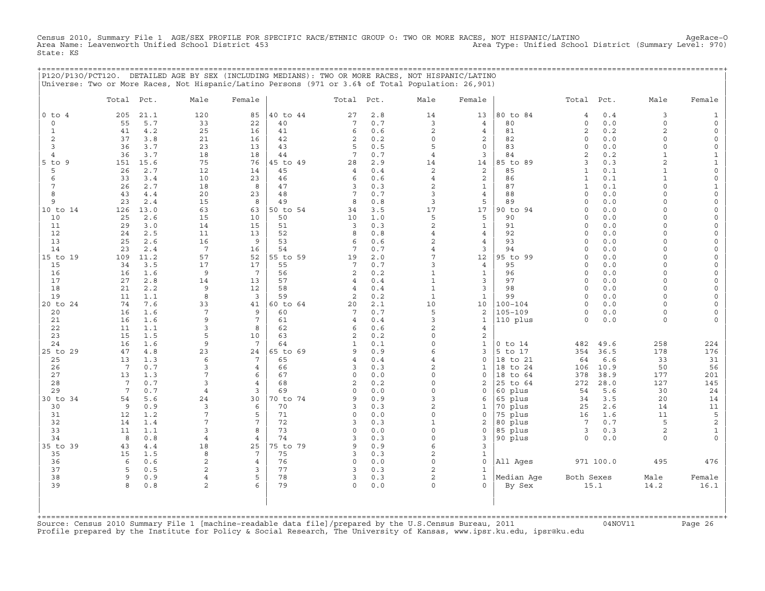Census 2010, Summary File 1 AGE/SEX PROFILE FOR SPECIFIC RACE/ETHNIC GROUP O: TWO OR MORE RACES, NOT HISPANIC/LATINO AgeRace-O<br>Area Name: Leavenworth Unified School District 453 State: KS

|                |                       |             | P12O/P13O/PCT12O. DETAILED AGE BY SEX (INCLUDING MEDIANS): TWO OR MORE RACES, NOT HISPANIC/LATINO  |                     |                |                |            |                            |                      | ;======================             |                      |              |               |              |
|----------------|-----------------------|-------------|----------------------------------------------------------------------------------------------------|---------------------|----------------|----------------|------------|----------------------------|----------------------|-------------------------------------|----------------------|--------------|---------------|--------------|
|                |                       |             | Universe: Two or More Races, Not Hispanic/Latino Persons (971 or 3.6% of Total Population: 26,901) |                     |                |                |            |                            |                      |                                     |                      |              |               |              |
|                | Total Pct.            |             | Male                                                                                               | Female              |                | Total Pct.     |            | Male                       | Female               |                                     | Total Pct.           |              | Male          | Female       |
| $0$ to $4$     | 205                   | 21.1        | 120                                                                                                | 85                  | 40 to 44       | 27             | 2.8        | 14                         | 13                   | 80 to 84                            | 4                    | 0.4          | 3             |              |
| $\circ$        | 55                    | 5.7         | 33                                                                                                 | 22                  | 40             | 7              | 0.7        | 3                          | 4                    | 80                                  | $\mathbf 0$          | 0.0          | $\mathbf 0$   | $\Omega$     |
| 1              | 41                    | 4.2         | 25                                                                                                 | 16                  | 41             | 6              | 0.6        | $\overline{a}$<br>$\Omega$ | 4                    | 81                                  | 2<br>$\Omega$        | 0.2          | 2<br>$\Omega$ |              |
| 2<br>3         | 37<br>36              | 3.8<br>3.7  | 21<br>23                                                                                           | 16<br>13            | 42<br>43       | 2<br>5         | 0.2<br>0.5 | 5                          | 2<br>$\mathbf 0$     | 82<br>83                            | $\Omega$             | 0.0<br>0.0   | $\Omega$      | $\circ$      |
| $\overline{4}$ | 36                    | 3.7         | 18                                                                                                 | 18                  | 44             | 7              | 0.7        | $\overline{4}$             | 3                    | 84                                  | $\mathfrak{D}$       | 0.2          | $\mathbf{1}$  | $\mathbf{1}$ |
| 5 to 9         | 151                   | 15.6        | 75                                                                                                 | 76                  | 45 to 49       | 28             | 2.9        | 14                         | 14                   | 85 to 89                            | 3                    | 0.3          | 2             | 1            |
| 5              | 26                    | 2.7         | 12                                                                                                 | 14                  | 45             | 4              | 0.4        | 2                          | 2                    | 85                                  | 1                    | 0.1          | 1             | $\Omega$     |
| 6              | 33                    | 3.4         | 10                                                                                                 | 23                  | 46             | 6              | 0.6        | $\overline{4}$             | 2                    | 86                                  | $\mathbf{1}$         | 0.1          | $\mathbf{1}$  | $\Omega$     |
| 7              | 26                    | 2.7         | 18                                                                                                 | 8                   | 47             | 3              | 0.3        | 2                          | $\mathbf{1}$         | 87                                  | $\mathbf{1}$         | 0.1          | $\cap$        |              |
| 8<br>9         | 43<br>23              | 4.4         | 20                                                                                                 | 23                  | 48<br>49       | 7<br>8         | 0.7<br>0.8 | 3<br>3                     | 4<br>5               | 88<br>89                            | $\Omega$<br>$\Omega$ | 0.0<br>0.0   |               |              |
| 10 to 14       | 126                   | 2.4<br>13.0 | 15<br>63                                                                                           | 8<br>63             | 50 to 54       | 34             | 3.5        | 17                         | 17                   | 90 to 94                            | $\Omega$             | 0.0          |               |              |
| 10             | 25                    | 2.6         | 15                                                                                                 | 10                  | 50             | 10             | 1.0        | 5                          | 5                    | 90                                  | $\Omega$             | 0.0          | $\Omega$      |              |
| 11             | 29                    | 3.0         | 14                                                                                                 | 15                  | 51             | $\overline{3}$ | 0.3        | 2                          | $\mathbf{1}$         | 91                                  | $\Omega$             | 0.0          | $\cap$        |              |
| 12             | 24                    | 2.5         | 11                                                                                                 | 13                  | 52             | 8              | 0.8        | 4                          | 4                    | 92                                  | $\Omega$             | 0.0          |               |              |
| 13             | 25                    | 2.6         | 16                                                                                                 | 9                   | 53             | 6              | 0.6        | $\overline{2}$             | $\overline{4}$       | 93                                  | $\Omega$             | 0.0          |               |              |
| 14             | 23                    | 2.4         | $7\phantom{.0}$                                                                                    | 16                  | 54             | 7              | 0.7        | $\overline{4}$             | 3                    | 94                                  | $\Omega$             | 0.0          | $\Omega$      | $\Omega$     |
| 15 to 19       | 109<br>34             | 11.2<br>3.5 | 57<br>17                                                                                           | 52<br>17            | 55 to 59<br>55 | 19<br>7        | 2.0<br>0.7 | 7<br>3                     | 12<br>$\overline{4}$ | 95 to 99<br>95                      | $\Omega$<br>$\Omega$ | 0.0<br>0.0   | $\cap$        |              |
| 15<br>16       | 16                    | 1.6         | 9                                                                                                  | $7\overline{ }$     | 56             | 2              | 0.2        | $\mathbf{1}$               | $\mathbf{1}$         | 96                                  | $\Omega$             | 0.0          |               |              |
| 17             | 27                    | 2.8         | 14                                                                                                 | 13                  | 57             | 4              | 0.4        | $\mathbf{1}$               | 3                    | 97                                  | $\Omega$             | 0.0          |               |              |
| 18             | 21                    | 2.2         | 9                                                                                                  | 12                  | 58             | 4              | 0.4        | $\mathbf{1}$               | 3                    | 98                                  | $\Omega$             | 0.0          | $\cap$        |              |
| 19             | 11                    | 1.1         | 8                                                                                                  | $\overline{3}$      | 59             | 2              | 0.2        | $\mathbf{1}$               | $\mathbf{1}$         | 99                                  | $\Omega$             | 0.0          | $\Omega$      |              |
| 20 to 24       | 74                    | 7.6         | 33                                                                                                 | 41                  | 60 to 64       | 20             | 2.1        | 10                         | 10                   | $100 - 104$                         | $\Omega$             | 0.0          | $\cap$        |              |
| 20             | 16                    | 1.6         | 7                                                                                                  | 9                   | 60             | 7              | 0.7        | 5                          | 2                    | $105 - 109$                         | $\Omega$             | 0.0          | $\Omega$      |              |
| 21<br>22       | 16<br>11              | 1.6<br>1.1  | 9<br>3                                                                                             | 7<br>8              | 61<br>62       | 4<br>6         | 0.4<br>0.6 | 3<br>$\overline{2}$        | $\mathbf{1}$<br>4    | 110 plus                            | $\Omega$             | 0.0          | $\Omega$      |              |
| 23             | 15                    | 1.5         | 5                                                                                                  | 10                  | 63             | 2              | 0.2        | $\Omega$                   | 2                    |                                     |                      |              |               |              |
| 24             | 16                    | 1.6         | 9                                                                                                  | $7\phantom{.0}$     | 64             | 1              | 0.1        | $\Omega$                   | $\mathbf{1}$         | $0$ to $14$                         | 482                  | 49.6         | 258           | 224          |
| 25 to 29       | 47                    | 4.8         | 23                                                                                                 | 24                  | 65 to 69       | 9              | 0.9        | 6                          | 3                    | 5 to 17                             | 354                  | 36.5         | 178           | 176          |
| 25             | 13                    | 1.3         | 6                                                                                                  | $7\phantom{.0}$     | 65             | 4              | 0.4        | 4                          | $\mathbf 0$          | 18 to 21                            | 64                   | 6.6          | 33            | 31           |
| 26             | $7\phantom{.0}$       | 0.7         | 3                                                                                                  | 4                   | 66             | 3              | 0.3        | $\overline{a}$             | 1                    | 18 to 24                            | 106                  | 10.9         | 50            | 56           |
| 27<br>28       | 13<br>$7\phantom{.0}$ | 1.3<br>0.7  | 7<br>3                                                                                             | 6<br>$\overline{4}$ | 67<br>68       | $\circ$<br>2   | 0.0<br>0.2 | $\mathbf 0$<br>$\Omega$    | 0<br>2               | 18 to 64<br>25 to 64                | 378<br>272           | 38.9<br>28.0 | 177<br>127    | 201<br>145   |
| 29             | $7\phantom{.0}$       | 0.7         | $\overline{4}$                                                                                     | 3                   | 69             | $\Omega$       | 0.0        | $\Omega$                   | $\Omega$             | 60 plus                             | 54                   | 5.6          | 30            | 24           |
| 30 to 34       | 54                    | 5.6         | 24                                                                                                 | 30                  | 70 to 74       | 9              | 0.9        | 3                          | 6                    | 65 plus                             | 34                   | 3.5          | 20            | 14           |
| 30             | 9                     | 0.9         | 3                                                                                                  | 6                   | 70             | 3              | 0.3        | $\overline{2}$             | $\mathbf{1}$         | 70 plus                             | 25                   | 2.6          | 14            | 11           |
| 31             | 12                    | 1.2         | 7                                                                                                  | 5                   | 71             | $\circ$        | 0.0        | $\Omega$                   | 0                    | 75 plus                             | 16                   | 1.6          | 11            | 5            |
| 32             | 14                    | 1.4         | 7                                                                                                  | 7                   | 72             | 3              | 0.3        | $\mathbf{1}$               | 2                    | 80 plus                             | $7\overline{ }$      | 0.7          | 5             | 2            |
| 33<br>34       | 11<br>8               | 1.1<br>0.8  | 3                                                                                                  | 8<br>4              | 73<br>74       | $\Omega$<br>3  | 0.0<br>0.3 | $\Omega$<br>$\Omega$       | $\mathbf 0$<br>3     | 85 plus                             | 3<br>$\Omega$        | 0.3<br>0.0   | 2<br>$\Omega$ | 1            |
| 35 to 39       | 43                    | 4.4         | 4<br>18                                                                                            | 25                  | 75 to 79       | 9              | 0.9        | 6                          | 3                    | 90 plus                             |                      |              |               |              |
| 35             | 15                    | 1.5         | 8                                                                                                  | 7                   | 75             | 3              | 0.3        | $\overline{c}$             | $\mathbf{1}$         |                                     |                      |              |               |              |
| 36             | 6                     | 0.6         | $\overline{c}$                                                                                     | $\overline{4}$      | 76             | $\circ$        | 0.0        | $\Omega$                   | $\mathsf{O}\xspace$  | All Ages                            |                      | 971 100.0    | 495           | 476          |
| 37             | 5                     | 0.5         | 2                                                                                                  | 3                   | 77             | 3              | 0.3        | $\overline{a}$             | $\mathbf{1}$         |                                     |                      |              |               |              |
| 38             | 9                     | 0.9         | 4                                                                                                  | 5                   | 78             | 3              | 0.3        | 2                          | $\mathbf{1}$         | Median Aqe                          | Both Sexes           |              | Male          | Female       |
| 39             | 8                     | 0.8         | $\overline{2}$                                                                                     | 6                   | 79             | $\Omega$       | 0.0        | $\circ$                    | $\Omega$             | By Sex                              |                      | 15.1         | 14.2          | 16.1         |
|                |                       |             |                                                                                                    |                     |                |                |            |                            |                      |                                     |                      |              |               |              |
|                |                       |             |                                                                                                    |                     |                |                |            |                            |                      |                                     |                      |              |               |              |
|                |                       |             |                                                                                                    |                     |                |                |            |                            |                      | . ================================= |                      |              |               |              |

+===================================================================================================================================================+Source: Census 2010 Summary File 1 [machine−readable data file]/prepared by the U.S.Census Bureau, 2011 04NOV11 Page 26 Profile prepared by the Institute for Policy & Social Research, The University of Kansas, www.ipsr.ku.edu, ipsr@ku.edu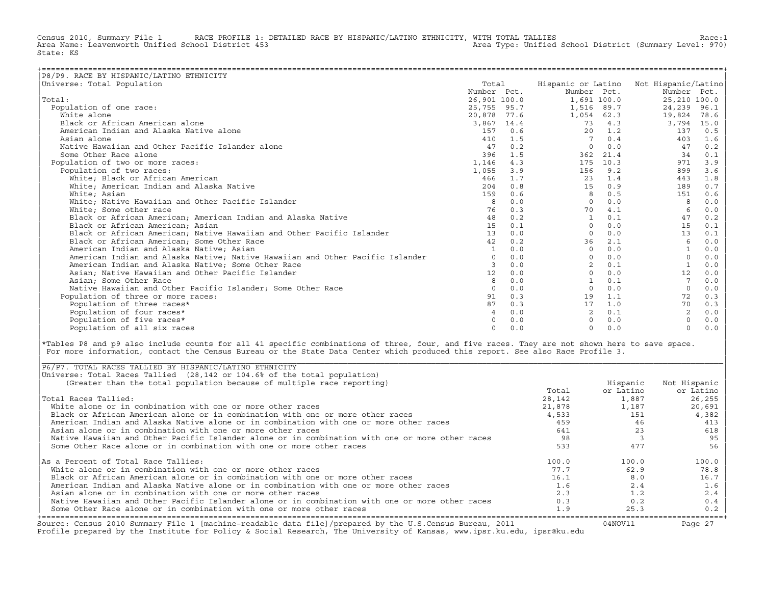Census 2010, Summary File 1 RACE PROFILE 1: DETAILED RACE BY HISPANIC/LATINO ETHNICITY, WITH TOTAL TALLIES Race:1<br>Area Name: Leavenworth Unified School District 453 area Type: Unified School District (Summary Level: 970) Area Type: Unified School District (Summary Level: 970) State: KS

| P8/P9. RACE BY HISPANIC/LATINO ETHNICITY                                      |                 |         |                 |          |                                        |      |
|-------------------------------------------------------------------------------|-----------------|---------|-----------------|----------|----------------------------------------|------|
| Universe: Total Population                                                    | Total           |         |                 |          | Hispanic or Latino Not Hispanic/Latino |      |
|                                                                               | Number Pct.     |         | Number Pct.     |          | Number Pct.                            |      |
| Total:                                                                        | 26,901 100.0    |         | 1,691 100.0     |          | 25,210 100.0                           |      |
| Population of one race:                                                       | 25,755 95.7     |         | 1,516 89.7      |          | 24,239                                 | 96.1 |
| White alone                                                                   | 20,878 77.6     |         | 1,054 62.3      |          | 19,824                                 | 78.6 |
| Black or African American alone                                               | 3,867 14.4      |         | 73              | 4.3      | 3,794                                  | 15.0 |
| American Indian and Alaska Native alone                                       |                 | 157 0.6 | 20              | 1.2      | 137                                    | 0.5  |
| Asian alone                                                                   | 410             | 1.5     | $7\phantom{.0}$ | 0.4      | 403                                    | 1.6  |
| Native Hawaiian and Other Pacific Islander alone                              | 47              | 0.2     | $\Omega$        | 0.0      | 47                                     | 0.2  |
| Some Other Race alone                                                         | 396             | 1.5     | 362             | 21.4     | 34                                     | 0.1  |
| Population of two or more races:                                              | 1,146           | 4.3     |                 | 175 10.3 | 971                                    | 3.9  |
| Population of two races:                                                      | 1,055           | 3.9     | 156             | 9.2      | 899                                    | 3.6  |
| White: Black or African American                                              | 466             | 1.7     | 23              | 1.4      | 443                                    | 1.8  |
| White; American Indian and Alaska Native                                      | 204             | 0.8     | 15              | 0.9      | 189                                    | 0.7  |
| White; Asian                                                                  | 159             | 0.6     | 8               | 0.5      | 151                                    | 0.6  |
| White; Native Hawaiian and Other Pacific Islander                             | 8               | 0.0     | $\Omega$        | 0.0      |                                        | 0.0  |
| White; Some other race                                                        | 76              | 0.3     | 70              | 4.1      |                                        | 0.0  |
| Black or African American; American Indian and Alaska Native                  | 48              | 0.2     | <sup>1</sup>    | 0.1      | 47                                     | 0.2  |
| Black or African American; Asian                                              | 15              | 0.1     | $\Omega$        | 0.0      | 15                                     | 0.1  |
| Black or African American; Native Hawaiian and Other Pacific Islander         | 13 <sup>1</sup> | 0.0     | $\Omega$        | 0.0      | 13                                     | 0.1  |
| Black or African American; Some Other Race                                    | 42              | 0.2     | 36              | 2.1      | -6                                     | 0.0  |
| American Indian and Alaska Native; Asian                                      | $\mathbf{1}$    | 0.0     | $\Omega$        | 0.0      |                                        | 0.0  |
| American Indian and Alaska Native; Native Hawaiian and Other Pacific Islander | $\Omega$        | 0.0     | $\Omega$        | 0.0      | $\mathbf 0$                            | 0.0  |
| American Indian and Alaska Native; Some Other Race                            | 3               | 0.0     |                 | 0.1      |                                        | 0.0  |
| Asian; Native Hawaiian and Other Pacific Islander                             | 12              | 0.0     | $\cap$          | 0.0      | 12                                     | 0.0  |
| Asian; Some Other Race                                                        | 8               | 0.0     |                 | 0.1      |                                        | 0.0  |
| Native Hawaiian and Other Pacific Islander; Some Other Race                   |                 | 0.0     | $\Omega$        | 0.0      | $\Omega$                               | 0.0  |
| Population of three or more races:                                            | 91              | 0.3     | 19              | 1.1      | 72                                     | 0.3  |
| Population of three races*                                                    | 87              | 0.3     | 17              | 1.0      | 70                                     | 0.3  |
| Population of four races*                                                     | $\overline{4}$  | 0.0     | $\overline{2}$  | 0.1      | 2                                      | 0.0  |
| Population of five races*                                                     |                 | 0.0     |                 | 0.0      |                                        | 0.0  |
| Population of all six races                                                   | $\Omega$        | 0.0     | $\Omega$        | 0.0      | $\Omega$                               | 0.0  |

|\*Tables P8 and p9 also include counts for all 41 specific combinations of three, four, and five races. They are not shown here to save space. | For more information, contact the Census Bureau or the State Data Center which produced this report. See also Race Profile 3.

| |

|\_\_\_\_\_\_\_\_\_\_\_\_\_\_\_\_\_\_\_\_\_\_\_\_\_\_\_\_\_\_\_\_\_\_\_\_\_\_\_\_\_\_\_\_\_\_\_\_\_\_\_\_\_\_\_\_\_\_\_\_\_\_\_\_\_\_\_\_\_\_\_\_\_\_\_\_\_\_\_\_\_\_\_\_\_\_\_\_\_\_\_\_\_\_\_\_\_\_\_\_\_\_\_\_\_\_\_\_\_\_\_\_\_\_\_\_\_\_\_\_\_\_\_\_\_\_\_\_\_\_\_\_\_\_\_\_\_\_\_\_\_\_\_\_\_\_\_|

| Source: Census 2010 Summary File 1 [machine-readable data file]/prepared by the U.S.Census Bureau, 2011<br>Profile prepared by the Institute for Policy & Social Research, The University of Kansas, www.ipsr.ku.edu, ipsr@ku.edu |        | 04NOV11   | Page 27      |
|-----------------------------------------------------------------------------------------------------------------------------------------------------------------------------------------------------------------------------------|--------|-----------|--------------|
| Some Other Race alone or in combination with one or more other races                                                                                                                                                              | 1.9    | 25.3      | 0.2          |
| Native Hawaiian and Other Pacific Islander alone or in combination with one or more other races                                                                                                                                   | 0.3    | 0.2       | 0.4          |
| Asian alone or in combination with one or more other races                                                                                                                                                                        | 2.3    | 1.2       | 2.4          |
| American Indian and Alaska Native alone or in combination with one or more other races                                                                                                                                            | 1.6    | 2.4       | 1.6          |
| Black or African American alone or in combination with one or more other races                                                                                                                                                    | 16.1   | 8.0       | 16.7         |
| White alone or in combination with one or more other races                                                                                                                                                                        | 77.7   | 62.9      | 78.8         |
| As a Percent of Total Race Tallies:                                                                                                                                                                                               | 100.0  | 100.0     | 100.0        |
| Some Other Race alone or in combination with one or more other races                                                                                                                                                              | 533    | 477       | 56           |
| Native Hawaiian and Other Pacific Islander alone or in combination with one or more other races                                                                                                                                   | 98     |           | 95           |
| Asian alone or in combination with one or more other races                                                                                                                                                                        | 641    | 23        | 618          |
| American Indian and Alaska Native alone or in combination with one or more other races                                                                                                                                            | 459    | 46        | 413          |
| Black or African American alone or in combination with one or more other races                                                                                                                                                    | 4,533  | 151       | 4,382        |
| White alone or in combination with one or more other races                                                                                                                                                                        | 21,878 | 1,187     | 20,691       |
| Total Races Tallied:                                                                                                                                                                                                              | 28,142 | 1,887     | 26,255       |
|                                                                                                                                                                                                                                   | Total  | or Latino | or Latino    |
| (Greater than the total population because of multiple race reporting)                                                                                                                                                            |        | Hispanic  | Not Hispanic |
| Universe: Total Races Tallied (28,142 or 104.6% of the total population)                                                                                                                                                          |        |           |              |
| P6/P7. TOTAL RACES TALLIED BY HISPANIC/LATINO ETHNICITY                                                                                                                                                                           |        |           |              |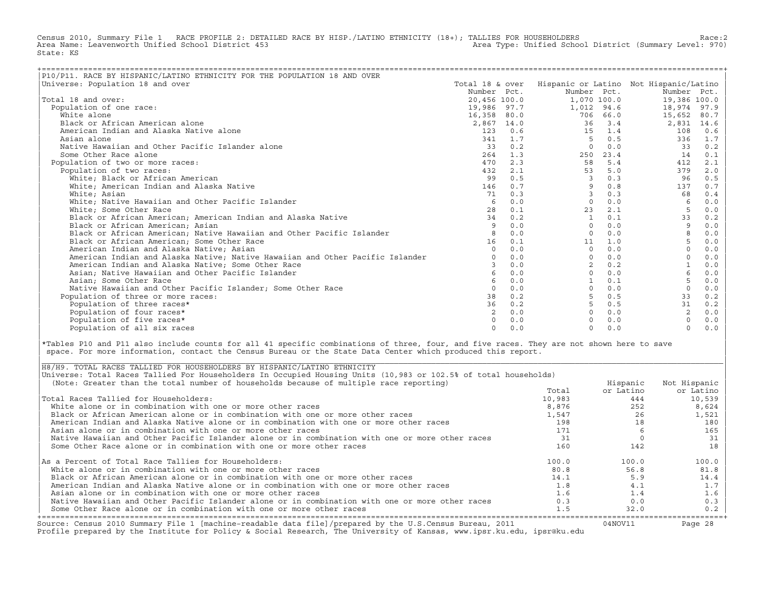Census 2010, Summary File 1 RACE PROFILE 2: DETAILED RACE BY HISP./LATINO ETHNICITY (18+); TALLIES FOR HOUSEHOLDERS Race:2<br>Area Name: Leavenworth Unified School District 453 Area Type: Unified School District (Summary Level: 970) State: KS

| P10/P11. RACE BY HISPANIC/LATINO ETHNICITY FOR THE POPULATION 18 AND OVER     |                |           |              |             |                                                        |       |
|-------------------------------------------------------------------------------|----------------|-----------|--------------|-------------|--------------------------------------------------------|-------|
| Universe: Population 18 and over                                              |                |           |              |             | Total 18 & over Hispanic or Latino Not Hispanic/Latino |       |
|                                                                               | Number Pct.    |           | Number Pct.  |             | Number Pct.                                            |       |
| Total 18 and over:                                                            | 20,456 100.0   |           |              | 1,070 100.0 | 19,386 100.0                                           |       |
| Population of one race:                                                       | 19,986 97.7    |           | 1,012 94.6   |             | 18,974                                                 | 97.9  |
| White alone                                                                   | 16,358 80.0    |           |              | 706 66.0    | 15,652                                                 | 80.7  |
| Black or African American alone                                               | 2,867 14.0     |           | 36           | 3.4         | 2,831                                                  | 14.6  |
| American Indian and Alaska Native alone                                       |                | 1230.6    | 15           | 1.4         | 108                                                    | 0.6   |
| Asian alone                                                                   |                | 341 1.7   | -5           | 0.5         | 336                                                    | 1.7   |
| Native Hawaiian and Other Pacific Islander alone                              | 33             | 0.2       | $\Omega$     | 0.0         | 33                                                     | 0.2   |
| Some Other Race alone                                                         |                | $264$ 1.3 | 250          | 23.4        | 14                                                     | 0.1   |
| Population of two or more races:                                              | 470            | 2.3       | 58           | 5.4         | 412                                                    | 2.1   |
| Population of two races:                                                      | 432            | 2.1       | 53           | 5.0         | 379                                                    | 2.0   |
| White; Black or African American                                              | 99             | 0.5       | 3            | 0.3         | 96                                                     | 0.5   |
| White; American Indian and Alaska Native                                      | 146            | 0.7       | 9            | 0.8         | 137                                                    | 0.7   |
| White; Asian                                                                  | 71             | 0.3       | 3            | 0.3         | 68                                                     | 0.4   |
| White; Native Hawaiian and Other Pacific Islander                             | -6             | 0.0       | $\Omega$     | 0.0         | 6                                                      | 0.0   |
| White; Some Other Race                                                        | 28             | 0.1       | 23           | 2.1         | 5                                                      | 0.0   |
| Black or African American; American Indian and Alaska Native                  | 34             | 0.2       | $\mathbf{1}$ | 0.1         | 33                                                     | 0.2   |
| Black or African American; Asian                                              | -9             | 0.0       | $\Omega$     | 0.0         | 9                                                      | 0.0   |
| Black or African American; Native Hawaiian and Other Pacific Islander         |                | 0.0       | $\Omega$     | 0.0         | 8                                                      | 0.0   |
| Black or African American; Some Other Race                                    | 16             | 0.1       | 11           | 1.0         | 5                                                      | 0.0   |
| American Indian and Alaska Native; Asian                                      |                | 0.0       | $\Omega$     | 0.0         |                                                        | 0.0   |
| American Indian and Alaska Native; Native Hawaiian and Other Pacific Islander |                | 0.0       | $\Omega$     | 0.0         |                                                        | 0.0   |
| American Indian and Alaska Native; Some Other Race                            | $\mathcal{F}$  | 0.0       | 2            | 0.2         |                                                        | 0.0   |
| Asian; Native Hawaiian and Other Pacific Islander                             | 6              | 0.0       | $\Omega$     | 0.0         | 6                                                      | 0.0   |
| Asian; Some Other Race                                                        |                | 0.0       |              | 0.1         |                                                        | 0.0   |
| Native Hawaiian and Other Pacific Islander: Some Other Race                   | $\Omega$       | 0.0       | $\Omega$     | 0.0         |                                                        | 0.0   |
| Population of three or more races:                                            | 38             | 0.2       |              | 0.5         | 33                                                     | 0.2   |
| Population of three races*                                                    | 36             | 0.2       | 5            | 0.5         | 31                                                     | 0.2   |
| Population of four races*                                                     | $\overline{2}$ | 0.0       | $\cap$       | 0.0         | 2                                                      | 0.0   |
| Population of five races*                                                     |                | 0.0       | $\Omega$     | 0.0         |                                                        | $0.0$ |
| Population of all six races                                                   | $\cap$         | 0.0       | $\Omega$     | 0.0         | $\Omega$                                               | 0.0   |

|\*Tables P10 and P11 also include counts for all 41 specific combinations of three, four, and five races. They are not shown here to save | space. For more information, contact the Census Bureau or the State Data Center which produced this report.

| Source: Census 2010 Summary File 1 [machine-readable data file]/prepared by the U.S.Census Bureau, 2011<br>Profile prepared by the Institute for Policy & Social Research, The University of Kansas, www.ipsr.ku.edu, ipsr@ku.edu |        | 04NOV11   | Page 28      |
|-----------------------------------------------------------------------------------------------------------------------------------------------------------------------------------------------------------------------------------|--------|-----------|--------------|
| Some Other Race alone or in combination with one or more other races                                                                                                                                                              | 1.5    | 32.0      | 0.2          |
| Native Hawaiian and Other Pacific Islander alone or in combination with one or more other races                                                                                                                                   | 0.3    | 0.0       | 0.3          |
| Asian alone or in combination with one or more other races                                                                                                                                                                        | 1.6    | 1.4       | 1.6          |
| American Indian and Alaska Native alone or in combination with one or more other races                                                                                                                                            | 1.8    | 4.1       | 1.7          |
| Black or African American alone or in combination with one or more other races                                                                                                                                                    | 14.1   | 5.9       | 14.4         |
| White alone or in combination with one or more other races                                                                                                                                                                        | 80.8   | 56.8      | 81.8         |
| As a Percent of Total Race Tallies for Householders:                                                                                                                                                                              | 100.0  | 100.0     | 100.0        |
| Some Other Race alone or in combination with one or more other races                                                                                                                                                              | 160    | 142       | 18           |
| Native Hawaiian and Other Pacific Islander alone or in combination with one or more other races                                                                                                                                   | 31     |           | 31           |
| Asian alone or in combination with one or more other races                                                                                                                                                                        | 171    |           | 165          |
| American Indian and Alaska Native alone or in combination with one or more other races                                                                                                                                            | 198    |           | 180          |
| Black or African American alone or in combination with one or more other races                                                                                                                                                    | 1,547  | 26        | 1,521        |
| White alone or in combination with one or more other races                                                                                                                                                                        | 8,876  | 252       | 8,624        |
| Total Races Tallied for Householders:                                                                                                                                                                                             | 10,983 | 444       | 10,539       |
|                                                                                                                                                                                                                                   | Total  | or Latino | or Latino    |
| (Note: Greater than the total number of households because of multiple race reporting)                                                                                                                                            |        | Hispanic  | Not Hispanic |
| Universe: Total Races Tallied For Householders In Occupied Housing Units (10,983 or 102.5% of total households)                                                                                                                   |        |           |              |
| H8/H9. TOTAL RACES TALLIED FOR HOUSEHOLDERS BY HISPANIC/LATINO ETHNICITY                                                                                                                                                          |        |           |              |

| |

|\_\_\_\_\_\_\_\_\_\_\_\_\_\_\_\_\_\_\_\_\_\_\_\_\_\_\_\_\_\_\_\_\_\_\_\_\_\_\_\_\_\_\_\_\_\_\_\_\_\_\_\_\_\_\_\_\_\_\_\_\_\_\_\_\_\_\_\_\_\_\_\_\_\_\_\_\_\_\_\_\_\_\_\_\_\_\_\_\_\_\_\_\_\_\_\_\_\_\_\_\_\_\_\_\_\_\_\_\_\_\_\_\_\_\_\_\_\_\_\_\_\_\_\_\_\_\_\_\_\_\_\_\_\_\_\_\_\_\_\_\_\_\_\_\_\_\_|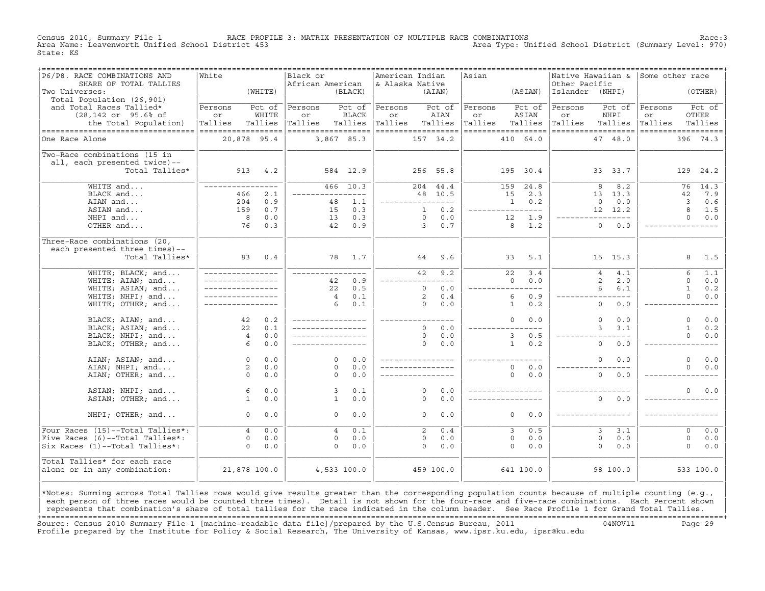Census 2010, Summary File 1 RACE PROFILE 3: MATRIX PRESENTATION OF MULTIPLE RACE COMBINATIONS Race:3 Area Type: Unified School District (Summary Level: 970) State: KS

| P6/P8. RACE COMBINATIONS AND<br>SHARE OF TOTAL TALLIES | White                             |            | Black or<br>African American |               | American Indian<br>& Alaska Native |                |            | Asian   | =================================== | Other Pacific   | Native Hawaiian &             | Some other race    |              |                                |
|--------------------------------------------------------|-----------------------------------|------------|------------------------------|---------------|------------------------------------|----------------|------------|---------|-------------------------------------|-----------------|-------------------------------|--------------------|--------------|--------------------------------|
| Two Universes:<br>Total Population (26,901)            |                                   | (WHITE)    |                              | (BLACK)       |                                    | (AIAN)         |            |         | (ASIAN)                             | Islander (NHPI) |                               |                    | (OTHER)      |                                |
| and Total Races Tallied*                               | Persons                           | Pct of     | Persons                      | Pct of        | Persons                            | Pct of         |            | Persons | Pct of                              | Persons         | Pct of                        | Persons            |              | Pct of                         |
| $(28, 142 \text{ or } 95.6\% \text{ of }$              | or                                | WHITE      | or                           | <b>BLACK</b>  | or                                 | AIAN           |            | or      | ASIAN                               | or              | NHPI                          | or                 | <b>OTHER</b> |                                |
| the Total Population)                                  | Tallies                           | Tallies    | Tallies                      | Tallies       | Tallies                            | Tallies        |            | Tallies | Tallies                             | Tallies         | Tallies                       | Tallies            | Tallies      |                                |
| ----------------------------------<br>One Race Alone   | ==================<br>20,878 95.4 |            | ------------------           | 3,867 85.3    | ------------------                 | 157 34.2       |            |         | ------------------<br>410 64.0      |                 | ==================<br>47 48.0 | ================== | 396 74.3     |                                |
| Two-Race combinations (15 in                           |                                   |            |                              |               |                                    |                |            |         |                                     |                 |                               |                    |              |                                |
| all, each presented twice)--                           |                                   |            |                              |               |                                    |                |            |         |                                     |                 |                               |                    |              |                                |
| Total Tallies*                                         |                                   | 913 4.2    |                              | 584 12.9      |                                    | 256 55.8       |            |         | 195 30.4                            |                 | 33 33.7                       |                    | 129          | 24.2                           |
| WHITE and                                              | ________________                  |            |                              | $466$ 10.3    |                                    | 204 44.4       |            |         | 159<br>24.8                         |                 | 8.2<br>8                      |                    | 76           | 14.3                           |
| BLACK and                                              | 466                               | 2.1        | -----------                  | $- - - -$     |                                    | 48 10.5        |            |         | 2.3<br>15                           |                 | 13 13.3                       |                    | 42           | 7.9                            |
| AIAN and                                               | 204                               | 0.9        | 48                           | 1.1           | _________________                  |                |            |         | $1 \t 0.2$                          |                 | 0.0<br>$\Omega$               |                    | 3            | 0.6                            |
| ASIAN and                                              | 159                               | 0.7        | 15                           | 0.3           |                                    | $\mathbf{1}$   | 0.2        |         | $- - - -$<br>$- - - -$              |                 | 12 12.2                       |                    | 8            | 1.5                            |
| NHPI and                                               | 8<br>76                           | 0.0<br>0.3 | 13<br>42                     | 0.3<br>0.9    |                                    | $\Omega$<br>3  | 0.0<br>0.7 |         | 12<br>1.9<br>8<br>1.2               |                 | ---------<br>$\Omega$<br>0.0  |                    | $\Omega$     | 0.0                            |
| OTHER and                                              |                                   |            |                              |               |                                    |                |            |         |                                     |                 |                               |                    |              |                                |
| Three-Race combinations (20,                           |                                   |            |                              |               |                                    |                |            |         |                                     |                 |                               |                    |              |                                |
| each presented three times)--                          |                                   |            |                              |               |                                    |                |            |         |                                     |                 |                               |                    |              |                                |
| Total Tallies*                                         | 83                                | 0.4        | 78                           | 1.7           |                                    | 44             | 9.6        |         | 5.1<br>33                           |                 | 15 15.3                       |                    | 8            | 1.5                            |
| WHITE; BLACK; and                                      | _________________                 |            | ____________                 | $\frac{1}{2}$ |                                    | 42             | 9.2        |         | $\overline{22}$<br>3.4              |                 | $\overline{4}$<br>4.1         |                    | 6            | 1.1                            |
| WHITE; AIAN; and                                       | _________________                 |            | 42                           | 0.9           |                                    |                | $---$      |         | 0.0<br>$\Omega$                     |                 | 2<br>2.0                      |                    | $\Omega$     | $0.0$                          |
| WHITE; ASIAN; and                                      |                                   |            | 22                           | 0.5           |                                    | $\Omega$       | 0.0        |         | $---$                               |                 | 6<br>6.1                      |                    | $\mathbf{1}$ | $\ensuremath{\text{o}}$ .<br>2 |
| WHITE; NHPI; and                                       |                                   |            | $\overline{4}$               | 0.1           |                                    | $\overline{a}$ | 0.4        |         | 6<br>0.9                            |                 | __________                    |                    | $\Omega$     | 0.0                            |
| WHITE; OTHER; and                                      | _________________                 |            | 6                            | 0.1           |                                    | $\Omega$       | 0.0        |         | $\mathbf{1}$<br>0.2                 |                 | $\circ$<br>0.0                |                    |              |                                |
| BLACK; AIAN; and                                       | 42                                | 0.2        |                              |               | ________________                   |                |            |         | $\Omega$<br>0.0                     |                 | $\Omega$<br>0.0               |                    | $\Omega$     | 0.0                            |
| BLACK; ASIAN; and                                      | 22                                | 0.1        |                              |               |                                    | $\Omega$       | 0.0        |         | $- - -$                             |                 | 3<br>3.1                      |                    | $\mathbf{1}$ | 0.2                            |
| BLACK; NHPI; and                                       | $\overline{4}$                    | 0.0        |                              |               |                                    | $\circ$        | 0.0        |         | $\overline{3}$<br>0.5               |                 |                               |                    | $\circ$      | 0.0                            |
| BLACK; OTHER; and                                      | 6                                 | 0.0        |                              |               |                                    | $\Omega$       | 0.0        |         | 0.2<br>$\mathbf{1}$                 |                 | $\Omega$<br>0.0               |                    |              |                                |
| AIAN; ASIAN; and                                       | $\circ$                           | 0.0        | $\Omega$                     | 0.0           | _________________                  |                |            |         |                                     |                 | 0.0<br>0                      |                    | $\Omega$     | 0.0                            |
| AIAN; NHPI; and                                        | 2                                 | 0.0        | $\Omega$                     | 0.0           |                                    |                |            |         | $\circ$<br>0.0                      |                 |                               |                    | $\Omega$     | 0.0                            |
| AIAN; OTHER; and                                       | $\Omega$                          | 0.0        | $\Omega$                     | 0.0           |                                    |                |            |         | $\Omega$<br>0.0                     |                 | $\Omega$<br>0.0               |                    |              |                                |
| ASIAN; NHPI; and                                       | 6                                 | 0.0        | 3                            | 0.1           |                                    | $\Omega$       | 0.0        |         |                                     |                 |                               |                    | $\Omega$     | 0.0                            |
| ASIAN; OTHER; and                                      | $\mathbf{1}$                      | 0.0        | $\mathbf{1}$                 | 0.0           |                                    | $\Omega$       | 0.0        |         |                                     |                 | $\Omega$<br>0.0               |                    |              |                                |
|                                                        |                                   |            |                              |               |                                    |                |            |         |                                     |                 |                               |                    |              |                                |
| NHPI; OTHER; and                                       | $\Omega$                          | 0.0        | $\Omega$                     | 0.0           |                                    | $\Omega$       | 0.0        |         | $\Omega$<br>0.0                     |                 |                               |                    |              |                                |
| Four Races (15)--Total Tallies*:                       | $\overline{4}$                    | 0.0        | $\overline{4}$               | 0.1           |                                    | $\overline{a}$ | 0.4        |         | 3<br>0.5                            |                 | 3<br>3.1                      |                    | $\Omega$     | 0.0                            |
| Five Races (6)--Total Tallies*:                        | $\circ$                           | 0.0        | $\circ$                      | 0.0           |                                    | 0              | 0.0        |         | $\mathbf 0$<br>0.0                  |                 | $\mathbf 0$<br>0.0            |                    | $\circ$      | 0.0                            |
| Six Races (1)--Total Tallies*:                         | $\Omega$                          | 0.0        | $\Omega$                     | 0.0           |                                    | $\Omega$       | 0.0        |         | $\Omega$<br>0.0                     |                 | $\Omega$<br>0.0               |                    | $\Omega$     | 0.0                            |
| Total Tallies* for each race                           |                                   |            |                              |               |                                    |                |            |         |                                     |                 |                               |                    |              |                                |
| alone or in any combination:                           | 21,878 100.0                      |            |                              | 4,533 100.0   |                                    | 459 100.0      |            |         | 641 100.0                           |                 | 98 100.0                      |                    | 533 100.0    |                                |
|                                                        |                                   |            |                              |               |                                    |                |            |         |                                     |                 |                               |                    |              |                                |

|\*Notes: Summing across Total Tallies rows would give results greater than the corresponding population counts because of multiple counting (e.g., | each person of three races would be counted three times). Detail is not shown for the four-race and five-race combinations. Each Percent shown represents that combination's share of total tallies for the race indicated in the column header. See Race Profile 1 for Grand Total Tallies. +===================================================================================================================================================+ Source: Census 2010 Summary File 1 [machine−readable data file]/prepared by the U.S.Census Bureau, 2011 04NOV11 Page 29 Profile prepared by the Institute for Policy & Social Research, The University of Kansas, www.ipsr.ku.edu, ipsr@ku.edu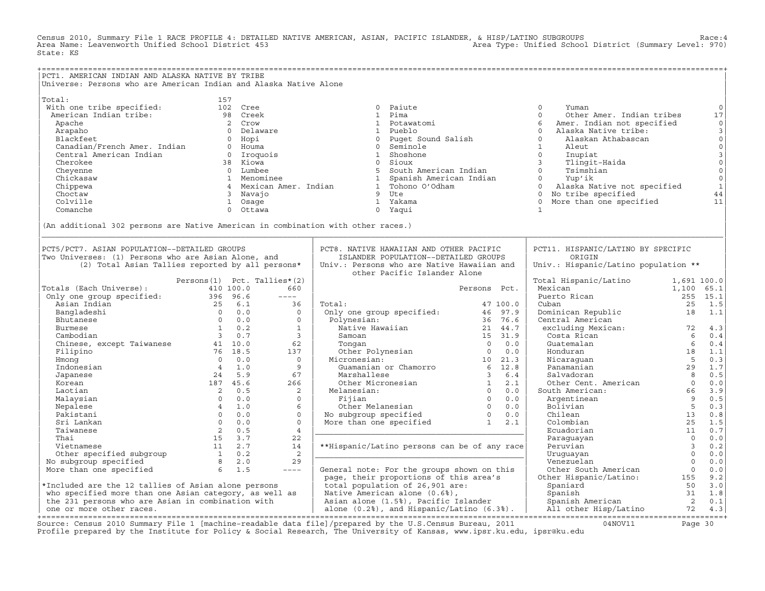Census 2010, Summary File 1 RACE PROFILE 4: DETAILED NATIVE AMERICAN, ASIAN, PACIFIC ISLANDER, & HISP/LATINO SUBGROUPS<br>Area Name: Leavenworth Unified School District 453 State: KS

| PCT1. AMERICAN INDIAN AND ALASKA NATIVE BY TRIBE<br>Universe: Persons who are American Indian and Alaska Native Alone<br>Christmas (Parameterical Material 1972)<br>Total, the christmas (Mathemas II) (1972)<br>Mathemas Indian tribes and tribes in the specified of the specified of the specified of the specified of the specified of the specified of      |  |
|------------------------------------------------------------------------------------------------------------------------------------------------------------------------------------------------------------------------------------------------------------------------------------------------------------------------------------------------------------------|--|
|                                                                                                                                                                                                                                                                                                                                                                  |  |
|                                                                                                                                                                                                                                                                                                                                                                  |  |
|                                                                                                                                                                                                                                                                                                                                                                  |  |
|                                                                                                                                                                                                                                                                                                                                                                  |  |
|                                                                                                                                                                                                                                                                                                                                                                  |  |
|                                                                                                                                                                                                                                                                                                                                                                  |  |
|                                                                                                                                                                                                                                                                                                                                                                  |  |
|                                                                                                                                                                                                                                                                                                                                                                  |  |
|                                                                                                                                                                                                                                                                                                                                                                  |  |
|                                                                                                                                                                                                                                                                                                                                                                  |  |
|                                                                                                                                                                                                                                                                                                                                                                  |  |
|                                                                                                                                                                                                                                                                                                                                                                  |  |
|                                                                                                                                                                                                                                                                                                                                                                  |  |
|                                                                                                                                                                                                                                                                                                                                                                  |  |
|                                                                                                                                                                                                                                                                                                                                                                  |  |
|                                                                                                                                                                                                                                                                                                                                                                  |  |
|                                                                                                                                                                                                                                                                                                                                                                  |  |
|                                                                                                                                                                                                                                                                                                                                                                  |  |
|                                                                                                                                                                                                                                                                                                                                                                  |  |
|                                                                                                                                                                                                                                                                                                                                                                  |  |
|                                                                                                                                                                                                                                                                                                                                                                  |  |
|                                                                                                                                                                                                                                                                                                                                                                  |  |
| PCT5/PCT7. ASIAN POPULATION--DETAILED GROUPS<br>PCT8. NATIVE HAWAIIAN AND OTHER PACIFIC<br>PCT11. HISPANIC/LATINO BY SPECIFIC                                                                                                                                                                                                                                    |  |
| ISLANDER POPULATION--DETAILED GROUPS<br>Two Universes: (1) Persons who are Asian Alone, and<br>ORIGIN                                                                                                                                                                                                                                                            |  |
| (2) Total Asian Tallies reported by all persons*<br>Univ.: Hispanic/Latino population **<br>Univ.: Persons who are Native Hawaiian and                                                                                                                                                                                                                           |  |
| other Pacific Islander Alone                                                                                                                                                                                                                                                                                                                                     |  |
| Persons(1) Pct. Tallies*(2)                                                                                                                                                                                                                                                                                                                                      |  |
| Persons Pct.                                                                                                                                                                                                                                                                                                                                                     |  |
| Total Hispanic/Latino 1,691 100.0<br>Mexican 1,100 65.1<br>Puerto Rican 25 15.1<br>Cuban 25 15.1<br>Fotals (Each Universe):<br>0nly one group specified:<br>Asian Indian<br>Bangladeshi<br>Bangladeshi<br>Butanese<br>25 6.1 36<br>26 6.0<br>Butanese<br>26 6.1 36<br>27 6.1 36<br>27 6 10.2 1<br>Cambodian<br>Chinese, except Taiwanese<br>27 6 13.5<br>29 76 1 |  |
| $\begin{array}{lll} \text{1.3.1} & \text{2.3.1.5} \\ \text{Domain} & \text{2.5.1.5} \\ \text{Central American} & \text{exclusion} & \text{1.1} \end{array}$<br>Total:<br>47 100.0                                                                                                                                                                                |  |
|                                                                                                                                                                                                                                                                                                                                                                  |  |
|                                                                                                                                                                                                                                                                                                                                                                  |  |
|                                                                                                                                                                                                                                                                                                                                                                  |  |
|                                                                                                                                                                                                                                                                                                                                                                  |  |
|                                                                                                                                                                                                                                                                                                                                                                  |  |
|                                                                                                                                                                                                                                                                                                                                                                  |  |
|                                                                                                                                                                                                                                                                                                                                                                  |  |
|                                                                                                                                                                                                                                                                                                                                                                  |  |
|                                                                                                                                                                                                                                                                                                                                                                  |  |
|                                                                                                                                                                                                                                                                                                                                                                  |  |
|                                                                                                                                                                                                                                                                                                                                                                  |  |
| 17 100.0<br>17 100.0<br>27 100.0<br>21 100.0<br>21 16 97.9<br>21 14 7<br>27 16 16 17<br>27 16 16 17<br>21 14 16 17<br>21 16 17<br>21 15 31.9<br>21 15 31.9<br>21 15 31.9<br>21 15 31.9<br>21 16 17 10<br>21.3<br>Guamanian or Chamorro<br>21 16 22.8<br>Marshalles                                                                                               |  |
|                                                                                                                                                                                                                                                                                                                                                                  |  |
|                                                                                                                                                                                                                                                                                                                                                                  |  |
|                                                                                                                                                                                                                                                                                                                                                                  |  |
|                                                                                                                                                                                                                                                                                                                                                                  |  |
|                                                                                                                                                                                                                                                                                                                                                                  |  |
|                                                                                                                                                                                                                                                                                                                                                                  |  |
|                                                                                                                                                                                                                                                                                                                                                                  |  |
|                                                                                                                                                                                                                                                                                                                                                                  |  |
|                                                                                                                                                                                                                                                                                                                                                                  |  |
|                                                                                                                                                                                                                                                                                                                                                                  |  |
|                                                                                                                                                                                                                                                                                                                                                                  |  |
|                                                                                                                                                                                                                                                                                                                                                                  |  |
|                                                                                                                                                                                                                                                                                                                                                                  |  |
|                                                                                                                                                                                                                                                                                                                                                                  |  |
|                                                                                                                                                                                                                                                                                                                                                                  |  |
|                                                                                                                                                                                                                                                                                                                                                                  |  |

Source: Census 2010 Summary File 1 [machine-readable data file]/prepared by the U.S.Census Bureau, 2011 Page 30<br>Profile prepared by the Institute for Policy & Social Research, The University of Kansas, www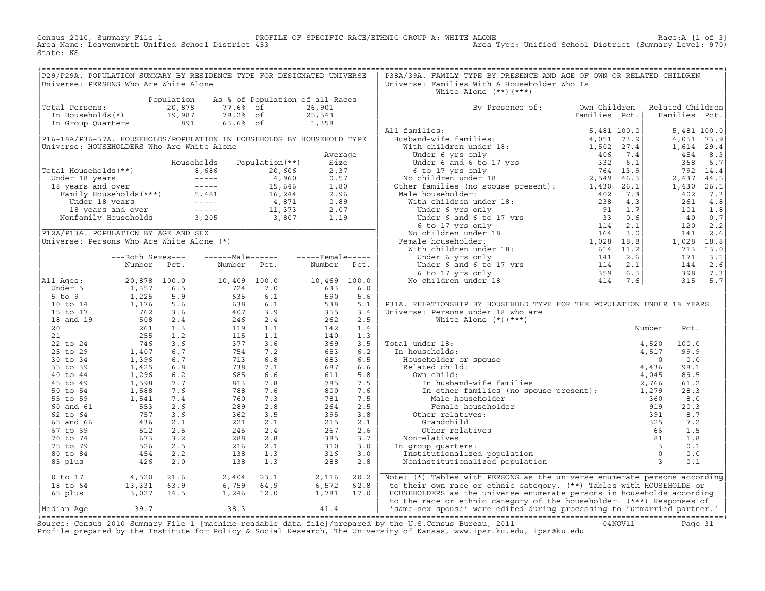Census 2010, Summary File 1 PROFILE OF SPECIFIC RACE/ETHNIC GROUP A: WHITE ALONE Race:A [1 of 3] Area Name: Leavenworth Unified School District 453 Area Type: Unified School District (Summary Level: 970) State: KS

| P29/P29A. POPULATION SUMMARY BY RESIDENCE TYPE FOR DESIGNATED UNIVERSE                                                                                                 |  |  |  | P38A/39A. FAMILY TYPE BY PRESENCE AND AGE OF OWN OR RELATED CHILDREN           |  |                                         |  |
|------------------------------------------------------------------------------------------------------------------------------------------------------------------------|--|--|--|--------------------------------------------------------------------------------|--|-----------------------------------------|--|
| Universe: PERSONS Who Are White Alone                                                                                                                                  |  |  |  | Universe: Families With A Householder Who Is                                   |  |                                         |  |
|                                                                                                                                                                        |  |  |  | White Alone $(**)$ $(***)$                                                     |  |                                         |  |
| Population As % of Population of all Races<br>Total Persons: 20,878 77.6% of 26,901<br>In Households(*) 19,987 78.2% of 25,543<br>In Group Quarters 891 65.6% of 1,358 |  |  |  |                                                                                |  |                                         |  |
|                                                                                                                                                                        |  |  |  |                                                                                |  |                                         |  |
|                                                                                                                                                                        |  |  |  | By Presence of: Own Children Related Children<br>Families Pct.   Families Pct. |  |                                         |  |
|                                                                                                                                                                        |  |  |  |                                                                                |  |                                         |  |
|                                                                                                                                                                        |  |  |  |                                                                                |  |                                         |  |
|                                                                                                                                                                        |  |  |  |                                                                                |  |                                         |  |
|                                                                                                                                                                        |  |  |  |                                                                                |  |                                         |  |
|                                                                                                                                                                        |  |  |  |                                                                                |  |                                         |  |
|                                                                                                                                                                        |  |  |  |                                                                                |  |                                         |  |
|                                                                                                                                                                        |  |  |  |                                                                                |  |                                         |  |
|                                                                                                                                                                        |  |  |  |                                                                                |  |                                         |  |
|                                                                                                                                                                        |  |  |  |                                                                                |  |                                         |  |
|                                                                                                                                                                        |  |  |  |                                                                                |  |                                         |  |
|                                                                                                                                                                        |  |  |  |                                                                                |  |                                         |  |
|                                                                                                                                                                        |  |  |  |                                                                                |  |                                         |  |
|                                                                                                                                                                        |  |  |  |                                                                                |  |                                         |  |
|                                                                                                                                                                        |  |  |  |                                                                                |  |                                         |  |
|                                                                                                                                                                        |  |  |  |                                                                                |  |                                         |  |
|                                                                                                                                                                        |  |  |  |                                                                                |  |                                         |  |
|                                                                                                                                                                        |  |  |  |                                                                                |  |                                         |  |
|                                                                                                                                                                        |  |  |  |                                                                                |  |                                         |  |
|                                                                                                                                                                        |  |  |  |                                                                                |  |                                         |  |
|                                                                                                                                                                        |  |  |  |                                                                                |  |                                         |  |
|                                                                                                                                                                        |  |  |  |                                                                                |  |                                         |  |
|                                                                                                                                                                        |  |  |  |                                                                                |  |                                         |  |
|                                                                                                                                                                        |  |  |  |                                                                                |  |                                         |  |
|                                                                                                                                                                        |  |  |  |                                                                                |  |                                         |  |
|                                                                                                                                                                        |  |  |  |                                                                                |  |                                         |  |
|                                                                                                                                                                        |  |  |  |                                                                                |  |                                         |  |
|                                                                                                                                                                        |  |  |  |                                                                                |  |                                         |  |
|                                                                                                                                                                        |  |  |  | P31A. RELATIONSHIP BY HOUSEHOLD TYPE FOR THE POPULATION UNDER 18 YEARS         |  |                                         |  |
|                                                                                                                                                                        |  |  |  |                                                                                |  |                                         |  |
|                                                                                                                                                                        |  |  |  |                                                                                |  |                                         |  |
|                                                                                                                                                                        |  |  |  |                                                                                |  | Pct.                                    |  |
|                                                                                                                                                                        |  |  |  |                                                                                |  |                                         |  |
|                                                                                                                                                                        |  |  |  |                                                                                |  | 4,520 100.0                             |  |
|                                                                                                                                                                        |  |  |  |                                                                                |  | 99.9                                    |  |
|                                                                                                                                                                        |  |  |  |                                                                                |  |                                         |  |
|                                                                                                                                                                        |  |  |  |                                                                                |  | $\begin{matrix} 0 & 0 & 0 \end{matrix}$ |  |
|                                                                                                                                                                        |  |  |  |                                                                                |  | 98.1                                    |  |
|                                                                                                                                                                        |  |  |  |                                                                                |  | 89.5                                    |  |
|                                                                                                                                                                        |  |  |  |                                                                                |  | 61.2                                    |  |
|                                                                                                                                                                        |  |  |  |                                                                                |  | 28.3                                    |  |
|                                                                                                                                                                        |  |  |  |                                                                                |  | 8.0                                     |  |
|                                                                                                                                                                        |  |  |  |                                                                                |  | 20.3                                    |  |
|                                                                                                                                                                        |  |  |  |                                                                                |  | 8.7                                     |  |
|                                                                                                                                                                        |  |  |  |                                                                                |  |                                         |  |
|                                                                                                                                                                        |  |  |  |                                                                                |  | 7.2                                     |  |
|                                                                                                                                                                        |  |  |  |                                                                                |  | 1.5                                     |  |
|                                                                                                                                                                        |  |  |  |                                                                                |  | 1.8                                     |  |
|                                                                                                                                                                        |  |  |  |                                                                                |  | 0.1                                     |  |
|                                                                                                                                                                        |  |  |  |                                                                                |  | 0.0                                     |  |
|                                                                                                                                                                        |  |  |  |                                                                                |  | 0.1                                     |  |
|                                                                                                                                                                        |  |  |  |                                                                                |  |                                         |  |
|                                                                                                                                                                        |  |  |  |                                                                                |  |                                         |  |
|                                                                                                                                                                        |  |  |  | Note: (*) Tables with PERSONS as the universe enumerate persons according      |  |                                         |  |
|                                                                                                                                                                        |  |  |  | to their own race or ethnic category. (**) Tables with HOUSEHOLDS or           |  |                                         |  |
|                                                                                                                                                                        |  |  |  | HOUSEHOLDERS as the universe enumerate persons in households according         |  |                                         |  |
|                                                                                                                                                                        |  |  |  | to the race or ethnic category of the householder. (***) Responses of          |  |                                         |  |
| $M$ edian Age $39.7$ $38.3$ $41.4$ $1.4$                                                                                                                               |  |  |  | 'same-sex spouse' were edited during processing to 'unmarried partner'         |  |                                         |  |

|Median Age 39.7 38.3 41.4 | 'same−sex spouse' were edited during processing to 'unmarried partner.' | +===================================================================================================================================================+ Source: Census 2010 Summary File 1 [machine−readable data file]/prepared by the U.S.Census Bureau, 2011 04NOV11 Page 31 Profile prepared by the Institute for Policy & Social Research, The University of Kansas, www.ipsr.ku.edu, ipsr@ku.edu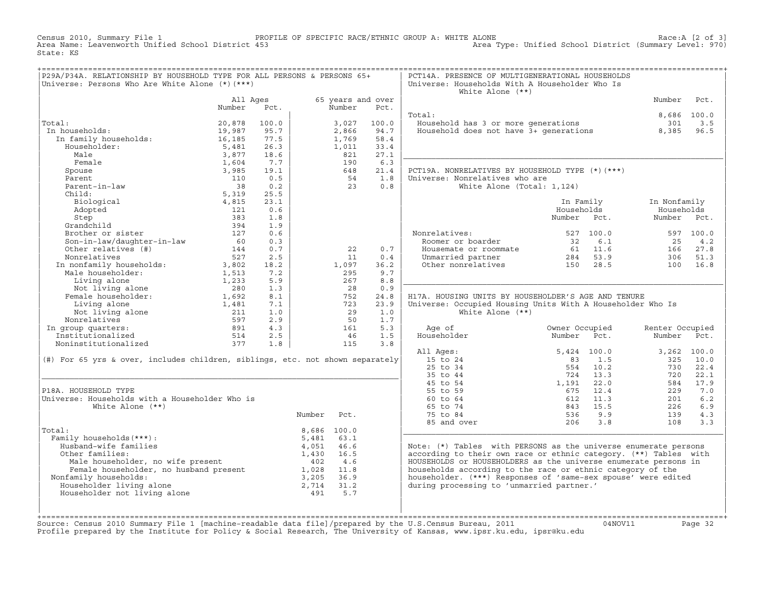Census 2010, Summary File 1 PROFILE OF SPECIFIC RACE/ETHNIC GROUP A: WHITE ALONE Race:A [2 of 3] Area Type: Unified School District (Summary Level: 970) State: KS

| P29A/P34A. RELATIONSHIP BY HOUSEHOLD TYPE FOR ALL PERSONS & PERSONS 65+<br>Universe: Persons Who Are White Alone $(*)$ $(***)$ |                    |            |        |             |                           | PCT14A. PRESENCE OF MULTIGENERATIONAL HOUSEHOLDS<br>Universe: Households With A Householder Who Is |                             |                 |             |
|--------------------------------------------------------------------------------------------------------------------------------|--------------------|------------|--------|-------------|---------------------------|----------------------------------------------------------------------------------------------------|-----------------------------|-----------------|-------------|
|                                                                                                                                |                    |            |        |             |                           | White Alone $(**)$                                                                                 |                             |                 |             |
|                                                                                                                                | All Ages<br>Number | Pct.       |        | Number      | 65 years and over<br>Pct. |                                                                                                    |                             | Number          | Pct.        |
|                                                                                                                                |                    |            |        |             |                           | Total:                                                                                             |                             |                 | 8,686 100.0 |
| Total:                                                                                                                         | 20,878             | 100.0      |        | 3,027       | 100.0                     |                                                                                                    |                             |                 | 3.5         |
| In households:<br>.ai:<br>1 households:<br>In family households:                                                               | 19,987             | 95.7       |        | 2,866       | 94.7                      | Household has 3 or more generations 301<br>Household does not have 3+ generations 8,385            |                             |                 | 96.5        |
|                                                                                                                                | 16,185             | 77.5       |        | 1,769       | 58.4                      |                                                                                                    |                             |                 |             |
| Householder:                                                                                                                   | 5,481              | 26.3       |        | 1,011       | 33.4                      |                                                                                                    |                             |                 |             |
| Male                                                                                                                           | 3,877              | 18.6       |        | 821         | 27.1                      |                                                                                                    |                             |                 |             |
| Female                                                                                                                         | 1,604              | 7.7        |        | 190         | 6.3                       |                                                                                                    |                             |                 |             |
| Spouse                                                                                                                         | 3,985              | 19.1       |        | 648         | 21.4                      | PCT19A. NONRELATIVES BY HOUSEHOLD TYPE (*) (***)                                                   |                             |                 |             |
| Parent                                                                                                                         | 110                | 0.5        |        | 54          | 1.8                       | Universe: Nonrelatives who are                                                                     |                             |                 |             |
| rarent<br>Parent-in-law<br>allis                                                                                               | 38                 | 0.2        |        | 23          | 0.8                       | White Alone (Total: 1,124)                                                                         |                             |                 |             |
| Child:                                                                                                                         | 5,319              | 25.5       |        |             |                           |                                                                                                    |                             |                 |             |
| Biological                                                                                                                     | 4,815              | 23.1       |        |             |                           |                                                                                                    | In Family                   | In Nonfamily    |             |
| Adopted                                                                                                                        | 121                | 0.6        |        |             |                           |                                                                                                    | Households                  | Households      |             |
| Step                                                                                                                           | 383                | 1.8        |        |             |                           |                                                                                                    | Number Pct.                 | Number Pct.     |             |
| Grandchild                                                                                                                     | 394                | 1.9        |        |             |                           |                                                                                                    |                             |                 |             |
| Brother or sister                                                                                                              | 127                | 0.6        |        |             |                           | Nonrelatives:                                                                                      | 527 100.0                   |                 | 597 100.0   |
| Son-in-law/daughter-in-law                                                                                                     | 60                 | 0.3        |        |             |                           | Roomer or boarder                                                                                  | 6.1<br>32                   | 25              | 4.2         |
| Other relatives (#)                                                                                                            | 144                | 0.7        |        | 22          | 0.7                       | Housemate or roommate                                                                              | $61 \t 11.6$                | 166             | 27.8        |
| Nonrelatives                                                                                                                   | 527                | 2.5        |        | 11          | 0.4                       | Unmarried partner<br>Other nonrelatives 150 28.5                                                   |                             | 306             | 51.3        |
| In nonfamily households:                                                                                                       | 3,802              | 18.2       |        | 1,097       | 36.2                      |                                                                                                    |                             | 100             | 16.8        |
| Male householder:                                                                                                              | 1,513              | 7.2        |        | 295         | 9.7                       |                                                                                                    |                             |                 |             |
| Living alone                                                                                                                   | 1,233              | 5.9        |        | 267         | 8.8                       |                                                                                                    |                             |                 |             |
| Living alone<br>Not living alone<br>Female householder:                                                                        | 280                | 1.3        |        | 28          | 0.9                       |                                                                                                    |                             |                 |             |
|                                                                                                                                | 1,692              | 8.1        |        | 752         | 24.8                      | H17A. HOUSING UNITS BY HOUSEHOLDER'S AGE AND TENURE                                                |                             |                 |             |
| Living alone                                                                                                                   | 1,481<br>211       | 7.1<br>1.0 |        | 723<br>29   | 23.9<br>1.0               | Universe: Occupied Housing Units With A Householder Who Is<br>White Alone $(**)$                   |                             |                 |             |
| Not living alone<br>portatives<br>Nonrelatives                                                                                 | 597                | 2.9        |        | 50          | 1.7                       |                                                                                                    |                             |                 |             |
| In group quarters:                                                                                                             |                    | 4.3        |        | 161         | 5.3                       | Age of                                                                                             | Owner Occupied              | Renter Occupied |             |
| Institutionalized                                                                                                              | 891<br>514         | 2.5        |        | 46          | 1.5                       | Householder                                                                                        | Number<br>Pct.              | Number Pct.     |             |
| Noninstitutionalized                                                                                                           | 377                | 1.8        |        | 115         | 3.8                       |                                                                                                    |                             |                 |             |
|                                                                                                                                |                    |            |        |             |                           | All Ages:                                                                                          | 5,424 100.0                 |                 | 3,262 100.0 |
| (#) For 65 yrs & over, includes children, siblings, etc. not shown separately                                                  |                    |            |        |             |                           | 15 to 24                                                                                           | 83<br>1.5                   | 325             | 10.0        |
|                                                                                                                                |                    |            |        |             |                           | $25$ to $34$                                                                                       | 554 10.2                    | 730             | 22.4        |
|                                                                                                                                |                    |            |        |             |                           | 35 to 44                                                                                           | 724 13.3                    | 720             | 22.1        |
|                                                                                                                                |                    |            |        |             |                           | 45 to 54                                                                                           | 1,191 22.0                  | 584             | 17.9        |
| P18A. HOUSEHOLD TYPE                                                                                                           |                    |            |        |             |                           | 55 to 59                                                                                           | 675<br>12.4                 | 229             | 7.0         |
| Universe: Households with a Householder Who is                                                                                 |                    |            |        |             |                           | 60 to 64                                                                                           | 612 11.3                    | 201             | 6.2         |
| White Alone (**)                                                                                                               |                    |            |        |             |                           | 65 to 74                                                                                           | $-3$ 15.5<br>536 9.9<br>206 | 226             | 6.9         |
|                                                                                                                                |                    |            | Number | Pct.        |                           | 75 to 84                                                                                           |                             | 139             | 4.3         |
|                                                                                                                                |                    |            |        |             |                           | 85 and over                                                                                        |                             | 108             | 3.3         |
| Total:                                                                                                                         |                    |            |        | 8,686 100.0 |                           |                                                                                                    |                             |                 |             |
| Family households (***) :                                                                                                      |                    |            | 5,481  | 63.1        |                           |                                                                                                    |                             |                 |             |
| Husband-wife families                                                                                                          |                    |            | 4,051  | 46.6        |                           | Note: (*) Tables with PERSONS as the universe enumerate persons                                    |                             |                 |             |
| Other families:                                                                                                                |                    |            | 1,430  | 16.5        |                           | according to their own race or ethnic category. (**) Tables with                                   |                             |                 |             |
| her families:<br>Male householder, no wife present<br>Female householder, no husband present<br>2008 1.8<br>2005 369           |                    |            |        |             |                           | HOUSEHOLDS or HOUSEHOLDERS as the universe enumerate persons in                                    |                             |                 |             |
|                                                                                                                                |                    |            |        |             |                           | households according to the race or ethnic category of the                                         |                             |                 |             |
| Nonfamily households:                                                                                                          |                    |            | 3,205  | 36.9        |                           | householder. (***) Responses of 'same-sex spouse' were edited                                      |                             |                 |             |
| Householder living alone                                                                                                       |                    |            | 2,714  | 31.2        |                           | during processing to 'unmarried partner.'                                                          |                             |                 |             |
| Householder not living alone                                                                                                   |                    |            | 491    | 5.7         |                           |                                                                                                    |                             |                 |             |
|                                                                                                                                |                    |            |        |             |                           |                                                                                                    |                             |                 |             |
|                                                                                                                                |                    |            |        |             |                           |                                                                                                    |                             |                 |             |

+===================================================================================================================================================+Source: Census 2010 Summary File 1 [machine−readable data file]/prepared by the U.S.Census Bureau, 2011 04NOV11 Page 32 Profile prepared by the Institute for Policy & Social Research, The University of Kansas, www.ipsr.ku.edu, ipsr@ku.edu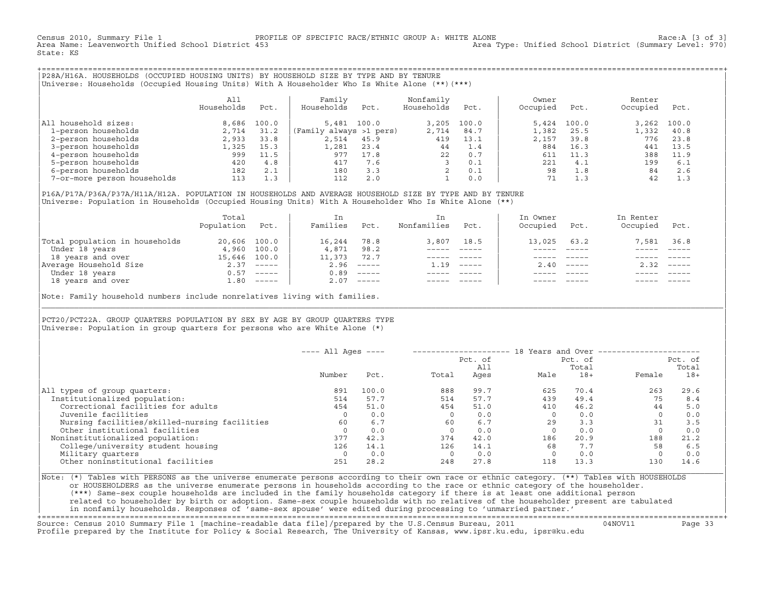Census 2010, Summary File 1 PROFILE OF SPECIFIC RACE/ETHNIC GROUP A: WHITE ALONE Race:A [3 of 3] Area Type: Unified School District (Summary Level: 970) State: KS

+===================================================================================================================================================+|P28A/H16A. HOUSEHOLDS (OCCUPIED HOUSING UNITS) BY HOUSEHOLD SIZE BY TYPE AND BY TENURE | |Universe: Households (Occupied Housing Units) With A Householder Who Is White Alone (\*\*)(\*\*\*) |

|                             | All<br>Households | Pct.  | Family<br>Households    | Pct.  | Nonfamily<br>Households | Pct.  | Owner<br>Occupied | Pct.  | Renter<br>Occupied | Pct.  |  |
|-----------------------------|-------------------|-------|-------------------------|-------|-------------------------|-------|-------------------|-------|--------------------|-------|--|
| household sizes:<br>All     | 8,686             | 100.0 | 5,481                   | 100.0 | 3,205                   | 100.0 | 5,424             | 100.0 | 3.262              | 100.0 |  |
| 1-person households         | 2,714             | 31.2  | (Family always >1 pers) |       | 2,714                   | 84.7  | 1,382             | 25.5  | 1,332              | 40.8  |  |
| 2-person households         | 2,933             | 33.8  | 2,514                   | 45.9  | 419                     | 13.1  | 2,157             | 39.8  | 776                | 23.8  |  |
| 3-person households         | 1,325             | 15.3  | 1,281                   | 23.4  | 44                      | 1.4   | 884               | 16.3  | 441                | 13.5  |  |
| 4-person households         | 999               | 11.5  | 977                     | 17.8  | 22                      | 0.7   | 611               | 11.3  | 388                | 11.9  |  |
| 5-person households         | 420               | 4.8   | 417                     | 7.6   |                         | 0.1   | 221               | 4.1   | 199                | 6.1   |  |
| 6-person households         | 182               | 2.1   | 180                     | 3.3   |                         | 0.1   | 98                | 1.8   | 84                 | 2.6   |  |
| 7-or-more person households | 113               | 1.3   | 112                     | 2.0   |                         | 0.0   |                   | 1.3   | 42                 | 1.3   |  |

|P16A/P17A/P36A/P37A/H11A/H12A. POPULATION IN HOUSEHOLDS AND AVERAGE HOUSEHOLD SIZE BY TYPE AND BY TENURE | |Universe: Population in Households (Occupied Housing Units) With A Householder Who Is White Alone (\*\*) |

|                                | Total<br>Population | Pct.                      | In<br>Families | Pct.     | In.<br>Nonfamilies | Pct.     | In Owner<br>Occupied | Pct.     | In Renter<br>Occupied | Pct.                      |  |
|--------------------------------|---------------------|---------------------------|----------------|----------|--------------------|----------|----------------------|----------|-----------------------|---------------------------|--|
| Total population in households | 20,606 100.0        |                           | 16,244         | 78.8     | 3,807              | 18.5     | 13,025               | 63.2     | 7,581                 | 36.8                      |  |
| Under 18 years                 | 4,960               | 100.0                     | 4,871          | 98.2     |                    |          |                      |          |                       |                           |  |
| 18 years and over              | 15,646 100.0        |                           | 11,373         | 72.7     |                    |          |                      |          |                       |                           |  |
| Average Household Size         | 2.37                | $\qquad \qquad - - - - -$ | 2.96           | $------$ | 1.19               | $------$ | 2.40                 | $------$ | 2.32                  | $\qquad \qquad - - - - -$ |  |
| Under 18 years                 | 0.57                | $------$                  | 0.89           | $------$ |                    |          |                      |          |                       |                           |  |
| 18 years and over              |                     | $1.80$ -----              | 2.07           |          |                    |          |                      |          |                       | $- - - - -$               |  |
|                                |                     |                           |                |          |                    |          |                      |          |                       |                           |  |

Note: Family household numbers include nonrelatives living with families.

| | PCT20/PCT22A. GROUP OUARTERS POPULATION BY SEX BY AGE BY GROUP OUARTERS TYPE Universe: Population in group quarters for persons who are White Alone  $(*)$ 

|                                               | $---$ All Ages $---$ |       |       | Pct. of | 18 Years and Over $---$ | Pct. of |          | Pct. of |
|-----------------------------------------------|----------------------|-------|-------|---------|-------------------------|---------|----------|---------|
|                                               |                      |       |       | All     |                         | Total   |          | Total   |
|                                               | Number               | Pct.  | Total | Ages    | Male                    | $18+$   | Female   | $18+$   |
| All types of group quarters:                  | 891                  | 100.0 | 888   | 99.7    | 625                     | 70.4    | 263      | 29.6    |
| Institutionalized population:                 | 514                  | 57.7  | 514   | 57.7    | 439                     | 49.4    | 75       | 8.4     |
| Correctional facilities for adults            | 454                  | 51.0  | 454   | 51.0    | 410                     | 46.2    | 44       | 5.0     |
| Juvenile facilities                           | 0                    | 0.0   |       | 0.0     |                         | 0.0     | $\Omega$ | 0.0     |
| Nursing facilities/skilled-nursing facilities | 60                   | 6.7   | 60    | 6.7     | 29                      | 3.3     | 31       | 3.5     |
| Other institutional facilities                |                      | 0.0   |       | 0.0     |                         | 0.0     |          | 0.0     |
| Noninstitutionalized population:              | 377                  | 42.3  | 374   | 42.0    | 186                     | 20.9    | 188      | 21.2    |
| College/university student housing            | 126                  | 14.1  | 126   | 14.1    | 68                      | 7.7     | 58       | 6.5     |
| Military quarters                             | -0                   | 0.0   |       | 0.0     |                         | 0.0     | $\Omega$ | 0.0     |
| Other noninstitutional facilities             | 251                  | 28.2  | 248   | 27.8    | 118                     | 13.3    | 130      | 14.6    |

|\_\_\_\_\_\_\_\_\_\_\_\_\_\_\_\_\_\_\_\_\_\_\_\_\_\_\_\_\_\_\_\_\_\_\_\_\_\_\_\_\_\_\_\_\_\_\_\_\_\_\_\_\_\_\_\_\_\_\_\_\_\_\_\_\_\_\_\_\_\_\_\_\_\_\_\_\_\_\_\_\_\_\_\_\_\_\_\_\_\_\_\_\_\_\_\_\_\_\_\_\_\_\_\_\_\_\_\_\_\_\_\_\_\_\_\_\_\_\_\_\_\_\_\_\_\_\_\_\_\_\_\_\_\_\_\_\_\_\_\_\_\_\_\_\_\_\_|

| |

|Note: (\*) Tables with PERSONS as the universe enumerate persons according to their own race or ethnic category. (\*\*) Tables with HOUSEHOLDS | or HOUSEHOLDERS as the universe enumerate persons in households according to the race or ethnic category of the householder. | (\*\*\*) Same−sex couple households are included in the family households category if there is at least one additional person | | related to householder by birth or adoption. Same−sex couple households with no relatives of the householder present are tabulated | | in nonfamily households. Responses of 'same−sex spouse' were edited during processing to 'unmarried partner.' |

+===================================================================================================================================================+ Source: Census 2010 Summary File 1 [machine−readable data file]/prepared by the U.S.Census Bureau, 2011 04NOV11 Page 33 Profile prepared by the Institute for Policy & Social Research, The University of Kansas, www.ipsr.ku.edu, ipsr@ku.edu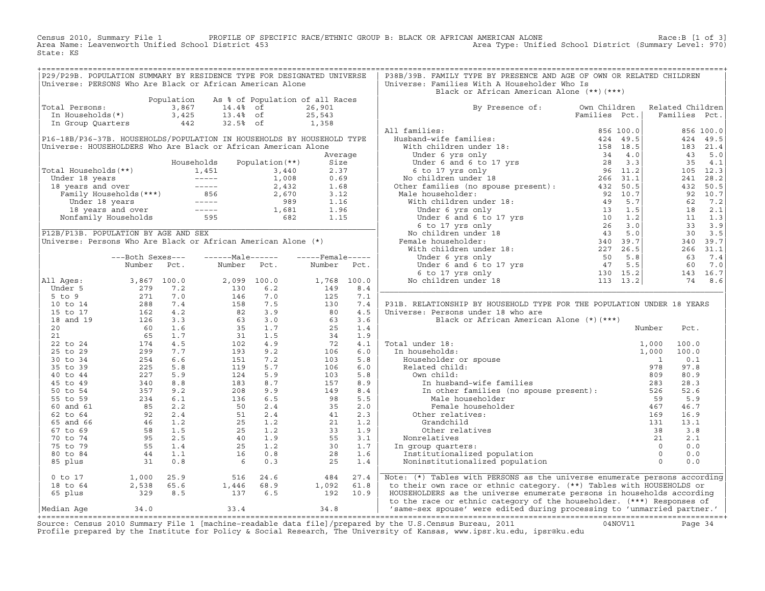Census 2010, Summary File 1 PROFILE OF SPECIFIC RACE/ETHNIC GROUP B: BLACK OR AFRICAN AMERICAN ALONE Race:B [1 of 3] Area Name: Leavenworth Unified School District 453 Area Type: Unified School District (Summary Level: 970) State: KS

| Black or African American Alone (**)(***)<br>Population As % of Population of all Races<br>Total Persons:<br>The Households (*)<br>The Households (*)<br>The Households (*)<br>The Section of the Section of the Section of the Section of the Section of the Section of the Section of the Section of the Section of the Section<br>By Presence of: Own Children Related Children<br>Families Pct.   Families Pct.<br>Total Persons:<br>P31B. RELATIONSHIP BY HOUSEHOLD TYPE FOR THE POPULATION UNDER 18 YEARS<br>Pct.<br>100.0<br>100.0<br>0.1<br>97.8<br>80.9<br>28.3<br>52.6<br>mother families (no spouse present):<br>Male householder<br>Female householder<br>Female householder<br>(16.7 5 5.9<br>Female householder<br>(16.7 46.7<br>(16.9 16.9<br>(16.9 16.9<br>Grandchild<br>(131 13.1<br>(131 13.1<br>(131 13.1<br>(16.9 16.9<br><br>0 to 17 1,000 25.9 516 24.6 484 27.4 Note: (*) Tables with PERSONS as the universe enumerate persons according<br>18 to 64 2,538 65.6 1,446 68.9 1,092 61.8 to their own race or ethnic category. (**) Tables with HOUSEHOLDS or<br> |  | P29/P29B. POPULATION SUMMARY BY RESIDENCE TYPE FOR DESIGNATED UNIVERSE<br>Universe: PERSONS Who Are Black or African American Alone |  | P38B/39B. FAMILY TYPE BY PRESENCE AND AGE OF OWN OR RELATED CHILDREN<br>Universe: Families With A Householder Who Is |  |  |
|----------------------------------------------------------------------------------------------------------------------------------------------------------------------------------------------------------------------------------------------------------------------------------------------------------------------------------------------------------------------------------------------------------------------------------------------------------------------------------------------------------------------------------------------------------------------------------------------------------------------------------------------------------------------------------------------------------------------------------------------------------------------------------------------------------------------------------------------------------------------------------------------------------------------------------------------------------------------------------------------------------------------------------------------------------------------------------------|--|-------------------------------------------------------------------------------------------------------------------------------------|--|----------------------------------------------------------------------------------------------------------------------|--|--|
|                                                                                                                                                                                                                                                                                                                                                                                                                                                                                                                                                                                                                                                                                                                                                                                                                                                                                                                                                                                                                                                                                        |  |                                                                                                                                     |  |                                                                                                                      |  |  |
|                                                                                                                                                                                                                                                                                                                                                                                                                                                                                                                                                                                                                                                                                                                                                                                                                                                                                                                                                                                                                                                                                        |  |                                                                                                                                     |  |                                                                                                                      |  |  |
|                                                                                                                                                                                                                                                                                                                                                                                                                                                                                                                                                                                                                                                                                                                                                                                                                                                                                                                                                                                                                                                                                        |  |                                                                                                                                     |  |                                                                                                                      |  |  |
|                                                                                                                                                                                                                                                                                                                                                                                                                                                                                                                                                                                                                                                                                                                                                                                                                                                                                                                                                                                                                                                                                        |  |                                                                                                                                     |  |                                                                                                                      |  |  |
|                                                                                                                                                                                                                                                                                                                                                                                                                                                                                                                                                                                                                                                                                                                                                                                                                                                                                                                                                                                                                                                                                        |  |                                                                                                                                     |  |                                                                                                                      |  |  |
|                                                                                                                                                                                                                                                                                                                                                                                                                                                                                                                                                                                                                                                                                                                                                                                                                                                                                                                                                                                                                                                                                        |  |                                                                                                                                     |  |                                                                                                                      |  |  |
|                                                                                                                                                                                                                                                                                                                                                                                                                                                                                                                                                                                                                                                                                                                                                                                                                                                                                                                                                                                                                                                                                        |  |                                                                                                                                     |  |                                                                                                                      |  |  |
|                                                                                                                                                                                                                                                                                                                                                                                                                                                                                                                                                                                                                                                                                                                                                                                                                                                                                                                                                                                                                                                                                        |  |                                                                                                                                     |  |                                                                                                                      |  |  |
|                                                                                                                                                                                                                                                                                                                                                                                                                                                                                                                                                                                                                                                                                                                                                                                                                                                                                                                                                                                                                                                                                        |  |                                                                                                                                     |  |                                                                                                                      |  |  |
|                                                                                                                                                                                                                                                                                                                                                                                                                                                                                                                                                                                                                                                                                                                                                                                                                                                                                                                                                                                                                                                                                        |  |                                                                                                                                     |  |                                                                                                                      |  |  |
|                                                                                                                                                                                                                                                                                                                                                                                                                                                                                                                                                                                                                                                                                                                                                                                                                                                                                                                                                                                                                                                                                        |  |                                                                                                                                     |  |                                                                                                                      |  |  |
|                                                                                                                                                                                                                                                                                                                                                                                                                                                                                                                                                                                                                                                                                                                                                                                                                                                                                                                                                                                                                                                                                        |  |                                                                                                                                     |  |                                                                                                                      |  |  |
|                                                                                                                                                                                                                                                                                                                                                                                                                                                                                                                                                                                                                                                                                                                                                                                                                                                                                                                                                                                                                                                                                        |  |                                                                                                                                     |  |                                                                                                                      |  |  |
|                                                                                                                                                                                                                                                                                                                                                                                                                                                                                                                                                                                                                                                                                                                                                                                                                                                                                                                                                                                                                                                                                        |  |                                                                                                                                     |  |                                                                                                                      |  |  |
|                                                                                                                                                                                                                                                                                                                                                                                                                                                                                                                                                                                                                                                                                                                                                                                                                                                                                                                                                                                                                                                                                        |  |                                                                                                                                     |  |                                                                                                                      |  |  |
|                                                                                                                                                                                                                                                                                                                                                                                                                                                                                                                                                                                                                                                                                                                                                                                                                                                                                                                                                                                                                                                                                        |  |                                                                                                                                     |  |                                                                                                                      |  |  |
|                                                                                                                                                                                                                                                                                                                                                                                                                                                                                                                                                                                                                                                                                                                                                                                                                                                                                                                                                                                                                                                                                        |  |                                                                                                                                     |  |                                                                                                                      |  |  |
|                                                                                                                                                                                                                                                                                                                                                                                                                                                                                                                                                                                                                                                                                                                                                                                                                                                                                                                                                                                                                                                                                        |  |                                                                                                                                     |  |                                                                                                                      |  |  |
|                                                                                                                                                                                                                                                                                                                                                                                                                                                                                                                                                                                                                                                                                                                                                                                                                                                                                                                                                                                                                                                                                        |  |                                                                                                                                     |  |                                                                                                                      |  |  |
|                                                                                                                                                                                                                                                                                                                                                                                                                                                                                                                                                                                                                                                                                                                                                                                                                                                                                                                                                                                                                                                                                        |  |                                                                                                                                     |  |                                                                                                                      |  |  |
|                                                                                                                                                                                                                                                                                                                                                                                                                                                                                                                                                                                                                                                                                                                                                                                                                                                                                                                                                                                                                                                                                        |  |                                                                                                                                     |  |                                                                                                                      |  |  |
|                                                                                                                                                                                                                                                                                                                                                                                                                                                                                                                                                                                                                                                                                                                                                                                                                                                                                                                                                                                                                                                                                        |  |                                                                                                                                     |  |                                                                                                                      |  |  |
|                                                                                                                                                                                                                                                                                                                                                                                                                                                                                                                                                                                                                                                                                                                                                                                                                                                                                                                                                                                                                                                                                        |  |                                                                                                                                     |  |                                                                                                                      |  |  |
|                                                                                                                                                                                                                                                                                                                                                                                                                                                                                                                                                                                                                                                                                                                                                                                                                                                                                                                                                                                                                                                                                        |  |                                                                                                                                     |  |                                                                                                                      |  |  |
|                                                                                                                                                                                                                                                                                                                                                                                                                                                                                                                                                                                                                                                                                                                                                                                                                                                                                                                                                                                                                                                                                        |  |                                                                                                                                     |  |                                                                                                                      |  |  |
|                                                                                                                                                                                                                                                                                                                                                                                                                                                                                                                                                                                                                                                                                                                                                                                                                                                                                                                                                                                                                                                                                        |  |                                                                                                                                     |  |                                                                                                                      |  |  |
|                                                                                                                                                                                                                                                                                                                                                                                                                                                                                                                                                                                                                                                                                                                                                                                                                                                                                                                                                                                                                                                                                        |  |                                                                                                                                     |  |                                                                                                                      |  |  |
|                                                                                                                                                                                                                                                                                                                                                                                                                                                                                                                                                                                                                                                                                                                                                                                                                                                                                                                                                                                                                                                                                        |  |                                                                                                                                     |  |                                                                                                                      |  |  |
|                                                                                                                                                                                                                                                                                                                                                                                                                                                                                                                                                                                                                                                                                                                                                                                                                                                                                                                                                                                                                                                                                        |  |                                                                                                                                     |  |                                                                                                                      |  |  |
|                                                                                                                                                                                                                                                                                                                                                                                                                                                                                                                                                                                                                                                                                                                                                                                                                                                                                                                                                                                                                                                                                        |  |                                                                                                                                     |  |                                                                                                                      |  |  |
|                                                                                                                                                                                                                                                                                                                                                                                                                                                                                                                                                                                                                                                                                                                                                                                                                                                                                                                                                                                                                                                                                        |  |                                                                                                                                     |  |                                                                                                                      |  |  |
|                                                                                                                                                                                                                                                                                                                                                                                                                                                                                                                                                                                                                                                                                                                                                                                                                                                                                                                                                                                                                                                                                        |  |                                                                                                                                     |  |                                                                                                                      |  |  |
|                                                                                                                                                                                                                                                                                                                                                                                                                                                                                                                                                                                                                                                                                                                                                                                                                                                                                                                                                                                                                                                                                        |  |                                                                                                                                     |  |                                                                                                                      |  |  |
|                                                                                                                                                                                                                                                                                                                                                                                                                                                                                                                                                                                                                                                                                                                                                                                                                                                                                                                                                                                                                                                                                        |  |                                                                                                                                     |  |                                                                                                                      |  |  |
|                                                                                                                                                                                                                                                                                                                                                                                                                                                                                                                                                                                                                                                                                                                                                                                                                                                                                                                                                                                                                                                                                        |  |                                                                                                                                     |  |                                                                                                                      |  |  |
|                                                                                                                                                                                                                                                                                                                                                                                                                                                                                                                                                                                                                                                                                                                                                                                                                                                                                                                                                                                                                                                                                        |  |                                                                                                                                     |  |                                                                                                                      |  |  |
|                                                                                                                                                                                                                                                                                                                                                                                                                                                                                                                                                                                                                                                                                                                                                                                                                                                                                                                                                                                                                                                                                        |  |                                                                                                                                     |  |                                                                                                                      |  |  |
|                                                                                                                                                                                                                                                                                                                                                                                                                                                                                                                                                                                                                                                                                                                                                                                                                                                                                                                                                                                                                                                                                        |  |                                                                                                                                     |  |                                                                                                                      |  |  |
|                                                                                                                                                                                                                                                                                                                                                                                                                                                                                                                                                                                                                                                                                                                                                                                                                                                                                                                                                                                                                                                                                        |  |                                                                                                                                     |  |                                                                                                                      |  |  |
|                                                                                                                                                                                                                                                                                                                                                                                                                                                                                                                                                                                                                                                                                                                                                                                                                                                                                                                                                                                                                                                                                        |  |                                                                                                                                     |  |                                                                                                                      |  |  |
|                                                                                                                                                                                                                                                                                                                                                                                                                                                                                                                                                                                                                                                                                                                                                                                                                                                                                                                                                                                                                                                                                        |  |                                                                                                                                     |  |                                                                                                                      |  |  |
|                                                                                                                                                                                                                                                                                                                                                                                                                                                                                                                                                                                                                                                                                                                                                                                                                                                                                                                                                                                                                                                                                        |  |                                                                                                                                     |  |                                                                                                                      |  |  |
|                                                                                                                                                                                                                                                                                                                                                                                                                                                                                                                                                                                                                                                                                                                                                                                                                                                                                                                                                                                                                                                                                        |  |                                                                                                                                     |  |                                                                                                                      |  |  |
|                                                                                                                                                                                                                                                                                                                                                                                                                                                                                                                                                                                                                                                                                                                                                                                                                                                                                                                                                                                                                                                                                        |  |                                                                                                                                     |  |                                                                                                                      |  |  |
|                                                                                                                                                                                                                                                                                                                                                                                                                                                                                                                                                                                                                                                                                                                                                                                                                                                                                                                                                                                                                                                                                        |  |                                                                                                                                     |  |                                                                                                                      |  |  |
|                                                                                                                                                                                                                                                                                                                                                                                                                                                                                                                                                                                                                                                                                                                                                                                                                                                                                                                                                                                                                                                                                        |  |                                                                                                                                     |  |                                                                                                                      |  |  |
|                                                                                                                                                                                                                                                                                                                                                                                                                                                                                                                                                                                                                                                                                                                                                                                                                                                                                                                                                                                                                                                                                        |  |                                                                                                                                     |  |                                                                                                                      |  |  |
|                                                                                                                                                                                                                                                                                                                                                                                                                                                                                                                                                                                                                                                                                                                                                                                                                                                                                                                                                                                                                                                                                        |  |                                                                                                                                     |  |                                                                                                                      |  |  |
|                                                                                                                                                                                                                                                                                                                                                                                                                                                                                                                                                                                                                                                                                                                                                                                                                                                                                                                                                                                                                                                                                        |  |                                                                                                                                     |  |                                                                                                                      |  |  |
|                                                                                                                                                                                                                                                                                                                                                                                                                                                                                                                                                                                                                                                                                                                                                                                                                                                                                                                                                                                                                                                                                        |  |                                                                                                                                     |  |                                                                                                                      |  |  |
|                                                                                                                                                                                                                                                                                                                                                                                                                                                                                                                                                                                                                                                                                                                                                                                                                                                                                                                                                                                                                                                                                        |  |                                                                                                                                     |  |                                                                                                                      |  |  |
|                                                                                                                                                                                                                                                                                                                                                                                                                                                                                                                                                                                                                                                                                                                                                                                                                                                                                                                                                                                                                                                                                        |  |                                                                                                                                     |  |                                                                                                                      |  |  |
|                                                                                                                                                                                                                                                                                                                                                                                                                                                                                                                                                                                                                                                                                                                                                                                                                                                                                                                                                                                                                                                                                        |  |                                                                                                                                     |  |                                                                                                                      |  |  |

+===================================================================================================================================================+Source: Census 2010 Summary File 1 [machine−readable data file]/prepared by the U.S.Census Bureau, 2011 04NOV11 Page 34 Profile prepared by the Institute for Policy & Social Research, The University of Kansas, www.ipsr.ku.edu, ipsr@ku.edu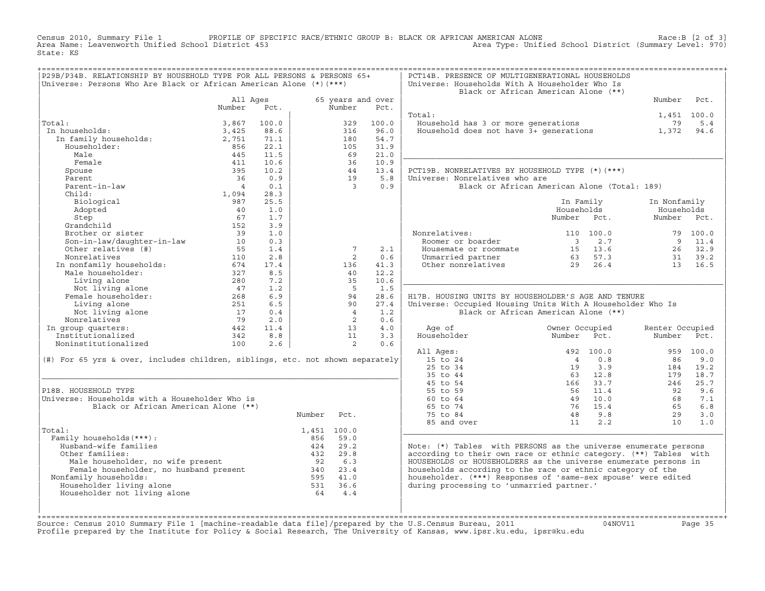Census 2010, Summary File 1 PROFILE OF SPECIFIC RACE/ETHNIC GROUP B: BLACK OR AFRICAN AMERICAN ALONE Race:B [2 of 3]<br>Area Name: Leavenworth Unified School District 453 Area Type: Unified School District (Summary Level: 970 Area Type: Unified School District (Summary Level: 970) State: KS

| P29B/P34B. RELATIONSHIP BY HOUSEHOLD TYPE FOR ALL PERSONS & PERSONS 65+       |                |            |        |                 |                   | PCT14B. PRESENCE OF MULTIGENERATIONAL HOUSEHOLDS                  |                                              |                 |           |
|-------------------------------------------------------------------------------|----------------|------------|--------|-----------------|-------------------|-------------------------------------------------------------------|----------------------------------------------|-----------------|-----------|
| Universe: Persons Who Are Black or African American Alone (*) (***)           |                |            |        |                 |                   | Universe: Households With A Householder Who Is                    |                                              |                 |           |
|                                                                               |                |            |        |                 |                   |                                                                   | Black or African American Alone (**)         |                 |           |
|                                                                               | All Ages       |            |        |                 | 65 years and over |                                                                   |                                              | Number          | Pct.      |
|                                                                               | Number         | Pct.       |        | Number          | Pct.              |                                                                   |                                              |                 |           |
|                                                                               |                |            |        |                 |                   | Total:                                                            |                                              | 1,451 100.0     |           |
| Total:                                                                        | 3,867          | 100.0      |        | 329             | 100.0             | Household has 3 or more generations                               |                                              | 79              | 5.4       |
| In households:                                                                | 3,425          | 88.6       |        | 316             | 96.0              | Household does not have $3+$ generations                          |                                              | 1,372           | 94.6      |
| In family households:                                                         | 2,751          | 71.1       |        | 180             | 54.7              |                                                                   |                                              |                 |           |
| Householder:                                                                  | 856            | 22.1       |        | 105             | 31.9              |                                                                   |                                              |                 |           |
| Male                                                                          | 445            | 11.5       |        | 69              | 21.0              |                                                                   |                                              |                 |           |
| Female                                                                        | 411            | 10.6       |        | 36              | 10.9              |                                                                   |                                              |                 |           |
| Spouse                                                                        | 395            | 10.2       |        | 44              | 13.4              | PCT19B. NONRELATIVES BY HOUSEHOLD TYPE (*) (***)                  |                                              |                 |           |
| Parent                                                                        | 36             | 0.9        |        | 19              | 5.8               | Universe: Nonrelatives who are                                    |                                              |                 |           |
| Parent-in-law                                                                 | $\overline{4}$ | 0.1        |        | $\overline{3}$  | 0.9               |                                                                   | Black or African American Alone (Total: 189) |                 |           |
| Child:                                                                        | 1,094          | 28.3       |        |                 |                   |                                                                   |                                              |                 |           |
| Biological                                                                    | 987            | 25.5       |        |                 |                   |                                                                   | In Family                                    | In Nonfamily    |           |
| Adopted                                                                       | 40             | 1.0        |        |                 |                   |                                                                   | Households                                   | Households      |           |
| Step                                                                          | 67             | 1.7        |        |                 |                   |                                                                   | Number Pct.                                  | Number Pct.     |           |
| Grandchild                                                                    | 152            | 3.9        |        |                 |                   |                                                                   |                                              |                 |           |
| Brother or sister                                                             | 39             | 1.0        |        |                 |                   | Nonrelatives:                                                     | 110 100.0                                    |                 | 79 100.0  |
| Son-in-law/daughter-in-law                                                    | 10             | 0.3        |        |                 |                   | Roomer or boarder                                                 | 2.7<br>$\overline{\mathbf{3}}$               | - 9             | 11.4      |
| Other relatives (#)                                                           | 55             | 1.4        |        | $7\phantom{.0}$ | 2.1               | Housemate or roommate                                             | 15 13.6                                      | 26              | 32.9      |
| Nonrelatives                                                                  | 110            | 2.8        |        | 2               | 0.6               | Unmarried partner                                                 | 63 57.3                                      | 31              | 39.2      |
| In nonfamily households:                                                      | 674            | 17.4       |        | 136             | 41.3              | Other nonrelatives                                                | 29<br>26.4                                   | 13              | 16.5      |
| Male householder:                                                             | 327            | 8.5        |        | 40              | 12.2              |                                                                   |                                              |                 |           |
| Living alone                                                                  | 280            | 7.2        |        | 35              | 10.6              |                                                                   |                                              |                 |           |
| Not living alone<br>Female householder:                                       | 47             | 1.2        |        | $-5$            | 1.5               |                                                                   |                                              |                 |           |
|                                                                               | 268            | 6.9<br>6.5 |        | 94<br>90        | 28.6              | H17B. HOUSING UNITS BY HOUSEHOLDER'S AGE AND TENURE               |                                              |                 |           |
| Living alone                                                                  | 251<br>17      | 0.4        |        | $\overline{4}$  | 27.4              | Universe: Occupied Housing Units With A Householder Who Is        | Black or African American Alone (**)         |                 |           |
| Not living alone<br>Nonrelatives                                              | 79             | 2.0        |        | 2               | 1.2<br>0.6        |                                                                   |                                              |                 |           |
|                                                                               | 442            | 11.4       |        | 13              | 4.0               | Age of                                                            | Owner Occupied                               | Renter Occupied |           |
| In group quarters:<br>Institutionalized                                       | 342            | 8.8        |        | 11              | 3.3               | Householder                                                       | Number Pct.                                  | Number          | Pct.      |
| Noninstitutionalized                                                          | 100            | 2.6        |        | 2               | 0.6               |                                                                   |                                              |                 |           |
|                                                                               |                |            |        |                 |                   | All Ages:                                                         | 492 100.0                                    |                 | 959 100.0 |
| (#) For 65 yrs & over, includes children, siblings, etc. not shown separately |                |            |        |                 |                   | 15 to 24                                                          | $\overline{4}$<br>0.8                        | 86              | 9.0       |
|                                                                               |                |            |        |                 |                   | 25 to 34                                                          | 3.9<br>19                                    | 184             | 19.2      |
|                                                                               |                |            |        |                 |                   | 35 to 44                                                          | 63 12.8                                      | 179             | 18.7      |
|                                                                               |                |            |        |                 |                   | 45 to 54                                                          | 166<br>33.7                                  | 246             | 25.7      |
| P18B. HOUSEHOLD TYPE                                                          |                |            |        |                 |                   | 55 to 59                                                          | 56<br>11.4                                   | 92              | 9.6       |
| Universe: Households with a Householder Who is                                |                |            |        |                 |                   | 60 to 64                                                          | 49<br>10.0                                   | 68              | 7.1       |
| Black or African American Alone (**)                                          |                |            |        |                 |                   | 65 to 74                                                          | 76<br>15.4                                   | 65              | 6.8       |
|                                                                               |                |            | Number | Pct.            |                   | 75 to 84                                                          | 9.8<br>48                                    | 29              | 3.0       |
|                                                                               |                |            |        |                 |                   | 85 and over                                                       | 11<br>2.2                                    | 10              | 1.0       |
| Total:                                                                        |                |            |        | 1,451 100.0     |                   |                                                                   |                                              |                 |           |
| Family households (***) :                                                     |                |            | 856    | 59.0            |                   |                                                                   |                                              |                 |           |
| Husband-wife families                                                         |                |            | 424    | 29.2            |                   | Note: $(*)$ Tables with PERSONS as the universe enumerate persons |                                              |                 |           |
| Other families:                                                               |                |            | 432    | 29.8            |                   | according to their own race or ethnic category. (**) Tables with  |                                              |                 |           |
| Male householder, no wife present                                             |                |            | 92     | 6.3             |                   | HOUSEHOLDS or HOUSEHOLDERS as the universe enumerate persons in   |                                              |                 |           |
| Male householder, no will provide<br>Female householder, no husband present   |                |            | 340    | 23.4            |                   | households according to the race or ethnic category of the        |                                              |                 |           |
| Nonfamily households:                                                         |                |            |        | 595 41.0        |                   | householder. (***) Responses of 'same-sex spouse' were edited     |                                              |                 |           |
| Householder living alone                                                      |                |            | 531    | 36.6            |                   | during processing to 'unmarried partner.'                         |                                              |                 |           |
| Householder not living alone                                                  |                |            | 64     | 4.4             |                   |                                                                   |                                              |                 |           |
|                                                                               |                |            |        |                 |                   |                                                                   |                                              |                 |           |
|                                                                               |                |            |        |                 |                   |                                                                   |                                              |                 |           |

+===================================================================================================================================================+Source: Census 2010 Summary File 1 [machine−readable data file]/prepared by the U.S.Census Bureau, 2011 04NOV11 Page 35 Profile prepared by the Institute for Policy & Social Research, The University of Kansas, www.ipsr.ku.edu, ipsr@ku.edu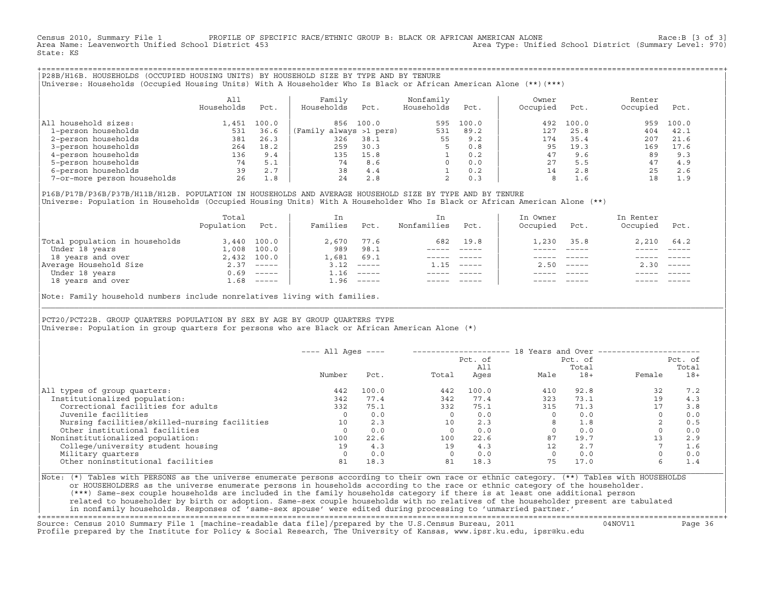Census 2010, Summary File 1 PROFILE OF SPECIFIC RACE/ETHNIC GROUP B: BLACK OR AFRICAN AMERICAN ALONE Race:B [3 of 3]<br>Area Name: Leavenworth Unified School District 453 Area Type: Unified School District (Summary Level: 970) State: KS

+===================================================================================================================================================+|P28B/H16B. HOUSEHOLDS (OCCUPIED HOUSING UNITS) BY HOUSEHOLD SIZE BY TYPE AND BY TENURE | |Universe: Households (Occupied Housing Units) With A Householder Who Is Black or African American Alone (\*\*)(\*\*\*) |

|                             | All<br>Households | Pct.  | Family<br>Households    | Pct.  | Nonfamily<br>Households | Pct.  | Owner<br>Occupied | Pct.  | Renter<br>Occupied | Pct.  |  |
|-----------------------------|-------------------|-------|-------------------------|-------|-------------------------|-------|-------------------|-------|--------------------|-------|--|
| household sizes:<br>All     | .451              | 100.0 | 856                     | 100.0 | 595                     | 100.0 | 492               | 100.0 | 959                | 100.0 |  |
| 1-person households         | 531               | 36.6  | (Family always >1 pers) |       | 531                     | 89.2  | 127               | 25.8  | 404                | 42.1  |  |
| 2-person households         | 381               | 26.3  | 326                     | 38.1  | 55                      | 9.2   | 174               | 35.4  | 207                | 21.6  |  |
| 3-person households         | 264               | 18.2  | 259                     | 30.3  |                         | 0.8   | 95                | 19.3  | 169                | 17.6  |  |
| 4-person households         | 136               | 9.4   | 135                     | 15.8  |                         | 0.2   | 47                | 9.6   | 89                 | 9.3   |  |
| 5-person households         | 74                | 5.1   | 74                      | 8.6   | $\Omega$                | 0.0   | 27                | 5.5   | 47                 | 4.9   |  |
| 6-person households         | 39                | 2.7   | 38                      | 4.4   |                         | 0.2   | 14                | 2.8   | 25                 | 2.6   |  |
| 7-or-more person households | 26                | 1.8   | 24                      | 2.8   |                         | 0.3   | 8                 | 1.6   | 18                 | 1.9   |  |

|P16B/P17B/P36B/P37B/H11B/H12B. POPULATION IN HOUSEHOLDS AND AVERAGE HOUSEHOLD SIZE BY TYPE AND BY TENURE | Universe: Population in Households (Occupied Housing Units) With A Householder Who Is Black or African American Alone (\*\*)

|                                | Total<br>Population | Pct.         | In<br>Families | Pct.                      | In.<br>Nonfamilies | Pct.     | In Owner<br>Occupied | Pct.                      | In Renter<br>Occupied | Pct.        |  |
|--------------------------------|---------------------|--------------|----------------|---------------------------|--------------------|----------|----------------------|---------------------------|-----------------------|-------------|--|
| Total population in households | 3,440               | 100.0        | 2,670          | 77.6                      | 682                | 19.8     | 1,230                | 35.8                      | $2,210$ $64.2$        |             |  |
| Under 18 years                 | 1,008               | 100.0        | 989            | 98.1                      |                    |          |                      |                           |                       |             |  |
| 18 years and over              |                     | 2,432 100.0  | 1,681          | 69.1                      |                    |          |                      |                           |                       |             |  |
| Average Household Size         | 2.37                | ______       | 3.12           | $------$                  | 1.15               | $------$ | 2.50                 | $\qquad \qquad - - - - -$ | 2.30                  | $------$    |  |
| Under 18 years                 | 0.69                | $------$     | 1.16           | $\qquad \qquad - - - - -$ |                    |          |                      |                           |                       |             |  |
| 18 years and over              |                     | $1.68$ ----- | 1.96           |                           |                    |          |                      |                           |                       | $- - - - -$ |  |

Note: Family household numbers include nonrelatives living with families.

| | PCT20/PCT22B. GROUP OUARTERS POPULATION BY SEX BY AGE BY GROUP OUARTERS TYPE Universe: Population in group quarters for persons who are Black or African American Alone (\*)

|                                               | $---$ All Ages $---$ |       |       |                | 18 Years and Over ------------- |                  |          |                  |
|-----------------------------------------------|----------------------|-------|-------|----------------|---------------------------------|------------------|----------|------------------|
|                                               |                      |       |       | Pct. of<br>All |                                 | Pct. of<br>Total |          | Pct. of<br>Total |
|                                               | Number               | Pct.  | Total | Ages           | Male                            | $18+$            | Female   | $18+$            |
| All types of group quarters:                  | 442                  | 100.0 | 442   | 100.0          | 410                             | 92.8             | 32       | 7.2              |
| Institutionalized population:                 | 342                  | 77.4  | 342   | 77.4           | 323                             | 73.1             | 19       | 4.3              |
| Correctional facilities for adults            | 332                  | 75.1  | 332   | 75.1           | 315                             | 71.3             | 17       | 3.8              |
| Juvenile facilities                           |                      | 0.0   |       | 0.0            |                                 | 0.0              |          | 0.0              |
| Nursing facilities/skilled-nursing facilities | 10                   | 2.3   | 10    | 2.3            |                                 | 1.8              |          | 0.5              |
| Other institutional facilities                |                      | 0.0   |       | 0.0            |                                 | 0.0              |          | 0.0              |
| Noninstitutionalized population:              | 100                  | 22.6  | 100   | 22.6           | 87                              | 19.7             | 13       | 2.9              |
| College/university student housing            | 19                   | 4.3   | 19    | 4.3            | 12                              | 2.7              |          | 1.6              |
| Military quarters                             |                      | 0.0   |       | 0.0            |                                 | 0.0              | $\Omega$ | 0.0              |
| Other noninstitutional facilities             | 81                   | 18.3  | 81    | 18.3           | 75                              | 17.0             | 6.       | 1.4              |

|\_\_\_\_\_\_\_\_\_\_\_\_\_\_\_\_\_\_\_\_\_\_\_\_\_\_\_\_\_\_\_\_\_\_\_\_\_\_\_\_\_\_\_\_\_\_\_\_\_\_\_\_\_\_\_\_\_\_\_\_\_\_\_\_\_\_\_\_\_\_\_\_\_\_\_\_\_\_\_\_\_\_\_\_\_\_\_\_\_\_\_\_\_\_\_\_\_\_\_\_\_\_\_\_\_\_\_\_\_\_\_\_\_\_\_\_\_\_\_\_\_\_\_\_\_\_\_\_\_\_\_\_\_\_\_\_\_\_\_\_\_\_\_\_\_\_\_|

| |

|Note: (\*) Tables with PERSONS as the universe enumerate persons according to their own race or ethnic category. (\*\*) Tables with HOUSEHOLDS | or HOUSEHOLDERS as the universe enumerate persons in households according to the race or ethnic category of the householder. | (\*\*\*) Same−sex couple households are included in the family households category if there is at least one additional person | | related to householder by birth or adoption. Same−sex couple households with no relatives of the householder present are tabulated | | in nonfamily households. Responses of 'same−sex spouse' were edited during processing to 'unmarried partner.' |

+===================================================================================================================================================+Source: Census 2010 Summary File 1 [machine−readable data file]/prepared by the U.S.Census Bureau, 2011 04NOV11 Page 36 Profile prepared by the Institute for Policy & Social Research, The University of Kansas, www.ipsr.ku.edu, ipsr@ku.edu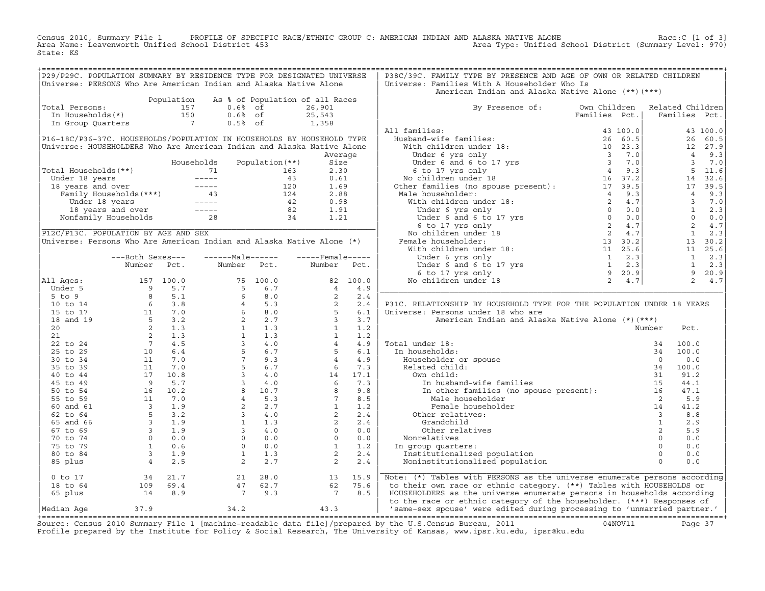Census 2010, Summary File 1 PROFILE OF SPECIFIC RACE/ETHNIC GROUP C: AMERICAN INDIAN AND ALASKA NATIVE ALONE<br>Area Name: Leavenworth Unified School District 453 Area Type: Unified School Di State: KS

| P29/P29C. POPULATION SUMMARY BY RESIDENCE TYPE FOR DESIGNATED UNIVERSE<br>Universe: PERSONS Who Are American Indian and Alaska Native Alone                                                                                                                                                                    |                                                                      |               |                 |                                                                                                                                                                                                  |         | P38C/39C. FAMILY TYPE BY PRESENCE AND AGE OF OWN OR RELATED CHILDREN<br>Universe: Families With A Householder Who Is                                                                                                                                             |               |                                  |             |
|----------------------------------------------------------------------------------------------------------------------------------------------------------------------------------------------------------------------------------------------------------------------------------------------------------------|----------------------------------------------------------------------|---------------|-----------------|--------------------------------------------------------------------------------------------------------------------------------------------------------------------------------------------------|---------|------------------------------------------------------------------------------------------------------------------------------------------------------------------------------------------------------------------------------------------------------------------|---------------|----------------------------------|-------------|
|                                                                                                                                                                                                                                                                                                                |                                                                      |               |                 |                                                                                                                                                                                                  |         | American Indian and Alaska Native Alone (**)(***)                                                                                                                                                                                                                |               |                                  |             |
|                                                                                                                                                                                                                                                                                                                |                                                                      |               |                 | Population As % of Population of all Races                                                                                                                                                       |         |                                                                                                                                                                                                                                                                  |               |                                  |             |
| Total Persons:                                                                                                                                                                                                                                                                                                 |                                                                      |               |                 | otal Persons: $\begin{array}{ccccccccc}\n 157 & 0.68 & 0 & 26,901 \\  \text{In Households (*)} & & 150 & 0.68 & 0 & 25,543 \\  \text{In Group Quatters} & & & 7 & 0.58 & 0 & 1,358\n\end{array}$ |         | By Presence of: Own Children Related Children<br>Families Pct.   Families Pct.                                                                                                                                                                                   | Families Pct. |                                  |             |
|                                                                                                                                                                                                                                                                                                                |                                                                      |               |                 |                                                                                                                                                                                                  |         |                                                                                                                                                                                                                                                                  |               | Families Pct.                    |             |
|                                                                                                                                                                                                                                                                                                                |                                                                      |               |                 |                                                                                                                                                                                                  |         | All families:                                                                                                                                                                                                                                                    |               |                                  |             |
| P16-18C/P36-37C. HOUSEHOLDS/POPULATION IN HOUSEHOLDS BY HOUSEHOLD TYPE                                                                                                                                                                                                                                         |                                                                      |               |                 |                                                                                                                                                                                                  |         |                                                                                                                                                                                                                                                                  |               |                                  |             |
| Universe: HOUSEHOLDERS Who Are American Indian and Alaska Native Alone                                                                                                                                                                                                                                         |                                                                      |               |                 |                                                                                                                                                                                                  |         |                                                                                                                                                                                                                                                                  |               |                                  |             |
|                                                                                                                                                                                                                                                                                                                |                                                                      |               |                 |                                                                                                                                                                                                  | Average |                                                                                                                                                                                                                                                                  |               |                                  |             |
|                                                                                                                                                                                                                                                                                                                |                                                                      | Households    | Population (**) | Size                                                                                                                                                                                             |         |                                                                                                                                                                                                                                                                  |               |                                  |             |
|                                                                                                                                                                                                                                                                                                                |                                                                      |               |                 |                                                                                                                                                                                                  |         |                                                                                                                                                                                                                                                                  |               |                                  |             |
|                                                                                                                                                                                                                                                                                                                |                                                                      |               |                 |                                                                                                                                                                                                  |         |                                                                                                                                                                                                                                                                  |               |                                  |             |
|                                                                                                                                                                                                                                                                                                                |                                                                      |               |                 |                                                                                                                                                                                                  |         |                                                                                                                                                                                                                                                                  |               |                                  |             |
|                                                                                                                                                                                                                                                                                                                |                                                                      |               |                 |                                                                                                                                                                                                  |         |                                                                                                                                                                                                                                                                  |               |                                  |             |
|                                                                                                                                                                                                                                                                                                                |                                                                      |               |                 |                                                                                                                                                                                                  |         |                                                                                                                                                                                                                                                                  |               |                                  |             |
|                                                                                                                                                                                                                                                                                                                |                                                                      |               |                 |                                                                                                                                                                                                  |         |                                                                                                                                                                                                                                                                  |               |                                  |             |
|                                                                                                                                                                                                                                                                                                                |                                                                      |               |                 |                                                                                                                                                                                                  |         |                                                                                                                                                                                                                                                                  |               |                                  |             |
| Fotal Households (**)<br>Total Households (**)<br>Under 18 years<br>18 years and over<br>Family Households (***)<br>Family Households (***)<br>13 0.61<br>120 1.69<br>120 1.69<br>120 1.69<br>120 1.69<br>120 1.69<br>120 1.69<br>120 1.69<br>28 121<br>28 1                                                   |                                                                      |               |                 |                                                                                                                                                                                                  |         |                                                                                                                                                                                                                                                                  |               |                                  |             |
| P12C/P13C. POPULATION BY AGE AND SEX                                                                                                                                                                                                                                                                           |                                                                      |               |                 |                                                                                                                                                                                                  |         |                                                                                                                                                                                                                                                                  |               |                                  |             |
|                                                                                                                                                                                                                                                                                                                |                                                                      |               |                 |                                                                                                                                                                                                  |         |                                                                                                                                                                                                                                                                  |               |                                  |             |
| Universe: Persons Who Are American Indian and Alaska Native Alone (*)                                                                                                                                                                                                                                          |                                                                      |               |                 |                                                                                                                                                                                                  |         |                                                                                                                                                                                                                                                                  |               |                                  |             |
|                                                                                                                                                                                                                                                                                                                |                                                                      |               |                 |                                                                                                                                                                                                  |         |                                                                                                                                                                                                                                                                  |               |                                  |             |
|                                                                                                                                                                                                                                                                                                                | ---Both Sexes---                                                     | $---Male----$ |                 | $---$ Female -----                                                                                                                                                                               |         |                                                                                                                                                                                                                                                                  |               |                                  |             |
|                                                                                                                                                                                                                                                                                                                | Number Pct.                                                          | Number Pct.   |                 | Number Pct.                                                                                                                                                                                      |         |                                                                                                                                                                                                                                                                  |               |                                  |             |
|                                                                                                                                                                                                                                                                                                                |                                                                      |               |                 |                                                                                                                                                                                                  |         |                                                                                                                                                                                                                                                                  |               |                                  |             |
|                                                                                                                                                                                                                                                                                                                |                                                                      |               |                 |                                                                                                                                                                                                  |         |                                                                                                                                                                                                                                                                  |               |                                  |             |
|                                                                                                                                                                                                                                                                                                                |                                                                      |               |                 |                                                                                                                                                                                                  |         |                                                                                                                                                                                                                                                                  |               |                                  |             |
|                                                                                                                                                                                                                                                                                                                |                                                                      |               |                 |                                                                                                                                                                                                  |         |                                                                                                                                                                                                                                                                  |               |                                  |             |
|                                                                                                                                                                                                                                                                                                                |                                                                      |               |                 |                                                                                                                                                                                                  |         | P31C. RELATIONSHIP BY HOUSEHOLD TYPE FOR THE POPULATION UNDER 18 YEARS                                                                                                                                                                                           |               |                                  |             |
|                                                                                                                                                                                                                                                                                                                |                                                                      |               |                 |                                                                                                                                                                                                  |         | Universe: Persons under 18 who are<br>American Indian and Alaska Native Alone (*) (***)                                                                                                                                                                          |               |                                  |             |
|                                                                                                                                                                                                                                                                                                                |                                                                      |               |                 |                                                                                                                                                                                                  |         |                                                                                                                                                                                                                                                                  |               |                                  |             |
|                                                                                                                                                                                                                                                                                                                |                                                                      |               |                 |                                                                                                                                                                                                  |         |                                                                                                                                                                                                                                                                  |               | Number                           | Pct.        |
|                                                                                                                                                                                                                                                                                                                |                                                                      |               |                 |                                                                                                                                                                                                  |         | Total under 18:                                                                                                                                                                                                                                                  |               |                                  |             |
|                                                                                                                                                                                                                                                                                                                |                                                                      |               |                 |                                                                                                                                                                                                  |         |                                                                                                                                                                                                                                                                  |               | 100.0                            |             |
|                                                                                                                                                                                                                                                                                                                |                                                                      |               |                 |                                                                                                                                                                                                  |         | In households:                                                                                                                                                                                                                                                   |               | 100.0                            |             |
|                                                                                                                                                                                                                                                                                                                |                                                                      |               |                 |                                                                                                                                                                                                  |         |                                                                                                                                                                                                                                                                  |               |                                  | 0.0         |
|                                                                                                                                                                                                                                                                                                                |                                                                      |               |                 |                                                                                                                                                                                                  |         |                                                                                                                                                                                                                                                                  |               | 100.0                            |             |
|                                                                                                                                                                                                                                                                                                                |                                                                      |               |                 |                                                                                                                                                                                                  |         |                                                                                                                                                                                                                                                                  |               |                                  | 91.2        |
|                                                                                                                                                                                                                                                                                                                |                                                                      |               |                 |                                                                                                                                                                                                  |         |                                                                                                                                                                                                                                                                  |               |                                  | 44.1        |
|                                                                                                                                                                                                                                                                                                                |                                                                      |               |                 |                                                                                                                                                                                                  |         |                                                                                                                                                                                                                                                                  |               |                                  | 47.1<br>5.9 |
|                                                                                                                                                                                                                                                                                                                |                                                                      |               |                 |                                                                                                                                                                                                  |         | al under 18:<br>n households:<br>Householder or spouse<br>0<br>Related child:<br>0<br>Ne lated child:<br>14<br>15<br>In husband-wife families<br>In other families (no spouse present):<br>15<br>16<br>Male householder<br>2<br>Pemale householder<br>2<br>Other |               |                                  | 41.2        |
|                                                                                                                                                                                                                                                                                                                |                                                                      |               |                 |                                                                                                                                                                                                  |         |                                                                                                                                                                                                                                                                  |               |                                  |             |
|                                                                                                                                                                                                                                                                                                                |                                                                      |               |                 |                                                                                                                                                                                                  |         | Other relatives:                                                                                                                                                                                                                                                 |               | $\overline{\mathbf{3}}$          | 8.8<br>2.9  |
|                                                                                                                                                                                                                                                                                                                |                                                                      |               |                 |                                                                                                                                                                                                  |         |                                                                                                                                                                                                                                                                  |               | 1                                |             |
|                                                                                                                                                                                                                                                                                                                |                                                                      |               |                 |                                                                                                                                                                                                  |         |                                                                                                                                                                                                                                                                  |               | $\overline{2}$<br>$\overline{0}$ | 5.9         |
|                                                                                                                                                                                                                                                                                                                |                                                                      |               |                 |                                                                                                                                                                                                  |         |                                                                                                                                                                                                                                                                  |               |                                  | 0.0         |
|                                                                                                                                                                                                                                                                                                                |                                                                      |               |                 |                                                                                                                                                                                                  |         | In group quarters:                                                                                                                                                                                                                                               |               |                                  | 0.0         |
|                                                                                                                                                                                                                                                                                                                |                                                                      |               |                 |                                                                                                                                                                                                  |         |                                                                                                                                                                                                                                                                  |               |                                  | 0.0         |
|                                                                                                                                                                                                                                                                                                                |                                                                      |               |                 |                                                                                                                                                                                                  |         | Connect definitions of the set of the contract of the contract of the contract of the contract of the contract of the contract of the contract of the contract of the contract of the contract of the contract of the contract                                   |               |                                  | 0.0         |
| Number Pct. Number Pct.<br>11 Ages: Under 5<br>5 to 3<br>5 to 9<br>10 to 14<br>16 to 17<br>16 and 19<br>5 10.000<br>16 and 19<br>5 10.14<br>6 3.18<br>16 and 19<br>5 10.2<br>20<br>20<br>21<br>22<br>21<br>22<br>21<br>22<br>22<br>20<br>20<br>21<br>22<br>21<br>22<br>21<br>22<br>21<br>22<br><br>$0$ to $17$ |                                                                      |               |                 |                                                                                                                                                                                                  |         | Note: (*) Tables with PERSONS as the universe enumerate persons according                                                                                                                                                                                        |               |                                  |             |
| 18 to 64                                                                                                                                                                                                                                                                                                       |                                                                      |               |                 |                                                                                                                                                                                                  |         | to their own race or ethnic category. (**) Tables with HOUSEHOLDS or                                                                                                                                                                                             |               |                                  |             |
| 65 plus                                                                                                                                                                                                                                                                                                        | $\begin{array}{ccc} 34 & 21.7 \\ 109 & 69.4 \\ 14 & 8.9 \end{array}$ |               |                 | 13 15.9<br>62 75.6<br>7 8.5                                                                                                                                                                      |         | HOUSEHOLDERS as the universe enumerate persons in households according<br>to the race or ethnic category of the householder. (***) Responses of                                                                                                                  |               |                                  |             |
|                                                                                                                                                                                                                                                                                                                |                                                                      |               |                 |                                                                                                                                                                                                  |         | Median Age 37.9 34.2 (1997) - 11 Median Age 37.9 34.2 (1997) - 11 Median Age 37.9 34.2 (1997) - 11 Median Age 37.9 34.2<br>  - Helief Median Age 37.9 34.2 43.3 (1992) - 43.3 (1992) - 12 Median Age (1992) - 12 Median Age 37.9                                 |               |                                  |             |
|                                                                                                                                                                                                                                                                                                                |                                                                      |               |                 |                                                                                                                                                                                                  |         | a cose district it is a straight in the cost of the cost of the cost of the cost of the cost of the cost of the                                                                                                                                                  |               |                                  |             |

Source: Census 2010 Summary File 1 [machine-readable data file]/prepared by the U.S.Census Bureau, 2011 Page 37<br>Profile prepared by the Institute for Policy & Social Research, The University of Kansas, www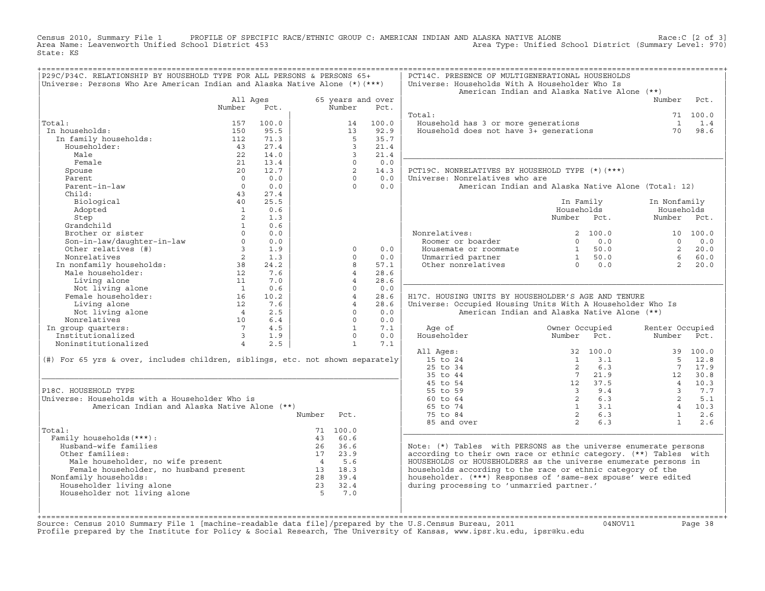Census 2010, Summary File 1 PROFILE OF SPECIFIC RACE/ETHNIC GROUP C: AMERICAN INDIAN AND ALASKA NATIVE ALONE<br>Area Name: Leavenworth Unified School District 453 Area Type: Unified School Di State: KS

| P29C/P34C. RELATIONSHIP BY HOUSEHOLD TYPE FOR ALL PERSONS & PERSONS 65+<br>Universe: Persons Who Are American Indian and Alaska Native Alone $(*)$ $(***)$                       |                         |       |                             |                     | PCT14C. PRESENCE OF MULTIGENERATIONAL HOUSEHOLDS<br>Universe: Households With A Householder Who Is<br>American Indian and Alaska Native Alone (**) |                                                      |      |                         |          |
|----------------------------------------------------------------------------------------------------------------------------------------------------------------------------------|-------------------------|-------|-----------------------------|---------------------|----------------------------------------------------------------------------------------------------------------------------------------------------|------------------------------------------------------|------|-------------------------|----------|
|                                                                                                                                                                                  | All Ages<br>Number      | Pct.  | 65 years and over<br>Number | Pct.                |                                                                                                                                                    |                                                      |      | Number                  | Pct.     |
|                                                                                                                                                                                  |                         |       |                             |                     | Total:                                                                                                                                             |                                                      |      |                         | 71 100.0 |
| Total:                                                                                                                                                                           | 157                     | 100.0 | 14                          | 100.0               | Household has 3 or more generations<br>Household does not have 3+ generations                                                                      |                                                      |      | $\overline{1}$          | 1.4      |
| In households:                                                                                                                                                                   | 150                     | 95.5  | 13                          | 92.9                |                                                                                                                                                    |                                                      |      | 70                      | 98.6     |
| In family households:                                                                                                                                                            | 112                     | 71.3  | -5                          | 35.7                |                                                                                                                                                    |                                                      |      |                         |          |
| Householder:                                                                                                                                                                     | 43                      | 27.4  | $\mathbf{3}$                | 21.4                |                                                                                                                                                    |                                                      |      |                         |          |
| Male                                                                                                                                                                             | 22                      | 14.0  | $\mathcal{L}$               | 21.4                |                                                                                                                                                    |                                                      |      |                         |          |
| Female                                                                                                                                                                           | 21                      | 13.4  | $\Omega$                    | 0.0                 |                                                                                                                                                    |                                                      |      |                         |          |
| Spouse                                                                                                                                                                           | 20                      | 12.7  | $\overline{2}$              | 14.3                | PCT19C. NONRELATIVES BY HOUSEHOLD TYPE (*) (***)                                                                                                   |                                                      |      |                         |          |
| Parent                                                                                                                                                                           | $\overline{0}$          | 0.0   | $\Omega$                    | 0.0                 | Universe: Nonrelatives who are                                                                                                                     |                                                      |      |                         |          |
| Parent-in-law                                                                                                                                                                    | $\overline{0}$          | 0.0   | $\cap$                      | 0.0                 | American Indian and Alaska Native Alone (Total: 12)                                                                                                |                                                      |      |                         |          |
| Child:                                                                                                                                                                           | 43                      | 27.4  |                             |                     |                                                                                                                                                    |                                                      |      |                         |          |
| Biological                                                                                                                                                                       | 40                      | 25.5  |                             |                     |                                                                                                                                                    | In Family                                            |      | In Nonfamily            |          |
| Adopted                                                                                                                                                                          | $\overline{1}$          | 0.6   |                             |                     |                                                                                                                                                    | Households                                           |      | Households              |          |
| Step                                                                                                                                                                             | 2                       | 1.3   |                             |                     |                                                                                                                                                    | Number Pct.                                          |      | Number Pct.             |          |
| Grandchild                                                                                                                                                                       | 1                       | 0.6   |                             |                     |                                                                                                                                                    |                                                      |      |                         |          |
| Brother or sister                                                                                                                                                                | $\Omega$                | 0.0   |                             |                     | Nonrelatives:                                                                                                                                      | 2, 100.0                                             |      |                         | 10 100.0 |
|                                                                                                                                                                                  | $\Omega$                | 0.0   |                             |                     | Roomer or boarder                                                                                                                                  | $\Omega$                                             | 0.0  | $\Omega$                | 0.0      |
| Son-in-law/daughter-in-law<br>Other relatives (#)<br>Other relatives (#)                                                                                                         | $3^{\circ}$             | 1.9   | $\circ$                     | 0.0                 | Housemate or roommate                                                                                                                              | $\begin{bmatrix} 1 & 50.0 \\ 1 & 50.0 \end{bmatrix}$ |      | $\overline{2}$          | 20.0     |
|                                                                                                                                                                                  |                         | 1.3   | $\Omega$                    | 0.0                 | Unmarried partner                                                                                                                                  |                                                      |      | 6                       | 60.0     |
|                                                                                                                                                                                  |                         | 24.2  | 8                           | 57.1                | Other nonrelatives                                                                                                                                 | $\begin{matrix} 1 & 50.0 \\ 0 & 0.0 \end{matrix}$    |      | 2                       | 20.0     |
|                                                                                                                                                                                  |                         | 7.6   | $\overline{4}$              | 28.6                |                                                                                                                                                    |                                                      |      |                         |          |
| Noncelatives<br>In nonfamily households:<br>Male householder:<br>12<br>Living alone<br>Not living alone<br>11<br>Not living alone<br>16<br>Female householder:<br>16<br>12<br>12 |                         | 7.0   | $\overline{4}$              | 28.6                |                                                                                                                                                    |                                                      |      |                         |          |
|                                                                                                                                                                                  |                         | 0.6   | $\Omega$                    | 0.0                 |                                                                                                                                                    |                                                      |      |                         |          |
|                                                                                                                                                                                  |                         | 10.2  | $\overline{4}$              | 28.6                | H17C. HOUSING UNITS BY HOUSEHOLDER'S AGE AND TENURE                                                                                                |                                                      |      |                         |          |
| Living alone                                                                                                                                                                     | 12                      | 7.6   | $\overline{4}$              | 28.6                | Universe: Occupied Housing Units With A Householder Who Is                                                                                         |                                                      |      |                         |          |
| Not living alone                                                                                                                                                                 | $\overline{4}$          | 2.5   | $\Omega$                    | 0.0                 | American Indian and Alaska Native Alone (**)                                                                                                       |                                                      |      |                         |          |
| Nonrelatives                                                                                                                                                                     | 10                      | 6.4   | $\Omega$                    | 0.0                 |                                                                                                                                                    |                                                      |      |                         |          |
| In group quarters:                                                                                                                                                               | $7\overline{ }$         | 4.5   |                             | $\mathbf{1}$<br>7.1 | Age of                                                                                                                                             | Owner Occupied                                       |      | Renter Occupied         |          |
| Institutionalized                                                                                                                                                                | $\overline{\mathbf{3}}$ | 1.9   |                             | $\Omega$<br>0.0     | Householder                                                                                                                                        | Number Pct.                                          |      | Number                  | Pct.     |
| Noninstitutionalized                                                                                                                                                             | $\overline{4}$          | 2.5   | $\mathbf{1}$                | 7.1                 |                                                                                                                                                    |                                                      |      |                         |          |
|                                                                                                                                                                                  |                         |       |                             |                     | All Ages:                                                                                                                                          | 32 100.0                                             |      |                         | 39 100.0 |
| (#) For 65 yrs & over, includes children, siblings, etc. not shown separately                                                                                                    |                         |       |                             |                     | 15 to 24                                                                                                                                           | $\overline{1}$                                       | 3.1  | 5 <sub>1</sub>          | 12.8     |
|                                                                                                                                                                                  |                         |       |                             |                     | 25 to 34                                                                                                                                           | 2                                                    | 6.3  | 7                       | 17.9     |
|                                                                                                                                                                                  |                         |       |                             |                     | 35 to 44                                                                                                                                           | $7\overline{ }$                                      | 21.9 |                         | 12 30.8  |
|                                                                                                                                                                                  |                         |       |                             |                     | 45 to 54                                                                                                                                           | 12 37.5                                              |      | $\overline{4}$          | 10.3     |
| P18C. HOUSEHOLD TYPE                                                                                                                                                             |                         |       |                             |                     | 55 to 59                                                                                                                                           | $3 \t 9.4$                                           |      | $\overline{\mathbf{3}}$ | 7.7      |
| Universe: Households with a Householder Who is                                                                                                                                   |                         |       |                             |                     | 60 to 64                                                                                                                                           | $\overline{2}$                                       | 6.3  | 2                       | 5.1      |
| American Indian and Alaska Native Alone (**)                                                                                                                                     |                         |       |                             |                     | 65 to 74                                                                                                                                           | $1 \t 3.1$                                           |      |                         | 4 10.3   |
|                                                                                                                                                                                  |                         |       | Number<br>Pct.              |                     | 75 to 84                                                                                                                                           | $\overline{2}$                                       | 6.3  | $\mathbf{1}$            | 2.6      |
|                                                                                                                                                                                  |                         |       |                             |                     | 85 and over                                                                                                                                        | 2                                                    | 6.3  | $\mathbf{1}$            | 2.6      |
| Total:                                                                                                                                                                           |                         |       | 71 100.0                    |                     |                                                                                                                                                    |                                                      |      |                         |          |
| Family households (***) :                                                                                                                                                        |                         |       | 43 60.6                     |                     |                                                                                                                                                    |                                                      |      |                         |          |
| Husband-wife families                                                                                                                                                            |                         |       | 26 36.6                     |                     | Note: (*) Tables with PERSONS as the universe enumerate persons                                                                                    |                                                      |      |                         |          |
| Other families:                                                                                                                                                                  |                         |       | 17, 23.9                    |                     | according to their own race or ethnic category. (**) Tables with                                                                                   |                                                      |      |                         |          |
| Male householder, no wife present<br>Female householder, no husband present<br>Family households: 28 39.4                                                                        |                         |       |                             |                     | HOUSEHOLDS or HOUSEHOLDERS as the universe enumerate persons in                                                                                    |                                                      |      |                         |          |
|                                                                                                                                                                                  |                         |       |                             |                     | households according to the race or ethnic category of the                                                                                         |                                                      |      |                         |          |
| Nonfamily households:                                                                                                                                                            |                         |       |                             |                     | householder. (***) Responses of 'same-sex spouse' were edited                                                                                      |                                                      |      |                         |          |
| Householder living alone                                                                                                                                                         |                         |       | 23 32.4                     |                     | during processing to 'unmarried partner.'                                                                                                          |                                                      |      |                         |          |
| Householder not living alone                                                                                                                                                     |                         |       | $5^{\circ}$<br>7.0          |                     |                                                                                                                                                    |                                                      |      |                         |          |
|                                                                                                                                                                                  |                         |       |                             |                     |                                                                                                                                                    |                                                      |      |                         |          |
|                                                                                                                                                                                  |                         |       |                             |                     |                                                                                                                                                    |                                                      |      |                         |          |
|                                                                                                                                                                                  |                         |       |                             |                     |                                                                                                                                                    |                                                      |      |                         |          |

+===================================================================================================================================================+Source: Census 2010 Summary File 1 [machine−readable data file]/prepared by the U.S.Census Bureau, 2011 04NOV11 Page 38 Profile prepared by the Institute for Policy & Social Research, The University of Kansas, www.ipsr.ku.edu, ipsr@ku.edu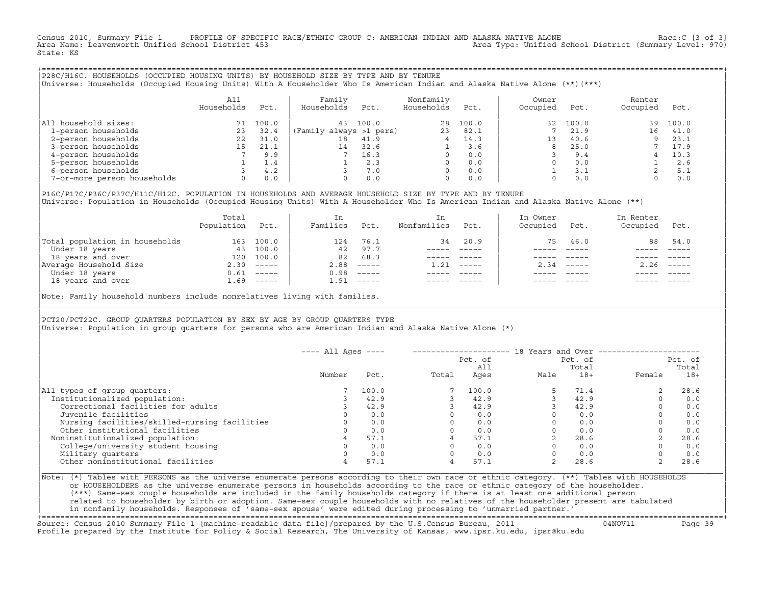Census 2010, Summary File 1 PROFILE OF SPECIFIC RACE/ETHNIC GROUP C: AMERICAN INDIAN AND ALASKA NATIVE ALONE Race:C [3 of 3]<br>Area Name: Leavenworth Unified School District 453 Area Type: Unified School District (Summary Level: 970) State: KS

+===================================================================================================================================================+|P28C/H16C. HOUSEHOLDS (OCCUPIED HOUSING UNITS) BY HOUSEHOLD SIZE BY TYPE AND BY TENURE | |Universe: Households (Occupied Housing Units) With A Householder Who Is American Indian and Alaska Native Alone (\*\*)(\*\*\*) |

|                             | A11<br>Households | Pct.  | Family<br>Households    | Pct.  | Nonfamily<br>Households | Pct.  | Owner<br>Occupied | Pct.  | Renter<br>Occupied | Pct.  |
|-----------------------------|-------------------|-------|-------------------------|-------|-------------------------|-------|-------------------|-------|--------------------|-------|
| All household sizes:        |                   | 100.0 | 43                      | 100.0 | 28                      | 100.0 | 32                | 100.0 | 39                 | 100.0 |
| 1-person households         | 23                | 32.4  | (Family always >1 pers) |       | 23                      | 82.1  |                   | 21.9  | 16                 | 41.0  |
| 2-person households         | 22                | 31.0  | 18                      | 41.9  |                         | 14.3  | 13                | 40.6  |                    | 23.1  |
| 3-person households         | 15                | 21.1  | 14                      | 32.6  |                         | 3.6   |                   | 25.0  |                    | 17.9  |
| 4-person households         |                   | 9.9   |                         | 16.3  |                         | 0.0   |                   | 9.4   |                    | 10.3  |
| 5-person households         |                   | 1.4   |                         | 2.3   |                         | 0.0   |                   | 0.0   |                    | 2.6   |
| 6-person households         |                   | 4.2   |                         | 7.0   | $\Omega$                | 0.0   |                   | 3.1   |                    | 5.1   |
| 7-or-more person households | $\Omega$          | 0.0   |                         | 0.0   | $\Omega$                | 0.0   |                   | 0.0   |                    | 0.0   |

|P16C/P17C/P36C/P37C/H11C/H12C. POPULATION IN HOUSEHOLDS AND AVERAGE HOUSEHOLD SIZE BY TYPE AND BY TENURE | Universe: Population in Households (Occupied Housing Units) With A Householder Who Is American Indian and Alaska Native Alone (\*\*)

|                                | Total<br>Population | Pct.                      | In<br>Families | Pct.          | In.<br>Nonfamilies | Pct.     | In Owner<br>Occupied | Pct.          | In Renter<br>Occupied | Pct.        |
|--------------------------------|---------------------|---------------------------|----------------|---------------|--------------------|----------|----------------------|---------------|-----------------------|-------------|
| Total population in households | 163                 | 100.0                     | 124            | 76.1          | 34                 | 20.9     | 75                   | 46.0          | 88                    | 54.0        |
| Under 18 years                 | 43                  | 100.0                     | 42             | 97.7          |                    |          |                      |               |                       |             |
| 18 years and over              | 120                 | 100.0                     | 82             | 68.3          |                    |          |                      |               |                       |             |
| Average Household Size         | 2.30                | $\qquad \qquad - - - - -$ | 2.88           | $------$      | 1.21               | $------$ | 2.34                 | $- - - - - -$ | 2.26                  | $------$    |
| Under 18 years                 | 0.61                | $------$                  | 0.98           | $------$      |                    |          |                      |               |                       |             |
| 18 years and over              | 1.69                | $------$                  | 1.91           | $- - - - - -$ |                    |          |                      | $- - - - -$   |                       | $- - - - -$ |
|                                |                     |                           |                |               |                    |          |                      |               |                       |             |

Note: Family household numbers include nonrelatives living with families.

| | PCT20/PCT22C. GROUP OUARTERS POPULATION BY SEX BY AGE BY GROUP OUARTERS TYPE Universe: Population in group quarters for persons who are American Indian and Alaska Native Alone (\*)

|                                               | $---$ All Ages $---$ |       |       |                |      |                  | 18 Years and Over ------------------- |                  |
|-----------------------------------------------|----------------------|-------|-------|----------------|------|------------------|---------------------------------------|------------------|
|                                               |                      |       |       | Pct. of<br>All |      | Pct. of<br>Total |                                       | Pct. of<br>Total |
|                                               | Number               | Pct.  | Total | Ages           | Male | $18+$            | Female                                | $18+$            |
| All types of group quarters:                  |                      | 100.0 |       | 100.0          |      | 71.4             |                                       | 28.6             |
| Institutionalized population:                 |                      | 42.9  |       | 42.9           |      | 42.9             |                                       | 0.0              |
| Correctional facilities for adults            |                      | 42.9  |       | 42.9           |      | 42.9             |                                       | 0.0              |
| Juvenile facilities                           |                      | 0.0   |       | 0.0            |      | 0.0              |                                       | 0.0              |
| Nursing facilities/skilled-nursing facilities |                      | 0.0   |       | 0.0            |      | 0.0              |                                       | 0.0              |
| Other institutional facilities                |                      | 0.0   |       | 0.0            |      | 0.0              |                                       | 0.0              |
| Noninstitutionalized population:              |                      | 57.1  |       | 57.1           |      | 28.6             |                                       | 28.6             |
| College/university student housing            |                      | 0.0   |       | 0.0            |      | 0.0              |                                       | 0.0              |
| Military quarters                             |                      | 0.0   |       | 0.0            |      | 0.0              |                                       | 0.0              |
| Other noninstitutional facilities             | 4                    | 57.1  |       | 57.1           |      | 28.6             |                                       | 28.6             |
|                                               |                      |       |       |                |      |                  |                                       |                  |

|\_\_\_\_\_\_\_\_\_\_\_\_\_\_\_\_\_\_\_\_\_\_\_\_\_\_\_\_\_\_\_\_\_\_\_\_\_\_\_\_\_\_\_\_\_\_\_\_\_\_\_\_\_\_\_\_\_\_\_\_\_\_\_\_\_\_\_\_\_\_\_\_\_\_\_\_\_\_\_\_\_\_\_\_\_\_\_\_\_\_\_\_\_\_\_\_\_\_\_\_\_\_\_\_\_\_\_\_\_\_\_\_\_\_\_\_\_\_\_\_\_\_\_\_\_\_\_\_\_\_\_\_\_\_\_\_\_\_\_\_\_\_\_\_\_\_\_|

| |

|Note: (\*) Tables with PERSONS as the universe enumerate persons according to their own race or ethnic category. (\*\*) Tables with HOUSEHOLDS | or HOUSEHOLDERS as the universe enumerate persons in households according to the race or ethnic category of the householder. | (\*\*\*) Same−sex couple households are included in the family households category if there is at least one additional person | | related to householder by birth or adoption. Same−sex couple households with no relatives of the householder present are tabulated | | in nonfamily households. Responses of 'same−sex spouse' were edited during processing to 'unmarried partner.' | +===================================================================================================================================================+

Source: Census 2010 Summary File 1 [machine−readable data file]/prepared by the U.S.Census Bureau, 2011 04NOV11 Page 39 Profile prepared by the Institute for Policy & Social Research, The University of Kansas, www.ipsr.ku.edu, ipsr@ku.edu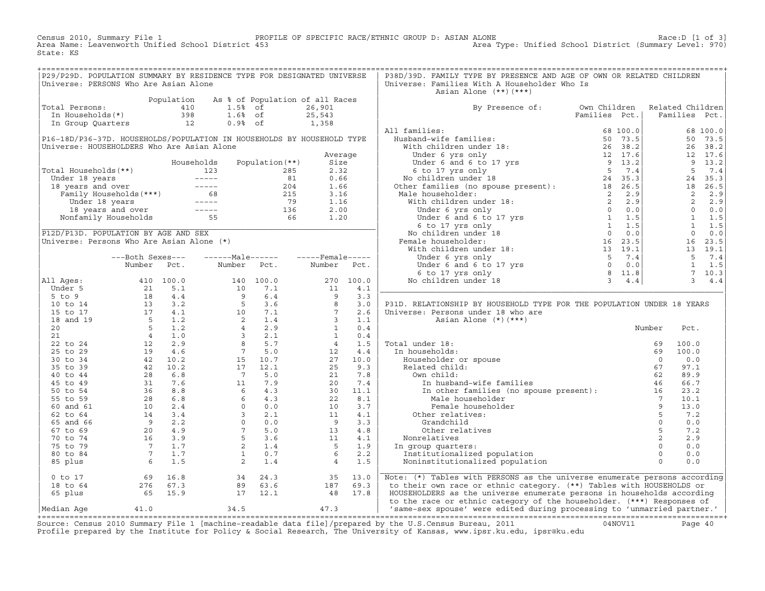Census 2010, Summary File 1 PROFILE OF SPECIFIC RACE/ETHNIC GROUP D: ASIAN ALONE Race:D [1 of 3] Area Name: Leavenworth Unified School District 453 Area Type: Unified School District (Summary Level: 970) State: KS

+===================================================================================================================================================+

| P29/P29D. POPULATION SUMMARY BY RESIDENCE TYPE FOR DESIGNATED UNIVERSE |                                                                                                                |            |                                                                                                                                                |                                 |                   |           | P38D/39D. FAMILY TYPE BY PRESENCE AND AGE OF OWN OR RELATED CHILDREN                                                                                                                                                                                 |               |                |                  |               |
|------------------------------------------------------------------------|----------------------------------------------------------------------------------------------------------------|------------|------------------------------------------------------------------------------------------------------------------------------------------------|---------------------------------|-------------------|-----------|------------------------------------------------------------------------------------------------------------------------------------------------------------------------------------------------------------------------------------------------------|---------------|----------------|------------------|---------------|
|                                                                        |                                                                                                                |            |                                                                                                                                                |                                 |                   |           |                                                                                                                                                                                                                                                      |               |                |                  |               |
| Universe: PERSONS Who Are Asian Alone                                  |                                                                                                                |            |                                                                                                                                                |                                 |                   |           | Universe: Families With A Householder Who Is                                                                                                                                                                                                         |               |                |                  |               |
|                                                                        |                                                                                                                |            |                                                                                                                                                |                                 |                   |           | Asian Alone $(**)$ $(***)$                                                                                                                                                                                                                           |               |                |                  |               |
|                                                                        |                                                                                                                | Population |                                                                                                                                                | As % of Population of all Races |                   |           |                                                                                                                                                                                                                                                      |               |                |                  |               |
| Total Persons:                                                         |                                                                                                                | 410        | $1.5%$ of                                                                                                                                      |                                 | 26,901            |           | By Presence of:                                                                                                                                                                                                                                      | Own Children  |                | Related Children |               |
| In Households(*)                                                       |                                                                                                                | 398        | $1.6%$ of                                                                                                                                      |                                 | 25,543            |           |                                                                                                                                                                                                                                                      | Families Pct. |                | Families Pct.    |               |
| In Group Quarters                                                      |                                                                                                                | 12         | $0.9%$ of                                                                                                                                      |                                 | 1,358             |           |                                                                                                                                                                                                                                                      |               |                |                  |               |
|                                                                        |                                                                                                                |            |                                                                                                                                                |                                 |                   |           | All families:                                                                                                                                                                                                                                        | 68 100.0      |                |                  | 68 100.0      |
| P16-18D/P36-37D. HOUSEHOLDS/POPULATION IN HOUSEHOLDS BY HOUSEHOLD TYPE |                                                                                                                |            |                                                                                                                                                |                                 |                   |           | Husband-wife families:                                                                                                                                                                                                                               | 50 73.5       |                |                  | 50 73.5       |
| Universe: HOUSEHOLDERS Who Are Asian Alone                             |                                                                                                                |            |                                                                                                                                                |                                 |                   |           |                                                                                                                                                                                                                                                      |               |                |                  |               |
|                                                                        |                                                                                                                |            |                                                                                                                                                |                                 |                   |           |                                                                                                                                                                                                                                                      |               |                |                  | 26 38.2       |
|                                                                        |                                                                                                                |            |                                                                                                                                                |                                 | Average           |           |                                                                                                                                                                                                                                                      |               |                |                  | 12 17.6       |
|                                                                        |                                                                                                                |            | Households                                                                                                                                     | Population $(**)$               | Size              |           |                                                                                                                                                                                                                                                      |               |                |                  | 9 13.2        |
| Total Households (**)                                                  |                                                                                                                |            | 123                                                                                                                                            | 285                             | 2.32              |           |                                                                                                                                                                                                                                                      |               |                | 5                | 7.4           |
| Under 18 years                                                         |                                                                                                                |            |                                                                                                                                                | 81                              | 0.66              |           |                                                                                                                                                                                                                                                      |               |                |                  | 24 35.3       |
| 18 years and over                                                      |                                                                                                                |            |                                                                                                                                                | 204                             | 1.66              |           | Fusband-wife families:<br>With children under 18:<br>With children under 18:<br>Under 6 yrs only<br>Under 6 and 6 to 17 yrs<br>9 13.2<br>6 to 17 yrs only<br>8 7.4<br>No children under 18<br>24 35.3<br>Other families (no spouse present):<br>Male |               |                |                  | 18 26.5       |
|                                                                        | reals and over<br>Tanily Households (***)<br>Under 18 years<br>18 years and over<br>Nonfamily Households<br>55 |            |                                                                                                                                                | 215                             | 3.16              |           |                                                                                                                                                                                                                                                      |               |                |                  | 2, 2.9        |
|                                                                        |                                                                                                                |            |                                                                                                                                                | 79                              | 1.16              |           |                                                                                                                                                                                                                                                      |               |                | 2                | 2.9           |
|                                                                        |                                                                                                                |            |                                                                                                                                                |                                 | 2.00              |           |                                                                                                                                                                                                                                                      |               |                |                  | $0 \t 0.0$    |
|                                                                        |                                                                                                                |            |                                                                                                                                                | $\frac{136}{66}$                | 1.20              |           |                                                                                                                                                                                                                                                      |               |                |                  | $1 \quad 1.5$ |
|                                                                        |                                                                                                                |            |                                                                                                                                                |                                 |                   |           |                                                                                                                                                                                                                                                      |               |                | $\mathbf{1}$     | 1.5           |
|                                                                        |                                                                                                                |            |                                                                                                                                                |                                 |                   |           |                                                                                                                                                                                                                                                      |               |                |                  |               |
| P12D/P13D. POPULATION BY AGE AND SEX                                   |                                                                                                                |            |                                                                                                                                                |                                 |                   |           |                                                                                                                                                                                                                                                      |               |                | $\overline{0}$   | 0.0           |
| Universe: Persons Who Are Asian Alone (*)                              |                                                                                                                |            |                                                                                                                                                |                                 |                   |           | Female householder:                                                                                                                                                                                                                                  |               |                |                  | 16 23.5       |
|                                                                        |                                                                                                                |            |                                                                                                                                                |                                 |                   |           |                                                                                                                                                                                                                                                      |               |                |                  | 13 19.1       |
|                                                                        | ---Both Sexes---                                                                                               |            | -------Male------                                                                                                                              |                                 | $---$ Female----- |           | Under 6 yrs only $\begin{array}{ccc} 5 & 7.4 \\ 0 & 0.0 \\ 6 & \text{to } 17 \text{ yrs} \\ 0 & \text{children under } 18 \\ 3 & 4.4 \end{array}$                                                                                                    | 5 7.4         |                | 5                | 7.4           |
|                                                                        | Number                                                                                                         | Pct.       | Number                                                                                                                                         | Pct.                            | Number            | Pct.      |                                                                                                                                                                                                                                                      |               |                | <sup>1</sup>     | 1.5           |
|                                                                        |                                                                                                                |            |                                                                                                                                                |                                 |                   |           |                                                                                                                                                                                                                                                      |               |                | $7^{\circ}$      | 10.3          |
| All Ages:                                                              |                                                                                                                | 410 100.0  |                                                                                                                                                | 140 100.0                       |                   | 270 100.0 | No children under 18                                                                                                                                                                                                                                 |               |                | 3 <sup>7</sup>   | 4.4           |
| Under 5                                                                | 21                                                                                                             | 5.1        | 10                                                                                                                                             | 7.1                             | 11                | 4.1       |                                                                                                                                                                                                                                                      |               |                |                  |               |
| $5$ to $9$                                                             | 18                                                                                                             | 4.4        | $\begin{array}{cccc} & 9 & 6 \\ 5 & 3 \\ 10 & 7 \\ 2 & 1 \\ 4 & 2 \\ 3 & 2 \\ 3 & 2 \\ 7 & 5 \\ 8 & 5 \\ 7 & 5 \\ 15 & 10 \\ 7 \\ \end{array}$ |                                 | $\overline{9}$    | 3.3       |                                                                                                                                                                                                                                                      |               |                |                  |               |
| 10 to 14                                                               | 13                                                                                                             | 3.2        |                                                                                                                                                |                                 | 8                 | 3.0       | P31D. RELATIONSHIP BY HOUSEHOLD TYPE FOR THE POPULATION UNDER 18 YEARS                                                                                                                                                                               |               |                |                  |               |
| 15 to 17                                                               |                                                                                                                | 17 4.1     |                                                                                                                                                |                                 | $7\overline{ }$   | 2.6       |                                                                                                                                                                                                                                                      |               |                |                  |               |
|                                                                        |                                                                                                                |            |                                                                                                                                                |                                 |                   |           | Universe: Persons under 18 who are                                                                                                                                                                                                                   |               |                |                  |               |
| 18 and 19                                                              | $\begin{array}{c} 5 \\ 5 \\ 4 \end{array}$                                                                     | 1.2        |                                                                                                                                                |                                 | $\mathbf{3}$      | 1.1       | Asian Alone $(*)$ $(***)$                                                                                                                                                                                                                            |               |                |                  |               |
| 20                                                                     |                                                                                                                | 1.2        |                                                                                                                                                |                                 | $\mathbf{1}$      | 0.4       |                                                                                                                                                                                                                                                      |               | Number         | Pct.             |               |
| 21                                                                     |                                                                                                                | 1.0        |                                                                                                                                                |                                 | <sup>1</sup>      | 0.4       |                                                                                                                                                                                                                                                      |               |                |                  |               |
| 22 to 24                                                               | 12                                                                                                             | 2.9        |                                                                                                                                                |                                 | 4 <sup>1</sup>    | 1.5       | Total under 18:                                                                                                                                                                                                                                      |               | 69             | 100.0            |               |
| 25 to 29                                                               | 19                                                                                                             | 4.6        |                                                                                                                                                |                                 | 12                | 4.4       | In households:                                                                                                                                                                                                                                       |               | 69             | 100.0            |               |
| 30 to 34                                                               |                                                                                                                | 42 10.2    |                                                                                                                                                |                                 | 27                | 10.0      | Householder or spouse                                                                                                                                                                                                                                |               | $\Omega$       | 0.0              |               |
| 35 to 39                                                               |                                                                                                                | 42 10.2    | 17                                                                                                                                             | 12.1                            | 25                | 9.3       | Related child:                                                                                                                                                                                                                                       |               | 67             | 97.1             |               |
| 40 to 44                                                               | 28                                                                                                             | 6.8        | $\overline{7}$                                                                                                                                 | 5.0                             | 21                | 7.8       | Own child:                                                                                                                                                                                                                                           |               |                | 89.9             |               |
| 45 to 49                                                               | 31                                                                                                             | 7.6        |                                                                                                                                                | 7.9                             | 20                | 7.4       |                                                                                                                                                                                                                                                      |               |                | 66.7             |               |
| 50 to 54                                                               |                                                                                                                | 36 8.8     | $\begin{bmatrix} 1 \\ 1 \\ 6 \\ 6 \\ 0 \\ 3 \end{bmatrix}$                                                                                     | 4.3                             | 30                | 11.1      | wn child:<br>In husband-wife families<br>In other families (no spouse present):<br>16                                                                                                                                                                |               |                | 23.2             |               |
| 55 to 59                                                               |                                                                                                                | 28 6.8     |                                                                                                                                                | 4.3                             | 22                | 8.1       | Male householder                                                                                                                                                                                                                                     |               | $7\phantom{0}$ | 10.1             |               |
|                                                                        |                                                                                                                |            |                                                                                                                                                |                                 |                   |           |                                                                                                                                                                                                                                                      |               | 9              |                  |               |
| 60 and 61                                                              | 10                                                                                                             | 2.4        | $\Omega$                                                                                                                                       | 0.0                             | 10                | 3.7       | Female householder                                                                                                                                                                                                                                   |               |                | 13.0             |               |
| 62 to 64                                                               | 14                                                                                                             | 3.4        | $\overline{3}$                                                                                                                                 | 2.1                             | 11                | 4.1       | Other relatives:                                                                                                                                                                                                                                     |               | 5              | 7.2              |               |
| 65 and 66                                                              | 9                                                                                                              | 2.2        | $\overline{0}$                                                                                                                                 | 0.0                             | 9                 | 3.3       | Grandchild                                                                                                                                                                                                                                           |               | $\circ$        | 0.0              |               |
| 67 to 69                                                               | 20                                                                                                             | 4.9        | $7^{\circ}$                                                                                                                                    | 5.0                             | 13 <sup>1</sup>   | 4.8       | Other relatives                                                                                                                                                                                                                                      |               | 5              | 7.2              |               |
| 70 to 74                                                               | 16                                                                                                             | 3.9        | 5 <sub>1</sub>                                                                                                                                 | 3.6                             | 11                | 4.1       | Nonrelatives                                                                                                                                                                                                                                         |               | $\overline{a}$ | 2.9              |               |
| 75 to 79                                                               | $7\phantom{0}$                                                                                                 | 1.7        | $\overline{a}$                                                                                                                                 | 1.4                             | $5^{\circ}$       | 1.9       | In group quarters:                                                                                                                                                                                                                                   |               | $\Omega$       | 0.0              |               |
| 80 to 84                                                               | $7\phantom{0}$                                                                                                 | 1.7        | 1                                                                                                                                              | 0.7                             | 6                 | 2.2       | Institutionalized population                                                                                                                                                                                                                         |               | $\circ$        | 0.0              |               |
| 85 plus                                                                | $6\overline{6}$                                                                                                | 1.5        | $2^{\circ}$                                                                                                                                    | 1.4                             | $\overline{4}$    | 1.5       | Noninstitutionalized population                                                                                                                                                                                                                      |               | $\Omega$       | 0.0              |               |
|                                                                        |                                                                                                                |            |                                                                                                                                                |                                 |                   |           |                                                                                                                                                                                                                                                      |               |                |                  |               |
| $0$ to $17$                                                            | 69                                                                                                             | 16.8       | 34                                                                                                                                             | 24.3                            | 35                | 13.0      | Note: (*) Tables with PERSONS as the universe enumerate persons according                                                                                                                                                                            |               |                |                  |               |
| 18 to 64                                                               | 276                                                                                                            | 67.3       | 89                                                                                                                                             | 63.6                            | 187               | 69.3      | to their own race or ethnic category. (**) Tables with HOUSEHOLDS or                                                                                                                                                                                 |               |                |                  |               |
|                                                                        |                                                                                                                |            |                                                                                                                                                |                                 |                   |           |                                                                                                                                                                                                                                                      |               |                |                  |               |
| 65 plus                                                                | 65                                                                                                             | 15.9       | 17                                                                                                                                             | 12.1                            | 48                | 17.8      | HOUSEHOLDERS as the universe enumerate persons in households according                                                                                                                                                                               |               |                |                  |               |
|                                                                        |                                                                                                                |            |                                                                                                                                                |                                 |                   |           | to the race or ethnic category of the householder. (***) Responses of                                                                                                                                                                                |               |                |                  |               |
| Median Age                                                             | 41.0                                                                                                           |            | 34.5                                                                                                                                           |                                 | 47.3              |           | 'same-sex spouse' were edited during processing to 'unmarried partner.'                                                                                                                                                                              |               |                |                  |               |

|Median Age 41.0 34.5 47.3 | 'same−sex spouse' were edited during processing to 'unmarried partner.' | +===================================================================================================================================================+ Source: Census 2010 Summary File 1 [machine−readable data file]/prepared by the U.S.Census Bureau, 2011 04NOV11 Page 40 Profile prepared by the Institute for Policy & Social Research, The University of Kansas, www.ipsr.ku.edu, ipsr@ku.edu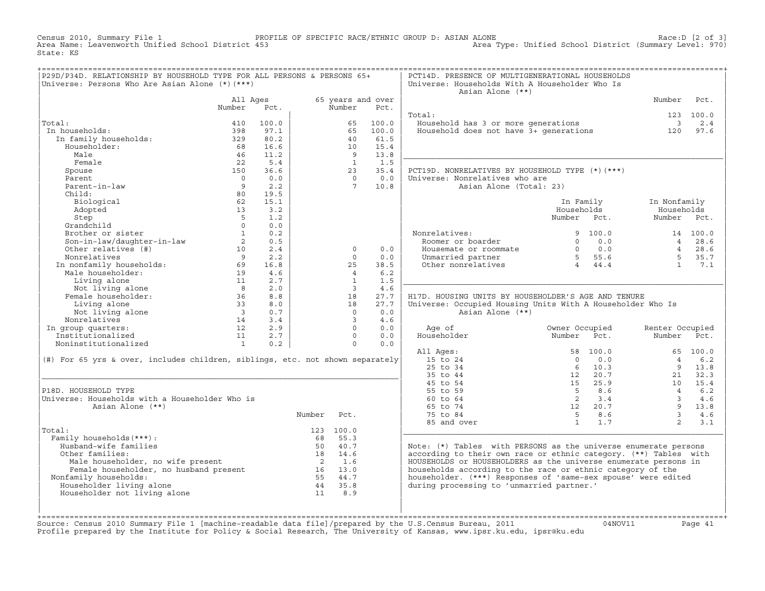Census 2010, Summary File 1 PROFILE OF SPECIFIC RACE/ETHNIC GROUP D: ASIAN ALONE Race:D [2 of 3] Area Type: Unified School District (Summary Level: 970) State: KS

| P29D/P34D. RELATIONSHIP BY HOUSEHOLD TYPE FOR ALL PERSONS & PERSONS 65+<br>Universe: Persons Who Are Asian Alone (*) (***) |                                  |            |        |                         |                           | PCT14D. PRESENCE OF MULTIGENERATIONAL HOUSEHOLDS<br>Universe: Households With A Householder Who Is |                                                      |                          |                        |
|----------------------------------------------------------------------------------------------------------------------------|----------------------------------|------------|--------|-------------------------|---------------------------|----------------------------------------------------------------------------------------------------|------------------------------------------------------|--------------------------|------------------------|
|                                                                                                                            |                                  |            |        |                         |                           | Asian Alone (**)                                                                                   |                                                      |                          |                        |
|                                                                                                                            | All Ages<br>Number               | Pct.       |        | Number                  | 65 years and over<br>Pct. |                                                                                                    |                                                      | Number                   | Pct.                   |
|                                                                                                                            |                                  |            |        |                         |                           | Total:                                                                                             |                                                      |                          | 123 100.0              |
| Total:                                                                                                                     | 410                              | 100.0      |        | 65                      | 100.0                     | Household has 3 or more generations                                                                |                                                      | $\overline{\phantom{a}}$ | 2.4                    |
| In households:                                                                                                             | 398                              | 97.1       |        | 65                      | 100.0                     | Household does not have 3+ generations                                                             |                                                      | 120                      | 97.6                   |
| In family households:                                                                                                      | 329                              | 80.2       |        | 40                      | 61.5                      |                                                                                                    |                                                      |                          |                        |
| Householder:                                                                                                               | 68                               | 16.6       |        | 10                      | 15.4                      |                                                                                                    |                                                      |                          |                        |
| Male                                                                                                                       | 46                               | 11.2       |        | $\overline{9}$          | 13.8                      |                                                                                                    |                                                      |                          |                        |
| Female                                                                                                                     | 22                               | 5.4        |        | $\mathbf{1}$            | 1.5                       |                                                                                                    |                                                      |                          |                        |
| Spouse                                                                                                                     | 150                              | 36.6       |        | 23                      | 35.4                      | PCT19D. NONRELATIVES BY HOUSEHOLD TYPE (*) (***)                                                   |                                                      |                          |                        |
| Parent                                                                                                                     | $\overline{0}$                   | 0.0        |        | $\bigcap$               | 0.0                       | Universe: Nonrelatives who are                                                                     |                                                      |                          |                        |
| Parent-in-law                                                                                                              | 9                                | 2.2        |        | $7\overline{ }$         | 10.8                      | Asian Alone (Total: 23)                                                                            |                                                      |                          |                        |
| Child:                                                                                                                     | 80                               | 19.5       |        |                         |                           |                                                                                                    |                                                      |                          |                        |
| Biological                                                                                                                 | 62                               | 15.1       |        |                         |                           |                                                                                                    | In Family                                            | In Nonfamily             |                        |
| Adopted                                                                                                                    | 13                               | 3.2        |        |                         |                           |                                                                                                    | Households                                           |                          | Households             |
| Step                                                                                                                       | 5                                | 1.2        |        |                         |                           |                                                                                                    | Number Pct.                                          |                          | Number Pct.            |
| Grandchild                                                                                                                 | $\circ$                          | 0.0        |        |                         |                           |                                                                                                    |                                                      |                          |                        |
| Brother or sister                                                                                                          | $\overline{1}$                   | 0.2<br>0.5 |        |                         |                           | Nonrelatives:<br>Roomer or boarder                                                                 | 9 100.0<br>$0 \t 0.0$                                |                          | 14 100.0<br>4 28.6     |
| Son-in-law/daughter-in-law<br>Other relatives (#)                                                                          | $\overline{\phantom{a}}$ 2<br>10 | 2.4        |        | $\Omega$                | 0.0                       | Housemate or roommate                                                                              |                                                      |                          | 4 28.6                 |
| Nonrelatives                                                                                                               | $\overline{9}$                   | 2.2        |        | $\Omega$                | 0.0                       | Unmarried partner                                                                                  | $0$ 0.0<br>5 55.6                                    |                          | 5 <sup>1</sup><br>35.7 |
| Nonrelatives<br>In nonfamily households: 69<br>Male householder: 19<br>11                                                  |                                  | 16.8       |        | 2.5                     | 38.5                      | Other nonrelatives                                                                                 | $\begin{bmatrix} 5 & 55.6 \\ 4 & 44.4 \end{bmatrix}$ |                          | $\overline{1}$<br>7.1  |
|                                                                                                                            |                                  | 4.6        |        | $\overline{4}$          | 6.2                       |                                                                                                    |                                                      |                          |                        |
| Living alone                                                                                                               | 11                               | 2.7        |        | $\mathbf{1}$            | 1.5                       |                                                                                                    |                                                      |                          |                        |
| Not living alone                                                                                                           | 8 <sup>8</sup>                   | 2.0        |        | $\overline{\mathbf{3}}$ | 4.6                       |                                                                                                    |                                                      |                          |                        |
| Female householder:                                                                                                        | 36                               | 8.8        |        | 18                      | 27.7                      | H17D. HOUSING UNITS BY HOUSEHOLDER'S AGE AND TENURE                                                |                                                      |                          |                        |
| Living alone                                                                                                               | 33                               | 8.0        |        | 18                      | 27.7                      | Universe: Occupied Housing Units With A Householder Who Is                                         |                                                      |                          |                        |
| Not living alone                                                                                                           | $\overline{\mathbf{3}}$          | 0.7        |        | $\Omega$                | 0.0                       | Asian Alone (**)                                                                                   |                                                      |                          |                        |
| Nonrelatives                                                                                                               | 14                               | 3.4        |        | $\overline{3}$          | 4.6                       |                                                                                                    |                                                      |                          |                        |
| In group quarters:                                                                                                         | 12                               | 2.9        |        | $\Omega$                | 0.0                       | Age of                                                                                             | Owner Occupied                                       | Renter Occupied          |                        |
| Institutionalized                                                                                                          | 11                               | 2.7        |        | $\Omega$                | 0.0                       | Householder                                                                                        | Number<br>Pct.                                       | Number                   | Pct.                   |
| Noninstitutionalized                                                                                                       | $\overline{1}$                   | 0.2        |        | $\Omega$                | 0.0                       |                                                                                                    |                                                      |                          |                        |
|                                                                                                                            |                                  |            |        |                         |                           | All Ages:                                                                                          | 58 100.0                                             |                          | 65 100.0               |
| (#) For 65 yrs & over, includes children, siblings, etc. not shown separately                                              |                                  |            |        |                         |                           | 15 to 24                                                                                           | $\Omega$<br>0.0                                      | $\overline{4}$           | 6.2                    |
|                                                                                                                            |                                  |            |        |                         |                           | 25 to 34                                                                                           | $6 \t 10.3$                                          |                          | 9<br>13.8              |
|                                                                                                                            |                                  |            |        |                         |                           | 35 to 44                                                                                           | 12 20.7                                              |                          | 32.3<br>21             |
|                                                                                                                            |                                  |            |        |                         |                           | 45 to 54                                                                                           | 15 25.9                                              |                          | 10<br>15.4             |
| P18D. HOUSEHOLD TYPE                                                                                                       |                                  |            |        |                         |                           | 55 to 59                                                                                           | $5\overline{)}$<br>8.6                               | $\overline{4}$           | $6.2$                  |
| Universe: Households with a Householder Who is<br>Asian Alone (**)                                                         |                                  |            |        |                         |                           | 60 to 64<br>65 to 74                                                                               | $\overline{2}$<br>$3 \cdot 4$<br>12 20.7             | $\overline{3}$           | 4.6<br>9<br>13.8       |
|                                                                                                                            |                                  |            | Number | Pct.                    |                           | 75 to 84                                                                                           | 5 8.6                                                |                          | $\overline{3}$<br>4.6  |
|                                                                                                                            |                                  |            |        |                         |                           | 85 and over                                                                                        | $1 \t 1.7$                                           |                          | 2<br>3.1               |
| Total:                                                                                                                     |                                  |            |        | 123 100.0               |                           |                                                                                                    |                                                      |                          |                        |
| Family households (***) :                                                                                                  |                                  |            |        | 68 55.3                 |                           |                                                                                                    |                                                      |                          |                        |
| Husband-wife families                                                                                                      |                                  |            |        | 50 40.7                 |                           | Note: (*) Tables with PERSONS as the universe enumerate persons                                    |                                                      |                          |                        |
| Other families:                                                                                                            |                                  |            |        | 18 14.6                 |                           | according to their own race or ethnic category. (**) Tables with                                   |                                                      |                          |                        |
|                                                                                                                            |                                  |            |        |                         |                           | HOUSEHOLDS or HOUSEHOLDERS as the universe enumerate persons in                                    |                                                      |                          |                        |
| Male householder, no wife present<br>Female householder, no husband present<br>Family households:<br>55 44.7               |                                  |            |        |                         |                           | households according to the race or ethnic category of the                                         |                                                      |                          |                        |
| Nonfamily households:                                                                                                      |                                  |            |        |                         |                           | householder. (***) Responses of 'same-sex spouse' were edited                                      |                                                      |                          |                        |
| Householder living alone                                                                                                   |                                  |            |        | 44 35.8                 |                           | during processing to 'unmarried partner.'                                                          |                                                      |                          |                        |
| Householder not living alone                                                                                               |                                  |            | 11     | 8.9                     |                           |                                                                                                    |                                                      |                          |                        |
|                                                                                                                            |                                  |            |        |                         |                           |                                                                                                    |                                                      |                          |                        |
|                                                                                                                            |                                  |            |        |                         |                           |                                                                                                    |                                                      |                          |                        |
|                                                                                                                            |                                  |            |        |                         |                           |                                                                                                    |                                                      |                          |                        |

+===================================================================================================================================================+Source: Census 2010 Summary File 1 [machine−readable data file]/prepared by the U.S.Census Bureau, 2011 04NOV11 Page 41 Profile prepared by the Institute for Policy & Social Research, The University of Kansas, www.ipsr.ku.edu, ipsr@ku.edu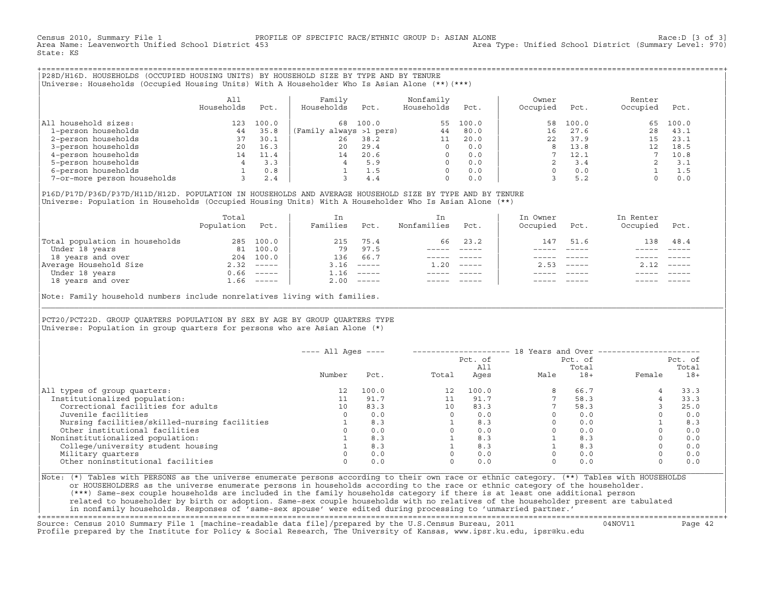Census 2010, Summary File 1 PROFILE OF SPECIFIC RACE/ETHNIC GROUP D: ASIAN ALONE Race:D [3 of 3] Area Type: Unified School District (Summary Level: 970) State: KS

+===================================================================================================================================================+|P28D/H16D. HOUSEHOLDS (OCCUPIED HOUSING UNITS) BY HOUSEHOLD SIZE BY TYPE AND BY TENURE |

|Universe: Households (Occupied Housing Units) With A Householder Who Is Asian Alone (\*\*)(\*\*\*) |

|                             | All<br>Households | Pct.  | Family<br>Households    | Pct.  | Nonfamily<br>Households | Pct.  | Owner<br>Occupied | Pct.  | Renter<br>Occupied | Pct.  |  |
|-----------------------------|-------------------|-------|-------------------------|-------|-------------------------|-------|-------------------|-------|--------------------|-------|--|
| household sizes:<br>All     | 123               | 100.0 | 68                      | 100.0 | 55                      | 100.0 | 58                | 100.0 | 65                 | 100.0 |  |
| 1-person households         | 44                | 35.8  | (Family always >1 pers) |       | 44                      | 80.0  | 16                | 27.6  | 28                 | 43.1  |  |
| 2-person households         | 37                | 30.1  | 26                      | 38.2  | 11                      | 20.0  | 22                | 37.9  | 15                 | 23.1  |  |
| 3-person households         | 20                | 16.3  | 20                      | 29.4  | $\Omega$                | 0.0   | 8                 | 13.8  |                    | 18.5  |  |
| 4-person households         | 14                | 11.4  | 14                      | 20.6  | $\Omega$                | 0.0   |                   | 12.1  |                    | 10.8  |  |
| 5-person households         |                   | 3.3   |                         | 5.9   | $\Omega$                | 0.0   |                   | 3.4   |                    | 3.1   |  |
| 6-person households         |                   | 0.8   |                         | 1.5   | $\Omega$                | 0.0   |                   | 0.0   |                    | 1.5   |  |
| 7-or-more person households |                   | 2.4   |                         | 4.4   | $\Omega$                | 0.0   |                   | 5.2   |                    | 0.0   |  |

|P16D/P17D/P36D/P37D/H11D/H12D. POPULATION IN HOUSEHOLDS AND AVERAGE HOUSEHOLD SIZE BY TYPE AND BY TENURE | |Universe: Population in Households (Occupied Housing Units) With A Householder Who Is Asian Alone (\*\*) |

|                                | Total<br>Population | Pct.         | In<br>Families | Pct.     | In.<br>Nonfamilies | Pct.     | In Owner<br>Occupied | Pct.          | In Renter<br>Occupied | Pct.        |  |
|--------------------------------|---------------------|--------------|----------------|----------|--------------------|----------|----------------------|---------------|-----------------------|-------------|--|
| Total population in households | 285                 | 100.0        | 215            | 75.4     | 66                 | 23.2     | 147                  | 51.6          | 138                   | 48.4        |  |
| Under 18 years                 | 81                  | 100.0        | 79             | 97.5     |                    |          |                      |               |                       |             |  |
| 18 years and over              | 204                 | 100.0        | 136            | 66.7     |                    |          |                      |               |                       |             |  |
| Average Household Size         | 2.32                | $------$     | 3.16           | $------$ | 1.20               | $------$ | 2.53                 | $- - - - - -$ | 2.12                  | $------$    |  |
| Under 18 years                 | 0.66                | ______       | 1.16           | $------$ |                    |          |                      |               |                       |             |  |
| 18 years and over              |                     | $1.66$ ----- | 2.00           |          |                    |          |                      |               |                       | $- - - - -$ |  |
|                                |                     |              |                |          |                    |          |                      |               |                       |             |  |

Note: Family household numbers include nonrelatives living with families. |\_\_\_\_\_\_\_\_\_\_\_\_\_\_\_\_\_\_\_\_\_\_\_\_\_\_\_\_\_\_\_\_\_\_\_\_\_\_\_\_\_\_\_\_\_\_\_\_\_\_\_\_\_\_\_\_\_\_\_\_\_\_\_\_\_\_\_\_\_\_\_\_\_\_\_\_\_\_\_\_\_\_\_\_\_\_\_\_\_\_\_\_\_\_\_\_\_\_\_\_\_\_\_\_\_\_\_\_\_\_\_\_\_\_\_\_\_\_\_\_\_\_\_\_\_\_\_\_\_\_\_\_\_\_\_\_\_\_\_\_\_\_\_\_\_\_\_|

| | PCT20/PCT22D. GROUP OUARTERS POPULATION BY SEX BY AGE BY GROUP OUARTERS TYPE Universe: Population in group quarters for persons who are Asian Alone  $(*)$ 

|                                               | $---$ All Ages $---$ |       |       | Pct. of<br>All | 18 Years and Over -------------- | Pct. of<br>Total |          | Pct. of<br>Total |
|-----------------------------------------------|----------------------|-------|-------|----------------|----------------------------------|------------------|----------|------------------|
|                                               | Number               | Pct.  | Total | Ages           | Male                             | $18+$            | Female   | $18+$            |
| All types of group quarters:                  | 12                   | 100.0 | 12    | 100.0          |                                  | 66.7             |          | 33.3             |
| Institutionalized population:                 |                      | 91.7  |       | 91.7           |                                  | 58.3             |          | 33.3             |
| Correctional facilities for adults            | 10                   | 83.3  | 10    | 83.3           |                                  | 58.3             |          | 25.0             |
| Juvenile facilities                           |                      | 0.0   |       | 0.0            |                                  | 0.0              | $\Omega$ | 0.0              |
| Nursing facilities/skilled-nursing facilities |                      | 8.3   |       | 8.3            |                                  | 0.0              |          | 8.3              |
| Other institutional facilities                |                      | 0.0   |       | 0.0            |                                  | 0.0              |          | 0.0              |
| Noninstitutionalized population:              |                      | 8.3   |       | 8.3            |                                  | 8.3              |          | 0.0              |
| College/university student housing            |                      | 8.3   |       | 8.3            |                                  | 8.3              |          | 0.0              |
| Military quarters                             |                      | 0.0   |       | 0.0            |                                  | 0.0              | $\Omega$ | 0.0              |
| Other noninstitutional facilities             |                      | 0.0   |       | 0.0            |                                  | 0.0              | $\Omega$ | 0.0              |

| |

|Note: (\*) Tables with PERSONS as the universe enumerate persons according to their own race or ethnic category. (\*\*) Tables with HOUSEHOLDS | or HOUSEHOLDERS as the universe enumerate persons in households according to the race or ethnic category of the householder. | (\*\*\*) Same−sex couple households are included in the family households category if there is at least one additional person | | related to householder by birth or adoption. Same−sex couple households with no relatives of the householder present are tabulated | | in nonfamily households. Responses of 'same−sex spouse' were edited during processing to 'unmarried partner.' |

+===================================================================================================================================================+ Source: Census 2010 Summary File 1 [machine−readable data file]/prepared by the U.S.Census Bureau, 2011 04NOV11 Page 42 Profile prepared by the Institute for Policy & Social Research, The University of Kansas, www.ipsr.ku.edu, ipsr@ku.edu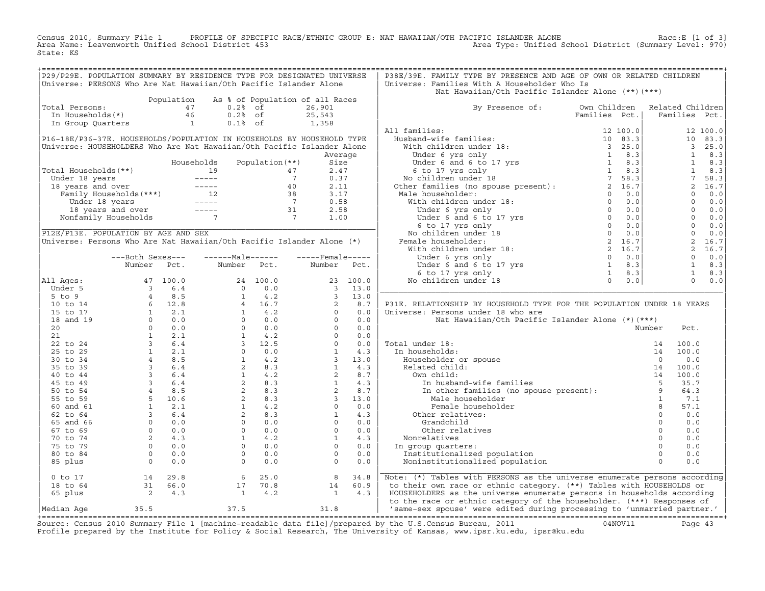Census 2010, Summary File 1 PROFILE OF SPECIFIC RACE/ETHNIC GROUP E: NAT HAWAIIAN/OTH PACIFIC ISLANDER ALONE Race:E [1 of 3]<br>Area Name: Leavenworth Unified School District 453 State: KS

| P29/P29E. POPULATION SUMMARY BY RESIDENCE TYPE FOR DESIGNATED UNIVERSE<br>P38E/39E. FAMILY TYPE BY PRESENCE AND AGE OF OWN OR RELATED CHILDREN<br>Universe: PERSONS Who Are Nat Hawaiian/Oth Pacific Islander Alone<br>Universe: Families With A Householder Who Is<br>Nat Hawaiian/Oth Pacific Islander Alone (**) (***)<br>Population<br>As % of Population of all Races<br>Total Persons:<br>47<br>$0.2$ % of<br>By Presence of: Own Children<br>Related Children<br>26,901<br>$\begin{array}{c} 46 \\ 1 \end{array}$<br>$0.2%$ of<br>25,543<br>Families Pct.<br>Families Pct.<br>In Households(*)<br>By Presence of:<br>Multimarilies:<br>Husband-wife families:<br>With children under 18: 12 100.0<br>Under 6 and 6 to 17 yrs<br>Under 6 and 6 to 17 yrs<br>Continuent numer 18 and 6 to 18 and 7 and 8.3<br>No children under 18 and 7 and<br>$0.1%$ of<br>1,358<br>In Group Quarters<br>All families:<br>12 100.0<br>P16-18E/P36-37E. HOUSEHOLDS/POPULATION IN HOUSEHOLDS BY HOUSEHOLD TYPE<br>10 83.3<br>Universe: HOUSEHOLDERS Who Are Nat Hawaiian/Oth Pacific Islander Alone<br>$\overline{\mathbf{3}}$<br>25.0<br>$\mathbf{1}$<br>8.3<br>Average<br>1<br>8.3<br>Size<br>Total Households (**)<br>2.47<br>$\mathbf{1}$<br>8.3<br>All Households (**)<br>all Households (**)<br>aller 18 years<br>and over<br>Family Households (***)<br>12<br>18 years and over<br>18 years and over<br>18 years and over<br>18 years and over<br>18 years and over<br>19 -----<br>7<br>19 38<br>19 39<br>19<br>7<br>0.37<br>58.3<br>Under 18 years<br>2, 16.7<br>18 years and over<br>2.11<br>3.17<br>$\Omega$<br>0.0<br>$\circ$<br>0.0<br>0.58<br>2.58<br>$\Omega$<br>0.0<br>$0 \t 0.0$<br>1.00<br>$\Omega$<br>0.0<br>P12E/P13E. POPULATION BY AGE AND SEX<br>$\Omega$<br>0.0<br>Universe: Persons Who Are Nat Hawaiian/Oth Pacific Islander Alone (*)<br>2 16.7<br>$\overline{a}$<br>16.7<br>$\circ$<br>0.0<br>$---Male----$<br>$---$ Female -----<br>---Both Sexes---<br>1<br>Number<br>Number<br>Pct.<br>8.3<br>Number<br>Pct.<br>Pct.<br>$\mathbf{1}$<br>8.3<br>$\Omega$<br>0.0<br>All Ages:<br>23 100.0<br>47 100.0<br>3 6.4<br>4 8.5<br>6 12.8<br>6 12.1<br>0 0.0<br>0 0.0<br>1 2.1<br>3 6.4<br>1 2.1<br>4 8.5<br>3 6.4<br>3 6.4<br>3 6.4<br>4 8.5<br>5 10.6<br>4 8.5<br>5 10.6<br>4 8.5<br>5 10.6<br>4 8.5<br>5 10.6<br>4 8.5<br>5 10.6<br>4 8.5<br>5 10.6<br>4 8.5<br>5 10.6<br>4 8.5<br>5 10.6<br><br>$\begin{array}{c} 23 \\ 3 \end{array}$<br>Under 5<br>13.0<br>$5$ to $9$<br>$\overline{\mathbf{3}}$<br>13.0<br>8.7<br>P31E. RELATIONSHIP BY HOUSEHOLD TYPE FOR THE POPULATION UNDER 18 YEARS<br>10 to 14<br>0.0<br>15 to 17<br>Universe: Persons under 18 who are<br>18 and 19<br>0.0<br>Nat Hawaiian/Oth Pacific Islander Alone (*)(***)<br>20<br>0.0<br>Number<br>Pct.<br>21<br>0.0<br>22 to 24<br>0.0<br>Total under 18:<br>100.0<br>4.3<br>25 to 29<br>In households:<br>100.0<br>3 <sup>7</sup><br>13.0<br>30 to 34<br>0.0<br>35 to 39<br>4.3<br>100.0<br>8.7<br>40 to 44<br>100.0<br>14<br>45 to 49<br>4.3<br>35.7<br>8.7<br>64.3<br>50 to 54<br>$\overline{\mathbf{3}}$<br>13.0<br>Male householder<br>$\overline{1}$<br>55 to 59<br>7.1<br>8<br>0.0<br>Female householder<br>57.1<br>60 and 61<br>4.3<br>$\circ$<br>0.0<br>Other relatives:<br>62 to 64<br>$\Omega$<br>65 and 66<br>0.0<br>Grandchild<br>0.0<br>$\circ$<br>$\Omega$<br>0.0<br>67 to 69<br>0.0<br>Other relatives<br>$\mathbf{1}$<br>$\Omega$<br>70 to 74<br>4.3<br>Nonrelatives<br>0.0<br>$\Omega$<br>0.0<br>$\Omega$<br>0.0<br>75 to 79<br>In group quarters:<br>$\Omega$<br>0.0<br>$\Omega$<br>0.0<br>80 to 84<br>Institutionalized population<br>$\Omega$<br>$\Omega$<br>85 plus<br>0.0<br>Noninstitutionalized population<br>0.0<br>Note: (*) Tables with PERSONS as the universe enumerate persons according<br>$0$ to $17$<br>14 29.8<br>$6\overline{6}$<br>25.0<br>8<br>34.8<br>$\begin{array}{ccc} 31 & 66.0 \\ 2 & 4.3 \end{array}$<br>to their own race or ethnic category. (**) Tables with HOUSEHOLDS or<br>18 to 64<br>70.8<br>60.9<br>17<br>14<br>$\sim$ $   1$<br>4.2<br>4.3<br>HOUSEHOLDERS as the universe enumerate persons in households according<br>65 plus<br>$\overline{\phantom{a}}$<br>to the race or ethnic category of the householder. (***) Responses of<br>37.5<br>31.8<br>35.5<br>'same-sex spouse' were edited during processing to 'unmarried partner.' |            |  |  |  |  |  |  |  |
|------------------------------------------------------------------------------------------------------------------------------------------------------------------------------------------------------------------------------------------------------------------------------------------------------------------------------------------------------------------------------------------------------------------------------------------------------------------------------------------------------------------------------------------------------------------------------------------------------------------------------------------------------------------------------------------------------------------------------------------------------------------------------------------------------------------------------------------------------------------------------------------------------------------------------------------------------------------------------------------------------------------------------------------------------------------------------------------------------------------------------------------------------------------------------------------------------------------------------------------------------------------------------------------------------------------------------------------------------------------------------------------------------------------------------------------------------------------------------------------------------------------------------------------------------------------------------------------------------------------------------------------------------------------------------------------------------------------------------------------------------------------------------------------------------------------------------------------------------------------------------------------------------------------------------------------------------------------------------------------------------------------------------------------------------------------------------------------------------------------------------------------------------------------------------------------------------------------------------------------------------------------------------------------------------------------------------------------------------------------------------------------------------------------------------------------------------------------------------------------------------------------------------------------------------------------------------------------------------------------------------------------------------------------------------------------------------------------------------------------------------------------------------------------------------------------------------------------------------------------------------------------------------------------------------------------------------------------------------------------------------------------------------------------------------------------------------------------------------------------------------------------------------------------------------------------------------------------------------------------------------------------------------------------------------------------------------------------------------------------------------------------------------------------------------------------------------------------------------------------------------------------------------------------------------------------------------------------------------------------------------------------------------------------------------------------------------------------------------------------------------------------------------------------------------------------------------------------------------------------------------------------------------------------------------------------------------------------------------------------------------------------------------------------------------------------------------------------------------------------------------------------------------------------------------------------------------------------------------------------------------------------------------------------------------------------------------------------------------------------------------|------------|--|--|--|--|--|--|--|
|                                                                                                                                                                                                                                                                                                                                                                                                                                                                                                                                                                                                                                                                                                                                                                                                                                                                                                                                                                                                                                                                                                                                                                                                                                                                                                                                                                                                                                                                                                                                                                                                                                                                                                                                                                                                                                                                                                                                                                                                                                                                                                                                                                                                                                                                                                                                                                                                                                                                                                                                                                                                                                                                                                                                                                                                                                                                                                                                                                                                                                                                                                                                                                                                                                                                                                                                                                                                                                                                                                                                                                                                                                                                                                                                                                                                                                                                                                                                                                                                                                                                                                                                                                                                                                                                                                                                                                              |            |  |  |  |  |  |  |  |
|                                                                                                                                                                                                                                                                                                                                                                                                                                                                                                                                                                                                                                                                                                                                                                                                                                                                                                                                                                                                                                                                                                                                                                                                                                                                                                                                                                                                                                                                                                                                                                                                                                                                                                                                                                                                                                                                                                                                                                                                                                                                                                                                                                                                                                                                                                                                                                                                                                                                                                                                                                                                                                                                                                                                                                                                                                                                                                                                                                                                                                                                                                                                                                                                                                                                                                                                                                                                                                                                                                                                                                                                                                                                                                                                                                                                                                                                                                                                                                                                                                                                                                                                                                                                                                                                                                                                                                              |            |  |  |  |  |  |  |  |
|                                                                                                                                                                                                                                                                                                                                                                                                                                                                                                                                                                                                                                                                                                                                                                                                                                                                                                                                                                                                                                                                                                                                                                                                                                                                                                                                                                                                                                                                                                                                                                                                                                                                                                                                                                                                                                                                                                                                                                                                                                                                                                                                                                                                                                                                                                                                                                                                                                                                                                                                                                                                                                                                                                                                                                                                                                                                                                                                                                                                                                                                                                                                                                                                                                                                                                                                                                                                                                                                                                                                                                                                                                                                                                                                                                                                                                                                                                                                                                                                                                                                                                                                                                                                                                                                                                                                                                              |            |  |  |  |  |  |  |  |
|                                                                                                                                                                                                                                                                                                                                                                                                                                                                                                                                                                                                                                                                                                                                                                                                                                                                                                                                                                                                                                                                                                                                                                                                                                                                                                                                                                                                                                                                                                                                                                                                                                                                                                                                                                                                                                                                                                                                                                                                                                                                                                                                                                                                                                                                                                                                                                                                                                                                                                                                                                                                                                                                                                                                                                                                                                                                                                                                                                                                                                                                                                                                                                                                                                                                                                                                                                                                                                                                                                                                                                                                                                                                                                                                                                                                                                                                                                                                                                                                                                                                                                                                                                                                                                                                                                                                                                              |            |  |  |  |  |  |  |  |
|                                                                                                                                                                                                                                                                                                                                                                                                                                                                                                                                                                                                                                                                                                                                                                                                                                                                                                                                                                                                                                                                                                                                                                                                                                                                                                                                                                                                                                                                                                                                                                                                                                                                                                                                                                                                                                                                                                                                                                                                                                                                                                                                                                                                                                                                                                                                                                                                                                                                                                                                                                                                                                                                                                                                                                                                                                                                                                                                                                                                                                                                                                                                                                                                                                                                                                                                                                                                                                                                                                                                                                                                                                                                                                                                                                                                                                                                                                                                                                                                                                                                                                                                                                                                                                                                                                                                                                              |            |  |  |  |  |  |  |  |
|                                                                                                                                                                                                                                                                                                                                                                                                                                                                                                                                                                                                                                                                                                                                                                                                                                                                                                                                                                                                                                                                                                                                                                                                                                                                                                                                                                                                                                                                                                                                                                                                                                                                                                                                                                                                                                                                                                                                                                                                                                                                                                                                                                                                                                                                                                                                                                                                                                                                                                                                                                                                                                                                                                                                                                                                                                                                                                                                                                                                                                                                                                                                                                                                                                                                                                                                                                                                                                                                                                                                                                                                                                                                                                                                                                                                                                                                                                                                                                                                                                                                                                                                                                                                                                                                                                                                                                              |            |  |  |  |  |  |  |  |
|                                                                                                                                                                                                                                                                                                                                                                                                                                                                                                                                                                                                                                                                                                                                                                                                                                                                                                                                                                                                                                                                                                                                                                                                                                                                                                                                                                                                                                                                                                                                                                                                                                                                                                                                                                                                                                                                                                                                                                                                                                                                                                                                                                                                                                                                                                                                                                                                                                                                                                                                                                                                                                                                                                                                                                                                                                                                                                                                                                                                                                                                                                                                                                                                                                                                                                                                                                                                                                                                                                                                                                                                                                                                                                                                                                                                                                                                                                                                                                                                                                                                                                                                                                                                                                                                                                                                                                              |            |  |  |  |  |  |  |  |
|                                                                                                                                                                                                                                                                                                                                                                                                                                                                                                                                                                                                                                                                                                                                                                                                                                                                                                                                                                                                                                                                                                                                                                                                                                                                                                                                                                                                                                                                                                                                                                                                                                                                                                                                                                                                                                                                                                                                                                                                                                                                                                                                                                                                                                                                                                                                                                                                                                                                                                                                                                                                                                                                                                                                                                                                                                                                                                                                                                                                                                                                                                                                                                                                                                                                                                                                                                                                                                                                                                                                                                                                                                                                                                                                                                                                                                                                                                                                                                                                                                                                                                                                                                                                                                                                                                                                                                              |            |  |  |  |  |  |  |  |
|                                                                                                                                                                                                                                                                                                                                                                                                                                                                                                                                                                                                                                                                                                                                                                                                                                                                                                                                                                                                                                                                                                                                                                                                                                                                                                                                                                                                                                                                                                                                                                                                                                                                                                                                                                                                                                                                                                                                                                                                                                                                                                                                                                                                                                                                                                                                                                                                                                                                                                                                                                                                                                                                                                                                                                                                                                                                                                                                                                                                                                                                                                                                                                                                                                                                                                                                                                                                                                                                                                                                                                                                                                                                                                                                                                                                                                                                                                                                                                                                                                                                                                                                                                                                                                                                                                                                                                              |            |  |  |  |  |  |  |  |
|                                                                                                                                                                                                                                                                                                                                                                                                                                                                                                                                                                                                                                                                                                                                                                                                                                                                                                                                                                                                                                                                                                                                                                                                                                                                                                                                                                                                                                                                                                                                                                                                                                                                                                                                                                                                                                                                                                                                                                                                                                                                                                                                                                                                                                                                                                                                                                                                                                                                                                                                                                                                                                                                                                                                                                                                                                                                                                                                                                                                                                                                                                                                                                                                                                                                                                                                                                                                                                                                                                                                                                                                                                                                                                                                                                                                                                                                                                                                                                                                                                                                                                                                                                                                                                                                                                                                                                              |            |  |  |  |  |  |  |  |
|                                                                                                                                                                                                                                                                                                                                                                                                                                                                                                                                                                                                                                                                                                                                                                                                                                                                                                                                                                                                                                                                                                                                                                                                                                                                                                                                                                                                                                                                                                                                                                                                                                                                                                                                                                                                                                                                                                                                                                                                                                                                                                                                                                                                                                                                                                                                                                                                                                                                                                                                                                                                                                                                                                                                                                                                                                                                                                                                                                                                                                                                                                                                                                                                                                                                                                                                                                                                                                                                                                                                                                                                                                                                                                                                                                                                                                                                                                                                                                                                                                                                                                                                                                                                                                                                                                                                                                              |            |  |  |  |  |  |  |  |
|                                                                                                                                                                                                                                                                                                                                                                                                                                                                                                                                                                                                                                                                                                                                                                                                                                                                                                                                                                                                                                                                                                                                                                                                                                                                                                                                                                                                                                                                                                                                                                                                                                                                                                                                                                                                                                                                                                                                                                                                                                                                                                                                                                                                                                                                                                                                                                                                                                                                                                                                                                                                                                                                                                                                                                                                                                                                                                                                                                                                                                                                                                                                                                                                                                                                                                                                                                                                                                                                                                                                                                                                                                                                                                                                                                                                                                                                                                                                                                                                                                                                                                                                                                                                                                                                                                                                                                              |            |  |  |  |  |  |  |  |
|                                                                                                                                                                                                                                                                                                                                                                                                                                                                                                                                                                                                                                                                                                                                                                                                                                                                                                                                                                                                                                                                                                                                                                                                                                                                                                                                                                                                                                                                                                                                                                                                                                                                                                                                                                                                                                                                                                                                                                                                                                                                                                                                                                                                                                                                                                                                                                                                                                                                                                                                                                                                                                                                                                                                                                                                                                                                                                                                                                                                                                                                                                                                                                                                                                                                                                                                                                                                                                                                                                                                                                                                                                                                                                                                                                                                                                                                                                                                                                                                                                                                                                                                                                                                                                                                                                                                                                              |            |  |  |  |  |  |  |  |
|                                                                                                                                                                                                                                                                                                                                                                                                                                                                                                                                                                                                                                                                                                                                                                                                                                                                                                                                                                                                                                                                                                                                                                                                                                                                                                                                                                                                                                                                                                                                                                                                                                                                                                                                                                                                                                                                                                                                                                                                                                                                                                                                                                                                                                                                                                                                                                                                                                                                                                                                                                                                                                                                                                                                                                                                                                                                                                                                                                                                                                                                                                                                                                                                                                                                                                                                                                                                                                                                                                                                                                                                                                                                                                                                                                                                                                                                                                                                                                                                                                                                                                                                                                                                                                                                                                                                                                              |            |  |  |  |  |  |  |  |
|                                                                                                                                                                                                                                                                                                                                                                                                                                                                                                                                                                                                                                                                                                                                                                                                                                                                                                                                                                                                                                                                                                                                                                                                                                                                                                                                                                                                                                                                                                                                                                                                                                                                                                                                                                                                                                                                                                                                                                                                                                                                                                                                                                                                                                                                                                                                                                                                                                                                                                                                                                                                                                                                                                                                                                                                                                                                                                                                                                                                                                                                                                                                                                                                                                                                                                                                                                                                                                                                                                                                                                                                                                                                                                                                                                                                                                                                                                                                                                                                                                                                                                                                                                                                                                                                                                                                                                              |            |  |  |  |  |  |  |  |
|                                                                                                                                                                                                                                                                                                                                                                                                                                                                                                                                                                                                                                                                                                                                                                                                                                                                                                                                                                                                                                                                                                                                                                                                                                                                                                                                                                                                                                                                                                                                                                                                                                                                                                                                                                                                                                                                                                                                                                                                                                                                                                                                                                                                                                                                                                                                                                                                                                                                                                                                                                                                                                                                                                                                                                                                                                                                                                                                                                                                                                                                                                                                                                                                                                                                                                                                                                                                                                                                                                                                                                                                                                                                                                                                                                                                                                                                                                                                                                                                                                                                                                                                                                                                                                                                                                                                                                              |            |  |  |  |  |  |  |  |
|                                                                                                                                                                                                                                                                                                                                                                                                                                                                                                                                                                                                                                                                                                                                                                                                                                                                                                                                                                                                                                                                                                                                                                                                                                                                                                                                                                                                                                                                                                                                                                                                                                                                                                                                                                                                                                                                                                                                                                                                                                                                                                                                                                                                                                                                                                                                                                                                                                                                                                                                                                                                                                                                                                                                                                                                                                                                                                                                                                                                                                                                                                                                                                                                                                                                                                                                                                                                                                                                                                                                                                                                                                                                                                                                                                                                                                                                                                                                                                                                                                                                                                                                                                                                                                                                                                                                                                              |            |  |  |  |  |  |  |  |
|                                                                                                                                                                                                                                                                                                                                                                                                                                                                                                                                                                                                                                                                                                                                                                                                                                                                                                                                                                                                                                                                                                                                                                                                                                                                                                                                                                                                                                                                                                                                                                                                                                                                                                                                                                                                                                                                                                                                                                                                                                                                                                                                                                                                                                                                                                                                                                                                                                                                                                                                                                                                                                                                                                                                                                                                                                                                                                                                                                                                                                                                                                                                                                                                                                                                                                                                                                                                                                                                                                                                                                                                                                                                                                                                                                                                                                                                                                                                                                                                                                                                                                                                                                                                                                                                                                                                                                              |            |  |  |  |  |  |  |  |
|                                                                                                                                                                                                                                                                                                                                                                                                                                                                                                                                                                                                                                                                                                                                                                                                                                                                                                                                                                                                                                                                                                                                                                                                                                                                                                                                                                                                                                                                                                                                                                                                                                                                                                                                                                                                                                                                                                                                                                                                                                                                                                                                                                                                                                                                                                                                                                                                                                                                                                                                                                                                                                                                                                                                                                                                                                                                                                                                                                                                                                                                                                                                                                                                                                                                                                                                                                                                                                                                                                                                                                                                                                                                                                                                                                                                                                                                                                                                                                                                                                                                                                                                                                                                                                                                                                                                                                              |            |  |  |  |  |  |  |  |
|                                                                                                                                                                                                                                                                                                                                                                                                                                                                                                                                                                                                                                                                                                                                                                                                                                                                                                                                                                                                                                                                                                                                                                                                                                                                                                                                                                                                                                                                                                                                                                                                                                                                                                                                                                                                                                                                                                                                                                                                                                                                                                                                                                                                                                                                                                                                                                                                                                                                                                                                                                                                                                                                                                                                                                                                                                                                                                                                                                                                                                                                                                                                                                                                                                                                                                                                                                                                                                                                                                                                                                                                                                                                                                                                                                                                                                                                                                                                                                                                                                                                                                                                                                                                                                                                                                                                                                              |            |  |  |  |  |  |  |  |
|                                                                                                                                                                                                                                                                                                                                                                                                                                                                                                                                                                                                                                                                                                                                                                                                                                                                                                                                                                                                                                                                                                                                                                                                                                                                                                                                                                                                                                                                                                                                                                                                                                                                                                                                                                                                                                                                                                                                                                                                                                                                                                                                                                                                                                                                                                                                                                                                                                                                                                                                                                                                                                                                                                                                                                                                                                                                                                                                                                                                                                                                                                                                                                                                                                                                                                                                                                                                                                                                                                                                                                                                                                                                                                                                                                                                                                                                                                                                                                                                                                                                                                                                                                                                                                                                                                                                                                              |            |  |  |  |  |  |  |  |
|                                                                                                                                                                                                                                                                                                                                                                                                                                                                                                                                                                                                                                                                                                                                                                                                                                                                                                                                                                                                                                                                                                                                                                                                                                                                                                                                                                                                                                                                                                                                                                                                                                                                                                                                                                                                                                                                                                                                                                                                                                                                                                                                                                                                                                                                                                                                                                                                                                                                                                                                                                                                                                                                                                                                                                                                                                                                                                                                                                                                                                                                                                                                                                                                                                                                                                                                                                                                                                                                                                                                                                                                                                                                                                                                                                                                                                                                                                                                                                                                                                                                                                                                                                                                                                                                                                                                                                              |            |  |  |  |  |  |  |  |
|                                                                                                                                                                                                                                                                                                                                                                                                                                                                                                                                                                                                                                                                                                                                                                                                                                                                                                                                                                                                                                                                                                                                                                                                                                                                                                                                                                                                                                                                                                                                                                                                                                                                                                                                                                                                                                                                                                                                                                                                                                                                                                                                                                                                                                                                                                                                                                                                                                                                                                                                                                                                                                                                                                                                                                                                                                                                                                                                                                                                                                                                                                                                                                                                                                                                                                                                                                                                                                                                                                                                                                                                                                                                                                                                                                                                                                                                                                                                                                                                                                                                                                                                                                                                                                                                                                                                                                              |            |  |  |  |  |  |  |  |
|                                                                                                                                                                                                                                                                                                                                                                                                                                                                                                                                                                                                                                                                                                                                                                                                                                                                                                                                                                                                                                                                                                                                                                                                                                                                                                                                                                                                                                                                                                                                                                                                                                                                                                                                                                                                                                                                                                                                                                                                                                                                                                                                                                                                                                                                                                                                                                                                                                                                                                                                                                                                                                                                                                                                                                                                                                                                                                                                                                                                                                                                                                                                                                                                                                                                                                                                                                                                                                                                                                                                                                                                                                                                                                                                                                                                                                                                                                                                                                                                                                                                                                                                                                                                                                                                                                                                                                              |            |  |  |  |  |  |  |  |
|                                                                                                                                                                                                                                                                                                                                                                                                                                                                                                                                                                                                                                                                                                                                                                                                                                                                                                                                                                                                                                                                                                                                                                                                                                                                                                                                                                                                                                                                                                                                                                                                                                                                                                                                                                                                                                                                                                                                                                                                                                                                                                                                                                                                                                                                                                                                                                                                                                                                                                                                                                                                                                                                                                                                                                                                                                                                                                                                                                                                                                                                                                                                                                                                                                                                                                                                                                                                                                                                                                                                                                                                                                                                                                                                                                                                                                                                                                                                                                                                                                                                                                                                                                                                                                                                                                                                                                              |            |  |  |  |  |  |  |  |
|                                                                                                                                                                                                                                                                                                                                                                                                                                                                                                                                                                                                                                                                                                                                                                                                                                                                                                                                                                                                                                                                                                                                                                                                                                                                                                                                                                                                                                                                                                                                                                                                                                                                                                                                                                                                                                                                                                                                                                                                                                                                                                                                                                                                                                                                                                                                                                                                                                                                                                                                                                                                                                                                                                                                                                                                                                                                                                                                                                                                                                                                                                                                                                                                                                                                                                                                                                                                                                                                                                                                                                                                                                                                                                                                                                                                                                                                                                                                                                                                                                                                                                                                                                                                                                                                                                                                                                              |            |  |  |  |  |  |  |  |
|                                                                                                                                                                                                                                                                                                                                                                                                                                                                                                                                                                                                                                                                                                                                                                                                                                                                                                                                                                                                                                                                                                                                                                                                                                                                                                                                                                                                                                                                                                                                                                                                                                                                                                                                                                                                                                                                                                                                                                                                                                                                                                                                                                                                                                                                                                                                                                                                                                                                                                                                                                                                                                                                                                                                                                                                                                                                                                                                                                                                                                                                                                                                                                                                                                                                                                                                                                                                                                                                                                                                                                                                                                                                                                                                                                                                                                                                                                                                                                                                                                                                                                                                                                                                                                                                                                                                                                              |            |  |  |  |  |  |  |  |
|                                                                                                                                                                                                                                                                                                                                                                                                                                                                                                                                                                                                                                                                                                                                                                                                                                                                                                                                                                                                                                                                                                                                                                                                                                                                                                                                                                                                                                                                                                                                                                                                                                                                                                                                                                                                                                                                                                                                                                                                                                                                                                                                                                                                                                                                                                                                                                                                                                                                                                                                                                                                                                                                                                                                                                                                                                                                                                                                                                                                                                                                                                                                                                                                                                                                                                                                                                                                                                                                                                                                                                                                                                                                                                                                                                                                                                                                                                                                                                                                                                                                                                                                                                                                                                                                                                                                                                              |            |  |  |  |  |  |  |  |
|                                                                                                                                                                                                                                                                                                                                                                                                                                                                                                                                                                                                                                                                                                                                                                                                                                                                                                                                                                                                                                                                                                                                                                                                                                                                                                                                                                                                                                                                                                                                                                                                                                                                                                                                                                                                                                                                                                                                                                                                                                                                                                                                                                                                                                                                                                                                                                                                                                                                                                                                                                                                                                                                                                                                                                                                                                                                                                                                                                                                                                                                                                                                                                                                                                                                                                                                                                                                                                                                                                                                                                                                                                                                                                                                                                                                                                                                                                                                                                                                                                                                                                                                                                                                                                                                                                                                                                              |            |  |  |  |  |  |  |  |
|                                                                                                                                                                                                                                                                                                                                                                                                                                                                                                                                                                                                                                                                                                                                                                                                                                                                                                                                                                                                                                                                                                                                                                                                                                                                                                                                                                                                                                                                                                                                                                                                                                                                                                                                                                                                                                                                                                                                                                                                                                                                                                                                                                                                                                                                                                                                                                                                                                                                                                                                                                                                                                                                                                                                                                                                                                                                                                                                                                                                                                                                                                                                                                                                                                                                                                                                                                                                                                                                                                                                                                                                                                                                                                                                                                                                                                                                                                                                                                                                                                                                                                                                                                                                                                                                                                                                                                              |            |  |  |  |  |  |  |  |
|                                                                                                                                                                                                                                                                                                                                                                                                                                                                                                                                                                                                                                                                                                                                                                                                                                                                                                                                                                                                                                                                                                                                                                                                                                                                                                                                                                                                                                                                                                                                                                                                                                                                                                                                                                                                                                                                                                                                                                                                                                                                                                                                                                                                                                                                                                                                                                                                                                                                                                                                                                                                                                                                                                                                                                                                                                                                                                                                                                                                                                                                                                                                                                                                                                                                                                                                                                                                                                                                                                                                                                                                                                                                                                                                                                                                                                                                                                                                                                                                                                                                                                                                                                                                                                                                                                                                                                              |            |  |  |  |  |  |  |  |
|                                                                                                                                                                                                                                                                                                                                                                                                                                                                                                                                                                                                                                                                                                                                                                                                                                                                                                                                                                                                                                                                                                                                                                                                                                                                                                                                                                                                                                                                                                                                                                                                                                                                                                                                                                                                                                                                                                                                                                                                                                                                                                                                                                                                                                                                                                                                                                                                                                                                                                                                                                                                                                                                                                                                                                                                                                                                                                                                                                                                                                                                                                                                                                                                                                                                                                                                                                                                                                                                                                                                                                                                                                                                                                                                                                                                                                                                                                                                                                                                                                                                                                                                                                                                                                                                                                                                                                              |            |  |  |  |  |  |  |  |
|                                                                                                                                                                                                                                                                                                                                                                                                                                                                                                                                                                                                                                                                                                                                                                                                                                                                                                                                                                                                                                                                                                                                                                                                                                                                                                                                                                                                                                                                                                                                                                                                                                                                                                                                                                                                                                                                                                                                                                                                                                                                                                                                                                                                                                                                                                                                                                                                                                                                                                                                                                                                                                                                                                                                                                                                                                                                                                                                                                                                                                                                                                                                                                                                                                                                                                                                                                                                                                                                                                                                                                                                                                                                                                                                                                                                                                                                                                                                                                                                                                                                                                                                                                                                                                                                                                                                                                              |            |  |  |  |  |  |  |  |
|                                                                                                                                                                                                                                                                                                                                                                                                                                                                                                                                                                                                                                                                                                                                                                                                                                                                                                                                                                                                                                                                                                                                                                                                                                                                                                                                                                                                                                                                                                                                                                                                                                                                                                                                                                                                                                                                                                                                                                                                                                                                                                                                                                                                                                                                                                                                                                                                                                                                                                                                                                                                                                                                                                                                                                                                                                                                                                                                                                                                                                                                                                                                                                                                                                                                                                                                                                                                                                                                                                                                                                                                                                                                                                                                                                                                                                                                                                                                                                                                                                                                                                                                                                                                                                                                                                                                                                              |            |  |  |  |  |  |  |  |
|                                                                                                                                                                                                                                                                                                                                                                                                                                                                                                                                                                                                                                                                                                                                                                                                                                                                                                                                                                                                                                                                                                                                                                                                                                                                                                                                                                                                                                                                                                                                                                                                                                                                                                                                                                                                                                                                                                                                                                                                                                                                                                                                                                                                                                                                                                                                                                                                                                                                                                                                                                                                                                                                                                                                                                                                                                                                                                                                                                                                                                                                                                                                                                                                                                                                                                                                                                                                                                                                                                                                                                                                                                                                                                                                                                                                                                                                                                                                                                                                                                                                                                                                                                                                                                                                                                                                                                              |            |  |  |  |  |  |  |  |
|                                                                                                                                                                                                                                                                                                                                                                                                                                                                                                                                                                                                                                                                                                                                                                                                                                                                                                                                                                                                                                                                                                                                                                                                                                                                                                                                                                                                                                                                                                                                                                                                                                                                                                                                                                                                                                                                                                                                                                                                                                                                                                                                                                                                                                                                                                                                                                                                                                                                                                                                                                                                                                                                                                                                                                                                                                                                                                                                                                                                                                                                                                                                                                                                                                                                                                                                                                                                                                                                                                                                                                                                                                                                                                                                                                                                                                                                                                                                                                                                                                                                                                                                                                                                                                                                                                                                                                              |            |  |  |  |  |  |  |  |
|                                                                                                                                                                                                                                                                                                                                                                                                                                                                                                                                                                                                                                                                                                                                                                                                                                                                                                                                                                                                                                                                                                                                                                                                                                                                                                                                                                                                                                                                                                                                                                                                                                                                                                                                                                                                                                                                                                                                                                                                                                                                                                                                                                                                                                                                                                                                                                                                                                                                                                                                                                                                                                                                                                                                                                                                                                                                                                                                                                                                                                                                                                                                                                                                                                                                                                                                                                                                                                                                                                                                                                                                                                                                                                                                                                                                                                                                                                                                                                                                                                                                                                                                                                                                                                                                                                                                                                              |            |  |  |  |  |  |  |  |
|                                                                                                                                                                                                                                                                                                                                                                                                                                                                                                                                                                                                                                                                                                                                                                                                                                                                                                                                                                                                                                                                                                                                                                                                                                                                                                                                                                                                                                                                                                                                                                                                                                                                                                                                                                                                                                                                                                                                                                                                                                                                                                                                                                                                                                                                                                                                                                                                                                                                                                                                                                                                                                                                                                                                                                                                                                                                                                                                                                                                                                                                                                                                                                                                                                                                                                                                                                                                                                                                                                                                                                                                                                                                                                                                                                                                                                                                                                                                                                                                                                                                                                                                                                                                                                                                                                                                                                              |            |  |  |  |  |  |  |  |
|                                                                                                                                                                                                                                                                                                                                                                                                                                                                                                                                                                                                                                                                                                                                                                                                                                                                                                                                                                                                                                                                                                                                                                                                                                                                                                                                                                                                                                                                                                                                                                                                                                                                                                                                                                                                                                                                                                                                                                                                                                                                                                                                                                                                                                                                                                                                                                                                                                                                                                                                                                                                                                                                                                                                                                                                                                                                                                                                                                                                                                                                                                                                                                                                                                                                                                                                                                                                                                                                                                                                                                                                                                                                                                                                                                                                                                                                                                                                                                                                                                                                                                                                                                                                                                                                                                                                                                              |            |  |  |  |  |  |  |  |
|                                                                                                                                                                                                                                                                                                                                                                                                                                                                                                                                                                                                                                                                                                                                                                                                                                                                                                                                                                                                                                                                                                                                                                                                                                                                                                                                                                                                                                                                                                                                                                                                                                                                                                                                                                                                                                                                                                                                                                                                                                                                                                                                                                                                                                                                                                                                                                                                                                                                                                                                                                                                                                                                                                                                                                                                                                                                                                                                                                                                                                                                                                                                                                                                                                                                                                                                                                                                                                                                                                                                                                                                                                                                                                                                                                                                                                                                                                                                                                                                                                                                                                                                                                                                                                                                                                                                                                              |            |  |  |  |  |  |  |  |
|                                                                                                                                                                                                                                                                                                                                                                                                                                                                                                                                                                                                                                                                                                                                                                                                                                                                                                                                                                                                                                                                                                                                                                                                                                                                                                                                                                                                                                                                                                                                                                                                                                                                                                                                                                                                                                                                                                                                                                                                                                                                                                                                                                                                                                                                                                                                                                                                                                                                                                                                                                                                                                                                                                                                                                                                                                                                                                                                                                                                                                                                                                                                                                                                                                                                                                                                                                                                                                                                                                                                                                                                                                                                                                                                                                                                                                                                                                                                                                                                                                                                                                                                                                                                                                                                                                                                                                              |            |  |  |  |  |  |  |  |
|                                                                                                                                                                                                                                                                                                                                                                                                                                                                                                                                                                                                                                                                                                                                                                                                                                                                                                                                                                                                                                                                                                                                                                                                                                                                                                                                                                                                                                                                                                                                                                                                                                                                                                                                                                                                                                                                                                                                                                                                                                                                                                                                                                                                                                                                                                                                                                                                                                                                                                                                                                                                                                                                                                                                                                                                                                                                                                                                                                                                                                                                                                                                                                                                                                                                                                                                                                                                                                                                                                                                                                                                                                                                                                                                                                                                                                                                                                                                                                                                                                                                                                                                                                                                                                                                                                                                                                              |            |  |  |  |  |  |  |  |
|                                                                                                                                                                                                                                                                                                                                                                                                                                                                                                                                                                                                                                                                                                                                                                                                                                                                                                                                                                                                                                                                                                                                                                                                                                                                                                                                                                                                                                                                                                                                                                                                                                                                                                                                                                                                                                                                                                                                                                                                                                                                                                                                                                                                                                                                                                                                                                                                                                                                                                                                                                                                                                                                                                                                                                                                                                                                                                                                                                                                                                                                                                                                                                                                                                                                                                                                                                                                                                                                                                                                                                                                                                                                                                                                                                                                                                                                                                                                                                                                                                                                                                                                                                                                                                                                                                                                                                              |            |  |  |  |  |  |  |  |
|                                                                                                                                                                                                                                                                                                                                                                                                                                                                                                                                                                                                                                                                                                                                                                                                                                                                                                                                                                                                                                                                                                                                                                                                                                                                                                                                                                                                                                                                                                                                                                                                                                                                                                                                                                                                                                                                                                                                                                                                                                                                                                                                                                                                                                                                                                                                                                                                                                                                                                                                                                                                                                                                                                                                                                                                                                                                                                                                                                                                                                                                                                                                                                                                                                                                                                                                                                                                                                                                                                                                                                                                                                                                                                                                                                                                                                                                                                                                                                                                                                                                                                                                                                                                                                                                                                                                                                              |            |  |  |  |  |  |  |  |
|                                                                                                                                                                                                                                                                                                                                                                                                                                                                                                                                                                                                                                                                                                                                                                                                                                                                                                                                                                                                                                                                                                                                                                                                                                                                                                                                                                                                                                                                                                                                                                                                                                                                                                                                                                                                                                                                                                                                                                                                                                                                                                                                                                                                                                                                                                                                                                                                                                                                                                                                                                                                                                                                                                                                                                                                                                                                                                                                                                                                                                                                                                                                                                                                                                                                                                                                                                                                                                                                                                                                                                                                                                                                                                                                                                                                                                                                                                                                                                                                                                                                                                                                                                                                                                                                                                                                                                              |            |  |  |  |  |  |  |  |
|                                                                                                                                                                                                                                                                                                                                                                                                                                                                                                                                                                                                                                                                                                                                                                                                                                                                                                                                                                                                                                                                                                                                                                                                                                                                                                                                                                                                                                                                                                                                                                                                                                                                                                                                                                                                                                                                                                                                                                                                                                                                                                                                                                                                                                                                                                                                                                                                                                                                                                                                                                                                                                                                                                                                                                                                                                                                                                                                                                                                                                                                                                                                                                                                                                                                                                                                                                                                                                                                                                                                                                                                                                                                                                                                                                                                                                                                                                                                                                                                                                                                                                                                                                                                                                                                                                                                                                              |            |  |  |  |  |  |  |  |
|                                                                                                                                                                                                                                                                                                                                                                                                                                                                                                                                                                                                                                                                                                                                                                                                                                                                                                                                                                                                                                                                                                                                                                                                                                                                                                                                                                                                                                                                                                                                                                                                                                                                                                                                                                                                                                                                                                                                                                                                                                                                                                                                                                                                                                                                                                                                                                                                                                                                                                                                                                                                                                                                                                                                                                                                                                                                                                                                                                                                                                                                                                                                                                                                                                                                                                                                                                                                                                                                                                                                                                                                                                                                                                                                                                                                                                                                                                                                                                                                                                                                                                                                                                                                                                                                                                                                                                              |            |  |  |  |  |  |  |  |
|                                                                                                                                                                                                                                                                                                                                                                                                                                                                                                                                                                                                                                                                                                                                                                                                                                                                                                                                                                                                                                                                                                                                                                                                                                                                                                                                                                                                                                                                                                                                                                                                                                                                                                                                                                                                                                                                                                                                                                                                                                                                                                                                                                                                                                                                                                                                                                                                                                                                                                                                                                                                                                                                                                                                                                                                                                                                                                                                                                                                                                                                                                                                                                                                                                                                                                                                                                                                                                                                                                                                                                                                                                                                                                                                                                                                                                                                                                                                                                                                                                                                                                                                                                                                                                                                                                                                                                              |            |  |  |  |  |  |  |  |
|                                                                                                                                                                                                                                                                                                                                                                                                                                                                                                                                                                                                                                                                                                                                                                                                                                                                                                                                                                                                                                                                                                                                                                                                                                                                                                                                                                                                                                                                                                                                                                                                                                                                                                                                                                                                                                                                                                                                                                                                                                                                                                                                                                                                                                                                                                                                                                                                                                                                                                                                                                                                                                                                                                                                                                                                                                                                                                                                                                                                                                                                                                                                                                                                                                                                                                                                                                                                                                                                                                                                                                                                                                                                                                                                                                                                                                                                                                                                                                                                                                                                                                                                                                                                                                                                                                                                                                              |            |  |  |  |  |  |  |  |
|                                                                                                                                                                                                                                                                                                                                                                                                                                                                                                                                                                                                                                                                                                                                                                                                                                                                                                                                                                                                                                                                                                                                                                                                                                                                                                                                                                                                                                                                                                                                                                                                                                                                                                                                                                                                                                                                                                                                                                                                                                                                                                                                                                                                                                                                                                                                                                                                                                                                                                                                                                                                                                                                                                                                                                                                                                                                                                                                                                                                                                                                                                                                                                                                                                                                                                                                                                                                                                                                                                                                                                                                                                                                                                                                                                                                                                                                                                                                                                                                                                                                                                                                                                                                                                                                                                                                                                              |            |  |  |  |  |  |  |  |
|                                                                                                                                                                                                                                                                                                                                                                                                                                                                                                                                                                                                                                                                                                                                                                                                                                                                                                                                                                                                                                                                                                                                                                                                                                                                                                                                                                                                                                                                                                                                                                                                                                                                                                                                                                                                                                                                                                                                                                                                                                                                                                                                                                                                                                                                                                                                                                                                                                                                                                                                                                                                                                                                                                                                                                                                                                                                                                                                                                                                                                                                                                                                                                                                                                                                                                                                                                                                                                                                                                                                                                                                                                                                                                                                                                                                                                                                                                                                                                                                                                                                                                                                                                                                                                                                                                                                                                              |            |  |  |  |  |  |  |  |
|                                                                                                                                                                                                                                                                                                                                                                                                                                                                                                                                                                                                                                                                                                                                                                                                                                                                                                                                                                                                                                                                                                                                                                                                                                                                                                                                                                                                                                                                                                                                                                                                                                                                                                                                                                                                                                                                                                                                                                                                                                                                                                                                                                                                                                                                                                                                                                                                                                                                                                                                                                                                                                                                                                                                                                                                                                                                                                                                                                                                                                                                                                                                                                                                                                                                                                                                                                                                                                                                                                                                                                                                                                                                                                                                                                                                                                                                                                                                                                                                                                                                                                                                                                                                                                                                                                                                                                              |            |  |  |  |  |  |  |  |
|                                                                                                                                                                                                                                                                                                                                                                                                                                                                                                                                                                                                                                                                                                                                                                                                                                                                                                                                                                                                                                                                                                                                                                                                                                                                                                                                                                                                                                                                                                                                                                                                                                                                                                                                                                                                                                                                                                                                                                                                                                                                                                                                                                                                                                                                                                                                                                                                                                                                                                                                                                                                                                                                                                                                                                                                                                                                                                                                                                                                                                                                                                                                                                                                                                                                                                                                                                                                                                                                                                                                                                                                                                                                                                                                                                                                                                                                                                                                                                                                                                                                                                                                                                                                                                                                                                                                                                              |            |  |  |  |  |  |  |  |
|                                                                                                                                                                                                                                                                                                                                                                                                                                                                                                                                                                                                                                                                                                                                                                                                                                                                                                                                                                                                                                                                                                                                                                                                                                                                                                                                                                                                                                                                                                                                                                                                                                                                                                                                                                                                                                                                                                                                                                                                                                                                                                                                                                                                                                                                                                                                                                                                                                                                                                                                                                                                                                                                                                                                                                                                                                                                                                                                                                                                                                                                                                                                                                                                                                                                                                                                                                                                                                                                                                                                                                                                                                                                                                                                                                                                                                                                                                                                                                                                                                                                                                                                                                                                                                                                                                                                                                              |            |  |  |  |  |  |  |  |
|                                                                                                                                                                                                                                                                                                                                                                                                                                                                                                                                                                                                                                                                                                                                                                                                                                                                                                                                                                                                                                                                                                                                                                                                                                                                                                                                                                                                                                                                                                                                                                                                                                                                                                                                                                                                                                                                                                                                                                                                                                                                                                                                                                                                                                                                                                                                                                                                                                                                                                                                                                                                                                                                                                                                                                                                                                                                                                                                                                                                                                                                                                                                                                                                                                                                                                                                                                                                                                                                                                                                                                                                                                                                                                                                                                                                                                                                                                                                                                                                                                                                                                                                                                                                                                                                                                                                                                              | Median Age |  |  |  |  |  |  |  |
|                                                                                                                                                                                                                                                                                                                                                                                                                                                                                                                                                                                                                                                                                                                                                                                                                                                                                                                                                                                                                                                                                                                                                                                                                                                                                                                                                                                                                                                                                                                                                                                                                                                                                                                                                                                                                                                                                                                                                                                                                                                                                                                                                                                                                                                                                                                                                                                                                                                                                                                                                                                                                                                                                                                                                                                                                                                                                                                                                                                                                                                                                                                                                                                                                                                                                                                                                                                                                                                                                                                                                                                                                                                                                                                                                                                                                                                                                                                                                                                                                                                                                                                                                                                                                                                                                                                                                                              |            |  |  |  |  |  |  |  |

+===================================================================================================================================================+Source: Census 2010 Summary File 1 [machine−readable data file]/prepared by the U.S.Census Bureau, 2011 04NOV11 Page 43 Profile prepared by the Institute for Policy & Social Research, The University of Kansas, www.ipsr.ku.edu, ipsr@ku.edu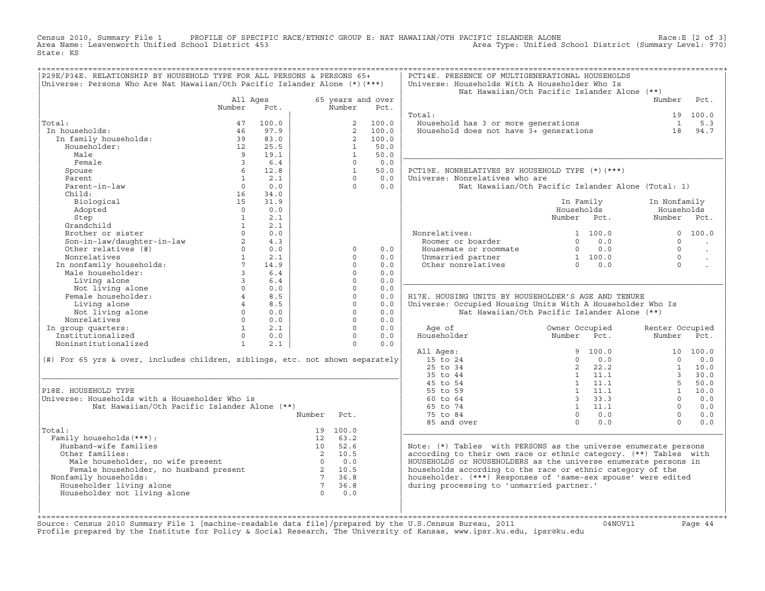Census 2010, Summary File 1 PROFILE OF SPECIFIC RACE/ETHNIC GROUP E: NAT HAWAIIAN/OTH PACIFIC ISLANDER ALONE<br>Area Name: Leavenworth Unified School District 453 Area Type: Unified School Dist State: KS

| P29E/P34E. RELATIONSHIP BY HOUSEHOLD TYPE FOR ALL PERSONS & PERSONS 65+                                                                                                     |                        |       |                 |                |                   | PCT14E. PRESENCE OF MULTIGENERATIONAL HOUSEHOLDS                              |                                                             |                |                 |                      |
|-----------------------------------------------------------------------------------------------------------------------------------------------------------------------------|------------------------|-------|-----------------|----------------|-------------------|-------------------------------------------------------------------------------|-------------------------------------------------------------|----------------|-----------------|----------------------|
| Universe: Persons Who Are Nat Hawaiian/Oth Pacific Islander Alone (*) (***)                                                                                                 |                        |       |                 |                |                   | Universe: Households With A Householder Who Is                                |                                                             |                |                 |                      |
|                                                                                                                                                                             |                        |       |                 |                |                   | Nat Hawaiian/Oth Pacific Islander Alone (**)                                  |                                                             |                |                 |                      |
|                                                                                                                                                                             | All Ages               |       |                 |                | 65 years and over |                                                                               |                                                             |                | Number          | Pct.                 |
|                                                                                                                                                                             | Number                 | Pct.  |                 | Number         | Pct.              |                                                                               |                                                             |                |                 |                      |
|                                                                                                                                                                             |                        |       |                 |                |                   | Total:                                                                        |                                                             |                |                 | 19 100.0             |
| Total:                                                                                                                                                                      | 47                     | 100.0 |                 |                | 2 100.0           |                                                                               |                                                             |                | $\overline{1}$  | 5.3                  |
| In households:                                                                                                                                                              | 46                     | 97.9  |                 |                | 2 100.0           | Household has 3 or more generations<br>Household does not have 3+ generations |                                                             |                | 18              | 94.7                 |
| In family households:                                                                                                                                                       | 39                     | 83.0  |                 | $\overline{2}$ | 100.0             |                                                                               |                                                             |                |                 |                      |
| Householder:                                                                                                                                                                | 12                     | 25.5  |                 | $\mathbf{1}$   | 50.0              |                                                                               |                                                             |                |                 |                      |
| Male                                                                                                                                                                        | $\overline{q}$         | 19.1  |                 | $\overline{1}$ | 50.0              |                                                                               |                                                             |                |                 |                      |
| Female                                                                                                                                                                      | $\overline{3}$         | 6.4   |                 | $\Omega$       | 0.0               |                                                                               |                                                             |                |                 |                      |
| Spouse                                                                                                                                                                      | 6                      | 12.8  |                 | $\mathbf{1}$   | 50.0              | PCT19E. NONRELATIVES BY HOUSEHOLD TYPE (*) (***)                              |                                                             |                |                 |                      |
| Parent                                                                                                                                                                      | $\mathbf{1}$           | 2.1   |                 | $\Omega$       | 0.0               | Universe: Nonrelatives who are                                                |                                                             |                |                 |                      |
| Parent-in-law                                                                                                                                                               | $\Omega$               | 0.0   |                 | $\Omega$       | 0.0               | Nat Hawaiian/Oth Pacific Islander Alone (Total: 1)                            |                                                             |                |                 |                      |
| Child:                                                                                                                                                                      | 16                     | 34.0  |                 |                |                   |                                                                               |                                                             |                |                 |                      |
| Biological                                                                                                                                                                  | 15                     | 31.9  |                 |                |                   |                                                                               | In Family                                                   |                | In Nonfamily    |                      |
| Adopted                                                                                                                                                                     | $\Omega$               | 0.0   |                 |                |                   |                                                                               | Households                                                  |                | Households      |                      |
| Step                                                                                                                                                                        | $\mathbf{1}$           | 2.1   |                 |                |                   |                                                                               | Number Pct.                                                 |                | Number Pct.     |                      |
| Grandchild                                                                                                                                                                  | 1                      | 2.1   |                 |                |                   |                                                                               |                                                             |                |                 |                      |
| Brother or sister                                                                                                                                                           | $\Omega$               | 0.0   |                 |                |                   | Nonrelatives:                                                                 |                                                             | 1 100.0        |                 | 0 100.0              |
|                                                                                                                                                                             | 2                      | 4.3   |                 |                |                   | Roomer or boarder                                                             | $\Omega$                                                    | 0.0            | $\Omega$        |                      |
| Son-in-law/daughter-in-law<br>Other relatives (#)                                                                                                                           | $0 \qquad \qquad$      | 0.0   |                 | $\circ$        | 0.0               |                                                                               |                                                             | $0 \qquad 0.0$ | $\Omega$        |                      |
|                                                                                                                                                                             |                        |       |                 |                |                   | Housemate or roommate                                                         |                                                             |                | $\Omega$        | $\sim$               |
| Nonrelatives                                                                                                                                                                | 1                      | 2.1   |                 | $\Omega$       | 0.0               | Unmarried partner                                                             | $\begin{bmatrix} 0 & 0 \\ 1 & 100.0 \\ 0 & 0 \end{bmatrix}$ |                |                 | $\ddot{\phantom{a}}$ |
| In nonfamily households:<br>"Ala householder:                                                                                                                               | $\overline{7}$         | 14.9  |                 | $\Omega$       | 0.0               | Other nonrelatives                                                            |                                                             | $0 \t 0.0$     | $\Omega$        |                      |
|                                                                                                                                                                             | $\mathbf{3}$           | 6.4   |                 | $\Omega$       | 0.0               |                                                                               |                                                             |                |                 |                      |
| Living alone                                                                                                                                                                | $\overline{3}$         | 6.4   |                 | $\Omega$       | 0.0               |                                                                               |                                                             |                |                 |                      |
| Not living alone                                                                                                                                                            | $\Omega$               | 0.0   |                 | $\Omega$       | 0.0               |                                                                               |                                                             |                |                 |                      |
| Female householder:                                                                                                                                                         | $4 \quad \blacksquare$ | 8.5   |                 | $\Omega$       | 0.0               | H17E. HOUSING UNITS BY HOUSEHOLDER'S AGE AND TENURE                           |                                                             |                |                 |                      |
| Living alone                                                                                                                                                                | $4\overline{ }$        | 8.5   |                 | $\Omega$       | 0.0               | Universe: Occupied Housing Units With A Householder Who Is                    |                                                             |                |                 |                      |
| Not living alone                                                                                                                                                            | $\Omega$               | 0.0   |                 | $\Omega$       | 0.0               | Nat Hawaiian/Oth Pacific Islander Alone (**)                                  |                                                             |                |                 |                      |
| Nonrelatives                                                                                                                                                                | $\Omega$               | 0.0   |                 | $\Omega$       | 0.0               |                                                                               |                                                             |                |                 |                      |
| In group quarters:                                                                                                                                                          | $1 \quad \cdots$       | 2.1   |                 | $\Omega$       | 0.0               | Age of                                                                        | Owner Occupied                                              |                | Renter Occupied |                      |
| Institutionalized                                                                                                                                                           | $\Omega$               | 0.0   |                 | $\Omega$       | 0.0               | Householder                                                                   | Number Pct.                                                 |                | Number          | Pct.                 |
| Noninstitutionalized                                                                                                                                                        | $\mathbf{1}$           | 2.1   |                 | $\Omega$       | 0.0               |                                                                               |                                                             |                |                 |                      |
|                                                                                                                                                                             |                        |       |                 |                |                   | All Ages:                                                                     |                                                             | 9 100.0        |                 | 10 100.0             |
| $(\#)$ For 65 yrs & over, includes children, siblings, etc. not shown separately                                                                                            |                        |       |                 |                |                   | 15 to 24                                                                      | $\Omega$                                                    | 0.0            | $\Omega$        | 0.0                  |
|                                                                                                                                                                             |                        |       |                 |                |                   | 25 to 34                                                                      | $2^{\circ}$                                                 | 22.2           | $\mathbf{1}$    | 10.0                 |
|                                                                                                                                                                             |                        |       |                 |                |                   | 35 to 44                                                                      |                                                             | 1 11.1         | $\overline{3}$  | 30.0                 |
|                                                                                                                                                                             |                        |       |                 |                |                   | 45 to 54                                                                      |                                                             | $1 \quad 11.1$ | 5 <sup>1</sup>  | 50.0                 |
| P18E. HOUSEHOLD TYPE                                                                                                                                                        |                        |       |                 |                |                   | 55 to 59                                                                      |                                                             | $1 \quad 11.1$ | 1               | 10.0                 |
| Universe: Households with a Householder Who is                                                                                                                              |                        |       |                 |                |                   | 60 to 64                                                                      |                                                             | 3, 33, 3       | $\cap$          | 0.0                  |
| Nat Hawaiian/Oth Pacific Islander Alone (**)                                                                                                                                |                        |       |                 |                |                   | 65 to 74                                                                      |                                                             | $1 \quad 11.1$ | $\Omega$        | 0.0                  |
|                                                                                                                                                                             |                        |       | Number          | Pct.           |                   | 75 to 84                                                                      | $\Omega$                                                    | 0.0            | $\Omega$        | 0.0                  |
|                                                                                                                                                                             |                        |       |                 |                |                   | 85 and over                                                                   | $\Omega$                                                    | 0.0            | $\Omega$        | 0.0                  |
| Total:                                                                                                                                                                      |                        |       |                 | 19 100.0       |                   |                                                                               |                                                             |                |                 |                      |
| Family households (***) :                                                                                                                                                   |                        |       |                 | 12 63.2        |                   |                                                                               |                                                             |                |                 |                      |
| Husband-wife families                                                                                                                                                       |                        |       |                 | 10 52.6        |                   | Note: (*) Tables with PERSONS as the universe enumerate persons               |                                                             |                |                 |                      |
| Other families:                                                                                                                                                             |                        |       |                 | 2 10.5         |                   | according to their own race or ethnic category. (**) Tables with              |                                                             |                |                 |                      |
|                                                                                                                                                                             |                        |       |                 |                |                   | HOUSEHOLDS or HOUSEHOLDERS as the universe enumerate persons in               |                                                             |                |                 |                      |
| Male householder, no wife present $\begin{array}{ccc} 0 & 0.0 \\ -0.0 \\ \text{Female householder, no husband present} \\ \text{family households:} & 7 & 36.8 \end{array}$ |                        |       |                 |                |                   | households according to the race or ethnic category of the                    |                                                             |                |                 |                      |
| Nonfamily households:                                                                                                                                                       |                        |       |                 | 7 36.8         |                   | householder. (***) Responses of 'same-sex spouse' were edited                 |                                                             |                |                 |                      |
| Householder living alone                                                                                                                                                    |                        |       | $7\overline{7}$ | 36.8           |                   | during processing to 'unmarried partner.'                                     |                                                             |                |                 |                      |
| Householder not living alone                                                                                                                                                |                        |       | $\overline{0}$  | 0.0            |                   |                                                                               |                                                             |                |                 |                      |
|                                                                                                                                                                             |                        |       |                 |                |                   |                                                                               |                                                             |                |                 |                      |
|                                                                                                                                                                             |                        |       |                 |                |                   |                                                                               |                                                             |                |                 |                      |
|                                                                                                                                                                             |                        |       |                 |                |                   |                                                                               |                                                             |                |                 |                      |

+===================================================================================================================================================+Source: Census 2010 Summary File 1 [machine−readable data file]/prepared by the U.S.Census Bureau, 2011 04NOV11 Page 44 Profile prepared by the Institute for Policy & Social Research, The University of Kansas, www.ipsr.ku.edu, ipsr@ku.edu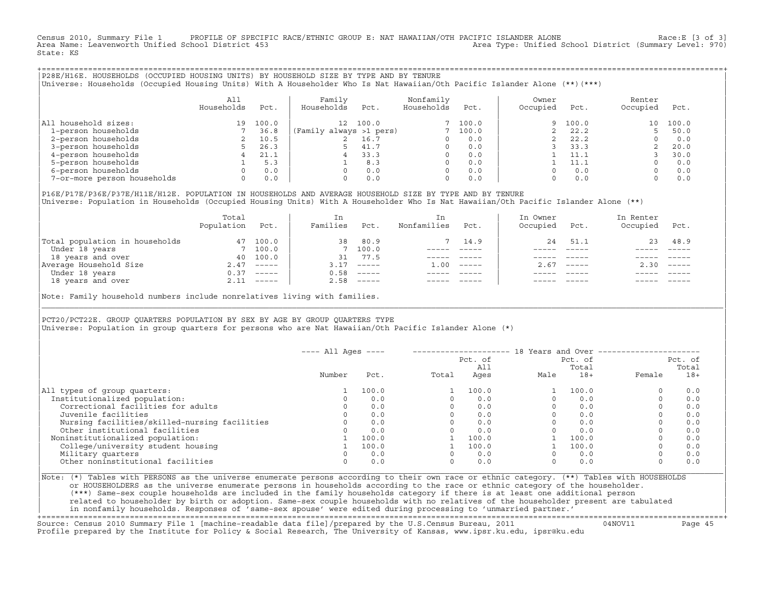Census 2010, Summary File 1 PROFILE OF SPECIFIC RACE/ETHNIC GROUP E: NAT HAWAIIAN/OTH PACIFIC ISLANDER ALONE Race:E [3 of 3]<br>Area Name: Leavenworth Unified School District 453 Area Type: Unified School District (Summary Level: 970) State: KS

+===================================================================================================================================================+|P28E/H16E. HOUSEHOLDS (OCCUPIED HOUSING UNITS) BY HOUSEHOLD SIZE BY TYPE AND BY TENURE | |Universe: Households (Occupied Housing Units) With A Householder Who Is Nat Hawaiian/Oth Pacific Islander Alone (\*\*)(\*\*\*) |

|                             | All<br>Households | Pct.  | Family<br>Households    | Pct.  | Nonfamily<br>Households | Pct.     | Owner<br>Occupied | Pct.  | Renter<br>Occupied | Pct.  |
|-----------------------------|-------------------|-------|-------------------------|-------|-------------------------|----------|-------------------|-------|--------------------|-------|
| household sizes:<br>All     | 19                | 100.0 | 12 <sup>°</sup>         | 100.0 |                         | 7, 100.0 | 9                 | 100.0 | 10                 | 100.0 |
| 1-person households         |                   | 36.8  | (Family always >1 pers) |       |                         | 100.0    |                   | 22.2  |                    | 50.0  |
| 2-person households         |                   | 10.5  |                         | 16.7  | $\Omega$                | 0.0      |                   | 22.2  |                    | 0.0   |
| 3-person households         |                   | 26.3  |                         | 41.7  | $\Omega$                | 0.0      |                   | 33.3  |                    | 20.0  |
| 4-person households         |                   | 21.1  |                         | 33.3  | $\Omega$                | 0.0      |                   | 11.1  |                    | 30.0  |
| 5-person households         |                   | 5.3   |                         | 8.3   | $\Omega$                | 0.0      |                   | 11.1  |                    | 0.0   |
| 6-person households         |                   | 0.0   |                         | 0.0   | $\Omega$                | 0.0      |                   | 0.0   |                    | 0.0   |
| 7-or-more person households | $\Omega$          | 0.0   |                         | 0.0   | 0                       | 0.0      |                   | 0.0   |                    | 0.0   |

|P16E/P17E/P36E/P37E/H11E/H12E. POPULATION IN HOUSEHOLDS AND AVERAGE HOUSEHOLD SIZE BY TYPE AND BY TENURE | Universe: Population in Households (Occupied Housing Units) With A Householder Who Is Nat Hawaiian/Oth Pacific Islander Alone (\*\*)

|                                | Total<br>Population | Pct.         | In<br>Families | Pct.                                                                                                                                                                                                                                                                                                                                                                                                                                                                                 | In.<br>Nonfamilies | Pct.     | In Owner<br>Occupied | Pct.          | In Renter<br>Occupied | Pct.                      |
|--------------------------------|---------------------|--------------|----------------|--------------------------------------------------------------------------------------------------------------------------------------------------------------------------------------------------------------------------------------------------------------------------------------------------------------------------------------------------------------------------------------------------------------------------------------------------------------------------------------|--------------------|----------|----------------------|---------------|-----------------------|---------------------------|
| Total population in households | 47                  | 100.0        | 38             | 80.9                                                                                                                                                                                                                                                                                                                                                                                                                                                                                 |                    | 14.9     | 24                   | 51.1          |                       | 23 48.9                   |
| Under 18 years                 |                     | 7 100.0      |                | 7 100.0                                                                                                                                                                                                                                                                                                                                                                                                                                                                              |                    |          |                      |               |                       |                           |
| 18 years and over              | 40                  | 100.0        | 31             | 77.5                                                                                                                                                                                                                                                                                                                                                                                                                                                                                 |                    |          |                      |               |                       |                           |
| Average Household Size         |                     | $2.47$ ----- | 3.17           | $------$                                                                                                                                                                                                                                                                                                                                                                                                                                                                             | 1.00               | $------$ | 2.67                 | $- - - - - -$ | 2.30                  | $\qquad \qquad - - - - -$ |
| Under 18 years                 | 0.37                | ______       | 0.58           | $------$                                                                                                                                                                                                                                                                                                                                                                                                                                                                             |                    |          |                      |               |                       |                           |
| 18 years and over              |                     | $2.11$ ----- | 2.58           | $\begin{tabular}{cccccc} \multicolumn{2}{c}{} & \multicolumn{2}{c}{} & \multicolumn{2}{c}{} & \multicolumn{2}{c}{} & \multicolumn{2}{c}{} & \multicolumn{2}{c}{} & \multicolumn{2}{c}{} & \multicolumn{2}{c}{} & \multicolumn{2}{c}{} & \multicolumn{2}{c}{} & \multicolumn{2}{c}{} & \multicolumn{2}{c}{} & \multicolumn{2}{c}{} & \multicolumn{2}{c}{} & \multicolumn{2}{c}{} & \multicolumn{2}{c}{} & \multicolumn{2}{c}{} & \multicolumn{2}{c}{} & \multicolumn{2}{c}{} & \mult$ |                    |          |                      | $- - - - -$   |                       | $- - - - -$               |
|                                |                     |              |                |                                                                                                                                                                                                                                                                                                                                                                                                                                                                                      |                    |          |                      |               |                       |                           |

Note: Family household numbers include nonrelatives living with families.

| | PCT20/PCT22E. GROUP OUARTERS POPULATION BY SEX BY AGE BY GROUP OUARTERS TYPE |Universe: Population in group quarters for persons who are Nat Hawaiian/Oth Pacific Islander Alone (\*) |

|                                               | $---$ All Ages $---$ |       |       | Pct. of<br>All |      | 18 Years and Over -------------<br>Pct. of<br>Total |          | Pct. of<br>Total |
|-----------------------------------------------|----------------------|-------|-------|----------------|------|-----------------------------------------------------|----------|------------------|
|                                               | Number               | Pct.  | Total | Ages           | Male | $18+$                                               | Female   | $18+$            |
| All types of group quarters:                  |                      | 100.0 |       | 100.0          |      | 100.0                                               | $\circ$  | 0.0              |
| Institutionalized population:                 |                      | 0.0   |       | 0.0            |      | 0.0                                                 | $\Omega$ | 0.0              |
| Correctional facilities for adults            |                      | 0.0   |       | 0.0            |      | 0.0                                                 | $\Omega$ | 0.0              |
| Juvenile facilities                           |                      | 0.0   |       | 0.0            |      | 0.0                                                 | $\circ$  | 0.0              |
| Nursing facilities/skilled-nursing facilities |                      | 0.0   |       | 0.0            |      | 0.0                                                 | $\circ$  | 0.0              |
| Other institutional facilities                |                      | 0.0   |       | 0.0            |      | 0.0                                                 | $\Omega$ | 0.0              |
| Noninstitutionalized population:              |                      | 100.0 |       | 100.0          |      | 100.0                                               |          | 0.0              |
| College/university student housing            |                      | 100.0 |       | 100.0          |      | 100.0                                               | 0        | 0.0              |
| Military quarters                             |                      | 0.0   |       | 0.0            |      | 0.0                                                 | $\Omega$ | 0.0              |
| Other noninstitutional facilities             |                      | 0.0   |       | 0.0            |      | 0.0                                                 | $\circ$  | 0.0              |

|\_\_\_\_\_\_\_\_\_\_\_\_\_\_\_\_\_\_\_\_\_\_\_\_\_\_\_\_\_\_\_\_\_\_\_\_\_\_\_\_\_\_\_\_\_\_\_\_\_\_\_\_\_\_\_\_\_\_\_\_\_\_\_\_\_\_\_\_\_\_\_\_\_\_\_\_\_\_\_\_\_\_\_\_\_\_\_\_\_\_\_\_\_\_\_\_\_\_\_\_\_\_\_\_\_\_\_\_\_\_\_\_\_\_\_\_\_\_\_\_\_\_\_\_\_\_\_\_\_\_\_\_\_\_\_\_\_\_\_\_\_\_\_\_\_\_\_|

| |

|Note: (\*) Tables with PERSONS as the universe enumerate persons according to their own race or ethnic category. (\*\*) Tables with HOUSEHOLDS | or HOUSEHOLDERS as the universe enumerate persons in households according to the race or ethnic category of the householder. | (\*\*\*) Same−sex couple households are included in the family households category if there is at least one additional person | | related to householder by birth or adoption. Same−sex couple households with no relatives of the householder present are tabulated | | in nonfamily households. Responses of 'same−sex spouse' were edited during processing to 'unmarried partner.' |

+===================================================================================================================================================+Source: Census 2010 Summary File 1 [machine−readable data file]/prepared by the U.S.Census Bureau, 2011 04NOV11 Page 45 Profile prepared by the Institute for Policy & Social Research, The University of Kansas, www.ipsr.ku.edu, ipsr@ku.edu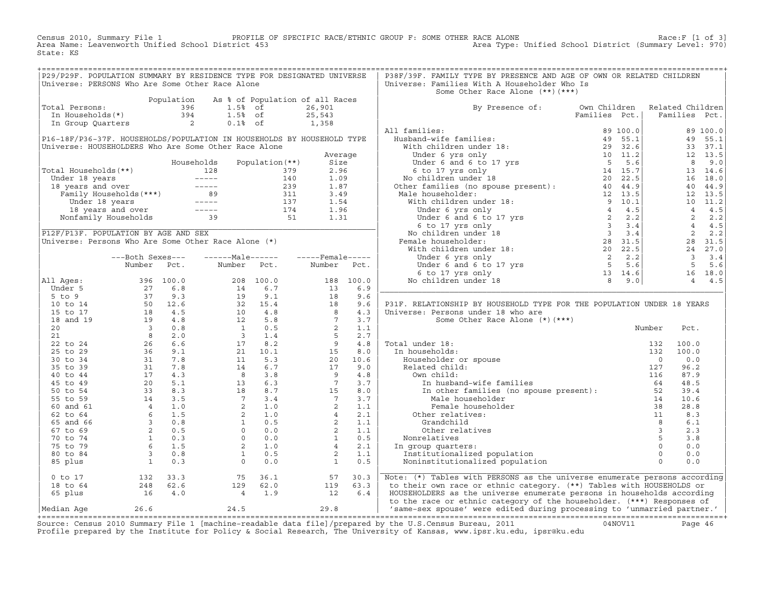Census 2010, Summary File 1 PROFILE OF SPECIFIC RACE/ETHNIC GROUP F: SOME OTHER RACE ALONE RACE OF SPECE:F [1 of 3]<br>Area Name: Leavenworth Unified School District 453 area Type: Unified School District (Summary Level: 970) Area Type: Unified School District (Summary Level: 970) State: KS

| P29/P29F. POPULATION SUMMARY BY RESIDENCE TYPE FOR DESIGNATED UNIVERSE                                                                                      |  |                                                                                                                                              |  | P38F/39F. FAMILY TYPE BY PRESENCE AND AGE OF OWN OR RELATED CHILDREN           |  |  |
|-------------------------------------------------------------------------------------------------------------------------------------------------------------|--|----------------------------------------------------------------------------------------------------------------------------------------------|--|--------------------------------------------------------------------------------|--|--|
| Universe: PERSONS Who Are Some Other Race Alone                                                                                                             |  |                                                                                                                                              |  | Universe: Families With A Householder Who Is                                   |  |  |
|                                                                                                                                                             |  |                                                                                                                                              |  | Some Other Race Alone (**) (***)                                               |  |  |
|                                                                                                                                                             |  |                                                                                                                                              |  |                                                                                |  |  |
| Population As % of Population of all Races<br>Total Persons: 396 1.5% of 26,901<br>In Households(*) 394 1.5% of 25,543<br>In Group Quarters 2 0.1% of 1,358 |  |                                                                                                                                              |  |                                                                                |  |  |
|                                                                                                                                                             |  |                                                                                                                                              |  | By Presence of: Own Children Related Children<br>Families Pct.   Families Pct. |  |  |
|                                                                                                                                                             |  |                                                                                                                                              |  |                                                                                |  |  |
|                                                                                                                                                             |  |                                                                                                                                              |  |                                                                                |  |  |
|                                                                                                                                                             |  |                                                                                                                                              |  |                                                                                |  |  |
|                                                                                                                                                             |  |                                                                                                                                              |  |                                                                                |  |  |
|                                                                                                                                                             |  |                                                                                                                                              |  |                                                                                |  |  |
|                                                                                                                                                             |  |                                                                                                                                              |  |                                                                                |  |  |
|                                                                                                                                                             |  |                                                                                                                                              |  |                                                                                |  |  |
|                                                                                                                                                             |  |                                                                                                                                              |  |                                                                                |  |  |
|                                                                                                                                                             |  |                                                                                                                                              |  |                                                                                |  |  |
|                                                                                                                                                             |  |                                                                                                                                              |  |                                                                                |  |  |
|                                                                                                                                                             |  |                                                                                                                                              |  |                                                                                |  |  |
|                                                                                                                                                             |  |                                                                                                                                              |  |                                                                                |  |  |
|                                                                                                                                                             |  |                                                                                                                                              |  |                                                                                |  |  |
|                                                                                                                                                             |  |                                                                                                                                              |  |                                                                                |  |  |
|                                                                                                                                                             |  |                                                                                                                                              |  |                                                                                |  |  |
|                                                                                                                                                             |  |                                                                                                                                              |  |                                                                                |  |  |
|                                                                                                                                                             |  |                                                                                                                                              |  |                                                                                |  |  |
|                                                                                                                                                             |  |                                                                                                                                              |  |                                                                                |  |  |
|                                                                                                                                                             |  |                                                                                                                                              |  |                                                                                |  |  |
|                                                                                                                                                             |  |                                                                                                                                              |  |                                                                                |  |  |
|                                                                                                                                                             |  |                                                                                                                                              |  |                                                                                |  |  |
|                                                                                                                                                             |  |                                                                                                                                              |  |                                                                                |  |  |
|                                                                                                                                                             |  |                                                                                                                                              |  |                                                                                |  |  |
|                                                                                                                                                             |  |                                                                                                                                              |  |                                                                                |  |  |
|                                                                                                                                                             |  |                                                                                                                                              |  |                                                                                |  |  |
|                                                                                                                                                             |  |                                                                                                                                              |  |                                                                                |  |  |
|                                                                                                                                                             |  |                                                                                                                                              |  |                                                                                |  |  |
|                                                                                                                                                             |  |                                                                                                                                              |  |                                                                                |  |  |
|                                                                                                                                                             |  |                                                                                                                                              |  |                                                                                |  |  |
|                                                                                                                                                             |  |                                                                                                                                              |  |                                                                                |  |  |
|                                                                                                                                                             |  |                                                                                                                                              |  |                                                                                |  |  |
|                                                                                                                                                             |  |                                                                                                                                              |  |                                                                                |  |  |
|                                                                                                                                                             |  |                                                                                                                                              |  |                                                                                |  |  |
|                                                                                                                                                             |  |                                                                                                                                              |  |                                                                                |  |  |
|                                                                                                                                                             |  |                                                                                                                                              |  |                                                                                |  |  |
|                                                                                                                                                             |  |                                                                                                                                              |  |                                                                                |  |  |
|                                                                                                                                                             |  |                                                                                                                                              |  |                                                                                |  |  |
|                                                                                                                                                             |  |                                                                                                                                              |  |                                                                                |  |  |
|                                                                                                                                                             |  |                                                                                                                                              |  |                                                                                |  |  |
|                                                                                                                                                             |  |                                                                                                                                              |  |                                                                                |  |  |
|                                                                                                                                                             |  |                                                                                                                                              |  |                                                                                |  |  |
|                                                                                                                                                             |  |                                                                                                                                              |  |                                                                                |  |  |
|                                                                                                                                                             |  |                                                                                                                                              |  |                                                                                |  |  |
|                                                                                                                                                             |  |                                                                                                                                              |  |                                                                                |  |  |
|                                                                                                                                                             |  |                                                                                                                                              |  |                                                                                |  |  |
|                                                                                                                                                             |  |                                                                                                                                              |  |                                                                                |  |  |
|                                                                                                                                                             |  |                                                                                                                                              |  |                                                                                |  |  |
|                                                                                                                                                             |  |                                                                                                                                              |  |                                                                                |  |  |
|                                                                                                                                                             |  |                                                                                                                                              |  |                                                                                |  |  |
|                                                                                                                                                             |  | 0 to 17<br>18 to 64<br>18 to 64<br>248 62.6<br>16 4.0<br>16 4.0<br>19 63.0<br>19 63.3<br>19 63.3<br>19 63.3<br>19 63.3<br>19 63.3<br>19 63.3 |  | Note: (*) Tables with PERSONS as the universe enumerate persons according      |  |  |
|                                                                                                                                                             |  |                                                                                                                                              |  | to their own race or ethnic category. (**) Tables with HOUSEHOLDS or           |  |  |
|                                                                                                                                                             |  |                                                                                                                                              |  | HOUSEHOLDERS as the universe enumerate persons in households according         |  |  |
|                                                                                                                                                             |  |                                                                                                                                              |  | to the race or ethnic category of the householder. (***) Responses of          |  |  |
|                                                                                                                                                             |  |                                                                                                                                              |  | 1 0 months of the monday was added during processing to (unmarried partner     |  |  |

|Median Age 26.6 24.5 29.8 | 'same−sex spouse' were edited during processing to 'unmarried partner.' | +===================================================================================================================================================+ Source: Census 2010 Summary File 1 [machine−readable data file]/prepared by the U.S.Census Bureau, 2011 04NOV11 Page 46 Profile prepared by the Institute for Policy & Social Research, The University of Kansas, www.ipsr.ku.edu, ipsr@ku.edu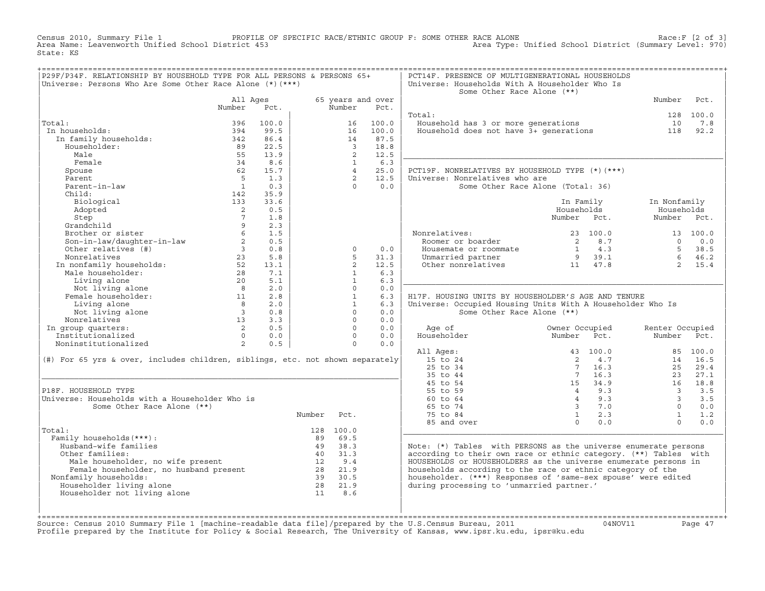Census 2010, Summary File 1 PROFILE OF SPECIFIC RACE/ETHNIC GROUP F: SOME OTHER RACE ALONE RACE OF SPECE:F [2 of 3]<br>Area Name: Leavenworth Unified School District 453 Area Type: Unified School District (Summary Level: 970) Area Type: Unified School District (Summary Level: 970) State: KS

| P29F/P34F. RELATIONSHIP BY HOUSEHOLD TYPE FOR ALL PERSONS & PERSONS 65+<br>Universe: Persons Who Are Some Other Race Alone (*) (***) |                            |             |        |                     |                   | PCT14F. PRESENCE OF MULTIGENERATIONAL HOUSEHOLDS<br>Universe: Households With A Householder Who Is<br>Some Other Race Alone (**) |                                   |                         |           |
|--------------------------------------------------------------------------------------------------------------------------------------|----------------------------|-------------|--------|---------------------|-------------------|----------------------------------------------------------------------------------------------------------------------------------|-----------------------------------|-------------------------|-----------|
|                                                                                                                                      | All Ages                   |             |        |                     | 65 years and over |                                                                                                                                  |                                   | Number                  | Pct.      |
|                                                                                                                                      | Number                     | Pct.        |        | Number              | Pct.              |                                                                                                                                  |                                   |                         | 128 100.0 |
| Total:                                                                                                                               | 396                        | 100.0       |        | 16                  | 100.0             | Total:<br>Household has 3 or more generations                                                                                    |                                   | 10                      | 7.8       |
| In households:                                                                                                                       | 394                        | 99.5        |        | 16                  | 100.0             | Household has 3 or more generations<br>Household does not have 3+ generations                                                    |                                   | 118                     | 92.2      |
| In family households:                                                                                                                | 342                        | 86.4        |        | 14                  | 87.5              |                                                                                                                                  |                                   |                         |           |
| Householder:                                                                                                                         | 89                         | 22.5        |        | $\overline{3}$      | 18.8              |                                                                                                                                  |                                   |                         |           |
| Male                                                                                                                                 | 55                         | 13.9        |        | $\overline{2}$      | 12.5              |                                                                                                                                  |                                   |                         |           |
|                                                                                                                                      |                            |             |        |                     | 6.3               |                                                                                                                                  |                                   |                         |           |
| Female                                                                                                                               | 34                         | 8.6<br>15.7 |        | 1<br>$\overline{4}$ | 25.0              |                                                                                                                                  |                                   |                         |           |
| Spouse                                                                                                                               | 62                         |             |        |                     |                   | PCT19F. NONRELATIVES BY HOUSEHOLD TYPE (*) (***)                                                                                 |                                   |                         |           |
| Parent                                                                                                                               | $5^{\circ}$                | 1.3         |        | $\overline{2}$      | 12.5              | Universe: Nonrelatives who are                                                                                                   |                                   |                         |           |
| Parent-in-law                                                                                                                        | $\overline{1}$             | 0.3         |        | $\Omega$            | 0.0               |                                                                                                                                  | Some Other Race Alone (Total: 36) |                         |           |
| Child:                                                                                                                               | 142                        | 35.9        |        |                     |                   |                                                                                                                                  |                                   |                         |           |
| Biological                                                                                                                           | 133                        | 33.6        |        |                     |                   |                                                                                                                                  | In Family                         | In Nonfamily            |           |
| Adopted                                                                                                                              | $\overline{\phantom{0}}^2$ | 0.5         |        |                     |                   |                                                                                                                                  | Households                        | Households              |           |
| Step                                                                                                                                 | $7\overline{ }$            | 1.8         |        |                     |                   |                                                                                                                                  | Number Pct.                       | Number Pct.             |           |
| Grandchild                                                                                                                           | 9                          | 2.3         |        |                     |                   |                                                                                                                                  |                                   |                         |           |
| Brother or sister                                                                                                                    | $6^{\circ}$                | 1.5         |        |                     |                   | Nonrelatives:                                                                                                                    | 23 100.0                          |                         | 13 100.0  |
| Son-in-law/daughter-in-law                                                                                                           | $\overline{a}$             | 0.5         |        |                     |                   | Roomer or boarder                                                                                                                | 2<br>8.7                          | $\Omega$                | 0.0       |
| Other relatives (#)                                                                                                                  | $3^{\circ}$                | 0.8         |        | $\circ$             | 0.0               | Housemate or roommate                                                                                                            | $1 \quad 4.3$                     | 5                       | 38.5      |
| Nonrelatives                                                                                                                         | 23                         | 5.8         |        | $\overline{a}$      | 31.3              | Unmarried partner                                                                                                                | 9 39.1                            | $6^{\circ}$             | 46.2      |
|                                                                                                                                      | 52                         | 13.1        |        | $\overline{2}$      | 12.5              | Other nonrelatives                                                                                                               | 11 47.8                           | $\overline{2}$          | 15.4      |
|                                                                                                                                      | 28                         | 7.1         |        | $\mathbf{1}$        | 6.3               |                                                                                                                                  |                                   |                         |           |
| Numeratives<br>In nonfamily households:<br>Male householder:<br>Living alone<br>Not living alone                                     | 20                         | 5.1         |        | $\overline{1}$      | 6.3               |                                                                                                                                  |                                   |                         |           |
|                                                                                                                                      | 8                          | 2.0         |        | $\Omega$            | 0.0               |                                                                                                                                  |                                   |                         |           |
| Female householder:                                                                                                                  | 11                         | 2.8         |        | $\mathbf{1}$        | 6.3               | H17F. HOUSING UNITS BY HOUSEHOLDER'S AGE AND TENURE                                                                              |                                   |                         |           |
| Living alone                                                                                                                         | 8 <sup>1</sup>             | 2.0         |        | $\mathbf{1}$        | 6.3               | Universe: Occupied Housing Units With A Householder Who Is                                                                       |                                   |                         |           |
| Not living alone                                                                                                                     | $\overline{\mathbf{3}}$    | 0.8         |        | $\Omega$            | 0.0               | Some Other Race Alone (**)                                                                                                       |                                   |                         |           |
| Nonrelatives                                                                                                                         | 13                         | 3.3         |        | $\Omega$            | 0.0               |                                                                                                                                  |                                   |                         |           |
| In group quarters:                                                                                                                   | $\overline{2}$             | 0.5         |        | $\Omega$            | 0.0               | Age of                                                                                                                           | Owner Occupied                    | Renter Occupied         |           |
| Institutionalized                                                                                                                    | $\overline{0}$             | 0.0         |        | $\Omega$            | 0.0               | Householder                                                                                                                      | Number<br>Pct.                    | Number                  | Pct.      |
| Noninstitutionalized                                                                                                                 | $\overline{2}$             | 0.5         |        | $\Omega$            | 0.0               |                                                                                                                                  |                                   |                         |           |
|                                                                                                                                      |                            |             |        |                     |                   | All Ages:                                                                                                                        | 43 100.0                          |                         | 85 100.0  |
| (#) For 65 yrs & over, includes children, siblings, etc. not shown separately                                                        |                            |             |        |                     |                   | 15 to 24                                                                                                                         | 2<br>4.7                          | 14                      | 16.5      |
|                                                                                                                                      |                            |             |        |                     |                   | $25$ to $34$                                                                                                                     | $7\overline{ }$<br>16.3           | 25                      | 29.4      |
|                                                                                                                                      |                            |             |        |                     |                   | 35 to 44                                                                                                                         | $7\overline{ }$<br>16.3           | 23                      | 27.1      |
|                                                                                                                                      |                            |             |        |                     |                   | 45 to 54                                                                                                                         | 34.9<br>15                        | 16                      | 18.8      |
| P18F. HOUSEHOLD TYPE                                                                                                                 |                            |             |        |                     |                   | 55 to 59                                                                                                                         | 9.3<br>$4\overline{4}$            | $\overline{3}$          | 3.5       |
| Universe: Households with a Householder Who is                                                                                       |                            |             |        |                     |                   | 60 to 64                                                                                                                         | $\overline{4}$<br>9.3             | $\overline{\mathbf{3}}$ | 3.5       |
| Some Other Race Alone (**)                                                                                                           |                            |             |        |                     |                   | 65 to 74                                                                                                                         | $\overline{\mathbf{3}}$<br>7.0    | $\Omega$                | 0.0       |
|                                                                                                                                      |                            |             | Number | Pct.                |                   | 75 to 84                                                                                                                         | 1<br>2.3                          | $\mathbf{1}$            | 1.2       |
|                                                                                                                                      |                            |             |        |                     |                   | 85 and over                                                                                                                      | $\cap$<br>0.0                     | $\cap$                  | 0.0       |
| Total:                                                                                                                               |                            |             |        | 128 100.0           |                   |                                                                                                                                  |                                   |                         |           |
| Family households (***) :                                                                                                            |                            |             | 89     | 69.5                |                   |                                                                                                                                  |                                   |                         |           |
| Husband-wife families                                                                                                                |                            |             | 49     | 38.3                |                   | Note: (*) Tables with PERSONS as the universe enumerate persons                                                                  |                                   |                         |           |
| Other families:                                                                                                                      |                            |             | 40     | 31.3                |                   | according to their own race or ethnic category. (**) Tables with                                                                 |                                   |                         |           |
| Male householder, no wife present                                                                                                    |                            |             | 12     | 9.4                 |                   | HOUSEHOLDS or HOUSEHOLDERS as the universe enumerate persons in                                                                  |                                   |                         |           |
| Male householder, no husband present<br>Female householder, no husband present                                                       |                            |             | 28     | 21.9                |                   | households according to the race or ethnic category of the                                                                       |                                   |                         |           |
| Nonfamily households:                                                                                                                |                            |             | 39     | 30.5                |                   | householder. (***) Responses of 'same-sex spouse' were edited                                                                    |                                   |                         |           |
| Householder living alone                                                                                                             |                            |             | 28     | 21.9                |                   | during processing to 'unmarried partner.'                                                                                        |                                   |                         |           |
| Householder not living alone                                                                                                         |                            |             |        | 11 8.6              |                   |                                                                                                                                  |                                   |                         |           |
|                                                                                                                                      |                            |             |        |                     |                   |                                                                                                                                  |                                   |                         |           |
|                                                                                                                                      |                            |             |        |                     |                   |                                                                                                                                  |                                   |                         |           |
|                                                                                                                                      |                            |             |        |                     |                   |                                                                                                                                  |                                   |                         |           |

+===================================================================================================================================================+Source: Census 2010 Summary File 1 [machine−readable data file]/prepared by the U.S.Census Bureau, 2011 04NOV11 Page 47 Profile prepared by the Institute for Policy & Social Research, The University of Kansas, www.ipsr.ku.edu, ipsr@ku.edu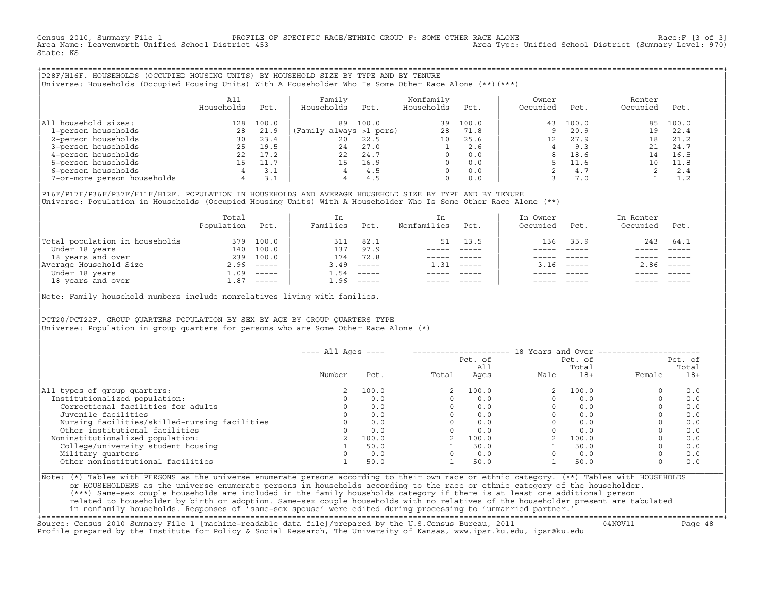Census 2010, Summary File 1 PROFILE OF SPECIFIC RACE/ETHNIC GROUP F: SOME OTHER RACE ALONE Race:F [3 of 3]<br>Area Name: Leavenworth Unified School District 453 area Nove: Unified School District (Summary Level: 970) Area Type: Unified School District (Summary Level: 970) State: KS

+===================================================================================================================================================+|P28F/H16F. HOUSEHOLDS (OCCUPIED HOUSING UNITS) BY HOUSEHOLD SIZE BY TYPE AND BY TENURE | |Universe: Households (Occupied Housing Units) With A Householder Who Is Some Other Race Alone (\*\*)(\*\*\*) |

|                             | All<br>Households | Pct.  | Family<br>Households    | Pct.  | Nonfamily<br>Households | Pct.  | Owner<br>Occupied | Pct.  | Renter<br>Occupied | Pct.  |  |
|-----------------------------|-------------------|-------|-------------------------|-------|-------------------------|-------|-------------------|-------|--------------------|-------|--|
| household sizes:<br>All     | 128               | 100.0 | 89                      | 100.0 | 39                      | 100.0 | 43                | 100.0 | 85                 | 100.0 |  |
| 1-person households         | 28                | 21.9  | (Family always >1 pers) |       | 28                      | 71.8  | Q                 | 20.9  | 19                 | 22.4  |  |
| 2-person households         | 30                | 23.4  | $20^{\circ}$            | 22.5  | 10                      | 25.6  | 12                | 27.9  | 18                 | 21.2  |  |
| 3-person households         | 25                | 19.5  | 24                      | 27.0  |                         | 2.6   |                   | 9.3   |                    | 24.7  |  |
| 4-person households         | 22                | 17.2  | 22                      | 24.7  | $\Omega$                | 0.0   | 8                 | 18.6  | 14                 | 16.5  |  |
| 5-person households         |                   |       | 15                      | 16.9  | $\Omega$                | 0.0   |                   | 11.6  | 1 ດ                | 11.8  |  |
| 6-person households         | 4                 | 3.1   |                         | 4.5   | $\Omega$                | 0.0   |                   | 4.7   |                    | 2.4   |  |
| 7-or-more person households | 4                 | 3.1   |                         | 4.5   | $\Omega$                | 0.0   |                   | 7.0   |                    | 1.2   |  |

|P16F/P17F/P36F/P37F/H11F/H12F. POPULATION IN HOUSEHOLDS AND AVERAGE HOUSEHOLD SIZE BY TYPE AND BY TENURE | Universe: Population in Households (Occupied Housing Units) With A Householder Who Is Some Other Race Alone (\*\*)

| Population | Pct.     | In<br>Families                                                                                                                                                                                                                                                                                                                                                                                                                                                                                         | Pct.     | In.<br>Nonfamilies | Pct.     | In Owner<br>Occupied | Pct.        | In Renter<br>Occupied | Pct.                      |
|------------|----------|--------------------------------------------------------------------------------------------------------------------------------------------------------------------------------------------------------------------------------------------------------------------------------------------------------------------------------------------------------------------------------------------------------------------------------------------------------------------------------------------------------|----------|--------------------|----------|----------------------|-------------|-----------------------|---------------------------|
| 379        | 100.0    | 311                                                                                                                                                                                                                                                                                                                                                                                                                                                                                                    | 82.1     | 51                 | 13.5     | 136                  | 35.9        | 243                   | 64.1                      |
| 140        | 100.0    | 137                                                                                                                                                                                                                                                                                                                                                                                                                                                                                                    | 97.9     |                    |          |                      |             |                       |                           |
| 239        | 100.0    | 174                                                                                                                                                                                                                                                                                                                                                                                                                                                                                                    | 72.8     |                    |          |                      |             |                       |                           |
|            |          | 3.49                                                                                                                                                                                                                                                                                                                                                                                                                                                                                                   | $------$ | 1.31               | $------$ |                      |             | 2.86                  | $\qquad \qquad - - - - -$ |
| 1.09       | $------$ | 1.54                                                                                                                                                                                                                                                                                                                                                                                                                                                                                                   | $------$ |                    |          |                      |             |                       |                           |
| 1.87       |          | 1.96                                                                                                                                                                                                                                                                                                                                                                                                                                                                                                   |          |                    |          |                      | $- - - - -$ |                       | $- - - - -$               |
|            |          | $2.96$ -----<br>$\begin{array}{cccccccccc} \multicolumn{2}{c}{} & \multicolumn{2}{c}{} & \multicolumn{2}{c}{} & \multicolumn{2}{c}{} & \multicolumn{2}{c}{} & \multicolumn{2}{c}{} & \multicolumn{2}{c}{} & \multicolumn{2}{c}{} & \multicolumn{2}{c}{} & \multicolumn{2}{c}{} & \multicolumn{2}{c}{} & \multicolumn{2}{c}{} & \multicolumn{2}{c}{} & \multicolumn{2}{c}{} & \multicolumn{2}{c}{} & \multicolumn{2}{c}{} & \multicolumn{2}{c}{} & \multicolumn{2}{c}{} & \multicolumn{2}{c}{} & \mult$ |          |                    |          |                      |             | $3.16$ $---$          |                           |

Note: Family household numbers include nonrelatives living with families.

| | PCT20/PCT22F. GROUP OUARTERS POPULATION BY SEX BY AGE BY GROUP OUARTERS TYPE Universe: Population in group quarters for persons who are Some Other Race Alone (\*)

|                                               | $---$ All Ages $---$ |       |       |                |      | 18 Years and Over ------------- |        |                  |
|-----------------------------------------------|----------------------|-------|-------|----------------|------|---------------------------------|--------|------------------|
|                                               |                      |       |       | Pct. of<br>All |      | Pct. of<br>Total                |        | Pct. of<br>Total |
|                                               | Number               | Pct.  | Total | Ages           | Male | $18+$                           | Female | $18+$            |
| All types of group quarters:                  | 2                    | 100.0 |       | 100.0          |      | 100.0                           |        | 0.0              |
| Institutionalized population:                 |                      | 0.0   |       | 0.0            |      | 0.0                             |        | 0.0              |
| Correctional facilities for adults            |                      | 0.0   |       | 0.0            |      | 0.0                             |        | 0.0              |
| Juvenile facilities                           |                      | 0.0   |       | 0.0            |      | 0.0                             |        | 0.0              |
| Nursing facilities/skilled-nursing facilities |                      | 0.0   |       | 0.0            |      | 0.0                             |        | 0.0              |
| Other institutional facilities                |                      | 0.0   |       | 0.0            |      | 0.0                             |        | 0.0              |
| Noninstitutionalized population:              |                      | 100.0 |       | 100.0          |      | 100.0                           |        | 0.0              |
| College/university student housing            |                      | 50.0  |       | 50.0           |      | 50.0                            |        | 0.0              |
| Military quarters                             |                      | 0.0   |       | 0.0            |      | 0.0                             |        | 0.0              |
| Other noninstitutional facilities             |                      | 50.0  |       | 50.0           |      | 50.0                            |        | 0.0              |
|                                               |                      |       |       |                |      |                                 |        |                  |

|\_\_\_\_\_\_\_\_\_\_\_\_\_\_\_\_\_\_\_\_\_\_\_\_\_\_\_\_\_\_\_\_\_\_\_\_\_\_\_\_\_\_\_\_\_\_\_\_\_\_\_\_\_\_\_\_\_\_\_\_\_\_\_\_\_\_\_\_\_\_\_\_\_\_\_\_\_\_\_\_\_\_\_\_\_\_\_\_\_\_\_\_\_\_\_\_\_\_\_\_\_\_\_\_\_\_\_\_\_\_\_\_\_\_\_\_\_\_\_\_\_\_\_\_\_\_\_\_\_\_\_\_\_\_\_\_\_\_\_\_\_\_\_\_\_\_\_|

| |

|Note: (\*) Tables with PERSONS as the universe enumerate persons according to their own race or ethnic category. (\*\*) Tables with HOUSEHOLDS | or HOUSEHOLDERS as the universe enumerate persons in households according to the race or ethnic category of the householder. | (\*\*\*) Same−sex couple households are included in the family households category if there is at least one additional person | | related to householder by birth or adoption. Same−sex couple households with no relatives of the householder present are tabulated | | in nonfamily households. Responses of 'same−sex spouse' were edited during processing to 'unmarried partner.' |

+===================================================================================================================================================+ Source: Census 2010 Summary File 1 [machine−readable data file]/prepared by the U.S.Census Bureau, 2011 04NOV11 Page 48 Profile prepared by the Institute for Policy & Social Research, The University of Kansas, www.ipsr.ku.edu, ipsr@ku.edu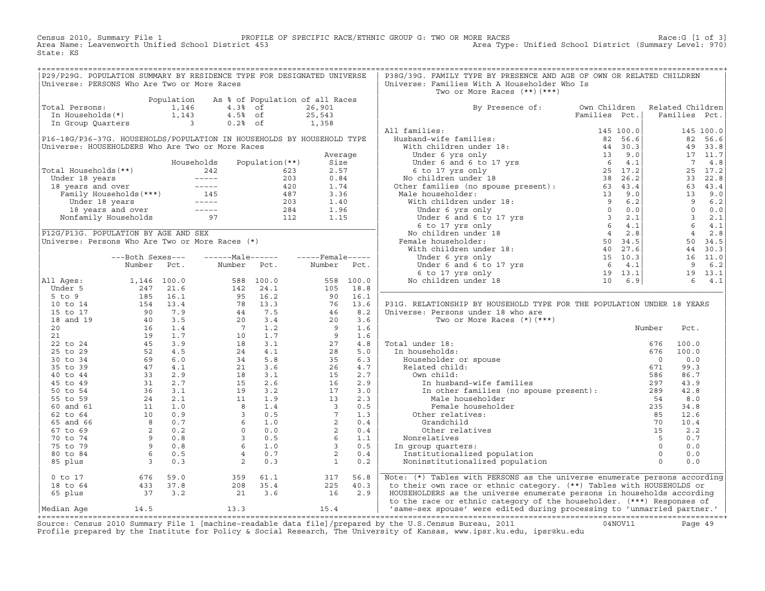Census 2010, Summary File 1 PROFILE OF SPECIFIC RACE/ETHNIC GROUP G: TWO OR MORE RACES Race:G [1 of 3]<br>Area Name: Leavenworth Unified School District 453 Area Type: Unified School District (Summary Level: 970) Area Type: Unified School District (Summary Level: 970) State: KS

+===================================================================================================================================================+

| P29/P29G. POPULATION SUMMARY BY RESIDENCE TYPE FOR DESIGNATED UNIVERSE |                                                                  |            |                                                                                                                                         |                                 |                         |           | P38G/39G. FAMILY TYPE BY PRESENCE AND AGE OF OWN OR RELATED CHILDREN                                                                                                                                                                               |               |                  |                         |           |
|------------------------------------------------------------------------|------------------------------------------------------------------|------------|-----------------------------------------------------------------------------------------------------------------------------------------|---------------------------------|-------------------------|-----------|----------------------------------------------------------------------------------------------------------------------------------------------------------------------------------------------------------------------------------------------------|---------------|------------------|-------------------------|-----------|
| Universe: PERSONS Who Are Two or More Races                            |                                                                  |            |                                                                                                                                         |                                 |                         |           | Universe: Families With A Householder Who Is                                                                                                                                                                                                       |               |                  |                         |           |
|                                                                        |                                                                  |            |                                                                                                                                         |                                 |                         |           | Two or More Races $(**)$ $(***)$                                                                                                                                                                                                                   |               |                  |                         |           |
|                                                                        |                                                                  | Population |                                                                                                                                         | As % of Population of all Races |                         |           |                                                                                                                                                                                                                                                    |               |                  |                         |           |
| Total Persons:                                                         |                                                                  | 1,146      | $4.3%$ of                                                                                                                               |                                 | 26,901                  |           | By Presence of:                                                                                                                                                                                                                                    | Own Children  | Related Children |                         |           |
| In Households(*)                                                       |                                                                  | 1,143      | $4.5%$ of                                                                                                                               |                                 | 25,543                  |           |                                                                                                                                                                                                                                                    | Families Pct. |                  | Families Pct.           |           |
| In Group Quarters                                                      |                                                                  |            | $\overline{3}$<br>$0.2%$ of                                                                                                             |                                 | 1,358                   |           |                                                                                                                                                                                                                                                    |               |                  |                         |           |
|                                                                        |                                                                  |            |                                                                                                                                         |                                 |                         |           | All families:                                                                                                                                                                                                                                      |               |                  |                         | 145 100.0 |
| P16-18G/P36-37G. HOUSEHOLDS/POPULATION IN HOUSEHOLDS BY HOUSEHOLD TYPE |                                                                  |            |                                                                                                                                         |                                 |                         |           |                                                                                                                                                                                                                                                    |               |                  |                         | 82 56.6   |
| Universe: HOUSEHOLDERS Who Are Two or More Races                       |                                                                  |            |                                                                                                                                         |                                 |                         |           |                                                                                                                                                                                                                                                    |               |                  |                         | 49 33.8   |
|                                                                        |                                                                  |            |                                                                                                                                         |                                 | Average                 |           |                                                                                                                                                                                                                                                    |               |                  |                         | 17 11.7   |
|                                                                        |                                                                  |            | Households                                                                                                                              | Population $(**)$               | Size                    |           |                                                                                                                                                                                                                                                    |               |                  | $\overline{7}$          | 4.8       |
| Total Households (**)                                                  |                                                                  |            | 242                                                                                                                                     | 623                             | 2.57                    |           |                                                                                                                                                                                                                                                    |               |                  | 25                      | 17.2      |
|                                                                        |                                                                  |            |                                                                                                                                         | 203                             | 0.84                    |           |                                                                                                                                                                                                                                                    |               |                  | 33                      | 22.8      |
|                                                                        |                                                                  |            | Under 18 years<br>18 years and over<br>Tamily Households (***)<br>Tamily Households (***)<br>145<br>Under 18 years<br>18 years and over | 420                             | 1.74                    |           |                                                                                                                                                                                                                                                    |               |                  |                         | 63 43.4   |
|                                                                        |                                                                  |            |                                                                                                                                         | 487                             | 3.36                    |           |                                                                                                                                                                                                                                                    |               |                  | 13                      | 9.0       |
|                                                                        |                                                                  |            |                                                                                                                                         | 203                             | 1.40                    |           |                                                                                                                                                                                                                                                    |               |                  | 9                       | 6.2       |
|                                                                        |                                                                  |            |                                                                                                                                         | 284                             | 1.96                    |           |                                                                                                                                                                                                                                                    |               |                  | $\overline{0}$          | 0.0       |
|                                                                        | Nonfamily Households                                             |            | 97                                                                                                                                      | $\frac{1}{112}$                 | 1.15                    |           |                                                                                                                                                                                                                                                    |               |                  | $\overline{\mathbf{3}}$ | 2.1       |
|                                                                        |                                                                  |            |                                                                                                                                         |                                 |                         |           |                                                                                                                                                                                                                                                    |               |                  | $6\overline{6}$         | $4.1$     |
| P12G/P13G. POPULATION BY AGE AND SEX                                   |                                                                  |            |                                                                                                                                         |                                 |                         |           |                                                                                                                                                                                                                                                    |               |                  | $\overline{4}$          | 2.8       |
| Universe: Persons Who Are Two or More Races (*)                        |                                                                  |            |                                                                                                                                         |                                 |                         |           |                                                                                                                                                                                                                                                    |               |                  |                         | 50 34.5   |
|                                                                        |                                                                  |            |                                                                                                                                         |                                 |                         |           |                                                                                                                                                                                                                                                    |               |                  |                         | 44 30.3   |
|                                                                        | ---Both Sexes---                                                 |            | ------Male------                                                                                                                        |                                 | -----Female-----        |           |                                                                                                                                                                                                                                                    |               |                  |                         | 16 11.0   |
|                                                                        | Number                                                           | Pct.       | Number Pct.                                                                                                                             |                                 | Number Pct.             |           |                                                                                                                                                                                                                                                    |               |                  | 9                       | 6.2       |
|                                                                        |                                                                  |            |                                                                                                                                         |                                 |                         |           |                                                                                                                                                                                                                                                    |               |                  |                         | 19 13.1   |
| All Aqes:                                                              | 1,146 100.0                                                      |            |                                                                                                                                         | 588 100.0                       |                         | 558 100.0 |                                                                                                                                                                                                                                                    |               |                  | 6                       | 4.1       |
| Under 5                                                                | 247                                                              | 21.6       | 142                                                                                                                                     | 24.1                            | 105                     | 18.8      | raminies:<br>Hispand-wife families:<br>With children under 18:<br>With children under 18:<br>Under 6 yrs only<br>Under 6 and 6 to 17 yrs<br>Under 6 and 6 to 17 yrs<br>Continen under 18<br>25 17.2<br>No children under 18:<br>With children unde |               |                  |                         |           |
| $5$ to $9$                                                             | 185                                                              | 16.1       | 95                                                                                                                                      | 16.2                            | 90                      | 16.1      |                                                                                                                                                                                                                                                    |               |                  |                         |           |
| 10 to 14                                                               | $\frac{105}{154}$                                                | 13.4       | 78                                                                                                                                      | 13.3                            | 76                      | 13.6      | P31G. RELATIONSHIP BY HOUSEHOLD TYPE FOR THE POPULATION UNDER 18 YEARS                                                                                                                                                                             |               |                  |                         |           |
| 15 to 17                                                               | 90                                                               | 7.9        | $\begin{array}{c} 78 \\ 44 \\ 20 \end{array}$                                                                                           | 7.5                             | 46                      | 8.2       | Universe: Persons under 18 who are                                                                                                                                                                                                                 |               |                  |                         |           |
| 18 and 19                                                              | 40                                                               | 3.5        |                                                                                                                                         | 3.4                             | 20                      | 3.6       | Two or More Races $(*)$ $(***)$                                                                                                                                                                                                                    |               |                  |                         |           |
| 20                                                                     | 16                                                               | 1.4        | $\overline{7}$                                                                                                                          | 1.2                             | $\overline{9}$          | 1.6       |                                                                                                                                                                                                                                                    |               | Number           | Pct.                    |           |
| 21                                                                     | 19                                                               | 1.7        | 10                                                                                                                                      | 1.7                             | 9                       | 1.6       |                                                                                                                                                                                                                                                    |               |                  |                         |           |
| 22 to 24                                                               | 45                                                               | 3.9        | 18                                                                                                                                      | 3.1                             | 27                      | 4.8       | Total under 18:                                                                                                                                                                                                                                    |               | 676              | 100.0                   |           |
| 25 to 29                                                               | 52                                                               | 4.5        | 24                                                                                                                                      | 4.1                             | 28                      | 5.0       | In households:                                                                                                                                                                                                                                     |               | 676              | 100.0                   |           |
| 30 to 34                                                               | 69                                                               | 6.0        | 34                                                                                                                                      | 5.8                             | 35                      | 6.3       | Householder or spouse                                                                                                                                                                                                                              |               | $\overline{0}$   | 0.0                     |           |
| 35 to 39                                                               | 47                                                               | 4.1        | 21                                                                                                                                      | 3.6                             | 26                      | 4.7       | Related child:                                                                                                                                                                                                                                     |               | 671              | 99.3                    |           |
| 40 to 44                                                               | 33                                                               | 2.9        | 18                                                                                                                                      | 3.1                             | 15                      | 2.7       | Own child:                                                                                                                                                                                                                                         |               | 586              | 86.7                    |           |
| 45 to 49                                                               | 31                                                               | 2.7        | 15                                                                                                                                      | 2.6                             | 16                      | 2.9       | In husband-wife families                                                                                                                                                                                                                           |               | 297              | 43.9                    |           |
| 50 to 54                                                               |                                                                  | $36$ $3.1$ | 19                                                                                                                                      | 3.2                             | 17                      | 3.0       | In other families (no spouse present):                                                                                                                                                                                                             |               | 289              | 42.8                    |           |
| 55 to 59                                                               | 24                                                               | 2.1        | 11                                                                                                                                      | 1.9                             | 13                      | 2.3       | Male householder                                                                                                                                                                                                                                   |               | 54               | 8.0                     |           |
| 60 and 61                                                              | 11                                                               | 1.0        | 8                                                                                                                                       | 1.4                             | $\overline{\mathbf{3}}$ | 0.5       | Female householder                                                                                                                                                                                                                                 |               | 235              | 34.8                    |           |
| 62 to 64                                                               | 10                                                               | 0.9        | $\overline{3}$                                                                                                                          | 0.5                             | $7^{\circ}$             | 1.3       | Other relatives:                                                                                                                                                                                                                                   |               | 85               | 12.6                    |           |
| 65 and 66                                                              |                                                                  | 0.7        | 6                                                                                                                                       | 1.0                             | 2                       | 0.4       | Grandchild                                                                                                                                                                                                                                         |               | 70               | 10.4                    |           |
| 67 to 69                                                               |                                                                  | 0.2        | $\circ$                                                                                                                                 | 0.0                             | 2                       | 0.4       | Other relatives                                                                                                                                                                                                                                    |               | 15               | 2.2                     |           |
| 70 to 74                                                               |                                                                  | 0.8        | $\overline{3}$                                                                                                                          | 0.5                             | 6 <sup>6</sup>          | 1.1       | Nonrelatives                                                                                                                                                                                                                                       |               | $5^{\circ}$      | 0.7                     |           |
| 75 to 79                                                               |                                                                  | 0.8        | 6                                                                                                                                       | 1.0                             | $\overline{3}$          | 0.5       | In group quarters:                                                                                                                                                                                                                                 |               | $\overline{0}$   | 0.0                     |           |
| 80 to 84                                                               |                                                                  | 0.5        | $\overline{4}$                                                                                                                          | 0.7                             | 2                       | 0.4       | Institutionalized population                                                                                                                                                                                                                       |               | $\Omega$         | 0.0                     |           |
| 85 plus                                                                | $\frac{1}{8}$<br>$\frac{2}{9}$<br>$\frac{9}{9}$<br>$\frac{6}{3}$ | 0.3        | 2                                                                                                                                       | 0.3                             | $\mathbf{1}$            | 0.2       | Noninstitutionalized population                                                                                                                                                                                                                    |               | $\Omega$         | 0.0                     |           |
|                                                                        |                                                                  |            |                                                                                                                                         |                                 |                         |           |                                                                                                                                                                                                                                                    |               |                  |                         |           |
| $0$ to $17$                                                            | 676                                                              | 59.0       | 359                                                                                                                                     | 61.1                            | 317                     | 56.8      | Note: (*) Tables with PERSONS as the universe enumerate persons according                                                                                                                                                                          |               |                  |                         |           |
| 18 to 64                                                               | 433                                                              | 37.8       | 208                                                                                                                                     | 35.4                            | 225                     | 40.3      | to their own race or ethnic category. (**) Tables with HOUSEHOLDS or                                                                                                                                                                               |               |                  |                         |           |
| 65 plus                                                                | 37                                                               | 3.2        | 21                                                                                                                                      | 3.6                             | 16                      | 2.9       | HOUSEHOLDERS as the universe enumerate persons in households according                                                                                                                                                                             |               |                  |                         |           |
|                                                                        |                                                                  |            |                                                                                                                                         |                                 |                         |           | to the race or ethnic category of the householder. (***) Responses of                                                                                                                                                                              |               |                  |                         |           |
| Median Aqe                                                             | 14.5                                                             |            | 13.3                                                                                                                                    |                                 | 15.4                    |           | 'same-sex spouse' were edited during processing to 'unmarried partner.'                                                                                                                                                                            |               |                  |                         |           |

|Median Age 14.5 13.3 15.4 | 'same−sex spouse' were edited during processing to 'unmarried partner.' | +===================================================================================================================================================+ Source: Census 2010 Summary File 1 [machine−readable data file]/prepared by the U.S.Census Bureau, 2011 04NOV11 Page 49 Profile prepared by the Institute for Policy & Social Research, The University of Kansas, www.ipsr.ku.edu, ipsr@ku.edu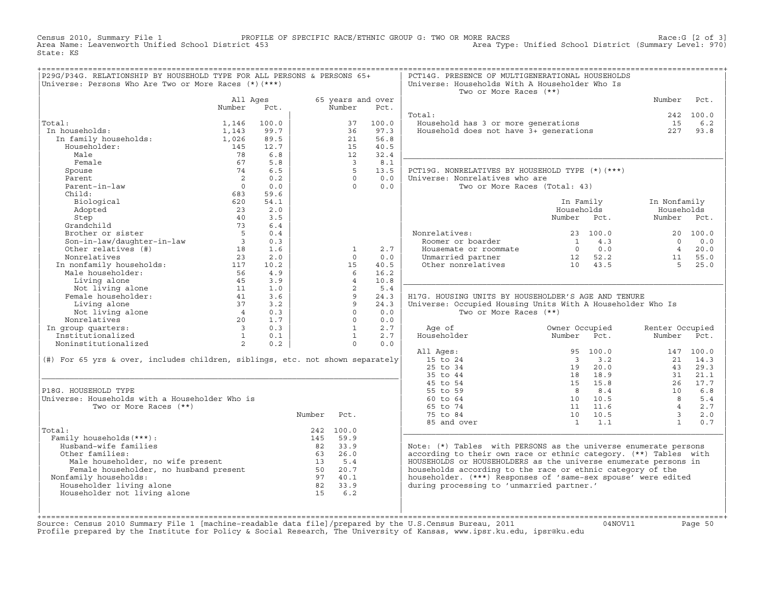Census 2010, Summary File 1 PROFILE OF SPECIFIC RACE/ETHNIC GROUP G: TWO OR MORE RACES Race:G [2 of 3]<br>Area Name: Leavenworth Unified School District 453 Area Type: Unified School District (Summary Level: 970) Area Type: Unified School District (Summary Level: 970) State: KS

| P29G/P34G. RELATIONSHIP BY HOUSEHOLD TYPE FOR ALL PERSONS & PERSONS 65+                                                                                                                                                             |                                          |              |        |                |                   | PCT14G. PRESENCE OF MULTIGENERATIONAL HOUSEHOLDS                              |                                |                         |           |
|-------------------------------------------------------------------------------------------------------------------------------------------------------------------------------------------------------------------------------------|------------------------------------------|--------------|--------|----------------|-------------------|-------------------------------------------------------------------------------|--------------------------------|-------------------------|-----------|
| Universe: Persons Who Are Two or More Races (*) (***)                                                                                                                                                                               |                                          |              |        |                |                   | Universe: Households With A Householder Who Is<br>Two or More Races (**)      |                                |                         |           |
|                                                                                                                                                                                                                                     | All Ages                                 |              |        |                | 65 years and over |                                                                               |                                | Number                  | Pct.      |
|                                                                                                                                                                                                                                     | Number                                   | Pct.         |        | Number         | Pct.              |                                                                               |                                |                         |           |
|                                                                                                                                                                                                                                     |                                          |              |        |                |                   | Total:                                                                        |                                |                         | 242 100.0 |
| Total:                                                                                                                                                                                                                              | 1,146                                    | 100.0        |        | 37             | 100.0             | Household has 3 or more generations<br>Household does not have 3+ generations |                                | 15                      | 6.2       |
| In households:                                                                                                                                                                                                                      | 1,143                                    | 99.7<br>89.5 |        | 36<br>21       | 97.3<br>56.8      |                                                                               |                                | 227                     | 93.8      |
| al:<br>1 households:<br>In family households:<br>Householder:                                                                                                                                                                       | 1,026<br>145                             | 12.7         |        | 15             | 40.5              |                                                                               |                                |                         |           |
| Male                                                                                                                                                                                                                                | 78                                       | 6.8          |        | 12             | 32.4              |                                                                               |                                |                         |           |
| Female                                                                                                                                                                                                                              | 67                                       | 5.8          |        | $\overline{3}$ | 8.1               |                                                                               |                                |                         |           |
| Spouse                                                                                                                                                                                                                              | 74                                       | 6.5          |        | 5 <sup>5</sup> | 13.5              | PCT19G. NONRELATIVES BY HOUSEHOLD TYPE (*) (***)                              |                                |                         |           |
| Parent                                                                                                                                                                                                                              | $\overline{2}$                           | 0.2          |        | $\Omega$       | 0.0               | Universe: Nonrelatives who are                                                |                                |                         |           |
| Parent-in-law                                                                                                                                                                                                                       | $\bigcap$                                | 0.0          |        | $\cap$         | 0.0               | Two or More Races (Total: 43)                                                 |                                |                         |           |
| Child:                                                                                                                                                                                                                              | 683                                      | 59.6         |        |                |                   |                                                                               |                                |                         |           |
| Biological                                                                                                                                                                                                                          | 620                                      | 54.1         |        |                |                   |                                                                               | In Family                      | In Nonfamily            |           |
| Adopted                                                                                                                                                                                                                             | 23                                       | 2.0          |        |                |                   |                                                                               | Households                     | Households              |           |
|                                                                                                                                                                                                                                     | 40                                       | 3.5          |        |                |                   |                                                                               | Number Pct.                    | Number Pct.             |           |
|                                                                                                                                                                                                                                     | 73                                       | 6.4          |        |                |                   |                                                                               |                                |                         |           |
|                                                                                                                                                                                                                                     | $5^{\circ}$                              | 0.4          |        |                |                   | Nonrelatives:                                                                 | 23 100.0                       |                         | 20 100.0  |
|                                                                                                                                                                                                                                     | $\overline{\phantom{a}}$ 3               | 0.3          |        |                |                   | Roomer or boarder                                                             | 1 4.3                          | $\Omega$                | 0.0       |
| Step<br>Grandchild<br>Brother or sister<br>Son-in-law/daughter-in-law<br>Andrian Contractor (#)                                                                                                                                     | 18                                       | 1.6          |        | $\mathbf{1}$   | 2.7               | Housemate or roommate                                                         | $0 \qquad 0.0$                 | $\overline{4}$          | 20.0      |
| Nonrelatives                                                                                                                                                                                                                        | 23                                       | 2.0          |        | $\Omega$       | 0.0               |                                                                               |                                | 11                      | 55.0      |
|                                                                                                                                                                                                                                     |                                          |              |        | 15             | 40.5              | Unmarried partner 12 52.2<br>Other nonrelatives 10 43.5                       |                                | $-5$                    | 25.0      |
|                                                                                                                                                                                                                                     |                                          |              |        | 6              | 16.2              |                                                                               |                                |                         |           |
|                                                                                                                                                                                                                                     |                                          |              |        | $\overline{4}$ | 10.8              |                                                                               |                                |                         |           |
|                                                                                                                                                                                                                                     |                                          |              |        | 2              | 5.4               |                                                                               |                                |                         |           |
| For interfactive to the montantly households:<br>Male householder:<br>Male householder:<br>Living alone due to the same discussion of the same discussion of the same discussion of the same of the same of the same of the same of |                                          |              |        | $\overline{9}$ | 24.3              | H17G. HOUSING UNITS BY HOUSEHOLDER'S AGE AND TENURE                           |                                |                         |           |
| Living alone                                                                                                                                                                                                                        | 37                                       | 3.2          |        | Q              | 24.3              | Universe: Occupied Housing Units With A Householder Who Is                    |                                |                         |           |
| Not living alone                                                                                                                                                                                                                    | $\begin{array}{c}\n4 \\ 20\n\end{array}$ | 0.3          |        | $\circ$        | 0.0               | Two or More Races (**)                                                        |                                |                         |           |
| Nonrelatives                                                                                                                                                                                                                        |                                          | 1.7          |        | $\Omega$       | 0.0               |                                                                               |                                |                         |           |
| In group quarters:                                                                                                                                                                                                                  | $\begin{array}{c} 3 \\ 1 \end{array}$    | 0.3          |        | 1              | 2.7               | Age of                                                                        | Owner Occupied                 | Renter Occupied         |           |
| Institutionalized                                                                                                                                                                                                                   |                                          | 0.1          |        | $\overline{1}$ | 2.7               | Householder                                                                   | Number<br>Pct.                 | Number                  | Pct.      |
| Noninstitutionalized                                                                                                                                                                                                                | $\frac{1}{2}$                            | 0.2          |        | $\circ$        | 0.0               |                                                                               |                                |                         |           |
|                                                                                                                                                                                                                                     |                                          |              |        |                |                   | All Ages:                                                                     | 95 100.0                       |                         | 147 100.0 |
| (#) For 65 yrs & over, includes children, siblings, etc. not shown separately                                                                                                                                                       |                                          |              |        |                |                   | 15 to 24                                                                      | $\overline{\mathbf{3}}$<br>3.2 | 21                      | 14.3      |
|                                                                                                                                                                                                                                     |                                          |              |        |                |                   | 25 to 34                                                                      | 20.0<br>19                     | 43                      | 29.3      |
|                                                                                                                                                                                                                                     |                                          |              |        |                |                   | 35 to 44                                                                      | 18 18.9                        | 31                      | 21.1      |
|                                                                                                                                                                                                                                     |                                          |              |        |                |                   | 45 to 54                                                                      | 15 15.8                        | 26                      | 17.7      |
| P18G. HOUSEHOLD TYPE                                                                                                                                                                                                                |                                          |              |        |                |                   | 55 to 59                                                                      | 8.4<br>$\mathsf{R}$            | 10                      | 6.8       |
| Universe: Households with a Householder Who is                                                                                                                                                                                      |                                          |              |        |                |                   | $60$ to $64$                                                                  | 10 10.5                        | $\overline{8}$          | 5.4       |
| Two or More Races (**)                                                                                                                                                                                                              |                                          |              |        |                |                   | 65 to 74                                                                      | 11 11.6                        | $\overline{4}$          | 2.7       |
|                                                                                                                                                                                                                                     |                                          |              | Number | Pct.           |                   | 75 to 84                                                                      | 10 10.5                        | $\overline{\mathbf{3}}$ | 2.0       |
|                                                                                                                                                                                                                                     |                                          |              |        |                |                   | 85 and over                                                                   | $1 \quad 1.1$                  | $\mathbf{1}$            | 0.7       |
| Total:                                                                                                                                                                                                                              |                                          |              |        | 242 100.0      |                   |                                                                               |                                |                         |           |
| Family households (***) :                                                                                                                                                                                                           |                                          |              |        | 145 59.9       |                   |                                                                               |                                |                         |           |
| Husband-wife families                                                                                                                                                                                                               |                                          |              |        | 82 33.9        |                   | Note: $(*)$ Tables with PERSONS as the universe enumerate persons             |                                |                         |           |
| Other families:                                                                                                                                                                                                                     |                                          |              |        | 63 26.0        |                   | according to their own race or ethnic category. (**) Tables with              |                                |                         |           |
|                                                                                                                                                                                                                                     |                                          |              |        | 13 5.4         |                   | HOUSEHOLDS or HOUSEHOLDERS as the universe enumerate persons in               |                                |                         |           |
| Male householder, no wife present<br>Female householder, no wife present<br>immily householder, no husband present                                                                                                                  |                                          |              |        | 50 20.7        |                   | households according to the race or ethnic category of the                    |                                |                         |           |
| Nonfamily households:                                                                                                                                                                                                               |                                          |              |        | 97 40.1        |                   | householder. (***) Responses of 'same-sex spouse' were edited                 |                                |                         |           |
| Householder living alone                                                                                                                                                                                                            |                                          |              |        | 82 33.9        |                   | during processing to 'unmarried partner.'                                     |                                |                         |           |
| Householder not living alone                                                                                                                                                                                                        |                                          |              |        | 15 6.2         |                   |                                                                               |                                |                         |           |
|                                                                                                                                                                                                                                     |                                          |              |        |                |                   |                                                                               |                                |                         |           |
|                                                                                                                                                                                                                                     |                                          |              |        |                |                   |                                                                               |                                |                         |           |

+===================================================================================================================================================+Source: Census 2010 Summary File 1 [machine−readable data file]/prepared by the U.S.Census Bureau, 2011 04NOV11 Page 50 Profile prepared by the Institute for Policy & Social Research, The University of Kansas, www.ipsr.ku.edu, ipsr@ku.edu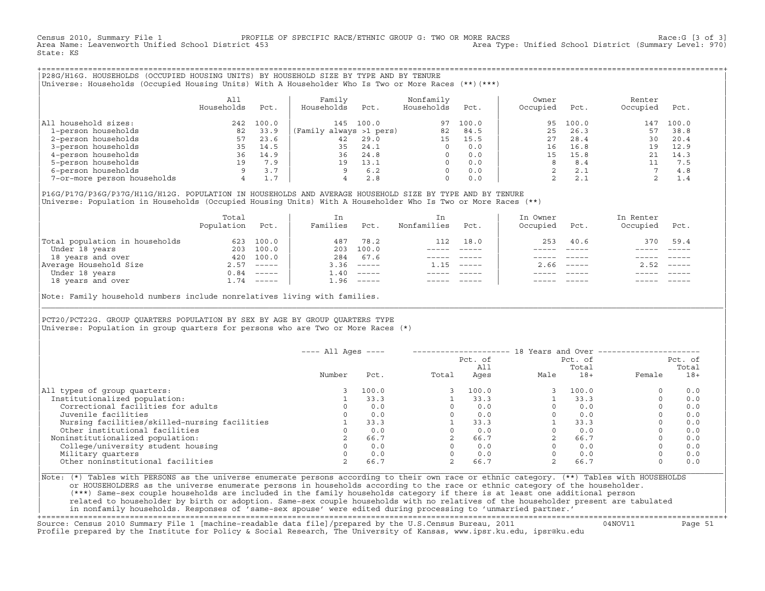Census 2010, Summary File 1 PROFILE OF SPECIFIC RACE/ETHNIC GROUP G: TWO OR MORE RACES [3 of 3]<br>Area Name: Leavenworth Unified School District 453 Area Nove: Unified School District (Summary Level: 970) Area Type: Unified School District (Summary Level: 970) State: KS

+===================================================================================================================================================+|P28G/H16G. HOUSEHOLDS (OCCUPIED HOUSING UNITS) BY HOUSEHOLD SIZE BY TYPE AND BY TENURE | |Universe: Households (Occupied Housing Units) With A Householder Who Is Two or More Races (\*\*)(\*\*\*) |

|                             | All<br>Households | Pct.  | Family<br>Households    | Pct.  | Nonfamily<br>Households | Pct.  | Owner<br>Occupied | Pct.  | Renter<br>Occupied | Pct.  |  |
|-----------------------------|-------------------|-------|-------------------------|-------|-------------------------|-------|-------------------|-------|--------------------|-------|--|
| household sizes:<br>All     | 242               | 100.0 | 145                     | 100.0 | 97                      | 100.0 | 95                | 100.0 | 147                | 100.0 |  |
| 1-person households         | 82                | 33.9  | (Family always >1 pers) |       | 82                      | 84.5  | 25                | 26.3  | 57                 | 38.8  |  |
| 2-person households         | 57                | 23.6  | 42                      | 29.0  | 15                      | 15.5  | 27                | 28.4  | 30                 | 20.4  |  |
| 3-person households         | 35                | 14.5  | 35                      | 24.1  | $\Omega$                | 0.0   | 16                | 16.8  | 19                 | 12.9  |  |
| 4-person households         | 36                | 14.9  | 36                      | 24.8  | $\Omega$                | 0.0   | 15                | 15.8  |                    | 14.3  |  |
| 5-person households         | 19                | 7.9   | 19                      | 13.1  | $\Omega$                | 0.0   | 8                 | 8.4   |                    | 7.5   |  |
| 6-person households         |                   | 3.7   |                         | 6.2   | $\Omega$                | 0.0   |                   | 2.1   |                    | 4.8   |  |
| 7-or-more person households | 4                 | 1.7   |                         | 2.8   | 0                       | 0.0   | ▵                 | 2.1   |                    | 1.4   |  |

|P16G/P17G/P36G/P37G/H11G/H12G. POPULATION IN HOUSEHOLDS AND AVERAGE HOUSEHOLD SIZE BY TYPE AND BY TENURE | Universe: Population in Households (Occupied Housing Units) With A Householder Who Is Two or More Races (\*\*)

|                                | Total<br>Population | Pct.         | In<br>Families | Pct.     | In.<br>Nonfamilies | Pct.     | In Owner<br>Occupied | Pct.                      | In Renter<br>Occupied | Pct.        |
|--------------------------------|---------------------|--------------|----------------|----------|--------------------|----------|----------------------|---------------------------|-----------------------|-------------|
| Total population in households | 623                 | 100.0        | 487            | 78.2     | 112                | 18.0     | 253                  | 40.6                      | 370                   | 59.4        |
| Under 18 years                 | 203                 | 100.0        | 203            | 100.0    |                    |          |                      |                           |                       |             |
| 18 years and over              | 420                 | 100.0        | 284            | 67.6     |                    |          |                      |                           |                       |             |
| Average Household Size         |                     | $2.57$ ----- | 3.36           | $------$ | 1.15               | $------$ | 2.66                 | $\qquad \qquad - - - - -$ | 2.52                  | $------$    |
| Under 18 years                 |                     | $0.84$ ----- | l.40           | $------$ |                    |          |                      |                           |                       |             |
| 18 years and over              |                     | $1.74$ ----- | 1.96           |          |                    |          |                      | $- - - - -$               |                       | $- - - - -$ |
|                                |                     |              |                |          |                    |          |                      |                           |                       |             |

Note: Family household numbers include nonrelatives living with families.

| | PCT20/PCT22G. GROUP OUARTERS POPULATION BY SEX BY AGE BY GROUP OUARTERS TYPE Universe: Population in group quarters for persons who are Two or More Races  $(*)$ 

|                                               | $---$ All Ages $---$ |       |       | Pct. of<br>All |      | 18 Years and Over -------------<br>Pct. of<br>Total |          | Pct. of<br>Total |
|-----------------------------------------------|----------------------|-------|-------|----------------|------|-----------------------------------------------------|----------|------------------|
|                                               | Number               | Pct.  | Total | Ages           | Male | $18+$                                               | Female   | $18+$            |
| All types of group quarters:                  |                      | 100.0 |       | 100.0          |      | 100.0                                               | $\circ$  | 0.0              |
| Institutionalized population:                 |                      | 33.3  |       | 33.3           |      | 33.3                                                | $\Omega$ | 0.0              |
| Correctional facilities for adults            |                      | 0.0   |       | 0.0            |      | 0.0                                                 | $\Omega$ | 0.0              |
| Juvenile facilities                           |                      | 0.0   |       | 0.0            |      | 0.0                                                 | $\circ$  | 0.0              |
| Nursing facilities/skilled-nursing facilities |                      | 33.3  |       | 33.3           |      | 33.3                                                | $\circ$  | 0.0              |
| Other institutional facilities                |                      | 0.0   |       | 0.0            |      | 0.0                                                 | $\Omega$ | 0.0              |
| Noninstitutionalized population:              |                      | 66.7  |       | 66.7           |      | 66.7                                                |          | 0.0              |
| College/university student housing            |                      | 0.0   |       | 0.0            |      | 0.0                                                 | 0        | 0.0              |
| Military quarters                             |                      | 0.0   |       | 0.0            |      | 0.0                                                 | $\Omega$ | 0.0              |
| Other noninstitutional facilities             | 2                    | 66.7  |       | 66.7           |      | 66.7                                                | $\circ$  | 0.0              |

|\_\_\_\_\_\_\_\_\_\_\_\_\_\_\_\_\_\_\_\_\_\_\_\_\_\_\_\_\_\_\_\_\_\_\_\_\_\_\_\_\_\_\_\_\_\_\_\_\_\_\_\_\_\_\_\_\_\_\_\_\_\_\_\_\_\_\_\_\_\_\_\_\_\_\_\_\_\_\_\_\_\_\_\_\_\_\_\_\_\_\_\_\_\_\_\_\_\_\_\_\_\_\_\_\_\_\_\_\_\_\_\_\_\_\_\_\_\_\_\_\_\_\_\_\_\_\_\_\_\_\_\_\_\_\_\_\_\_\_\_\_\_\_\_\_\_\_|

| |

|Note: (\*) Tables with PERSONS as the universe enumerate persons according to their own race or ethnic category. (\*\*) Tables with HOUSEHOLDS | or HOUSEHOLDERS as the universe enumerate persons in households according to the race or ethnic category of the householder. | (\*\*\*) Same−sex couple households are included in the family households category if there is at least one additional person | | related to householder by birth or adoption. Same−sex couple households with no relatives of the householder present are tabulated | | in nonfamily households. Responses of 'same−sex spouse' were edited during processing to 'unmarried partner.' |

+===================================================================================================================================================+ Source: Census 2010 Summary File 1 [machine−readable data file]/prepared by the U.S.Census Bureau, 2011 04NOV11 Page 51 Profile prepared by the Institute for Policy & Social Research, The University of Kansas, www.ipsr.ku.edu, ipsr@ku.edu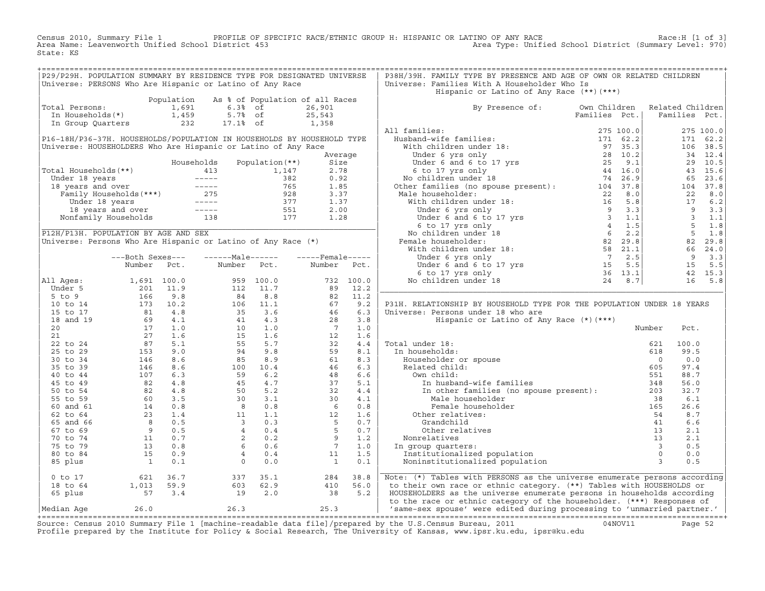Census 2010, Summary File 1 PROFILE OF SPECIFIC RACE/ETHNIC GROUP H: HISPANIC OR LATINO OF ANY RACE Race:H [1 of 3]<br>Area Name: Leavenworth Unified School District 453 Area Type: Unified School District (Summary Level: 970) Area Type: Unified School District (Summary Level: 970) State: KS

| P29/P29H. POPULATION SUMMARY BY RESIDENCE TYPE FOR DESIGNATED UNIVERSE<br>Universe: PERSONS Who Are Hispanic or Latino of Any Race                                                                                                                                              |                                                                             |                                                                                                                                                                                                                                                                                           |                                  | P38H/39H. FAMILY TYPE BY PRESENCE AND AGE OF OWN OR RELATED CHILDREN<br>Universe: Families With A Householder Who Is                                                                                                                                                 |                               |                  |               |  |
|---------------------------------------------------------------------------------------------------------------------------------------------------------------------------------------------------------------------------------------------------------------------------------|-----------------------------------------------------------------------------|-------------------------------------------------------------------------------------------------------------------------------------------------------------------------------------------------------------------------------------------------------------------------------------------|----------------------------------|----------------------------------------------------------------------------------------------------------------------------------------------------------------------------------------------------------------------------------------------------------------------|-------------------------------|------------------|---------------|--|
|                                                                                                                                                                                                                                                                                 |                                                                             |                                                                                                                                                                                                                                                                                           |                                  | Hispanic or Latino of Any Race (**) (***)                                                                                                                                                                                                                            |                               |                  |               |  |
|                                                                                                                                                                                                                                                                                 |                                                                             | Population As % of Population of all Races                                                                                                                                                                                                                                                |                                  |                                                                                                                                                                                                                                                                      |                               |                  |               |  |
| Total Persons:                                                                                                                                                                                                                                                                  |                                                                             |                                                                                                                                                                                                                                                                                           |                                  | By Presence of: Own Children                                                                                                                                                                                                                                         |                               | Related Children |               |  |
|                                                                                                                                                                                                                                                                                 |                                                                             |                                                                                                                                                                                                                                                                                           |                                  |                                                                                                                                                                                                                                                                      | Families Pct.   Families Pct. |                  |               |  |
|                                                                                                                                                                                                                                                                                 |                                                                             |                                                                                                                                                                                                                                                                                           |                                  |                                                                                                                                                                                                                                                                      |                               |                  |               |  |
| P16-18H/P36-37H. HOUSEHOLDS/POPULATION IN HOUSEHOLDS BY HOUSEHOLD TYPE                                                                                                                                                                                                          |                                                                             |                                                                                                                                                                                                                                                                                           |                                  |                                                                                                                                                                                                                                                                      |                               |                  |               |  |
| Universe: HOUSEHOLDERS Who Are Hispanic or Latino of Any Race                                                                                                                                                                                                                   |                                                                             |                                                                                                                                                                                                                                                                                           |                                  |                                                                                                                                                                                                                                                                      |                               |                  |               |  |
|                                                                                                                                                                                                                                                                                 |                                                                             |                                                                                                                                                                                                                                                                                           | Average                          |                                                                                                                                                                                                                                                                      |                               |                  |               |  |
|                                                                                                                                                                                                                                                                                 |                                                                             | Households Population (**)                                                                                                                                                                                                                                                                | Size                             |                                                                                                                                                                                                                                                                      |                               |                  |               |  |
|                                                                                                                                                                                                                                                                                 |                                                                             |                                                                                                                                                                                                                                                                                           |                                  |                                                                                                                                                                                                                                                                      |                               |                  |               |  |
|                                                                                                                                                                                                                                                                                 |                                                                             |                                                                                                                                                                                                                                                                                           |                                  |                                                                                                                                                                                                                                                                      |                               |                  |               |  |
|                                                                                                                                                                                                                                                                                 |                                                                             |                                                                                                                                                                                                                                                                                           |                                  |                                                                                                                                                                                                                                                                      |                               |                  |               |  |
|                                                                                                                                                                                                                                                                                 |                                                                             |                                                                                                                                                                                                                                                                                           |                                  |                                                                                                                                                                                                                                                                      |                               |                  |               |  |
|                                                                                                                                                                                                                                                                                 |                                                                             |                                                                                                                                                                                                                                                                                           |                                  |                                                                                                                                                                                                                                                                      |                               |                  |               |  |
|                                                                                                                                                                                                                                                                                 |                                                                             |                                                                                                                                                                                                                                                                                           |                                  |                                                                                                                                                                                                                                                                      |                               |                  |               |  |
|                                                                                                                                                                                                                                                                                 |                                                                             |                                                                                                                                                                                                                                                                                           |                                  |                                                                                                                                                                                                                                                                      |                               |                  |               |  |
| Fotal Households (**)<br>Under 18 years<br>1, 147 2.78<br>18 years and over<br>Family Households (***)<br>18 years and over<br>Family Households (***)<br>18 years and over<br>1.85<br>1.85<br>1.85<br>1.85<br>1.37<br>1.37<br>1.37<br>1.37<br>1.37<br>1.37<br>1.3              |                                                                             |                                                                                                                                                                                                                                                                                           |                                  | 99 Presence of: 000 Windinferm Melated Children (Families Pct.)<br>Mil families: $275 100.0$ 275 100.0<br>With children under 18: $171 62.2$ 171 62.2<br>Under 6 yrs only<br>Under 6 yrs only<br>Under families (no gouse present): $74 $                            |                               |                  |               |  |
|                                                                                                                                                                                                                                                                                 |                                                                             |                                                                                                                                                                                                                                                                                           |                                  |                                                                                                                                                                                                                                                                      |                               |                  |               |  |
|                                                                                                                                                                                                                                                                                 |                                                                             |                                                                                                                                                                                                                                                                                           |                                  |                                                                                                                                                                                                                                                                      |                               |                  |               |  |
|                                                                                                                                                                                                                                                                                 |                                                                             |                                                                                                                                                                                                                                                                                           |                                  |                                                                                                                                                                                                                                                                      |                               |                  |               |  |
|                                                                                                                                                                                                                                                                                 | ---Both Sexes---<br>Number Pct.                                             | $---Male----$<br>Number Pct.                                                                                                                                                                                                                                                              | $---$ Female-----<br>Number Pct. |                                                                                                                                                                                                                                                                      |                               |                  |               |  |
|                                                                                                                                                                                                                                                                                 |                                                                             |                                                                                                                                                                                                                                                                                           |                                  |                                                                                                                                                                                                                                                                      |                               |                  |               |  |
| All Ages:                                                                                                                                                                                                                                                                       |                                                                             |                                                                                                                                                                                                                                                                                           |                                  |                                                                                                                                                                                                                                                                      |                               |                  |               |  |
|                                                                                                                                                                                                                                                                                 |                                                                             |                                                                                                                                                                                                                                                                                           |                                  |                                                                                                                                                                                                                                                                      |                               |                  |               |  |
|                                                                                                                                                                                                                                                                                 |                                                                             |                                                                                                                                                                                                                                                                                           |                                  |                                                                                                                                                                                                                                                                      |                               |                  |               |  |
|                                                                                                                                                                                                                                                                                 |                                                                             |                                                                                                                                                                                                                                                                                           |                                  | P31H. RELATIONSHIP BY HOUSEHOLD TYPE FOR THE POPULATION UNDER 18 YEARS                                                                                                                                                                                               |                               |                  |               |  |
|                                                                                                                                                                                                                                                                                 |                                                                             |                                                                                                                                                                                                                                                                                           |                                  | Universe: Persons under 18 who are                                                                                                                                                                                                                                   |                               |                  |               |  |
|                                                                                                                                                                                                                                                                                 |                                                                             |                                                                                                                                                                                                                                                                                           |                                  | Hispanic or Latino of Any Race (*) (***)                                                                                                                                                                                                                             |                               |                  |               |  |
|                                                                                                                                                                                                                                                                                 |                                                                             |                                                                                                                                                                                                                                                                                           |                                  |                                                                                                                                                                                                                                                                      |                               | Number           | Pct.          |  |
|                                                                                                                                                                                                                                                                                 |                                                                             |                                                                                                                                                                                                                                                                                           |                                  |                                                                                                                                                                                                                                                                      |                               |                  |               |  |
|                                                                                                                                                                                                                                                                                 |                                                                             |                                                                                                                                                                                                                                                                                           |                                  |                                                                                                                                                                                                                                                                      |                               | 621<br>618       | 100.0<br>99.5 |  |
|                                                                                                                                                                                                                                                                                 |                                                                             |                                                                                                                                                                                                                                                                                           |                                  |                                                                                                                                                                                                                                                                      |                               | $\overline{0}$   | 0.0           |  |
|                                                                                                                                                                                                                                                                                 |                                                                             |                                                                                                                                                                                                                                                                                           |                                  |                                                                                                                                                                                                                                                                      |                               | 605              | 97.4          |  |
|                                                                                                                                                                                                                                                                                 |                                                                             |                                                                                                                                                                                                                                                                                           |                                  |                                                                                                                                                                                                                                                                      |                               | 551              | 88.7          |  |
|                                                                                                                                                                                                                                                                                 |                                                                             |                                                                                                                                                                                                                                                                                           |                                  |                                                                                                                                                                                                                                                                      |                               | 348              | 56.0          |  |
|                                                                                                                                                                                                                                                                                 |                                                                             |                                                                                                                                                                                                                                                                                           |                                  |                                                                                                                                                                                                                                                                      |                               | 203              | 32.7          |  |
|                                                                                                                                                                                                                                                                                 |                                                                             |                                                                                                                                                                                                                                                                                           |                                  | In households:<br>Households:<br>Householder or spouse<br>Related child:<br>(own child:<br>In husband-wife families<br>In other families (no spouse present):<br>Male householder<br>(other relatives:<br>Grandchild<br>(other )<br>(other )<br>                     |                               |                  | 6.1           |  |
|                                                                                                                                                                                                                                                                                 |                                                                             |                                                                                                                                                                                                                                                                                           |                                  |                                                                                                                                                                                                                                                                      |                               |                  | 26.6          |  |
|                                                                                                                                                                                                                                                                                 |                                                                             |                                                                                                                                                                                                                                                                                           |                                  |                                                                                                                                                                                                                                                                      |                               |                  | 8.7           |  |
|                                                                                                                                                                                                                                                                                 |                                                                             |                                                                                                                                                                                                                                                                                           |                                  |                                                                                                                                                                                                                                                                      |                               |                  | 6.6           |  |
|                                                                                                                                                                                                                                                                                 |                                                                             |                                                                                                                                                                                                                                                                                           |                                  |                                                                                                                                                                                                                                                                      |                               |                  | 2.1           |  |
|                                                                                                                                                                                                                                                                                 |                                                                             |                                                                                                                                                                                                                                                                                           |                                  | Nonrelatives                                                                                                                                                                                                                                                         |                               |                  | 2.1           |  |
|                                                                                                                                                                                                                                                                                 |                                                                             |                                                                                                                                                                                                                                                                                           |                                  | In group quarters:                                                                                                                                                                                                                                                   |                               |                  | 0.5           |  |
|                                                                                                                                                                                                                                                                                 |                                                                             |                                                                                                                                                                                                                                                                                           |                                  | Institutionalized population                                                                                                                                                                                                                                         |                               |                  | 0.0<br>0.5    |  |
| Anallel FCC:<br>1.691 100.0<br>5 to 9<br>10 to 14<br>16 9.8<br>10 to 14<br>17 1.0<br>18 and 19<br>6 9 4.1<br>20<br>17 1.0<br>21<br>27 1.6<br>27 5.1<br>25 to 29<br>17 1.0<br>27 1.6<br>27 5.1<br>25 to 29<br>17 1.0<br>27 5.1<br>25 to 29<br>17 5.1<br>27 5.1<br>25 to 29<br>18 |                                                                             | Nulliber PCL:<br>959 100.0<br>112 11.7<br>84 8.8<br>95 100.0<br>112 11.1<br>67 9.2<br>106 11.1<br>67 9.2<br>10 1.1<br>67 9.2<br>10 1.1<br>1.6<br>55 5.7<br>32 4.4<br>95 8.9<br>61<br>96 8.9<br>61<br>96 8.9<br>61<br>96 8.9<br>61<br>96 8.1<br>96 8.9<br>61<br>96 8.1<br>96 8.9<br>61<br> |                                  | er<br>and the spoke present).<br>The contract of the spoke spoke is a set of the spoke space of the space of the space of the space of the space of the space of the space of the space of the space of the space of the space of<br>Noninstitutionalized population |                               |                  |               |  |
| $0$ to $17$                                                                                                                                                                                                                                                                     |                                                                             | 337 35.1<br>603 62.9<br>19 2.0                                                                                                                                                                                                                                                            | 284 38.8<br>410 56.0<br>38 5.2   | Note: (*) Tables with PERSONS as the universe enumerate persons according                                                                                                                                                                                            |                               |                  |               |  |
| 18 to 64                                                                                                                                                                                                                                                                        |                                                                             |                                                                                                                                                                                                                                                                                           |                                  | to their own race or ethnic category. (**) Tables with HOUSEHOLDS or                                                                                                                                                                                                 |                               |                  |               |  |
| 65 plus                                                                                                                                                                                                                                                                         | $\begin{array}{rrr} & 621 & 36.7 \\ 1,013 & 59.9 \\ & 57 & 3.4 \end{array}$ |                                                                                                                                                                                                                                                                                           |                                  | HOUSEHOLDERS as the universe enumerate persons in households according                                                                                                                                                                                               |                               |                  |               |  |
|                                                                                                                                                                                                                                                                                 |                                                                             |                                                                                                                                                                                                                                                                                           |                                  | to the race or ethnic category of the householder. (***) Responses of                                                                                                                                                                                                |                               |                  |               |  |
| Median Age                                                                                                                                                                                                                                                                      | 26.0                                                                        | $26.3$ 25.3                                                                                                                                                                                                                                                                               |                                  | 'same-sex spouse' were edited during processing to 'unmarried partner.'                                                                                                                                                                                              |                               |                  |               |  |

+===================================================================================================================================================+Source: Census 2010 Summary File 1 [machine−readable data file]/prepared by the U.S.Census Bureau, 2011 04NOV11 Page 52 Profile prepared by the Institute for Policy & Social Research, The University of Kansas, www.ipsr.ku.edu, ipsr@ku.edu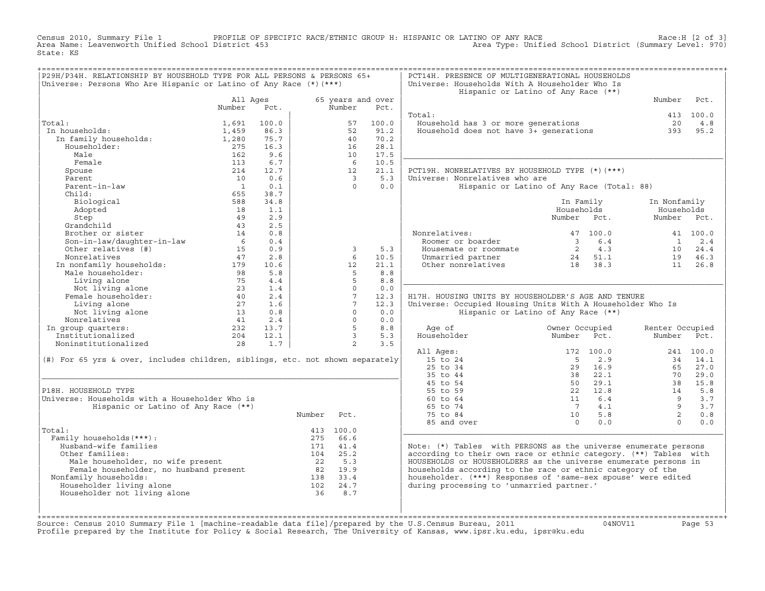Census 2010, Summary File 1 PROFILE OF SPECIFIC RACE/ETHNIC GROUP H: HISPANIC OR LATINO OF ANY RACE Race:H [2 of 3]<br>Area Name: Leavenworth Unified School District 453 Area Type: Unified School District (Summary Level: 970) Area Type: Unified School District (Summary Level: 970) State: KS

| P29H/P34H. RELATIONSHIP BY HOUSEHOLD TYPE FOR ALL PERSONS & PERSONS 65+                           |                |       |        |                         |                   | PCT14H. PRESENCE OF MULTIGENERATIONAL HOUSEHOLDS                 |                                            |                 |           |
|---------------------------------------------------------------------------------------------------|----------------|-------|--------|-------------------------|-------------------|------------------------------------------------------------------|--------------------------------------------|-----------------|-----------|
| Universe: Persons Who Are Hispanic or Latino of Any Race $(*)$ (***)                              |                |       |        |                         |                   | Universe: Households With A Householder Who Is                   |                                            |                 |           |
|                                                                                                   |                |       |        |                         |                   |                                                                  | Hispanic or Latino of Any Race (**)        |                 |           |
|                                                                                                   | All Ages       |       |        |                         | 65 years and over |                                                                  |                                            | Number          | Pct.      |
|                                                                                                   | Number         | Pct.  |        | Number                  | Pct.              |                                                                  |                                            |                 |           |
|                                                                                                   |                |       |        |                         |                   | Total:                                                           |                                            |                 | 413 100.0 |
| Total:                                                                                            | 1,691          | 100.0 |        | 57                      | 100.0             | Household has 3 or more generations                              |                                            | 20              | 4.8       |
| In households:                                                                                    | 1,459          | 86.3  |        | 52                      | 91.2              | Household does not have 3+ generations                           |                                            | 393             | 95.2      |
| In family households:                                                                             | 1,280          | 75.7  |        | 40                      | 70.2              |                                                                  |                                            |                 |           |
| Householder:                                                                                      | 275            | 16.3  |        | 16                      | 28.1              |                                                                  |                                            |                 |           |
| Male                                                                                              | 162            | 9.6   |        | 10                      | 17.5              |                                                                  |                                            |                 |           |
| Female                                                                                            | 113            | 6.7   |        | - 6                     | 10.5              |                                                                  |                                            |                 |           |
| Spouse                                                                                            | 214            | 12.7  |        | 12                      | 21.1              | PCT19H. NONRELATIVES BY HOUSEHOLD TYPE (*)(***)                  |                                            |                 |           |
| Parent                                                                                            | 10             | 0.6   |        | $\overline{\mathbf{3}}$ | 5.3               | Universe: Nonrelatives who are                                   |                                            |                 |           |
| Parent-in-law                                                                                     | $\overline{1}$ | 0.1   |        | $\Omega$                | 0.0               |                                                                  | Hispanic or Latino of Any Race (Total: 88) |                 |           |
| Child:                                                                                            | 655            | 38.7  |        |                         |                   |                                                                  |                                            |                 |           |
| Biological                                                                                        | 588            | 34.8  |        |                         |                   |                                                                  | In Family                                  | In Nonfamily    |           |
| Adopted                                                                                           | 18             | 1.1   |        |                         |                   |                                                                  | Households                                 | Households      |           |
| Step                                                                                              | 49             | 2.9   |        |                         |                   |                                                                  | Number Pct.                                | Number Pct.     |           |
| Grandchild                                                                                        | 43             | 2.5   |        |                         |                   |                                                                  |                                            |                 |           |
| Brother or sister                                                                                 | 14             | 0.8   |        |                         |                   | Nonrelatives:                                                    | 47 100.0                                   |                 | 41 100.0  |
| Son-in-law/daughter-in-law                                                                        | 6              | 0.4   |        |                         |                   | Roomer or boarder                                                | $\overline{3}$<br>6.4                      | 1               | 2.4       |
| Other relatives (#)                                                                               | 15             | 0.9   |        | $\overline{3}$          | 5.3               | Housemate or roommate                                            | 2 4.3                                      | 10              | 24.4      |
| Nonrelatives                                                                                      | 47             | 2.8   |        | 6                       | 10.5              | Unmarried partner                                                | 24 51.1                                    | 19              | 46.3      |
| In nonfamily households:                                                                          | 179            | 10.6  |        | 12                      | 21.1              | Other nonrelatives                                               | 38.3<br>18                                 | 11              | 26.8      |
| Male householder:                                                                                 | 98             | 5.8   |        | 5                       | 8.8               |                                                                  |                                            |                 |           |
| Living alone                                                                                      | 75             | 4.4   |        | $5^{\circ}$             | 8.8               |                                                                  |                                            |                 |           |
| Not living alone                                                                                  | 23             | 1.4   |        | $\Omega$                | 0.0               |                                                                  |                                            |                 |           |
| Female householder:                                                                               | 40             | 2.4   |        | $7\overline{ }$         | 12.3              | H17H. HOUSING UNITS BY HOUSEHOLDER'S AGE AND TENURE              |                                            |                 |           |
| Living alone                                                                                      | 27             | 1.6   |        | $7\overline{ }$         | 12.3              | Universe: Occupied Housing Units With A Householder Who Is       |                                            |                 |           |
| Not living alone                                                                                  | 13             | 0.8   |        | $\Omega$                | 0.0               |                                                                  | Hispanic or Latino of Any Race (**)        |                 |           |
| Nonrelatives                                                                                      | 41             | 2.4   |        | $\Omega$                | 0.0               |                                                                  |                                            |                 |           |
| In group quarters:                                                                                | 232            | 13.7  |        | $5^{\circ}$             | 8.8               | Age of                                                           | Owner Occupied                             | Renter Occupied |           |
| Institutionalized                                                                                 | 204            | 12.1  |        | $\overline{3}$          | 5.3               | Householder                                                      | Number<br>Pct.                             | Number          | Pct.      |
| Noninstitutionalized                                                                              | 28             | 1.7   |        | $\overline{2}$          | 3.5               |                                                                  |                                            |                 |           |
|                                                                                                   |                |       |        |                         |                   | All Ages:                                                        | 172 100.0                                  |                 | 241 100.0 |
| (#) For 65 yrs & over, includes children, siblings, etc. not shown separately                     |                |       |        |                         |                   | 15 to 24                                                         | $-5$<br>2.9                                | 34              | 14.1      |
|                                                                                                   |                |       |        |                         |                   | 25 to 34                                                         | 29<br>16.9                                 | 65              | 27.0      |
|                                                                                                   |                |       |        |                         |                   | 35 to 44                                                         | 38<br>22.1                                 | 70              | 29.0      |
|                                                                                                   |                |       |        |                         |                   | 45 to 54                                                         | 50 29.1                                    | 38              | 15.8      |
| P18H. HOUSEHOLD TYPE                                                                              |                |       |        |                         |                   | 55 to 59                                                         | 22 12.8                                    | 14              | 5.8       |
| Universe: Households with a Householder Who is                                                    |                |       |        |                         |                   | 60 to 64                                                         | 11<br>6.4                                  | 9               | 3.7       |
| Hispanic or Latino of Any Race (**)                                                               |                |       |        |                         |                   | 65 to 74                                                         | $7\overline{ }$<br>4.1                     | 9               | 3.7       |
|                                                                                                   |                |       | Number | Pct.                    |                   | 75 to 84                                                         | 5.8<br>10                                  | $\overline{2}$  | 0.8       |
|                                                                                                   |                |       |        |                         |                   | 85 and over                                                      | 0.0<br>$\Omega$                            | $\Omega$        | 0.0       |
| Total:                                                                                            |                |       |        | 413 100.0               |                   |                                                                  |                                            |                 |           |
| Family households (***) :                                                                         |                |       | 275    | 66.6                    |                   |                                                                  |                                            |                 |           |
| Husband-wife families                                                                             |                |       | 171    | 41.4                    |                   | Note: (*) Tables with PERSONS as the universe enumerate persons  |                                            |                 |           |
| Other families:                                                                                   |                |       | 104    | 25.2                    |                   | according to their own race or ethnic category. (**) Tables with |                                            |                 |           |
| Male householder, no wife present<br>Female householder, no husband present<br>inmily bousebolder |                |       | 22     | 5.3                     |                   | HOUSEHOLDS or HOUSEHOLDERS as the universe enumerate persons in  |                                            |                 |           |
|                                                                                                   |                |       | 82     | 19.9                    |                   | households according to the race or ethnic category of the       |                                            |                 |           |
| Nonfamily households:                                                                             |                |       |        | 138 33.4                |                   | householder. (***) Responses of 'same-sex spouse' were edited    |                                            |                 |           |
| Householder living alone                                                                          |                |       | 102    | 24.7                    |                   | during processing to 'unmarried partner.'                        |                                            |                 |           |
| Householder not living alone                                                                      |                |       | 36     | 8.7                     |                   |                                                                  |                                            |                 |           |
|                                                                                                   |                |       |        |                         |                   |                                                                  |                                            |                 |           |
|                                                                                                   |                |       |        |                         |                   |                                                                  |                                            |                 |           |
|                                                                                                   |                |       |        |                         |                   |                                                                  |                                            |                 |           |

+===================================================================================================================================================+Source: Census 2010 Summary File 1 [machine−readable data file]/prepared by the U.S.Census Bureau, 2011 04NOV11 Page 53 Profile prepared by the Institute for Policy & Social Research, The University of Kansas, www.ipsr.ku.edu, ipsr@ku.edu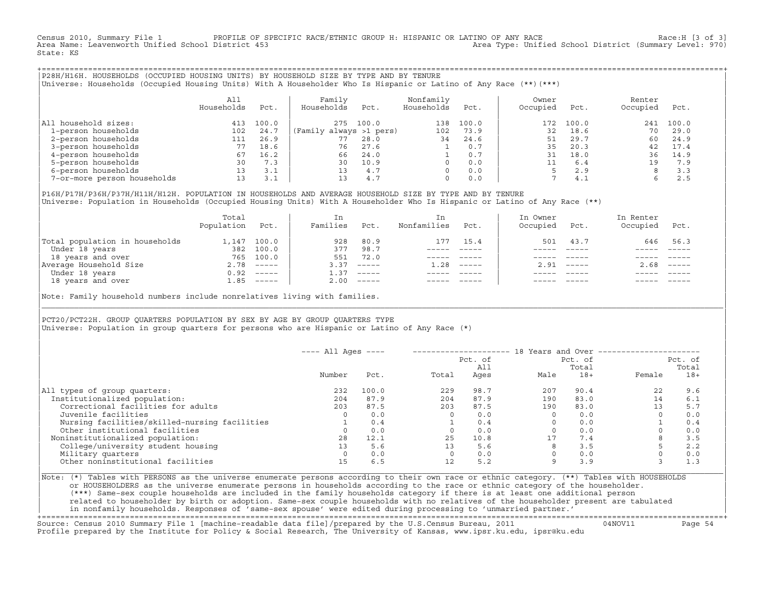Census 2010, Summary File 1 PROFILE OF SPECIFIC RACE/ETHNIC GROUP H: HISPANIC OR LATINO OF ANY RACE RACE Race:H [3 of 3]<br>Area Name: Leavenworth Unified School District 453 Area Type: Unified School District (Summary Level: 970) State: KS

+===================================================================================================================================================+|P28H/H16H. HOUSEHOLDS (OCCUPIED HOUSING UNITS) BY HOUSEHOLD SIZE BY TYPE AND BY TENURE | |Universe: Households (Occupied Housing Units) With A Householder Who Is Hispanic or Latino of Any Race (\*\*)(\*\*\*) |

|                             | A11<br>Households | Pct.  | Family<br>Households<br>Pct. | Nonfamily<br>Households | Pct.  | Owner<br>Occupied | Pct.  | Renter<br>Occupied | Pct.  |
|-----------------------------|-------------------|-------|------------------------------|-------------------------|-------|-------------------|-------|--------------------|-------|
| All household sizes:        | 413               | 100.0 | 100.0<br>275                 | 138                     | 100.0 | 172               | 100.0 | 241                | 100.0 |
| 1-person households         | 102               | 24.7  | (Family always >1 pers)      | 102                     | 73.9  | 32                | 18.6  | 70                 | 29.0  |
| 2-person households         | 111               | 26.9  | 28.0<br>77                   | 34                      | 24.6  | 51                | 29.7  | 60                 | 24.9  |
| 3-person households         |                   | 18.6  | 27.6<br>76                   |                         | 0.7   | 35                | 20.3  | 42                 | 17.4  |
| 4-person households         | 67                | 16.2  | 66<br>24.0                   |                         | 0.7   | 31                | 18.0  | 36                 | 14.9  |
| 5-person households         | 30                | 7.3   | 10.9<br>30                   |                         | 0.0   |                   | 6.4   | 19                 | 7.9   |
| 6-person households         | 13                | 3.1   | 13<br>4.7                    | $\Omega$                | 0.0   |                   | 2.9   |                    | 3.3   |
| 7-or-more person households | 13                | 3.1   | 13<br>4.7                    | $\Omega$                | 0.0   |                   | 4.1   |                    | 2.5   |

|P16H/P17H/P36H/P37H/H11H/H12H. POPULATION IN HOUSEHOLDS AND AVERAGE HOUSEHOLD SIZE BY TYPE AND BY TENURE | Universe: Population in Households (Occupied Housing Units) With A Householder Who Is Hispanic or Latino of Any Race (\*\*)

|                                | Total<br>Population | Pct.         | In<br>Families | Pct.     | In.<br>Nonfamilies | Pct.     | In Owner<br>Occupied | Pct.          | In Renter<br>Occupied | Pct.        |
|--------------------------------|---------------------|--------------|----------------|----------|--------------------|----------|----------------------|---------------|-----------------------|-------------|
| Total population in households |                     | 1,147 100.0  | 928            | 80.9     | 177                | 15.4     | 501                  | 43.7          | 646                   | 56.3        |
| Under 18 years                 | 382                 | 100.0        | 377            | 98.7     |                    |          |                      |               |                       |             |
| 18 years and over              | 765                 | 100.0        | 551            | 72.0     |                    |          |                      |               |                       |             |
| Average Household Size         |                     | $2.78$ ----- | 3.37           | $------$ | 1.28               | $------$ | 2.91                 | $- - - - - -$ | 2.68                  | $------$    |
| Under 18 years                 | 0.92                | $------$     | 1.37           | $------$ |                    |          |                      |               |                       |             |
| 18 years and over              |                     | $1.85$ ----- | 2.00           |          |                    |          |                      | $- - - - -$   |                       | $- - - - -$ |
|                                |                     |              |                |          |                    |          |                      |               |                       |             |

Note: Family household numbers include nonrelatives living with families.

| | PCT20/PCT22H. GROUP OUARTERS POPULATION BY SEX BY AGE BY GROUP OUARTERS TYPE Universe: Population in group quarters for persons who are Hispanic or Latino of Any Race (\*)

|                                               | $---$ All Ages $---$ |       |       | Pct. of<br>All |      | Pct. of<br>Total | 18 Years and Over -------------<br>Pct. of<br>Total |       |
|-----------------------------------------------|----------------------|-------|-------|----------------|------|------------------|-----------------------------------------------------|-------|
|                                               | Number               | Pct.  | Total | Ages           | Male | $18+$            | Female                                              | $18+$ |
| All types of group quarters:                  | 232                  | 100.0 | 229   | 98.7           | 207  | 90.4             | 22                                                  | 9.6   |
| Institutionalized population:                 | 204                  | 87.9  | 204   | 87.9           | 190  | 83.0             | 14                                                  | 6.1   |
| Correctional facilities for adults            | 203                  | 87.5  | 203   | 87.5           | 190  | 83.0             | 13                                                  | 5.7   |
| Juvenile facilities                           | $\Omega$             | 0.0   |       | 0.0            |      | 0.0              | $\circ$                                             | 0.0   |
| Nursing facilities/skilled-nursing facilities |                      | 0.4   |       | 0.4            |      | 0.0              |                                                     | 0.4   |
| Other institutional facilities                |                      | 0.0   |       | 0.0            |      | 0.0              |                                                     | 0.0   |
| Noninstitutionalized population:              | 28                   | 12.1  | 25    | 10.8           |      | 7.4              |                                                     |       |
| College/university student housing            | 13                   | 5.6   | 13    | 5.6            |      | 3.5              |                                                     | 2.2   |
| Military quarters                             |                      | 0.0   |       | 0.0            |      | 0.0              | $\Omega$                                            | 0.0   |
| Other noninstitutional facilities             | 15                   | 6.5   | 12    | 5.2            |      | 3.9              |                                                     | 1.3   |

|\_\_\_\_\_\_\_\_\_\_\_\_\_\_\_\_\_\_\_\_\_\_\_\_\_\_\_\_\_\_\_\_\_\_\_\_\_\_\_\_\_\_\_\_\_\_\_\_\_\_\_\_\_\_\_\_\_\_\_\_\_\_\_\_\_\_\_\_\_\_\_\_\_\_\_\_\_\_\_\_\_\_\_\_\_\_\_\_\_\_\_\_\_\_\_\_\_\_\_\_\_\_\_\_\_\_\_\_\_\_\_\_\_\_\_\_\_\_\_\_\_\_\_\_\_\_\_\_\_\_\_\_\_\_\_\_\_\_\_\_\_\_\_\_\_\_\_|

| |

|Note: (\*) Tables with PERSONS as the universe enumerate persons according to their own race or ethnic category. (\*\*) Tables with HOUSEHOLDS | or HOUSEHOLDERS as the universe enumerate persons in households according to the race or ethnic category of the householder. | (\*\*\*) Same−sex couple households are included in the family households category if there is at least one additional person | | related to householder by birth or adoption. Same−sex couple households with no relatives of the householder present are tabulated | | in nonfamily households. Responses of 'same−sex spouse' were edited during processing to 'unmarried partner.' |

+===================================================================================================================================================+ Source: Census 2010 Summary File 1 [machine−readable data file]/prepared by the U.S.Census Bureau, 2011 04NOV11 Page 54 Profile prepared by the Institute for Policy & Social Research, The University of Kansas, www.ipsr.ku.edu, ipsr@ku.edu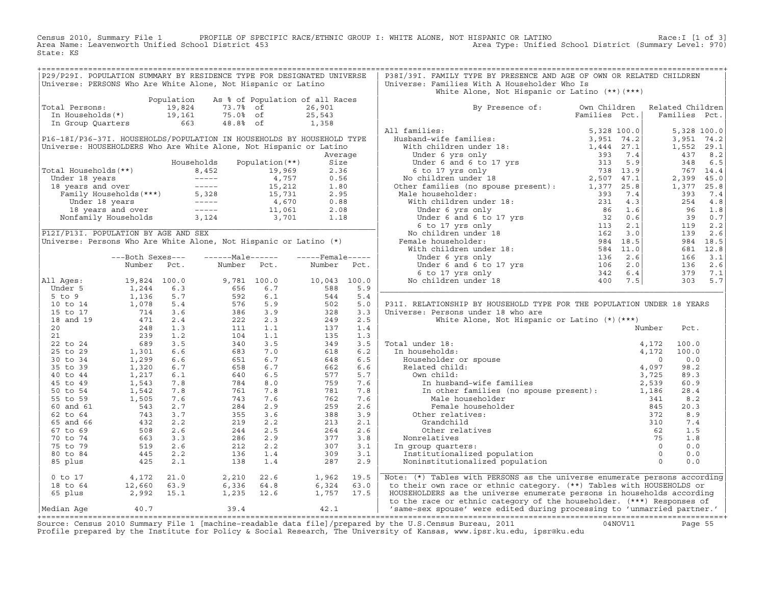Census 2010, Summary File 1 PROFILE OF SPECIFIC RACE/ETHNIC GROUP I: WHITE ALONE, NOT HISPANIC OR LATINO<br>Area Name: Leavenworth Unified School District 453 Area Type: Unified Schoo State: KS

| P29/P29I. POPULATION SUMMARY BY RESIDENCE TYPE FOR DESIGNATED UNIVERSE                                                                                                                                                                                        |                                                                                                          |            |                                                                      |                                 |                   |         | P38I/39I. FAMILY TYPE BY PRESENCE AND AGE OF OWN OR RELATED CHILDREN                                                                                                                                                                                                                                                                                                                                                                                                          |               |                |             |
|---------------------------------------------------------------------------------------------------------------------------------------------------------------------------------------------------------------------------------------------------------------|----------------------------------------------------------------------------------------------------------|------------|----------------------------------------------------------------------|---------------------------------|-------------------|---------|-------------------------------------------------------------------------------------------------------------------------------------------------------------------------------------------------------------------------------------------------------------------------------------------------------------------------------------------------------------------------------------------------------------------------------------------------------------------------------|---------------|----------------|-------------|
|                                                                                                                                                                                                                                                               |                                                                                                          |            |                                                                      |                                 |                   |         |                                                                                                                                                                                                                                                                                                                                                                                                                                                                               |               |                |             |
| Universe: PERSONS Who Are White Alone, Not Hispanic or Latino                                                                                                                                                                                                 |                                                                                                          |            |                                                                      |                                 |                   |         | Universe: Families With A Householder Who Is<br>White Alone, Not Hispanic or Latino (**) (***)                                                                                                                                                                                                                                                                                                                                                                                |               |                |             |
|                                                                                                                                                                                                                                                               |                                                                                                          | Population |                                                                      | As % of Population of all Races |                   |         |                                                                                                                                                                                                                                                                                                                                                                                                                                                                               |               |                |             |
| Total Persons:                                                                                                                                                                                                                                                |                                                                                                          | 19,824     |                                                                      |                                 | 26,901            |         | By Presence of: Own Children Related Children                                                                                                                                                                                                                                                                                                                                                                                                                                 |               |                |             |
|                                                                                                                                                                                                                                                               |                                                                                                          |            |                                                                      |                                 | 25,543            |         |                                                                                                                                                                                                                                                                                                                                                                                                                                                                               | Families Pct. | Families Pct.  |             |
| Jtal Fersons.<br>In Households(*) 19,161<br>In Group Quarters 663                                                                                                                                                                                             |                                                                                                          |            | 19,824 73.7% of<br>19,161 75.0% of<br>663 48.8% of                   |                                 | 25,543<br>1,358   |         |                                                                                                                                                                                                                                                                                                                                                                                                                                                                               |               |                |             |
|                                                                                                                                                                                                                                                               |                                                                                                          |            |                                                                      |                                 |                   |         | All families:                                                                                                                                                                                                                                                                                                                                                                                                                                                                 |               |                | 5,328 100.0 |
| P16-18I/P36-37I. HOUSEHOLDS/POPULATION IN HOUSEHOLDS BY HOUSEHOLD TYPE                                                                                                                                                                                        |                                                                                                          |            |                                                                      |                                 |                   |         |                                                                                                                                                                                                                                                                                                                                                                                                                                                                               |               |                | 3,951 74.2  |
| Universe: HOUSEHOLDERS Who Are White Alone, Not Hispanic or Latino                                                                                                                                                                                            |                                                                                                          |            |                                                                      |                                 |                   |         |                                                                                                                                                                                                                                                                                                                                                                                                                                                                               |               |                | 1,552 29.1  |
|                                                                                                                                                                                                                                                               |                                                                                                          |            |                                                                      |                                 |                   | Average |                                                                                                                                                                                                                                                                                                                                                                                                                                                                               |               | 437            | 8.2         |
|                                                                                                                                                                                                                                                               |                                                                                                          |            | Households                                                           | Population (**)                 | Size              |         |                                                                                                                                                                                                                                                                                                                                                                                                                                                                               |               | 348            | 6.5         |
| Fotal Households (**)<br>Under 18 years<br>18 years and over<br>Tamily Households (***)<br>18 years and over<br>Family Households (***)<br>15,212<br>1.80<br>15,731<br>1.80<br>15,731<br>2.95<br>Under 18 years<br>18 years and over<br>16 years and over<br> |                                                                                                          |            |                                                                      |                                 |                   |         |                                                                                                                                                                                                                                                                                                                                                                                                                                                                               |               |                | 767 14.4    |
|                                                                                                                                                                                                                                                               |                                                                                                          |            |                                                                      |                                 |                   |         |                                                                                                                                                                                                                                                                                                                                                                                                                                                                               |               |                | 2,399 45.0  |
|                                                                                                                                                                                                                                                               |                                                                                                          |            |                                                                      |                                 |                   |         |                                                                                                                                                                                                                                                                                                                                                                                                                                                                               |               |                | 1,377 25.8  |
|                                                                                                                                                                                                                                                               |                                                                                                          |            |                                                                      |                                 |                   |         |                                                                                                                                                                                                                                                                                                                                                                                                                                                                               |               | 393            | 7.4         |
|                                                                                                                                                                                                                                                               |                                                                                                          |            |                                                                      |                                 |                   |         |                                                                                                                                                                                                                                                                                                                                                                                                                                                                               |               |                | 254<br>4.8  |
|                                                                                                                                                                                                                                                               |                                                                                                          |            |                                                                      |                                 |                   |         |                                                                                                                                                                                                                                                                                                                                                                                                                                                                               |               | 96             | 1.8         |
|                                                                                                                                                                                                                                                               |                                                                                                          |            |                                                                      |                                 |                   |         |                                                                                                                                                                                                                                                                                                                                                                                                                                                                               |               |                | 39 0.7      |
|                                                                                                                                                                                                                                                               |                                                                                                          |            |                                                                      |                                 |                   |         |                                                                                                                                                                                                                                                                                                                                                                                                                                                                               |               | 119            | 2.2         |
| P12I/P13I. POPULATION BY AGE AND SEX                                                                                                                                                                                                                          |                                                                                                          |            |                                                                      |                                 |                   |         |                                                                                                                                                                                                                                                                                                                                                                                                                                                                               |               | 139            | 2.6         |
| Universe: Persons Who Are White Alone, Not Hispanic or Latino (*)                                                                                                                                                                                             |                                                                                                          |            |                                                                      |                                 |                   |         |                                                                                                                                                                                                                                                                                                                                                                                                                                                                               |               |                | 984 18.5    |
|                                                                                                                                                                                                                                                               |                                                                                                          |            |                                                                      |                                 |                   |         |                                                                                                                                                                                                                                                                                                                                                                                                                                                                               |               |                | 681 12.8    |
|                                                                                                                                                                                                                                                               | ---Both Sexes---                                                                                         |            | $---Male----$                                                        |                                 | $---$ Female----- |         |                                                                                                                                                                                                                                                                                                                                                                                                                                                                               |               | 166            | 3.1         |
|                                                                                                                                                                                                                                                               | Number                                                                                                   | Pct.       | Number                                                               | Pct.                            | Number            | Pct.    |                                                                                                                                                                                                                                                                                                                                                                                                                                                                               |               | 136            | 2.6         |
|                                                                                                                                                                                                                                                               |                                                                                                          |            |                                                                      |                                 |                   |         |                                                                                                                                                                                                                                                                                                                                                                                                                                                                               |               |                | 379 7.1     |
| All Ages:                                                                                                                                                                                                                                                     | 19,824 100.0<br>$19,824$<br>$1,244$                                                                      |            |                                                                      | 9,781 100.0                     | 10,043 100.0      |         |                                                                                                                                                                                                                                                                                                                                                                                                                                                                               |               |                | 303 5.7     |
| Under 5                                                                                                                                                                                                                                                       |                                                                                                          | 6.3        |                                                                      | 6.7                             | $10,043$<br>588   | 5.9     |                                                                                                                                                                                                                                                                                                                                                                                                                                                                               |               |                |             |
| $5$ to $9$                                                                                                                                                                                                                                                    |                                                                                                          | 5.7        |                                                                      | 6.1                             | 544               | 5.4     |                                                                                                                                                                                                                                                                                                                                                                                                                                                                               |               |                |             |
| 10 to 14                                                                                                                                                                                                                                                      | $1, 244$<br>$1, 136$<br>$714$<br>$471$<br>$248$<br>$239$<br>$1, 301$<br>$1, 299$<br>$1, 320$<br>$1, 212$ | 5.4        | 9,781<br>656<br>592<br>576<br>576<br>386<br>212<br>111<br>104<br>340 | 5.9                             | 502               | 5.0     | P31I. RELATIONSHIP BY HOUSEHOLD TYPE FOR THE POPULATION UNDER 18 YEARS                                                                                                                                                                                                                                                                                                                                                                                                        |               |                |             |
| 15 to 17                                                                                                                                                                                                                                                      |                                                                                                          | 3.6        |                                                                      | 3.9                             | 328               | 3.3     | Universe: Persons under 18 who are                                                                                                                                                                                                                                                                                                                                                                                                                                            |               |                |             |
| 18 and 19                                                                                                                                                                                                                                                     |                                                                                                          | 2.4        |                                                                      | 2.3                             | 249               | 2.5     | White Alone, Not Hispanic or Latino (*) (***)                                                                                                                                                                                                                                                                                                                                                                                                                                 |               |                |             |
| 20                                                                                                                                                                                                                                                            |                                                                                                          | 1.3        |                                                                      | 1.1                             | 137               | 1.4     |                                                                                                                                                                                                                                                                                                                                                                                                                                                                               |               | Number<br>Pct. |             |
| 21                                                                                                                                                                                                                                                            |                                                                                                          | 1.2        |                                                                      | 1.1                             | 135               | 1.3     |                                                                                                                                                                                                                                                                                                                                                                                                                                                                               |               |                |             |
| 22 to 24                                                                                                                                                                                                                                                      |                                                                                                          | 3.5        | 340                                                                  | 3.5                             | 349               | 3.5     | Total under 18:                                                                                                                                                                                                                                                                                                                                                                                                                                                               |               | 100.0          |             |
| 25 to 29                                                                                                                                                                                                                                                      |                                                                                                          | 6.6        | 683                                                                  | 7.0                             | 618               | 6.2     | In households:                                                                                                                                                                                                                                                                                                                                                                                                                                                                |               | 100.0          |             |
| 30 to 34                                                                                                                                                                                                                                                      |                                                                                                          | 6.6        | 651                                                                  | 6.7                             | 648               | 6.5     |                                                                                                                                                                                                                                                                                                                                                                                                                                                                               |               |                | 0.0         |
| 35 to 39                                                                                                                                                                                                                                                      |                                                                                                          | 6.7        | 658                                                                  | 6.7                             | 662               | 6.6     |                                                                                                                                                                                                                                                                                                                                                                                                                                                                               |               | 98.2           |             |
| 40 to 44                                                                                                                                                                                                                                                      |                                                                                                          | 6.1        | 640                                                                  | 6.5                             | 577               | 5.7     |                                                                                                                                                                                                                                                                                                                                                                                                                                                                               |               | 89.3           |             |
| 45 to 49                                                                                                                                                                                                                                                      |                                                                                                          | 7.8        | 784                                                                  | 8.0                             | 759               | 7.6     |                                                                                                                                                                                                                                                                                                                                                                                                                                                                               |               | 60.9           |             |
| 50 to 54                                                                                                                                                                                                                                                      | $\begin{array}{c} 1, 21 \\ 1, 543 \\ 1, 542 \\ 1, 505 \end{array}$                                       | 7.8        | 761                                                                  | 7.8                             | 781               | 7.8     | $\begin{tabular}{ll} \texttt{al under 18:} & \texttt{4,172} \\ \texttt{n households:} & \texttt{4,172} \\ \texttt{Householder or spouse} & \texttt{0} \\ \texttt{Related child:} & \texttt{4,997} \\ \texttt{0} & \texttt{0} \\ \texttt{1} & \texttt{m husband-wife families} \\ \texttt{1} & \texttt{other families} \\ \texttt{1} & \texttt{0} \\ \texttt{1} & \texttt{1} \\ \texttt{2,539} \\ \texttt{2,539} \\ \texttt{3,128} \\ \texttt{2,539} \\ \texttt{341} \end{tab$ |               | 28.4           |             |
| 55 to 59                                                                                                                                                                                                                                                      |                                                                                                          | 7.6        | 743                                                                  | 7.6                             | 762               | 7.6     | Male householder                                                                                                                                                                                                                                                                                                                                                                                                                                                              |               | 341            | 8.2         |
| 60 and 61                                                                                                                                                                                                                                                     |                                                                                                          | 2.7        | 284                                                                  | 2.9                             | 259               | 2.6     | Female householder                                                                                                                                                                                                                                                                                                                                                                                                                                                            |               | 20.3           |             |
| 62 to 64                                                                                                                                                                                                                                                      |                                                                                                          | 3.7        | 355                                                                  | 3.6                             | 388               | 3.9     | Other relatives:                                                                                                                                                                                                                                                                                                                                                                                                                                                              |               |                | 8.9         |
| 65 and 66                                                                                                                                                                                                                                                     |                                                                                                          | 2.2        | 219                                                                  | 2.2                             | 213               | 2.1     | Grandchild                                                                                                                                                                                                                                                                                                                                                                                                                                                                    |               |                | 7.4         |
| 67 to 69                                                                                                                                                                                                                                                      |                                                                                                          | 2.6        | 244                                                                  | 2.5                             | 264               | 2.6     | Other relatives                                                                                                                                                                                                                                                                                                                                                                                                                                                               |               |                | 1.5         |
| 70 to 74                                                                                                                                                                                                                                                      |                                                                                                          | 3.3        | 286                                                                  | 2.9                             | 377               | 3.8     | Nonrelatives                                                                                                                                                                                                                                                                                                                                                                                                                                                                  |               |                | 1.8         |
| 75 to 79                                                                                                                                                                                                                                                      |                                                                                                          | 2.6        | 212                                                                  | 2.2                             | 307               | 3.1     | In group quarters:                                                                                                                                                                                                                                                                                                                                                                                                                                                            |               |                | 0.0         |
| 80 to 84                                                                                                                                                                                                                                                      |                                                                                                          | 2.2        | 136                                                                  | 1.4                             | 309               | 3.1     | Institutionalized population                                                                                                                                                                                                                                                                                                                                                                                                                                                  |               |                | 0.0         |
| 85 plus                                                                                                                                                                                                                                                       | $\begin{array}{r} 1.7543 \\ 743 \\ 432 \\ 508 \\ 663 \\ 519 \\ 445 \\ 425 \end{array}$                   | 2.1        | 138                                                                  | 1.4                             | 287               | 2.9     | er and the spouse present).<br>The set of the set of the set of the set of the set of the set of the set of the set of the set of the set of the set of the set of the set of the set of the set of the set of the set of the se<br>Noninstitutionalized population                                                                                                                                                                                                           |               |                | 0.0         |
| $0$ to $17$                                                                                                                                                                                                                                                   |                                                                                                          | 21.0       |                                                                      | 22.6                            | 1,962             | 19.5    | Note: (*) Tables with PERSONS as the universe enumerate persons according                                                                                                                                                                                                                                                                                                                                                                                                     |               |                |             |
| 18 to 64                                                                                                                                                                                                                                                      |                                                                                                          | 63.9       |                                                                      | 64.8                            | 6,324             | 63.0    | to their own race or ethnic category. (**) Tables with HOUSEHOLDS or                                                                                                                                                                                                                                                                                                                                                                                                          |               |                |             |
| 65 plus                                                                                                                                                                                                                                                       | 4,172<br>12,660<br>2,992                                                                                 | 15.1       | 2,210<br>6,336<br>1,235                                              | 12.6                            | 1,757             | 17.5    | HOUSEHOLDERS as the universe enumerate persons in households according                                                                                                                                                                                                                                                                                                                                                                                                        |               |                |             |
|                                                                                                                                                                                                                                                               | 40.7                                                                                                     |            | 39.4                                                                 |                                 | 42.1              |         | to the race or ethnic category of the householder. (***) Responses of                                                                                                                                                                                                                                                                                                                                                                                                         |               |                |             |
| Median Age                                                                                                                                                                                                                                                    |                                                                                                          |            |                                                                      |                                 |                   |         | 'same-sex spouse' were edited during processing to 'unmarried partner.'                                                                                                                                                                                                                                                                                                                                                                                                       |               |                |             |
|                                                                                                                                                                                                                                                               |                                                                                                          |            |                                                                      |                                 |                   |         | and 0010 and plan the state of the state of the file of the state of and provided the control of the state of the state of the state of the state of the state of the state of the state of the state of the state of the stat                                                                                                                                                                                                                                                |               |                |             |

Source: Census 2010 Summary File 1 [machine-readable data file]/prepared by the U.S.Census Bureau, 2011 Page 55<br>Profile prepared by the Institute for Policy & Social Research, The University of Kansas, www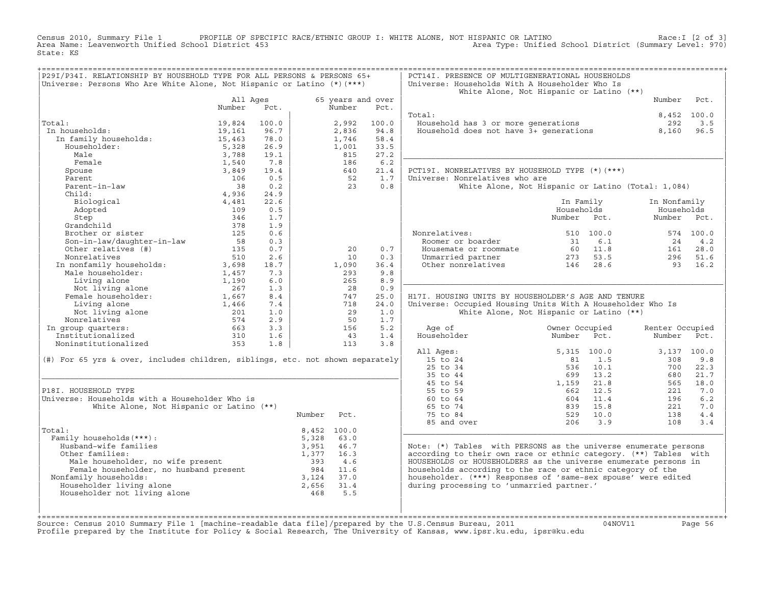Census 2010, Summary File 1 PROFILE OF SPECIFIC RACE/ETHNIC GROUP I: WHITE ALONE, NOT HISPANIC OR LATINO<br>Area Name: Leavenworth Unified School District 453 Area Type: Unified Schoo State: KS

| P29I/P34I. RELATIONSHIP BY HOUSEHOLD TYPE FOR ALL PERSONS & PERSONS 65+<br>Universe: Persons Who Are White Alone, Not Hispanic or Latino (*) (***)                                                                                                                 |                    |            |             |                             |             | PCT14I. PRESENCE OF MULTIGENERATIONAL HOUSEHOLDS<br>Universe: Households With A Householder Who Is             |                                                    |                 |           |
|--------------------------------------------------------------------------------------------------------------------------------------------------------------------------------------------------------------------------------------------------------------------|--------------------|------------|-------------|-----------------------------|-------------|----------------------------------------------------------------------------------------------------------------|----------------------------------------------------|-----------------|-----------|
|                                                                                                                                                                                                                                                                    |                    |            |             |                             |             |                                                                                                                | White Alone, Not Hispanic or Latino (**)           |                 |           |
|                                                                                                                                                                                                                                                                    | All Ages<br>Number | Pct.       |             | 65 years and over<br>Number | Pct.        |                                                                                                                |                                                    | Number          | Pct.      |
|                                                                                                                                                                                                                                                                    |                    |            |             |                             |             | Total:                                                                                                         |                                                    | 8,452 100.0     |           |
| Total:                                                                                                                                                                                                                                                             | 19,824             | 100.0      |             | 2,992                       | 100.0       | Household has 3 or more generations                                                                            |                                                    | 292             | 3.5       |
| In households:                                                                                                                                                                                                                                                     | 19,161             | 96.7       |             | 2,836                       | 94.8        | Household does not have $3+$ generations 8,160                                                                 |                                                    |                 | 96.5      |
| n households:<br>In family households:<br>Householder:                                                                                                                                                                                                             | 15,463             | 78.0       |             | 1,746                       | 58.4        |                                                                                                                |                                                    |                 |           |
|                                                                                                                                                                                                                                                                    | 5,328              | 26.9       |             | 1,001                       | 33.5        |                                                                                                                |                                                    |                 |           |
| Male                                                                                                                                                                                                                                                               | 3,788              | 19.1       |             | 815                         | 27.2        |                                                                                                                |                                                    |                 |           |
| Female                                                                                                                                                                                                                                                             | 1,540              | 7.8        |             | 186                         | 6.2         |                                                                                                                |                                                    |                 |           |
| Spouse                                                                                                                                                                                                                                                             | 3,849              | 19.4       |             | 640                         | 21.4        | PCT19I. NONRELATIVES BY HOUSEHOLD TYPE (*) (***)                                                               |                                                    |                 |           |
| Parent                                                                                                                                                                                                                                                             | 106                | 0.5        |             | 52                          | 1.7         | Universe: Nonrelatives who are                                                                                 |                                                    |                 |           |
| Parent-in-law                                                                                                                                                                                                                                                      | 38                 | 0.2        |             | 23                          | 0.8         |                                                                                                                | White Alone, Not Hispanic or Latino (Total: 1,084) |                 |           |
| Child:                                                                                                                                                                                                                                                             | 4,936              | 24.9       |             |                             |             |                                                                                                                |                                                    |                 |           |
| Biological                                                                                                                                                                                                                                                         | 4,481              | 22.6       |             |                             |             |                                                                                                                | In Family                                          | In Nonfamily    |           |
| Adopted                                                                                                                                                                                                                                                            | 109                | 0.5        |             |                             |             |                                                                                                                | Households                                         | Households      |           |
| Step                                                                                                                                                                                                                                                               | 346                | 1.7        |             |                             |             |                                                                                                                | Number Pct.                                        | Number Pct.     |           |
| Step<br>Grandchild<br>Brother or sister<br>Son-in-law/daughter-in-law                                                                                                                                                                                              | 378                | 1.9        |             |                             |             |                                                                                                                |                                                    |                 |           |
|                                                                                                                                                                                                                                                                    | 125                | 0.6        |             |                             |             | Nonrelatives:                                                                                                  | 510 100.0                                          |                 | 574 100.0 |
|                                                                                                                                                                                                                                                                    | 58                 | 0.3        |             |                             |             |                                                                                                                |                                                    | 24              | 4.2       |
| Other relatives (#)                                                                                                                                                                                                                                                | 135                | 0.7        |             | 20                          | 0.7         | Roomer or boarder<br>Housemate or roommate 31 6.1<br>Unmarried partner 273 53.5<br>Other nonrelatives 146 28.6 |                                                    | 161             | 28.0      |
| Nonrelatives                                                                                                                                                                                                                                                       | 510                | 2.6        |             | 10                          | 0.3         |                                                                                                                |                                                    | 296             | 51.6      |
| In nonfamily households:                                                                                                                                                                                                                                           | 3,698              | 18.7       |             | 1,090                       | 36.4        |                                                                                                                |                                                    | 93              | 16.2      |
| Male householder:                                                                                                                                                                                                                                                  | 1,457              | 7.3        |             | 293                         | 9.8         |                                                                                                                |                                                    |                 |           |
| Living alone                                                                                                                                                                                                                                                       | 1,190              | 6.0        |             | 265                         | 8.9         |                                                                                                                |                                                    |                 |           |
| Not living alone<br>Female householder:                                                                                                                                                                                                                            | 267                | 1.3        |             | 28                          | 0.9         |                                                                                                                |                                                    |                 |           |
|                                                                                                                                                                                                                                                                    | 1,667              | 8.4        |             | 747<br>718                  | 25.0        | H17I. HOUSING UNITS BY HOUSEHOLDER'S AGE AND TENURE                                                            |                                                    |                 |           |
| Living alone                                                                                                                                                                                                                                                       | 1,466<br>201       | 7.4<br>1.0 |             | 29                          | 24.0<br>1.0 | Universe: Occupied Housing Units With A Householder Who Is                                                     |                                                    |                 |           |
| Not living alone<br>Nonrelatives                                                                                                                                                                                                                                   | 574                | 2.9        |             | 50                          | 1.7         |                                                                                                                | White Alone, Not Hispanic or Latino (**)           |                 |           |
| In group quarters:                                                                                                                                                                                                                                                 | 663                | 3.3        |             | 156                         | 5.2         | Age of                                                                                                         | Owner Occupied                                     | Renter Occupied |           |
| Institutionalized                                                                                                                                                                                                                                                  | 310                | 1.6        |             | 43                          | 1.4         | Householder                                                                                                    | Number<br>Pct.                                     | Number          | Pct.      |
| Noninstitutionalized                                                                                                                                                                                                                                               | 353                | 1.8        |             | 113                         | 3.8         |                                                                                                                |                                                    |                 |           |
|                                                                                                                                                                                                                                                                    |                    |            |             |                             |             | All Ages:                                                                                                      | 5,315 100.0                                        | 3,137 100.0     |           |
| (#) For 65 yrs & over, includes children, siblings, etc. not shown separately                                                                                                                                                                                      |                    |            |             |                             |             | 15 to 24                                                                                                       | 1.5<br>81                                          | 308             | 9.8       |
|                                                                                                                                                                                                                                                                    |                    |            |             |                             |             | 25 to 34                                                                                                       | 10.1<br>536                                        | 700             | 22.3      |
|                                                                                                                                                                                                                                                                    |                    |            |             |                             |             | 35 to 44                                                                                                       | 13.2<br>699                                        | 680             | 21.7      |
|                                                                                                                                                                                                                                                                    |                    |            |             |                             |             | 45 to 54                                                                                                       | 1,159<br>21.8                                      | 565             | 18.0      |
| P18I. HOUSEHOLD TYPE                                                                                                                                                                                                                                               |                    |            |             |                             |             | 55 to 59                                                                                                       | 12.5<br>662                                        | 221             | 7.0       |
| Universe: Households with a Householder Who is                                                                                                                                                                                                                     |                    |            |             |                             |             | 60 to 64                                                                                                       | 11.4<br>604                                        | 196             | 6.2       |
| White Alone, Not Hispanic or Latino (**)                                                                                                                                                                                                                           |                    |            |             |                             |             | 65 to 74                                                                                                       | 15.8<br>839                                        | 221             | 7.0       |
|                                                                                                                                                                                                                                                                    |                    |            | Number Pct. |                             |             | 75 to 84                                                                                                       | 529 10.0                                           | 138             | $4.4$     |
|                                                                                                                                                                                                                                                                    |                    |            |             |                             |             | 85 and over                                                                                                    | 206<br>3.9                                         | 108             | 3.4       |
| Total:                                                                                                                                                                                                                                                             |                    |            | 8,452 100.0 |                             |             |                                                                                                                |                                                    |                 |           |
| Family households (***) :                                                                                                                                                                                                                                          |                    |            | 5,328       | 63.0                        |             |                                                                                                                |                                                    |                 |           |
| Husband-wife families                                                                                                                                                                                                                                              |                    |            | 3,951       | 46.7                        |             | Note: (*) Tables with PERSONS as the universe enumerate persons                                                |                                                    |                 |           |
| Other families:                                                                                                                                                                                                                                                    |                    |            | 1,377 16.3  |                             |             | according to their own race or ethnic category. (**) Tables with                                               |                                                    |                 |           |
|                                                                                                                                                                                                                                                                    |                    |            |             |                             |             | HOUSEHOLDS or HOUSEHOLDERS as the universe enumerate persons in                                                |                                                    |                 |           |
|                                                                                                                                                                                                                                                                    |                    |            |             |                             |             | households according to the race or ethnic category of the                                                     |                                                    |                 |           |
| Nonfamily households:                                                                                                                                                                                                                                              |                    |            |             |                             |             | householder. (***) Responses of 'same-sex spouse' were edited                                                  |                                                    |                 |           |
| Male householder, no wife present and a semi-field out of the boundary of the Female householder, no husband present and the semi-field of the family households:<br>Family households: 3,124 37.0<br>984 11.6<br>1.3024 37.0<br>1.302<br>Householder living alone |                    |            |             |                             |             | during processing to 'unmarried partner.'                                                                      |                                                    |                 |           |
| Householder not living alone                                                                                                                                                                                                                                       |                    |            |             |                             |             |                                                                                                                |                                                    |                 |           |
|                                                                                                                                                                                                                                                                    |                    |            |             |                             |             |                                                                                                                |                                                    |                 |           |
|                                                                                                                                                                                                                                                                    |                    |            |             |                             |             |                                                                                                                |                                                    |                 |           |

+===================================================================================================================================================+Source: Census 2010 Summary File 1 [machine−readable data file]/prepared by the U.S.Census Bureau, 2011 04NOV11 Page 56 Profile prepared by the Institute for Policy & Social Research, The University of Kansas, www.ipsr.ku.edu, ipsr@ku.edu